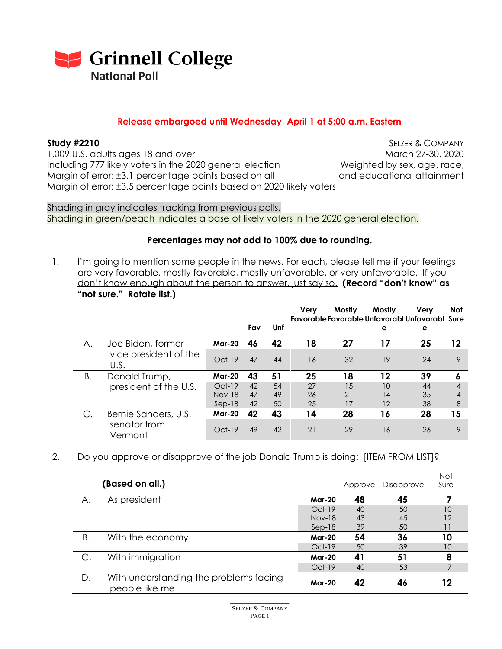

## **Release embargoed until Wednesday, April 1 at 5:00 a.m. Eastern**

1,009 U.S. adults ages 18 and over March 27-30, 2020 Including 777 likely voters in the 2020 general election Weighted by sex, age, race, Margin of error: ±3.1 percentage points based on all and educational attainment Margin of error: ±3.5 percentage points based on 2020 likely voters

**Study #2210** SELZER & COMPANY

Shading in gray indicates tracking from previous polls. Shading in green/peach indicates a base of likely voters in the 2020 general election.

### **Percentages may not add to 100% due to rounding.**

1. I'm going to mention some people in the news. For each, please tell me if your feelings are very favorable, mostly favorable, mostly unfavorable, or very unfavorable. If you don't know enough about the person to answer, just say so. **(Record "don't know" as "not sure." Rotate list.)**

|    |                               |               | Fav | Unf | <b>Verv</b> | Mostly<br>Favorable Favorable Unfavorabl Unfavorabl Sure | Mostly<br>е | Verv<br>е | <b>Not</b> |
|----|-------------------------------|---------------|-----|-----|-------------|----------------------------------------------------------|-------------|-----------|------------|
| А. | Joe Biden, former             | <b>Mar-20</b> | 46  | 42  | 18          | 27                                                       | 17          | 25        | 12         |
|    | vice president of the<br>U.S. | $Oct-19$      | 47  | 44  | 16          | 32                                                       | 19          | 24        | 9          |
| Β. | Donald Trump,                 | <b>Mar-20</b> | 43  | 51  | 25          | 18                                                       | 12          | 39        |            |
|    | president of the U.S.         | $Oct-19$      | 42  | 54  | 27          | 15                                                       | 10          | 44        |            |
|    |                               | <b>Nov-18</b> | 47  | 49  | 26          | 21                                                       | 14          | 35        |            |
|    |                               | $Sep-18$      | 42  | 50  | 25          | 17                                                       | 12          | 38        | 8          |
|    | Bernie Sanders, U.S.          | <b>Mar-20</b> | 42  | 43  | 14          | 28                                                       | 16          | 28        | 15         |
|    | senator from<br>Vermont       | $Oct-19$      | 49  | 42  | 21          | 29                                                       | 16          | 26        | Q          |

2. Do you approve or disapprove of the job Donald Trump is doing: [ITEM FROM LIST]?

|               | (Based on all.)                                          |               | Approve | Disapprove | <b>Not</b><br>Sure |  |
|---------------|----------------------------------------------------------|---------------|---------|------------|--------------------|--|
| Α.            | As president                                             | <b>Mar-20</b> | 48      | 45         |                    |  |
|               |                                                          | $Oct-19$      | 40      | 50         | 10                 |  |
|               |                                                          | $Nov-18$      | 43      | 45         | 12                 |  |
|               |                                                          | $Sep-18$      | 39      | 50         | 11                 |  |
| В.            | With the economy                                         | <b>Mar-20</b> | 54      | 36         | 10                 |  |
|               |                                                          | $Oct-19$      | 50      | 39         | 10                 |  |
| $\mathsf{C}.$ | With immigration                                         | <b>Mar-20</b> | 41      | 51         | 8                  |  |
|               |                                                          | $Oct-19$      | 40      | 53         |                    |  |
| D.            | With understanding the problems facing<br>people like me | <b>Mar-20</b> | 42      | 46         | 12                 |  |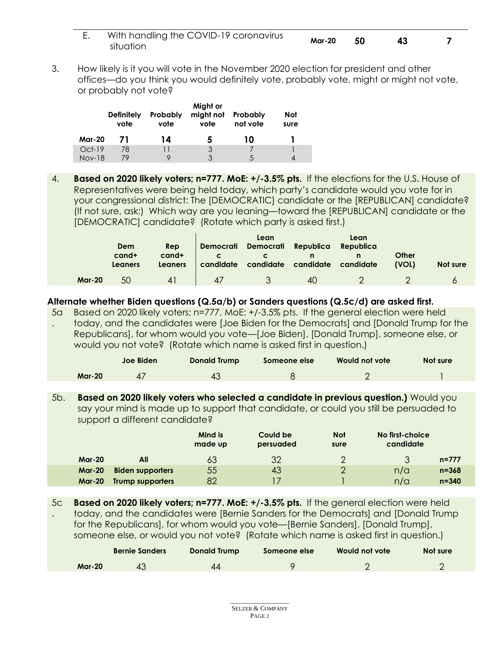| With handling the COVID-19 coronavirus<br>situation | <b>Mar-20</b> | - 50 |  |  |
|-----------------------------------------------------|---------------|------|--|--|
|-----------------------------------------------------|---------------|------|--|--|

3. How likely is it you will vote in the November 2020 election for president and other offices—do you think you would definitely vote, probably vote, might or might not vote, or probably not vote?

|               | <b>Definitely</b><br>vote | Probably<br>vote | Might or<br>might not<br>vote | Probably<br>not vote | Not<br>sure |
|---------------|---------------------------|------------------|-------------------------------|----------------------|-------------|
| <b>Mar-20</b> | 71                        | 14               | 5                             | 10                   |             |
| $Oct-19$      | 78                        |                  | 3                             |                      |             |
| <b>Nov-18</b> | 79                        |                  | २                             | $\mathcal{L}$        |             |

4. **Based on 2020 likely voters; n=777. MoE: +/-3.5% pts.** If the elections for the U.S. House of Representatives were being held today, which party's candidate would you vote for in your congressional district: The [DEMOCRATIC] candidate or the [REPUBLICAN] candidate? (If not sure, ask:) Which way are you leaning—toward the [REPUBLICAN] candidate or the [DEMOCRATIC] candidate? (Rotate which party is asked first.)

|               | Dem<br>$c$ and+<br>Leaners | Rep<br>$c$ and $+$<br>Leaners | Democrati<br>candidate | Lean<br>Democrati Republica<br>candidate candidate | n  | Lean<br>Republica<br>candidate | Other<br>(VOL) | Not sure |
|---------------|----------------------------|-------------------------------|------------------------|----------------------------------------------------|----|--------------------------------|----------------|----------|
| <b>Mar-20</b> | 50                         | $\overline{4}$                | 47                     |                                                    | 40 |                                |                |          |

## **Alternate whether Biden questions (Q.5a/b) or Sanders questions (Q.5c/d) are asked first.**

5a . Based on 2020 likely voters; n=777. MoE: +/-3.5% pts. If the general election were held today, and the candidates were [Joe Biden for the Democrats] and [Donald Trump for the Republicans], for whom would you vote—[Joe Biden], [Donald Trump], someone else, or would you not vote? (Rotate which name is asked first in question.)

|               | Joe Biden | Donald Trump | Someone else | Would not vote | Not sure |
|---------------|-----------|--------------|--------------|----------------|----------|
| <b>Mar-20</b> |           |              |              |                |          |

5b. **Based on 2020 likely voters who selected a candidate in previous question.)** Would you say your mind is made up to support that candidate, or could you still be persuaded to support a different candidate?

|               |                         | Mind is<br>made up | Could be<br>persuaded | <b>Not</b><br>sure | No first-choice<br>candidate |  |
|---------------|-------------------------|--------------------|-----------------------|--------------------|------------------------------|--|
| <b>Mar-20</b> | All                     | 63                 | 32                    | っ                  | $n = 777$                    |  |
| <b>Mar-20</b> | <b>Biden supporters</b> | 55                 | 43                    | っ                  | $n = 368$<br>n/a             |  |
| <b>Mar-20</b> | Trump supporters        | 82                 |                       |                    | n/a<br>$n = 340$             |  |

5c . **Based on 2020 likely voters; n=777. MoE: +/-3.5% pts.** If the general election were held today, and the candidates were [Bernie Sanders for the Democrats] and [Donald Trump for the Republicans], for whom would you vote—[Bernie Sanders], [Donald Trump], someone else, or would you not vote? (Rotate which name is asked first in question.)

|               | <b>Bernie Sanders</b> | Donald Trump | Someone else | Would not vote | Not sure |
|---------------|-----------------------|--------------|--------------|----------------|----------|
| <b>Mar-20</b> |                       | 44           |              |                |          |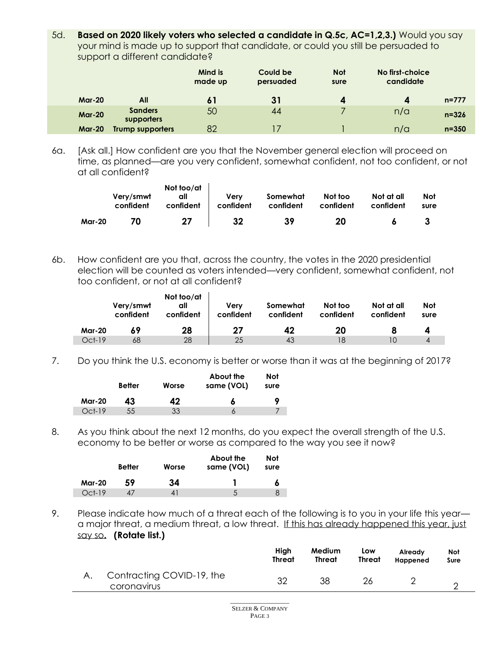5d. **Based on 2020 likely voters who selected a candidate in Q.5c, AC=1,2,3.)** Would you say your mind is made up to support that candidate, or could you still be persuaded to support a different candidate?

|               |                              | Mind is<br>made up | Could be<br>persuaded | <b>Not</b><br>sure | No first-choice<br>candidate |           |
|---------------|------------------------------|--------------------|-----------------------|--------------------|------------------------------|-----------|
| <b>Mar-20</b> | All                          |                    | 31                    | 4                  | $\boldsymbol{A}$             | $n = 777$ |
| <b>Mar-20</b> | <b>Sanders</b><br>supporters | 50                 | 44                    |                    | n/a                          | $n = 326$ |
| <b>Mar-20</b> | <b>Trump supporters</b>      | 82                 | 17                    |                    | n/a                          | $n = 350$ |

6a. [Ask all.] How confident are you that the November general election will proceed on time, as planned—are you very confident, somewhat confident, not too confident, or not at all confident?

|               | Very/smwt<br>confident | Not too/at<br>all<br>confident | Verv<br>confident | Somewhat<br>confident | Not too<br>confident | Not at all<br>confident | <b>Not</b><br>sure |
|---------------|------------------------|--------------------------------|-------------------|-----------------------|----------------------|-------------------------|--------------------|
| <b>Mar-20</b> | 70                     | 27                             | 32                | 39                    | 20                   |                         |                    |

6b. How confident are you that, across the country, the votes in the 2020 presidential election will be counted as voters intended—very confident, somewhat confident, not too confident, or not at all confident?

|               | Very/smwt<br>confident | Not too/at<br>all<br>confident | Verv<br>confident | Somewhat<br>confident | Not too<br>confident | Not at all<br>confident | Not<br>sure |
|---------------|------------------------|--------------------------------|-------------------|-----------------------|----------------------|-------------------------|-------------|
| <b>Mar-20</b> | 69                     | 28                             | 27                | 42                    | 20                   |                         |             |
| $Oct-19$      | 68                     | 28                             | 25                | 43                    | 18                   | 1 C                     | 4           |

7. Do you think the U.S. economy is better or worse than it was at the beginning of 2017?

|               | <b>Better</b> | Worse | About the<br>same (VOL) | Not<br>sure |
|---------------|---------------|-------|-------------------------|-------------|
| <b>Mar-20</b> | 43.           | 42    | 6                       |             |
| $Oct-19$      | 55            | 33    |                         |             |

8. As you think about the next 12 months, do you expect the overall strength of the U.S. economy to be better or worse as compared to the way you see it now?

|               | <b>Better</b> | Worse | About the<br>same (VOL) | Not<br>sure |
|---------------|---------------|-------|-------------------------|-------------|
| <b>Mar-20</b> | 59            | 34    |                         |             |
| $Oct-19$      |               |       | $\overline{ }$          |             |

9. Please indicate how much of a threat each of the following is to you in your life this yeara major threat, a medium threat, a low threat. If this has already happened this year, just say so**. (Rotate list.)**

|                                          | Hiah<br>Threat | Medium<br><b>Threat</b> | Low<br><b>Threat</b> | Already<br>Happened | Not<br>Sure |
|------------------------------------------|----------------|-------------------------|----------------------|---------------------|-------------|
| Contracting COVID-19, the<br>coronavirus | つ              | 38                      | 26                   |                     |             |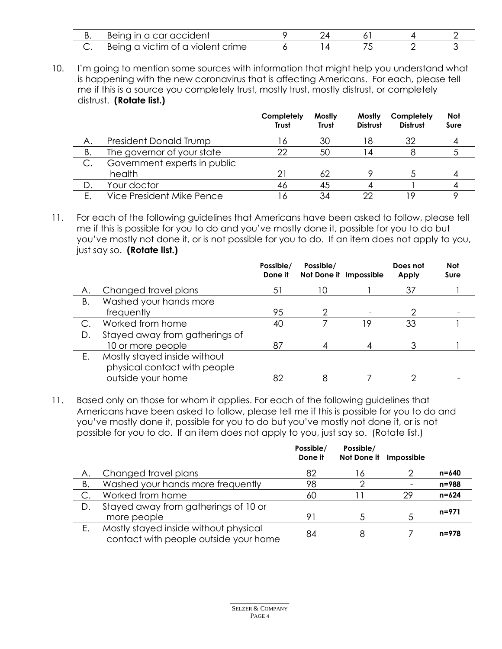| <u>.</u> | Being in a car accident                |  |  |  |
|----------|----------------------------------------|--|--|--|
| J.       | a victim of a violent crime<br>Being c |  |  |  |

10. I'm going to mention some sources with information that might help you understand what is happening with the new coronavirus that is affecting Americans. For each, please tell me if this is a source you completely trust, mostly trust, mostly distrust, or completely distrust. **(Rotate list.)**

|    |                              | Completely<br><b>Trust</b> | Mostly<br><b>Trust</b> | <b>Mostly</b><br><b>Distrust</b> | Completely<br><b>Distrust</b> | <b>Not</b><br>Sure |
|----|------------------------------|----------------------------|------------------------|----------------------------------|-------------------------------|--------------------|
| А. | President Donald Trump       | 16                         | 30                     | 18                               | 32                            |                    |
| В. | The governor of your state   | 22                         | 50                     |                                  |                               |                    |
|    | Government experts in public |                            |                        |                                  |                               |                    |
|    | health                       | 2i                         | 62                     |                                  |                               |                    |
| D. | Your doctor                  | 46                         | 45                     |                                  |                               |                    |
| Е. | Vice President Mike Pence    | 16                         | 34                     | つつ                               | , O                           |                    |

11. For each of the following guidelines that Americans have been asked to follow, please tell me if this is possible for you to do and you've mostly done it, possible for you to do but you've mostly not done it, or is not possible for you to do. If an item does not apply to you, just say so. **(Rotate list.)**

|               |                                                              | Possible/<br>Done it | Possible/<br>Not Done it Impossible |   | Does not<br><b>Apply</b> | <b>Not</b><br>Sure |
|---------------|--------------------------------------------------------------|----------------------|-------------------------------------|---|--------------------------|--------------------|
| Α.            | Changed travel plans                                         | 51                   | 10                                  |   | 37                       |                    |
| В.            | Washed your hands more                                       |                      |                                     |   |                          |                    |
|               | frequently                                                   | 95                   |                                     |   |                          |                    |
| $\mathsf{C}.$ | Worked from home                                             | 40                   |                                     | 9 | 33                       |                    |
| D.            | Stayed away from gatherings of                               |                      |                                     |   |                          |                    |
|               | 10 or more people                                            | 87                   |                                     |   |                          |                    |
| Ε.            | Mostly stayed inside without<br>physical contact with people |                      |                                     |   |                          |                    |
|               | outside your home                                            | 82                   |                                     |   |                          |                    |

11. Based only on those for whom it applies. For each of the following guidelines that Americans have been asked to follow, please tell me if this is possible for you to do and you've mostly done it, possible for you to do but you've mostly not done it, or is not possible for you to do. If an item does not apply to you, just say so. (Rotate list.)

|    |                                                                                | Possible/<br>Done it | Possible/<br>Not Done it Impossible |    |           |
|----|--------------------------------------------------------------------------------|----------------------|-------------------------------------|----|-----------|
| Α. | Changed travel plans                                                           | 82                   | 16                                  |    | $n = 640$ |
| В. | Washed your hands more frequently                                              | 98                   | 2                                   |    | $n = 988$ |
|    | Worked from home                                                               | 60                   |                                     | 29 | $n = 624$ |
| D. | Stayed away from gatherings of 10 or<br>more people                            | 91                   | $\mathcal{L}$                       |    | $n = 971$ |
| Ε. | Mostly stayed inside without physical<br>contact with people outside your home | 84                   | 8                                   |    | $n = 978$ |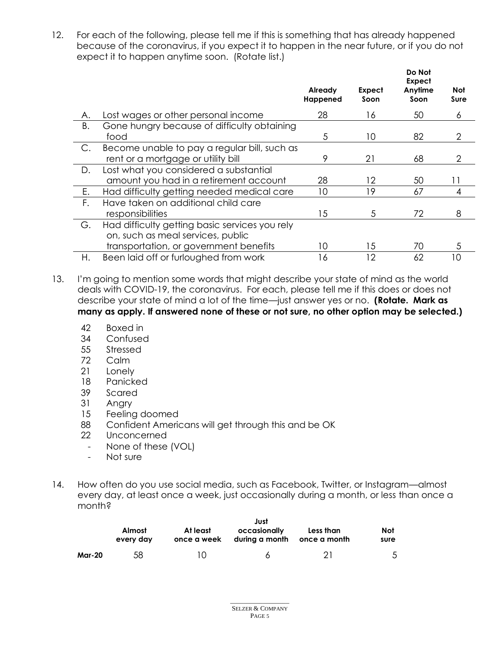12. For each of the following, please tell me if this is something that has already happened because of the coronavirus, if you expect it to happen in the near future, or if you do not expect it to happen anytime soon. (Rotate list.)

|    |                                                |                     |                | Do Not<br>Expect |             |
|----|------------------------------------------------|---------------------|----------------|------------------|-------------|
|    |                                                | Already<br>Happened | Expect<br>Soon | Anytime<br>Soon  | Not<br>Sure |
| Α. | Lost wages or other personal income            | 28                  | 16             | 50               | 6           |
| Β. | Gone hungry because of difficulty obtaining    |                     |                |                  |             |
|    | food                                           | 5                   | 10             | 82               | 2           |
| C. | Become unable to pay a regular bill, such as   |                     |                |                  |             |
|    | rent or a mortgage or utility bill             | 9                   | 21             | 68               | 2           |
| D. | Lost what you considered a substantial         |                     |                |                  |             |
|    | amount you had in a retirement account         | 28                  | 12             | 50               |             |
| Е. | Had difficulty getting needed medical care     | 10                  | 19             | 67               | 4           |
| F. | Have taken on additional child care            |                     |                |                  |             |
|    | responsibilities                               | 15                  | 5              | 72               | 8           |
| G. | Had difficulty getting basic services you rely |                     |                |                  |             |
|    | on, such as meal services, public              |                     |                |                  |             |
|    | transportation, or government benefits         | 10                  | 1.5            | 70               | 5           |
| Η. | Been laid off or furloughed from work          | 16                  | 12             | 62               | 10          |

13. I'm going to mention some words that might describe your state of mind as the world deals with COVID-19, the coronavirus. For each, please tell me if this does or does not describe your state of mind a lot of the time—just answer yes or no. **(Rotate. Mark as many as apply. If answered none of these or not sure, no other option may be selected.)**

- 42 Boxed in
- 34 Confused
- 55 Stressed
- 72 Calm
- 21 Lonely
- 18 Panicked
- 39 Scared
- 31 Angry
- 15 Feeling doomed
- 88 Confident Americans will get through this and be OK
- 22 Unconcerned
	- None of these (VOL)
	- Not sure
- 14. How often do you use social media, such as Facebook, Twitter, or Instagram—almost every day, at least once a week, just occasionally during a month, or less than once a month?

|               |                            |                         | Just                           |                           |             |
|---------------|----------------------------|-------------------------|--------------------------------|---------------------------|-------------|
|               | <b>Almost</b><br>every day | At least<br>once a week | occasionally<br>during a month | Less than<br>once a month | Not<br>sure |
| <b>Mar-20</b> | 58                         | $\left( \right)$        | 6                              | 21                        |             |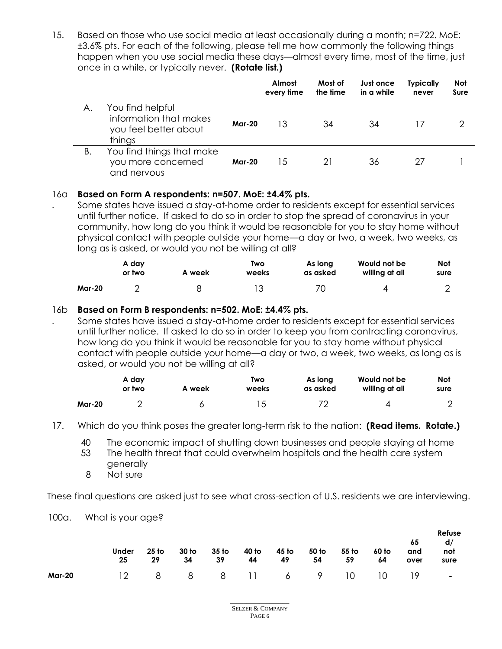15. Based on those who use social media at least occasionally during a month; n=722. MoE: ±3.6% pts. For each of the following, please tell me how commonly the following things happen when you use social media these days—almost every time, most of the time, just once in a while, or typically never. **(Rotate list.)**

|    |                                                                               |               | Almost<br>every time | Most of<br>the time | Just once<br>in a while | <b>Typically</b><br>never | <b>Not</b><br>Sure |
|----|-------------------------------------------------------------------------------|---------------|----------------------|---------------------|-------------------------|---------------------------|--------------------|
| А. | You find helpful<br>information that makes<br>you feel better about<br>things | <b>Mar-20</b> | 13                   | 34                  | 34                      |                           |                    |
| В. | You find things that make<br>you more concerned<br>and nervous                | <b>Mar-20</b> | 15                   | 21                  | 36                      | 27                        |                    |

## 16a **Based on Form A respondents: n=507. MoE: ±4.4% pts.**

Some states have issued a stay-at-home order to residents except for essential services until further notice. If asked to do so in order to stop the spread of coronavirus in your community, how long do you think it would be reasonable for you to stay home without physical contact with people outside your home—a day or two, a week, two weeks, as long as is asked, or would you not be willing at all?

|               | A day<br>or two | A week | Two<br>weeks | As long<br>as asked | Would not be<br>willing at all | <b>Not</b><br>sure |
|---------------|-----------------|--------|--------------|---------------------|--------------------------------|--------------------|
| <b>Mar-20</b> |                 |        |              | 70                  |                                |                    |

## 16b **Based on Form B respondents: n=502. MoE: ±4.4% pts.**

Some states have issued a stay-at-home order to residents except for essential services until further notice. If asked to do so in order to keep you from contracting coronavirus, how long do you think it would be reasonable for you to stay home without physical contact with people outside your home—a day or two, a week, two weeks, as long as is asked, or would you not be willing at all?

|        | A day<br>or two | A week | Two<br>weeks | As long<br>as asked | Would not be<br>willing at all | Not<br>sure    |
|--------|-----------------|--------|--------------|---------------------|--------------------------------|----------------|
| Mar-20 |                 |        |              | 70                  |                                | $\overline{2}$ |

- 17. Which do you think poses the greater long-term risk to the nation: **(Read items. Rotate.)**
	- 40 The economic impact of shutting down businesses and people staying at home
	- 53 The health threat that could overwhelm hospitals and the health care system generally
	- 8 Not sure

.

.

These final questions are asked just to see what cross-section of U.S. residents we are interviewing.

### 100a. What is your age?

|        |                            |                 |       |                |                |                  |       |      |      |    | Refuse |  |
|--------|----------------------------|-----------------|-------|----------------|----------------|------------------|-------|------|------|----|--------|--|
|        |                            |                 |       |                |                |                  |       |      |      | 65 | d/     |  |
|        | <b>Under</b>               | 25 to           | 30 to | 35 to<br>40 to | 45 to<br>50 to | 55 to            | 60 to | and  | not  |    |        |  |
|        | 25                         | 29<br>-34<br>39 |       | 44 49          |                | 54<br>59<br>- 64 |       | over | sure |    |        |  |
| Mar-20 | 12 8 8 8 11 6 9 10 10 19 - |                 |       |                |                |                  |       |      |      |    |        |  |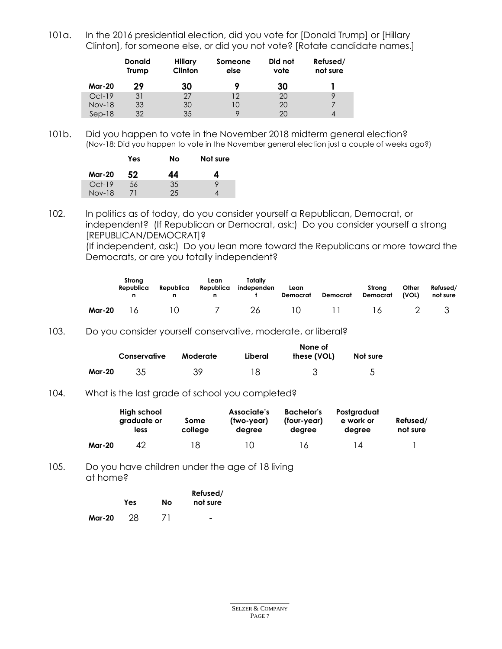101a. In the 2016 presidential election, did you vote for [Donald Trump] or [Hillary Clinton], for someone else, or did you not vote? [Rotate candidate names.]

|               | <b>Donald</b><br>Trump | Hillary<br>Clinton | Someone<br>else | Did not<br>vote | Refused/<br>not sure |
|---------------|------------------------|--------------------|-----------------|-----------------|----------------------|
| <b>Mar-20</b> | 29                     | 30                 |                 | 30              |                      |
| $Oct-19$      | 31                     | 27                 | 12              | 20              | 9                    |
| <b>Nov-18</b> | 33                     | 30                 | 10              | 20              |                      |
| $Sep-18$      | 32                     | 35                 |                 | 20              |                      |

101b. Did you happen to vote in the November 2018 midterm general election? (Nov-18: Did you happen to vote in the November general election just a couple of weeks ago?)

|          | Yes | Nο | Not sure |
|----------|-----|----|----------|
| Mar-20   | 52  | 44 | 4        |
| $Oct-19$ | 56  | 35 | Q        |
| $Nov-18$ |     | 25 |          |

102. In politics as of today, do you consider yourself a Republican, Democrat, or independent? (If Republican or Democrat, ask:) Do you consider yourself a strong [REPUBLICAN/DEMOCRAT]?

(If independent, ask:) Do you lean more toward the Republicans or more toward the Democrats, or are you totally independent?

|        | Strona<br>Republica    | Republica | Lean<br>Republica | Totally<br>independen | Lean<br>Democrat | Democrat         | Strona<br><b>Democrat</b> | Other<br>(VOL) | Refused/<br>not sure |
|--------|------------------------|-----------|-------------------|-----------------------|------------------|------------------|---------------------------|----------------|----------------------|
| Mar-20 | $\cdot \cdot \cdot$ 16 | 10.       | $\sim$ 7          | 26                    |                  | $10 \t 11 \t 16$ |                           |                |                      |

#### 103. Do you consider yourself conservative, moderate, or liberal?

|        | Conservative | Moderate | Liberal | None of<br>these (VOL) | Not sure |
|--------|--------------|----------|---------|------------------------|----------|
| Mar-20 |              | 39.      | 18      |                        |          |

#### 104. What is the last grade of school you completed?

|               | High school<br>graduate or<br>less | Some<br>college | Associate's<br>(two-vear)<br>dearee | <b>Bachelor's</b><br>(four-year)<br>degree | Postgraduat<br>e work or<br>dearee | Refused/<br>not sure |
|---------------|------------------------------------|-----------------|-------------------------------------|--------------------------------------------|------------------------------------|----------------------|
| <b>Mar-20</b> | 42                                 | 18              | ΙO                                  | 16                                         | l 4                                |                      |

#### 105. Do you have children under the age of 18 living at home?

|        | Yes | No | Refused/<br>not sure |
|--------|-----|----|----------------------|
| Mar-20 | 28  | 71 | -                    |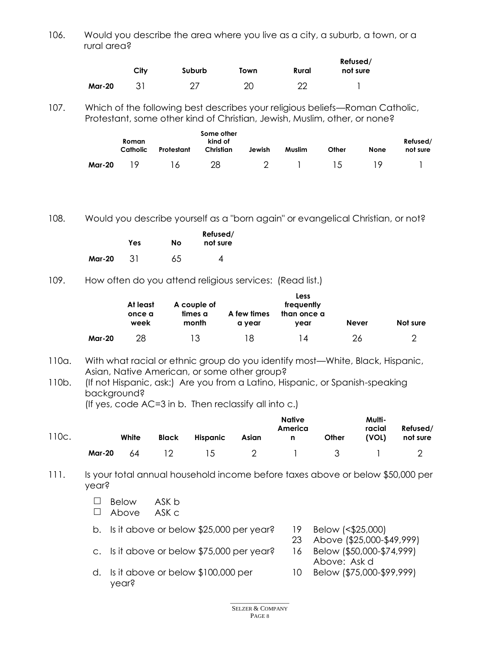106. Would you describe the area where you live as a city, a suburb, a town, or a rural area?

|               | City | Suburb | Town | Rural | Refused/<br>not sure |
|---------------|------|--------|------|-------|----------------------|
| <b>Mar-20</b> |      |        | 20   | ററ    |                      |

107. Which of the following best describes your religious beliefs—Roman Catholic, Protestant, some other kind of Christian, Jewish, Muslim, other, or none?

|        | Roman<br>Catholic | Protestant   | Some other<br>kind of<br>Christian | Jewish | Muslim | Other           | None | Refused/<br>not sure |
|--------|-------------------|--------------|------------------------------------|--------|--------|-----------------|------|----------------------|
| Mar-20 | 19                | <sub>6</sub> | 28                                 |        |        | $\overline{15}$ |      |                      |

108. Would you describe yourself as a "born again" or evangelical Christian, or not?

|        | Yes | No | Refused/<br>not sure |
|--------|-----|----|----------------------|
| Mar-20 | 31  | 65 | Δ                    |

109. How often do you attend religious services: (Read list.)

|        | At least<br>A couple of<br>times a<br>A few times<br>once a<br>month<br>week<br>a year |    | Less<br>frequently<br>than once a<br>vear | Not sure |    |  |
|--------|----------------------------------------------------------------------------------------|----|-------------------------------------------|----------|----|--|
| Mar-20 | 28                                                                                     | 13 | 18                                        | 14       | 26 |  |

- 110a. With what racial or ethnic group do you identify most—White, Black, Hispanic, Asian, Native American, or some other group?
- 110b. (If not Hispanic, ask:) Are you from a Latino, Hispanic, or Spanish-speaking background?

(If yes, code AC=3 in b. Then reclassify all into c.)

| 110c. |        | White | Black           | Hispanic | <b>Native</b><br>America<br>Asian<br>$\mathbf{r}$ and $\mathbf{n}$ |           | Other | Multi-<br>racial<br>(VOL) | Refused/<br>not sure |
|-------|--------|-------|-----------------|----------|--------------------------------------------------------------------|-----------|-------|---------------------------|----------------------|
|       | Mar-20 | 64    | $\overline{12}$ | 15       |                                                                    | 2 1 3 1 2 |       |                           |                      |

- 111. Is your total annual household income before taxes above or below \$50,000 per year?
	- $\Box$  Below ASK b Above ASK c
	-
	- b. Is it above or below \$25,000 per year? 19 Below (<\$25,000)
- - 23 Above (\$25,000-\$49,999)
	- c. Is it above or below \$75,000 per year? 16 Below (\$50,000-\$74,999)
	- d. Is it above or below \$100,000 per year?
- Above: Ask d 10 Below (\$75,000-\$99,999)
- \_\_\_\_\_\_\_\_\_\_\_\_\_\_\_\_\_\_ SELZER & COMPANY PAGE 8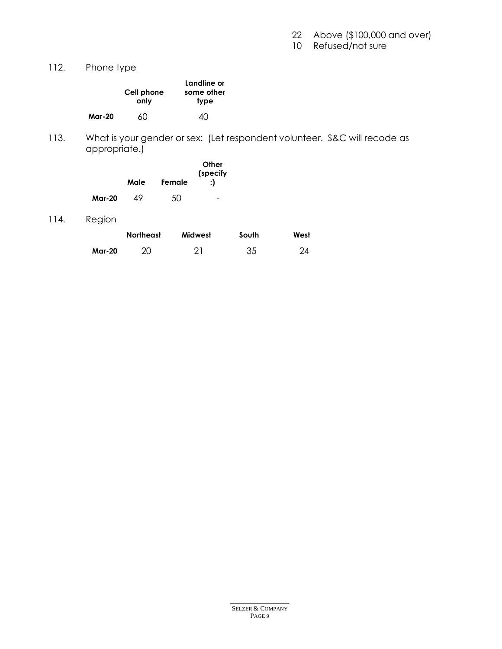22 Above (\$100,000 and over)

10 Refused/not sure

112. Phone type

|               | Cell phone<br>only | Landline or<br>some other<br>type |
|---------------|--------------------|-----------------------------------|
| <b>Mar-20</b> | 60                 | ⊿∩                                |

113. What is your gender or sex: (Let respondent volunteer. S&C will recode as appropriate.)

|               | Male | Female | Other<br>(specify<br>:1 |
|---------------|------|--------|-------------------------|
| <b>Mar-20</b> | 49   | 50     |                         |

114. Region

|               | <b>Northeast</b> | Midwest    | South | West |
|---------------|------------------|------------|-------|------|
| <b>Mar-20</b> |                  | $\Omega$ 1 | 35    | 24   |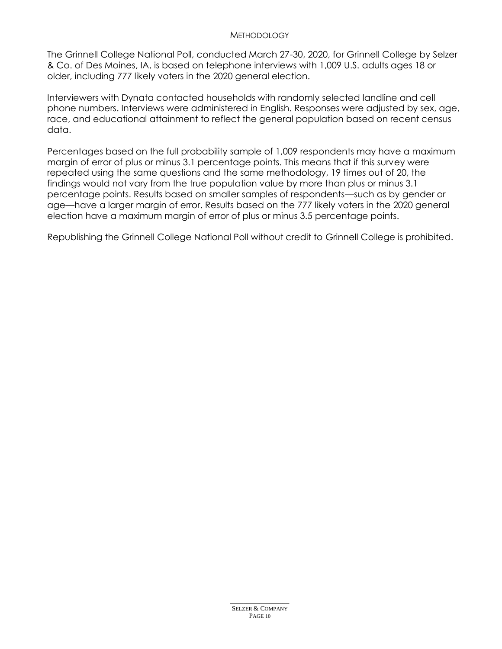#### **METHODOLOGY**

The Grinnell College National Poll, conducted March 27-30, 2020, for Grinnell College by Selzer & Co. of Des Moines, IA, is based on telephone interviews with 1,009 U.S. adults ages 18 or older, including 777 likely voters in the 2020 general election.

Interviewers with Dynata contacted households with randomly selected landline and cell phone numbers. Interviews were administered in English. Responses were adjusted by sex, age, race, and educational attainment to reflect the general population based on recent census data.

Percentages based on the full probability sample of 1,009 respondents may have a maximum margin of error of plus or minus 3.1 percentage points. This means that if this survey were repeated using the same questions and the same methodology, 19 times out of 20, the findings would not vary from the true population value by more than plus or minus 3.1 percentage points. Results based on smaller samples of respondents—such as by gender or age—have a larger margin of error. Results based on the 777 likely voters in the 2020 general election have a maximum margin of error of plus or minus 3.5 percentage points.

Republishing the Grinnell College National Poll without credit to Grinnell College is prohibited.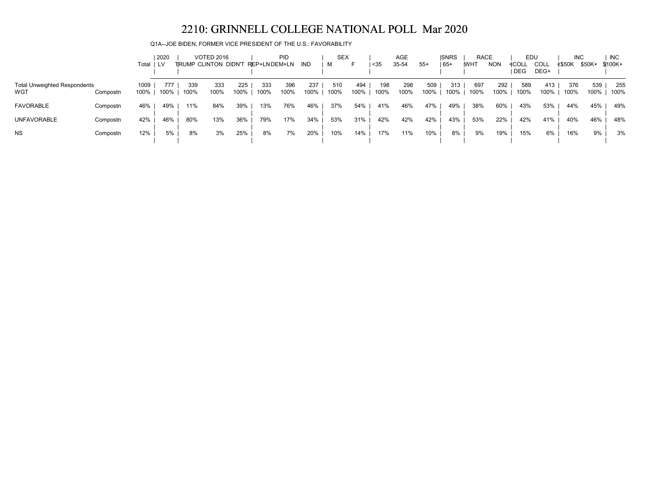Q1A--JOE BIDEN, FORMER VICE PRESIDENT OF THE U.S.: FAVORABILITY

|                                            |          | Total        | 2020<br>LV  |             | <b>VOTED 2016</b><br>TRUMP CLINTON DIDN'T REP+LNDEM+LN |             |             | <b>PID</b>  | IND         | <b>SEX</b><br>м | F           | $35$        | AGE<br>35-54 | $55+$       | <b>ISNRS</b><br>  65+ | <b>RACE</b><br><b>WHT</b> | <b>NON</b>  | EDU<br>≮COL∟ | COLL        | <b>INC</b><br><b>≮\$50K</b> | \$50K+      | <b>INC</b><br>$$100K+$ |
|--------------------------------------------|----------|--------------|-------------|-------------|--------------------------------------------------------|-------------|-------------|-------------|-------------|-----------------|-------------|-------------|--------------|-------------|-----------------------|---------------------------|-------------|--------------|-------------|-----------------------------|-------------|------------------------|
|                                            |          |              |             |             |                                                        |             |             |             |             |                 |             |             |              |             |                       |                           |             | <b>DEG</b>   | DEG+        |                             |             |                        |
| <b>Total Unweighted Respondents</b><br>WGT | Compostn | 1009<br>100% | 777<br>100% | 339<br>100% | 333<br>100%                                            | 225<br>100% | 333<br>100% | 396<br>100% | 237<br>100% | 510<br>100%     | 494<br>100% | 198<br>100% | 298<br>100%  | 509<br>100% | 313<br>100%           | 697<br>100%               | 292<br>100% | 589<br>100%  | 413<br>100% | 376<br>100%                 | 539<br>100% | 255<br>100%            |
| <b>FAVORABLE</b>                           | Compostn | 46%          | 49%         | 11%         | 84%                                                    | 39%         | 13%         | 76%         | 46%         | 37%             | 54%         | 41%         | 46%          | 47%         | 49%                   | 38%                       | 60%         | 43%          | 53%         | 44%                         | 45%         | 49%                    |
| <b>UNFAVORABLE</b>                         | Compostn | 42%          | 46%         | 80%         | 13%                                                    | 36%         | 79%         | 17%         | 34%         | 53%             | 31%         | 42%         | 42%          | 42%         | 43%                   | 53%                       | 22%         | 42%          | 41%         | 40%                         | 46%         | 48%                    |
| <b>NS</b>                                  | Compostn | 12%          | 5%          | 8%          | 3%                                                     | 25%         | 8%          | 7%          | 20%         | 10%             | 14%         | 17%         | 11%          | 10%         | 8%                    | 9%                        | 19%         | 15%          | 6%          | 16%                         | 9%          | 3%                     |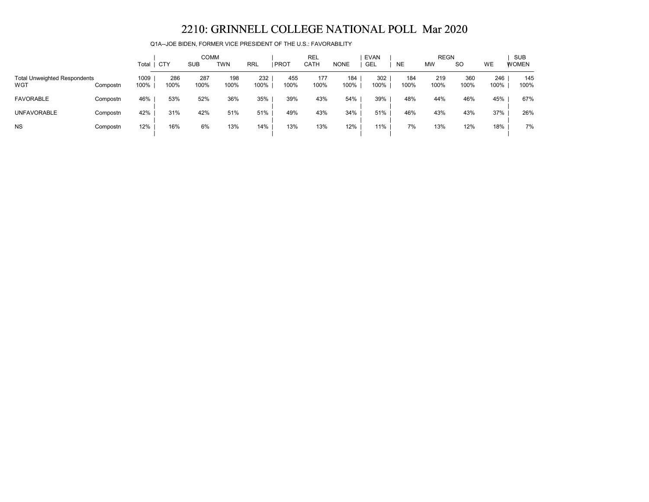Q1A--JOE BIDEN, FORMER VICE PRESIDENT OF THE U.S.: FAVORABILITY

|                                            |          |              |             |             | <b>COMM</b> |             |             | <b>REL</b>  |             | <b>EVAN</b> |             | <b>REGN</b> |             |             | <b>SUB</b>   |
|--------------------------------------------|----------|--------------|-------------|-------------|-------------|-------------|-------------|-------------|-------------|-------------|-------------|-------------|-------------|-------------|--------------|
|                                            |          | Total        | <b>CTY</b>  | <b>SUB</b>  | <b>TWN</b>  | <b>RRL</b>  | <b>PROT</b> | CATH        | <b>NONE</b> | GEL         | <b>NE</b>   | <b>MW</b>   | <b>SO</b>   | <b>WE</b>   | <b>WOMEN</b> |
| <b>Total Unweighted Respondents</b><br>WGT | Compostn | 1009<br>100% | 286<br>100% | 287<br>100% | 198<br>100% | 232<br>100% | 455<br>100% | 177<br>100% | 184<br>100% | 302<br>100% | 184<br>100% | 219<br>100% | 360<br>100% | 246<br>100% | 145<br>100%  |
| <b>FAVORABLE</b>                           | Compostn | 46%          | 53%         | 52%         | 36%         | 35%         | 39%         | 43%         | 54%         | 39%         | 48%         | 44%         | 46%         | 45%         | 67%          |
| <b>UNFAVORABLE</b>                         | Compostn | 42%          | 31%         | 42%         | 51%         | 51%         | 49%         | 43%         | 34%         | 51%         | 46%         | 43%         | 43%         | 37%         | 26%          |
| <b>NS</b>                                  | Compostn | 12%          | 16%         | 6%          | 13%         | 14%         | 13%         | 13%         | 12%         | 11%         | 7%          | 13%         | 12%         | 18%         | 7%           |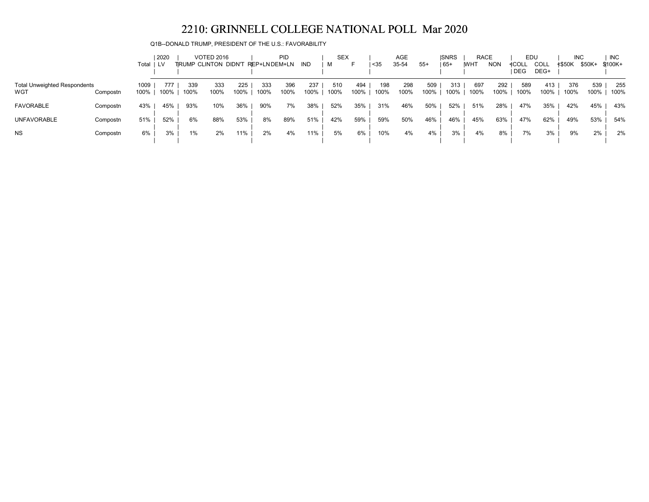Q1B--DONALD TRUMP, PRESIDENT OF THE U.S.: FAVORABILITY

|                                            |          | Total ILV    | 2020        |             | <b>VOTED 2016</b><br><b>TIRUMP CLINTON DIDN'T</b> |             | REP+LNDEM+LN | PID         | IND         | <b>SEX</b>  |             | $35$        | AGE<br>35-54 | $55+$       | <b>ISNRS</b><br>  65+ | <b>RACE</b><br><b>IWHT</b> | <b>NON</b>  | EDU<br>≮COLL | COLL        | <b>INC</b><br>≮\$50K | \$50K+      | <b>INC</b><br>\$100K+ |
|--------------------------------------------|----------|--------------|-------------|-------------|---------------------------------------------------|-------------|--------------|-------------|-------------|-------------|-------------|-------------|--------------|-------------|-----------------------|----------------------------|-------------|--------------|-------------|----------------------|-------------|-----------------------|
|                                            |          |              |             |             |                                                   |             |              |             |             |             |             |             |              |             |                       |                            |             | <b>DEG</b>   | DEG+        |                      |             |                       |
| <b>Total Unweighted Respondents</b><br>WGT | Compostn | 1009<br>100% | 777<br>100% | 339<br>100% | 333<br>100%                                       | 225<br>100% | 333<br>100%  | 396<br>100% | 237<br>100% | 510<br>100% | 494<br>100% | 198<br>100% | 298<br>100%  | 509<br>100% | 313<br>100%           | 697<br>100%                | 292<br>100% | 589<br>100%  | 413<br>100% | 376<br>100%          | 539<br>100% | 255<br>100%           |
| <b>FAVORABLE</b>                           | Compostn | 43%          | 45%         | 93%         | 10%                                               | 36%         | 90%          | 7%          | 38%         | 52%         | 35%         | 31%         | 46%          | 50%         | 52%                   | 51%                        | 28%         | 47%          | 35%         | 42%                  | 45%         | 43%                   |
| <b>UNFAVORABLE</b>                         | Compostn | 51%          | 52%         | 6%          | 88%                                               | 53%         | 8%           | 89%         | 51%         | 42%         | 59%         | 59%         | 50%          | 46%         | 46%                   | 45%                        | 63%         | 47%          | 62%         | 49%                  | 53%         | 54%                   |
| <b>NS</b>                                  | Compostn | 6%           | 3%          | $1\%$       | 2%                                                | 11%         | 2%           | 4%          | 11%         | 5%          | 6%          | 10%         | 4%           | 4%          | 3%                    | 4%                         | 8%          | 7%           | 3%          | 9%                   | 2%          | 2%                    |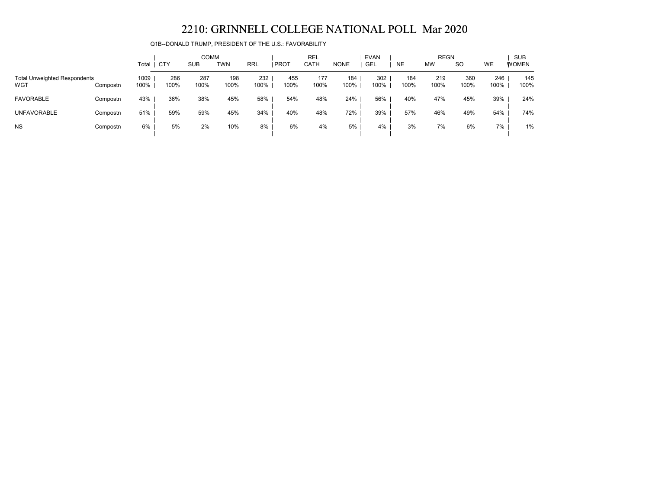Q1B--DONALD TRUMP, PRESIDENT OF THE U.S.: FAVORABILITY

|                                            |          |              |             | <b>COMM</b> |             |             |             | <b>REL</b>  |             | <b>EVAN</b> |             | <b>REGN</b> |               |             | <b>SUB</b>   |
|--------------------------------------------|----------|--------------|-------------|-------------|-------------|-------------|-------------|-------------|-------------|-------------|-------------|-------------|---------------|-------------|--------------|
|                                            |          | Total        | <b>CTY</b>  | <b>SUB</b>  | <b>TWN</b>  | <b>RRL</b>  | <b>PROT</b> | CATH        | <b>NONE</b> | GEL         | <b>NE</b>   | <b>MW</b>   | <sub>SO</sub> | WE          | <b>WOMEN</b> |
| <b>Total Unweighted Respondents</b><br>WGT | Compostn | 1009<br>100% | 286<br>100% | 287<br>100% | 198<br>100% | 232<br>100% | 455<br>100% | 177<br>100% | 184<br>100% | 302<br>100% | 184<br>100% | 219<br>100% | 360<br>100%   | 246<br>100% | 145<br>100%  |
|                                            |          |              |             |             |             |             |             |             |             |             |             |             |               |             |              |
| <b>FAVORABLE</b>                           | Compostn | 43%          | 36%         | 38%         | 45%         | 58%         | 54%         | 48%         | 24%         | 56%         | 40%         | 47%         | 45%           | 39%         | 24%          |
| <b>UNFAVORABLE</b>                         | Compostn | 51%          | 59%         | 59%         | 45%         | 34%         | 40%         | 48%         | 72%         | 39%         | 57%         | 46%         | 49%           | 54%         | 74%          |
| <b>NS</b>                                  | Compostn | 6%           | 5%          | 2%          | 10%         | 8%          | 6%          | 4%          | 5%          | 4%          | 3%          | 7%          | 6%            | 7%          | 1%           |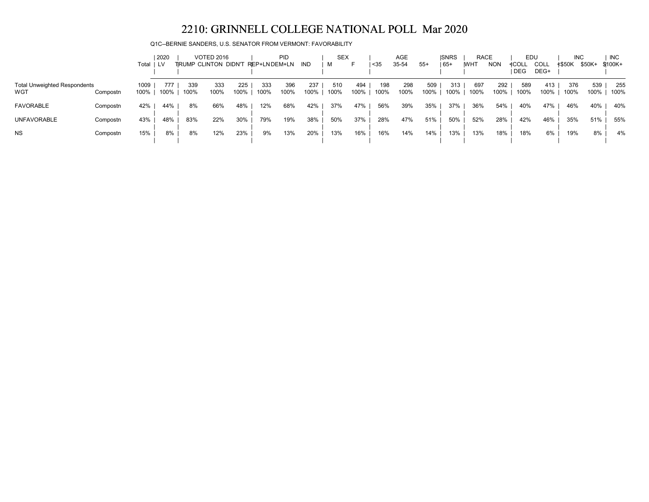Q1C--BERNIE SANDERS, U.S. SENATOR FROM VERMONT: FAVORABILITY

|                                            |          |              | 2020        |             | <b>VOTED 2016</b>    |             |              | <b>PID</b>  |             | <b>SEX</b>  |             |             | AGE         |             | <b>ISNRS</b> | <b>RACE</b> |             | EDU          |              | <b>INC</b>    |             | <b>INC</b>  |
|--------------------------------------------|----------|--------------|-------------|-------------|----------------------|-------------|--------------|-------------|-------------|-------------|-------------|-------------|-------------|-------------|--------------|-------------|-------------|--------------|--------------|---------------|-------------|-------------|
|                                            |          | Total        | I LV        |             | TRUMP CLINTON DIDN'T |             | REP+LNDEM+LN |             | IND         |             | ►           | $35$        | 35-54       | $55+$       | $65+$        | <b>WHT</b>  | <b>NON</b>  | ≮COLL<br>DEG | COLL<br>DEG+ | <b>≮\$50K</b> | \$50K+      | $$100K +$   |
| <b>Total Unweighted Respondents</b><br>WGT | Compostn | 1009<br>100% | 777<br>100% | 339<br>100% | 333<br>100%          | 225<br>100% | 333<br>100%  | 396<br>100% | 237<br>100% | 510<br>100% | 494<br>100% | 198<br>100% | 298<br>100% | 509<br>100% | 313<br>100%  | 697<br>100% | 292<br>100% | 589<br>100%  | 413<br>100%  | 376<br>100%   | 539<br>100% | 255<br>100% |
| <b>FAVORABLE</b>                           | Compostn | 42%          | 44%         | 8%          | 66%                  | 48%         | 12%          | 68%         | 42%         | 37%         | 47%         | 56%         | 39%         | 35%         | 37%          | 36%         | 54%         | 40%          | 47%          | 46%           | 40%         | 40%         |
| <b>UNFAVORABLE</b>                         | Compostn | 43%          | 48%         | 83%         | 22%                  | 30%         | 79%          | 19%         | 38%         | 50%         | 37%         | 28%         | 47%         | 51%         | 50%          | 52%         | 28%         | 42%          | 46%          | 35%           | 51%         | 55%         |
| <b>NS</b>                                  | Compostn | 15%          | 8%          | 8%          | 12%                  | 23%         | 9%           | 13%         | 20%         | 13%         | 16%         | 16%         | 14%         | 14%         | 13%          | 13%         | 18%         | 18%          | 6%           | 19%           | 8%          | 4%          |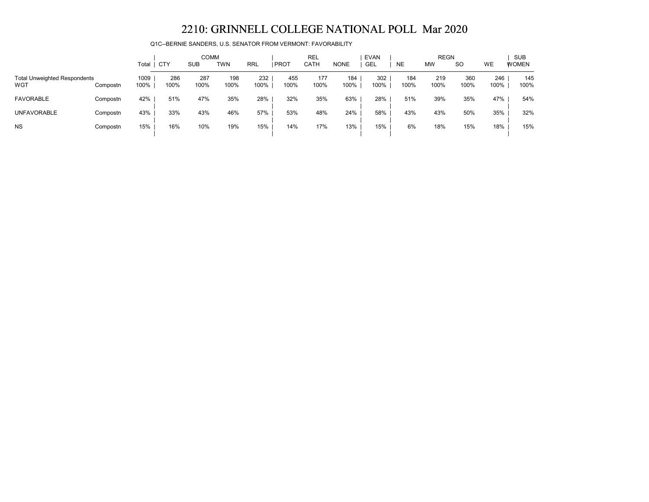Q1C--BERNIE SANDERS, U.S. SENATOR FROM VERMONT: FAVORABILITY

|                                            |          |              |             | <b>COMM</b> |             |             |               | <b>REL</b>  |             | <b>EVAN</b> |             | <b>REGN</b> |               |             | <b>SUB</b>   |
|--------------------------------------------|----------|--------------|-------------|-------------|-------------|-------------|---------------|-------------|-------------|-------------|-------------|-------------|---------------|-------------|--------------|
|                                            |          | Total        | <b>CTY</b>  | <b>SUB</b>  | TWN         | RRL         | <b>I PROT</b> | CATH        | <b>NONE</b> | GEL         | <b>NE</b>   | <b>MW</b>   | <sub>SO</sub> | <b>WE</b>   | <b>WOMEN</b> |
| <b>Total Unweighted Respondents</b><br>WGT | Compostn | 1009<br>100% | 286<br>100% | 287<br>100% | 198<br>100% | 232<br>100% | 455<br>100%   | 177<br>100% | 184<br>100% | 302<br>100% | 184<br>100% | 219<br>100% | 360<br>100%   | 246<br>100% | 145<br>100%  |
| <b>FAVORABLE</b>                           | Compostn | 42%          | 51%         | 47%         | 35%         | 28%         | 32%           | 35%         | 63%         | 28%         | 51%         | 39%         | 35%           | 47%         | 54%          |
| <b>UNFAVORABLE</b>                         | Compostn | 43%          | 33%         | 43%         | 46%         | 57%         | 53%           | 48%         | 24%         | 58%         | 43%         | 43%         | 50%           | 35%         | 32%          |
| <b>NS</b>                                  | Compostn | 15%          | 16%         | 10%         | 19%         | 15%         | 14%           | 17%         | 13%         | 15%         | 6%          | 18%         | 15%           | 18%         | 15%          |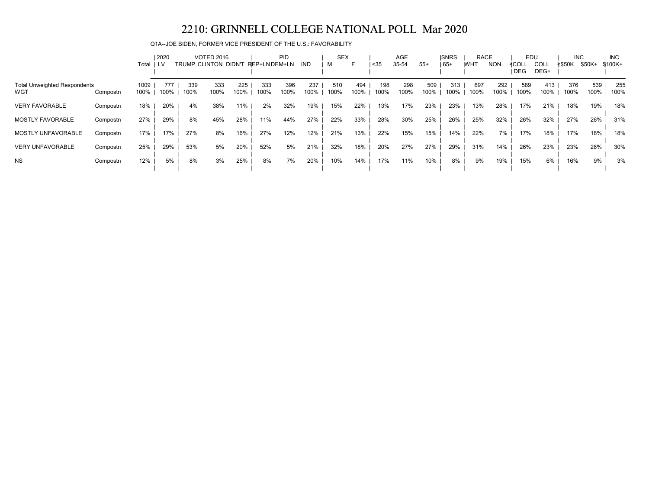Q1A--JOE BIDEN, FORMER VICE PRESIDENT OF THE U.S.: FAVORABILITY

|                                            |          |              | 2020        |             | <b>VOTED 2016</b>           |             |              | PID         |             | <b>SEX</b>  |             |             | <b>AGE</b>  |             | <b>ISNRS</b> | <b>RACE</b> |             | EDU                 |                     | <b>INC</b>    |             | <b>INC</b>  |
|--------------------------------------------|----------|--------------|-------------|-------------|-----------------------------|-------------|--------------|-------------|-------------|-------------|-------------|-------------|-------------|-------------|--------------|-------------|-------------|---------------------|---------------------|---------------|-------------|-------------|
|                                            |          | Total        | LV.         |             | <b>TRUMP CLINTON DIDN'T</b> |             | REP+LNDEM+LN |             | IND         | м           |             | $35$        | 35-54       | $55+$       | 65+          | <b>WHT</b>  | <b>NON</b>  | ≮COLL<br><b>DEG</b> | <b>COLL</b><br>DEG+ | <b>≮\$50K</b> | \$50K+      | \$100K+     |
| <b>Total Unweighted Respondents</b><br>WGT | Compostn | 1009<br>100% | 777<br>100% | 339<br>100% | 333<br>100%                 | 225<br>100% | 333<br>100%  | 396<br>100% | 237<br>100% | 510<br>100% | 494<br>100% | 198<br>100% | 298<br>100% | 509<br>100% | 313<br>100%  | 697<br>100% | 292<br>100% | 589<br>100%         | 413<br>100%         | 376<br>100%   | 539<br>100% | 255<br>100% |
| <b>VERY FAVORABLE</b>                      | Compostn | 18%          | 20%         | 4%          | 38%                         | 11%         | 2%           | 32%         | 19%         | 15%         | 22%         | 13%         | 17%         | 23%         | 23%          | 13%         | 28%         | 17%                 | 21%                 | 18%           | 19%         | 18%         |
| <b>MOSTLY FAVORABLE</b>                    | Compostn | 27%          | 29%         | 8%          | 45%                         | 28%         | 11%          | 44%         | 27%         | 22%         | 33%         | 28%         | 30%         | 25%         | 26%          | 25%         | 32%         | 26%                 | 32%                 | 27%           | 26%         | 31%         |
| MOSTLY UNFAVORABLE                         | Compostn | 17%          | 17%         | 27%         | 8%                          | 16%         | 27%          | 12%         | 12%         | 21%         | 13%         | 22%         | 15%         | 15%         | 14%          | 22%         | 7%          | 17%                 | 18%                 | 17%           | 18%         | 18%         |
| <b>VERY UNFAVORABLE</b>                    | Compostn | 25%          | 29%         | 53%         | 5%                          | 20%         | 52%          | 5%          | 21%         | 32%         | 18%         | 20%         | 27%         | 27%         | 29%          | 31%         | 14%         | 26%                 | 23%                 | 23%           | 28%         | 30%         |
| <b>NS</b>                                  | Compostn | 12%          | 5%          | 8%          | 3%                          | 25%         | 8%           | 7%          | 20%         | 10%         | 14%         | 17%         | 11%         | 10%         | 8%           | 9%          | 19%         | 15%                 | 6%                  | 16%           | 9%          | 3%          |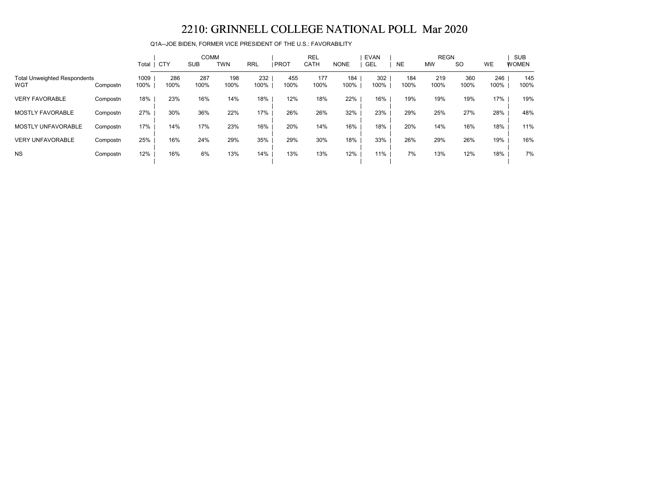Q1A--JOE BIDEN, FORMER VICE PRESIDENT OF THE U.S.: FAVORABILITY

|                                            |          | Total        | <b>CTY</b>  | <b>COMM</b><br><b>SUB</b> | <b>TWN</b>  | <b>RRL</b>  | <b>IPROT</b> | <b>REL</b><br><b>CATH</b> | <b>NONE</b> | <b>EVAN</b><br><b>GEL</b> | <b>NE</b>   | <b>REGN</b><br><b>MW</b> | <sub>SO</sub> | <b>WE</b>   | <b>SUB</b><br><b>WOMEN</b> |
|--------------------------------------------|----------|--------------|-------------|---------------------------|-------------|-------------|--------------|---------------------------|-------------|---------------------------|-------------|--------------------------|---------------|-------------|----------------------------|
| <b>Total Unweighted Respondents</b><br>WGT | Compostn | 1009<br>100% | 286<br>100% | 287<br>100%               | 198<br>100% | 232<br>100% | 455<br>100%  | 177<br>100%               | 184<br>100% | 302<br>100%               | 184<br>100% | 219<br>100%              | 360<br>100%   | 246<br>100% | 145<br>100%                |
| <b>VERY FAVORABLE</b>                      | Compostn | 18%          | 23%         | 16%                       | 14%         | 18%         | 12%          | 18%                       | 22%         | 16%                       | 19%         | 19%                      | 19%           | 17%         | 19%                        |
| <b>MOSTLY FAVORABLE</b>                    | Compostn | 27%          | 30%         | 36%                       | 22%         | 17%         | 26%          | 26%                       | 32%         | 23%                       | 29%         | 25%                      | 27%           | 28%         | 48%                        |
| <b>MOSTLY UNFAVORABLE</b>                  | Compostn | 17%          | 14%         | 17%                       | 23%         | 16%         | 20%          | 14%                       | 16%         | 18%                       | 20%         | 14%                      | 16%           | 18%         | 11%                        |
| <b>VERY UNFAVORABLE</b>                    | Compostn | 25%          | 16%         | 24%                       | 29%         | 35%         | 29%          | 30%                       | 18%         | 33%                       | 26%         | 29%                      | 26%           | 19%         | 16%                        |
| <b>NS</b>                                  | Compostn | 12%          | 16%         | 6%                        | 13%         | 14%         | 13%          | 13%                       | 12%         | 11%                       | 7%          | 13%                      | 12%           | 18%         | 7%                         |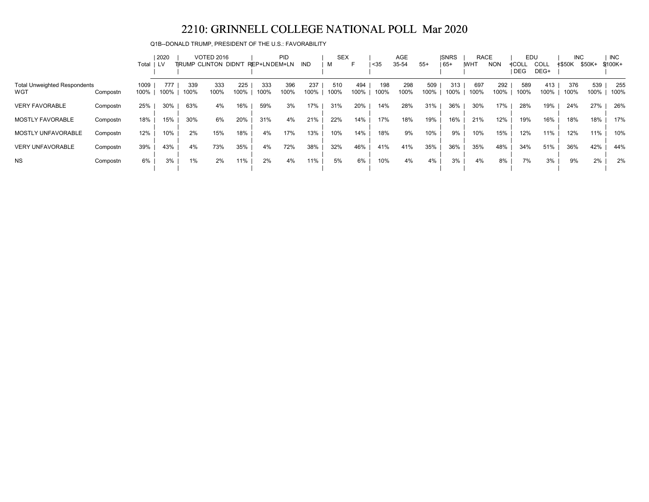Q1B--DONALD TRUMP, PRESIDENT OF THE U.S.: FAVORABILITY

|                                            |          |              | 2020        |             | <b>VOTED 2016</b>            |             |              | PID         |             | <b>SEX</b>  |             |             | AGE         |             | <b>ISNRS</b> | <b>RACE</b> |             | EDU                 |              | <b>INC</b>    |             | <b>INC</b>  |
|--------------------------------------------|----------|--------------|-------------|-------------|------------------------------|-------------|--------------|-------------|-------------|-------------|-------------|-------------|-------------|-------------|--------------|-------------|-------------|---------------------|--------------|---------------|-------------|-------------|
|                                            |          | Total        | LV.         |             | <b>TIRUMP CLINTON DIDN'T</b> |             | REP+LNDEM+LN |             | IND         |             | F           | $35$        | 35-54       | $55+$       | $65+$        | <b>WHT</b>  | <b>NON</b>  | ≮COLL<br><b>DEG</b> | COLL<br>DEG+ | <b>≮\$50K</b> | \$50K+      | \$100K+     |
| <b>Total Unweighted Respondents</b><br>WGT | Compostn | 1009<br>100% | 777<br>100% | 339<br>100% | 333<br>100%                  | 225<br>100% | 333<br>100%  | 396<br>100% | 237<br>100% | 510<br>100% | 494<br>100% | 198<br>100% | 298<br>100% | 509<br>100% | 313<br>100%  | 697<br>100% | 292<br>100% | 589<br>100%         | 413<br>100%  | 376<br>100%   | 539<br>100% | 255<br>100% |
| <b>VERY FAVORABLE</b>                      | Compostn | 25%          | 30%         | 63%         | 4%                           | 16%         | 59%          | 3%          | 17%         | 31%         | 20%         | 14%         | 28%         | 31%         | 36%          | 30%         | 17%         | 28%                 | 19%          | 24%           | 27%         | 26%         |
| <b>MOSTLY FAVORABLE</b>                    | Compostn | 18%          | 15%         | 30%         | 6%                           | 20%         | 31%          | 4%          | 21%         | 22%         | 14%         | 17%         | 18%         | 19%         | 16%          | 21%         | 12%         | 19%                 | 16%          | 18%           | 18%         | 17%         |
| MOSTLY UNFAVORABLE                         | Compostn | 12%          | 10%         | 2%          | 15%                          | 18%         | 4%           | 17%         | 13%         | 10%         | 14%         | 18%         | 9%          | 10%         | 9%           | 10%         | 15%         | 12%                 | 11%          | 12%           | 11%         | 10%         |
| <b>VERY UNFAVORABLE</b>                    | Compostn | 39%          | 43%         | 4%          | 73%                          | 35%         | 4%           | 72%         | 38%         | 32%         | 46%         | 41%         | 41%         | 35%         | 36%          | 35%         | 48%         | 34%                 | 51%          | 36%           | 42%         | 44%         |
| <b>NS</b>                                  | Compostn | 6%           | 3%          | $1\%$       | 2%                           | 11%         | 2%           | 4%          | 11%.        | 5%          | 6%          | 10%         | 4%          | 4%          | 3%           | 4%          | 8%          | 7%                  | 3%           | 9%            | 2%          | 2%          |
|                                            |          |              |             |             |                              |             |              |             |             |             |             |             |             |             |              |             |             |                     |              |               |             |             |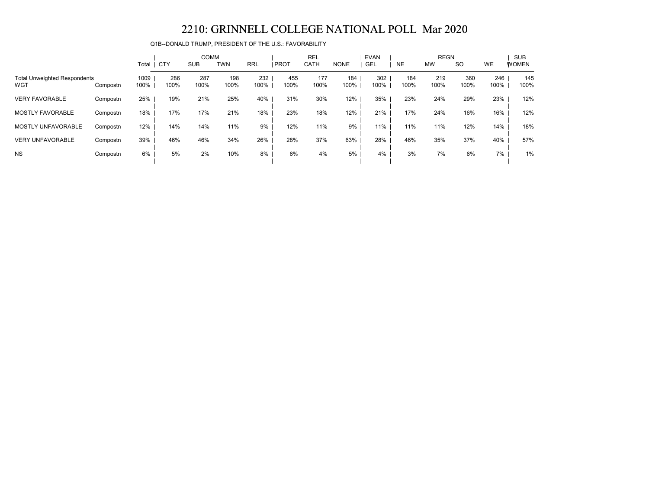Q1B--DONALD TRUMP, PRESIDENT OF THE U.S.: FAVORABILITY

|                                            |          | Total   CTY  |             | <b>COMM</b><br><b>SUB</b> | <b>TWN</b>  | <b>RRL</b>  | <b>PROT</b> | <b>REL</b><br>CATH | <b>NONE</b> | <b>EVAN</b><br>GEL | <b>NE</b>   | <b>REGN</b><br><b>MW</b> | <b>SO</b>   | WE          | <b>SUB</b><br><b>WOMEN</b> |
|--------------------------------------------|----------|--------------|-------------|---------------------------|-------------|-------------|-------------|--------------------|-------------|--------------------|-------------|--------------------------|-------------|-------------|----------------------------|
| <b>Total Unweighted Respondents</b><br>WGT | Compostn | 1009<br>100% | 286<br>100% | 287<br>100%               | 198<br>100% | 232<br>100% | 455<br>100% | 177<br>100%        | 184<br>100% | 302<br>100%        | 184<br>100% | 219<br>100%              | 360<br>100% | 246<br>100% | 145<br>100%                |
| <b>VERY FAVORABLE</b>                      | Compostn | 25%          | 19%         | 21%                       | 25%         | 40%         | 31%         | 30%                | 12%         | 35%                | 23%         | 24%                      | 29%         | 23%         | 12%                        |
| <b>MOSTLY FAVORABLE</b>                    | Compostn | 18%          | 17%         | 17%                       | 21%         | 18%         | 23%         | 18%                | 12%         | 21%                | 17%         | 24%                      | 16%         | 16%         | 12%                        |
| <b>MOSTLY UNFAVORABLE</b>                  | Compostn | 12%          | 14%         | 14%                       | 11%         | 9%          | 12%         | 11%                | 9%          | 11%                | 11%         | 11%                      | 12%         | 14%         | 18%                        |
| <b>VERY UNFAVORABLE</b>                    | Compostn | 39%          | 46%         | 46%                       | 34%         | 26%         | 28%         | 37%                | 63%         | 28%                | 46%         | 35%                      | 37%         | 40%         | 57%                        |
| <b>NS</b>                                  | Compostn | 6%           | 5%          | 2%                        | 10%         | 8%          | 6%          | 4%                 | 5%          | 4%                 | 3%          | 7%                       | 6%          | 7%          | 1%                         |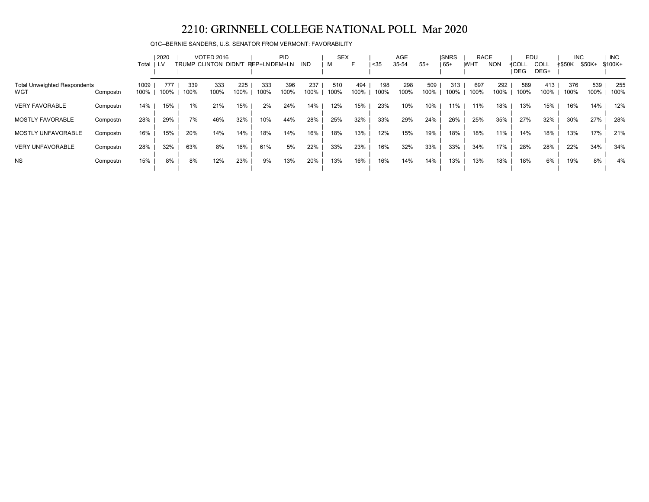Q1C--BERNIE SANDERS, U.S. SENATOR FROM VERMONT: FAVORABILITY

|                                     |          |       | 2020 |      | <b>VOTED 2016</b>    |      |              | PID  |      | <b>SEX</b> |      |      | <b>AGE</b> |       | <b>ISNRS</b> | <b>RACE</b> |            | EDU        |      | <b>INC</b> |        | <b>INC</b> |
|-------------------------------------|----------|-------|------|------|----------------------|------|--------------|------|------|------------|------|------|------------|-------|--------------|-------------|------------|------------|------|------------|--------|------------|
|                                     |          | Total | LV   |      | TRUMP CLINTON DIDN'T |      | REP+LNDEM+LN |      | IND  | M          | ►    | $35$ | 35-54      | $55+$ | 65+          | <b>WHT</b>  | <b>NON</b> | ≮COLL      | COLL | ≮\$50K     | \$50K+ | $$100K+$   |
|                                     |          |       |      |      |                      |      |              |      |      |            |      |      |            |       |              |             |            | <b>DEG</b> | DEG+ |            |        |            |
| <b>Total Unweighted Respondents</b> |          | 1009  | 777  | 339  | 333                  | 225  | 333          | 396  | 237  | 510        | 494  | 198  | 298        | 509   | 313          | 697         | 292        | 589        | 413  | 376        | 539    | 255        |
| WGT                                 | Compostn | 100%  | 100% | 100% | 100%                 | 100% | 100%         | 100% | 100% | 100%       | 100% | 100% | 100%       | 100%  | 100%         | 100%        | 100%       | 100%       | 100% | 100%       | 100%   | 100%       |
| <b>VERY FAVORABLE</b>               | Compostn | 14%   | 15%  | 1%   | 21%                  | 15%  | 2%           | 24%  | 14%  | 12%        | 15%  | 23%  | 10%        | 10%   | 11%          | 11%         | 18%        | 13%        | 15%  | 16%        | 14%    | 12%        |
|                                     |          |       |      |      |                      |      |              |      |      |            |      |      |            |       |              |             |            |            |      |            |        |            |
| <b>MOSTLY FAVORABLE</b>             | Compostn | 28%   | 29%  | 7%   | 46%                  | 32%  | 10%          | 44%  | 28%  | 25%        | 32%  | 33%  | 29%        | 24%   | 26%          | 25%         | 35%        | 27%        | 32%  | 30%        | 27%    | 28%        |
| MOSTLY UNFAVORABLE                  | Compostn | 16%   | 15%  | 20%  | 14%                  | 14%  | 18%          | 14%  | 16%  | 18%        | 13%  | 12%  | 15%        | 19%   | 18%          | 18%         | 11%        | 14%        | 18%  | 13%        | 17%    | 21%        |
| <b>VERY UNFAVORABLE</b>             | Compostn | 28%   | 32%  | 63%  | 8%                   | 16%  | 61%          | 5%   | 22%  | 33%        | 23%  | 16%  | 32%        | 33%   | 33%          | 34%         | 17%        | 28%        | 28%  | 22%        | 34%    | 34%        |
|                                     |          |       |      |      |                      |      |              |      |      |            |      |      |            |       |              |             |            |            |      |            |        |            |
| <b>NS</b>                           | Compostn | 15%   | 8%   | 8%   | 12%                  | 23%  | 9%           | 13%  | 20%  | 13%        | 16%  | 16%  | 14%        | 14%   | 13%          | 13%         | 18%        | 18%        | 6%   | 19%        | 8%     | 4%         |
|                                     |          |       |      |      |                      |      |              |      |      |            |      |      |            |       |              |             |            |            |      |            |        |            |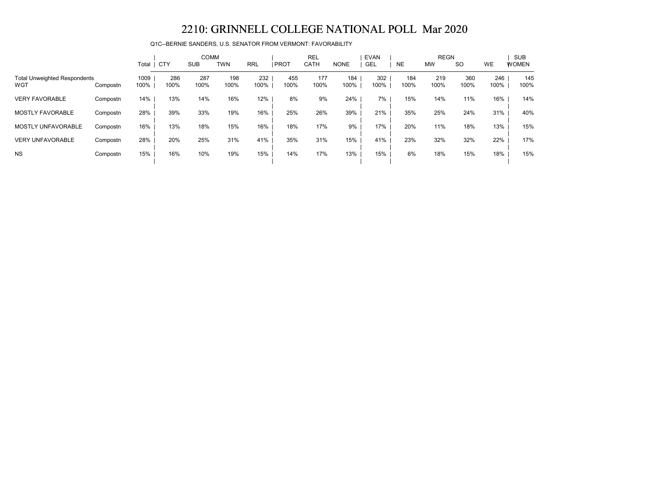Q1C--BERNIE SANDERS, U.S. SENATOR FROM VERMONT: FAVORABILITY

|                                            |          | Total        | <b>CTY</b>  | <b>COMM</b><br><b>SUB</b> | <b>TWN</b>  | <b>RRL</b>  | <b>PROT</b> | <b>REL</b><br><b>CATH</b> | <b>NONE</b> | <b>EVAN</b><br>GEL | <b>NE</b>   | <b>REGN</b><br><b>MW</b> | <b>SO</b>   | WE          | <b>SUB</b><br><b>WOMEN</b> |
|--------------------------------------------|----------|--------------|-------------|---------------------------|-------------|-------------|-------------|---------------------------|-------------|--------------------|-------------|--------------------------|-------------|-------------|----------------------------|
| <b>Total Unweighted Respondents</b><br>WGT | Compostn | 1009<br>100% | 286<br>100% | 287<br>100%               | 198<br>100% | 232<br>100% | 455<br>100% | 177<br>100%               | 184<br>100% | 302<br>100%        | 184<br>100% | 219<br>100%              | 360<br>100% | 246<br>100% | 145<br>100%                |
| <b>VERY FAVORABLE</b>                      | Compostn | 14%          | 13%         | 14%                       | 16%         | 12%         | 8%          | 9%                        | 24%         | 7%                 | 15%         | 14%                      | 11%         | 16%         | 14%                        |
| <b>MOSTLY FAVORABLE</b>                    | Compostn | 28%          | 39%         | 33%                       | 19%         | 16%         | 25%         | 26%                       | 39%         | 21%                | 35%         | 25%                      | 24%         | 31%         | 40%                        |
| <b>MOSTLY UNFAVORABLE</b>                  | Compostn | 16%          | 13%         | 18%                       | 15%         | 16%         | 18%         | 17%                       | 9%          | 17%                | 20%         | 11%                      | 18%         | 13%         | 15%                        |
| <b>VERY UNFAVORABLE</b>                    | Compostn | 28%          | 20%         | 25%                       | 31%         | 41%         | 35%         | 31%                       | 15%         | 41%                | 23%         | 32%                      | 32%         | 22%         | 17%                        |
| <b>NS</b>                                  | Compostn | 15%          | 16%         | 10%                       | 19%         | 15%         | 14%         | 17%                       | 13%         | 15%                | 6%          | 18%                      | 15%         | 18%         | 15%                        |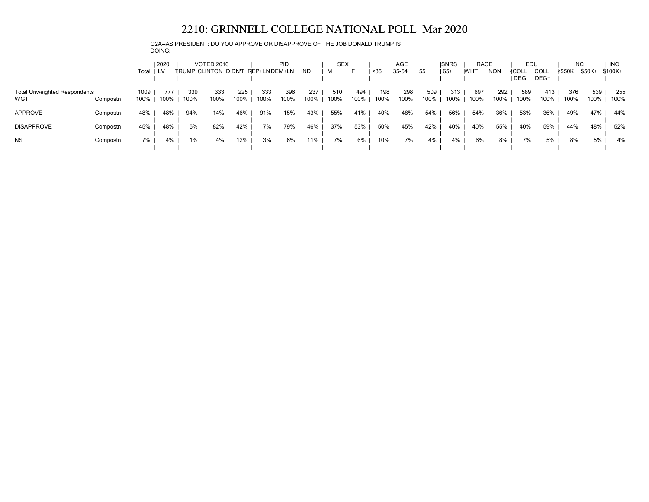Q2A--AS PRESIDENT: DO YOU APPROVE OR DISAPPROVE OF THE JOB DONALD TRUMP IS DOING:

|                                            |          | Total        | 2020        |             | <b>VOTED 2016</b><br>TRUMP CLINTON DIDN'T |             | REP+LNDEM+LN | <b>PID</b>  | IND         | <b>SEX</b><br>м |             | $35$        | AGE<br>35-54 | $55+$       | <b>ISNRS</b><br>  65+ | <b>RACE</b><br><b>IWHT</b> | <b>NON</b>  | EDU<br>≮COL∟<br><b>DEG</b> | COLL<br>DEG+ | <b>INC</b><br><b>≮\$50K</b> | \$50K+      | INC.<br>\$100K+ |
|--------------------------------------------|----------|--------------|-------------|-------------|-------------------------------------------|-------------|--------------|-------------|-------------|-----------------|-------------|-------------|--------------|-------------|-----------------------|----------------------------|-------------|----------------------------|--------------|-----------------------------|-------------|-----------------|
| <b>Total Unweighted Respondents</b><br>WGT | Compostn | 1009<br>100% | 777<br>100% | 339<br>100% | 333<br>100%                               | 225<br>100% | 333<br>100%  | 396<br>100% | 237<br>100% | 510<br>100%     | 494<br>100% | 198<br>100% | 298<br>100%  | 509<br>100% | 313<br>100%           | 697<br>100%                | 292<br>100% | 589<br>100%                | 413<br>100%  | 376<br>100%                 | 539<br>100% | 255<br>100%     |
| APPROVE                                    | Compostn | 48%          | 48%         | 94%         | 14%                                       | 46%         | 91%          | 15%         | 43%         | 55%             | 41%         | 40%         | 48%          | 54%         | 56%                   | 54%                        | 36%         | 53%                        | 36%          | 49%                         | 47%         | 44%             |
| <b>DISAPPROVE</b>                          | Compostn | 45%          | 48%         | 5%          | 82%                                       | 42%         | 7%           | 79%         | 46%         | 37%             | 53%         | 50%         | 45%          | 42%         | 40%                   | 40%                        | 55%         | 40%                        | 59%          | 44%                         | 48%         | 52%             |
| <b>NS</b>                                  | Compostn | 7%           | 4%          | 1%          | 4%                                        | 12%         | 3%           | 6%          | 11%         | 7%              | 6%          | 10%         | 7%           | 4%          | 4%                    | 6%                         | 8%          | 7%                         | 5%           | 8%                          | 5%          | 4%              |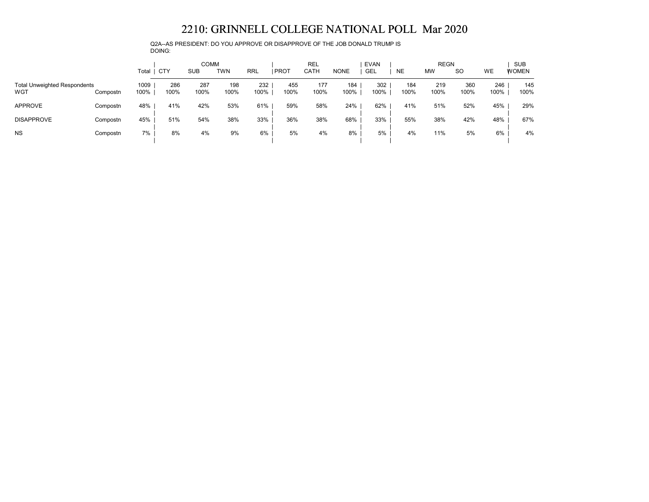Q2A--AS PRESIDENT: DO YOU APPROVE OR DISAPPROVE OF THE JOB DONALD TRUMP IS DOING:

|                                            |          | Total        | <b>CTY</b>  | <b>COMM</b><br><b>SUB</b> | <b>TWN</b>  | <b>RRL</b>  | <b>PROT</b> | <b>REL</b><br>CATH | <b>NONE</b> | <b>EVAN</b><br>GEL | <b>NE</b>   | <b>REGN</b><br><b>MW</b> | <b>SO</b>   | WE          | <b>SUB</b><br><b>WOMEN</b> |
|--------------------------------------------|----------|--------------|-------------|---------------------------|-------------|-------------|-------------|--------------------|-------------|--------------------|-------------|--------------------------|-------------|-------------|----------------------------|
| <b>Total Unweighted Respondents</b><br>WGT | Compostn | 1009<br>100% | 286<br>100% | 287<br>100%               | 198<br>100% | 232<br>100% | 455<br>100% | 177<br>100%        | 184<br>100% | 302<br>100%        | 184<br>100% | 219<br>100%              | 360<br>100% | 246<br>100% | 145<br>100%                |
| <b>APPROVE</b>                             | Compostn | 48%          | 41%         | 42%                       | 53%         | 61%         | 59%         | 58%                | 24%         | 62%                | 41%         | 51%                      | 52%         | 45%         | 29%                        |
| <b>DISAPPROVE</b>                          | Compostn | 45%          | 51%         | 54%                       | 38%         | 33%         | 36%         | 38%                | 68%         | 33%                | 55%         | 38%                      | 42%         | 48%         | 67%                        |
| <b>NS</b>                                  | Compostn | 7%           | 8%          | 4%                        | 9%          | 6%          | 5%          | 4%                 | 8%          | 5%                 | 4%          | 11%                      | 5%          | 6%          | 4%                         |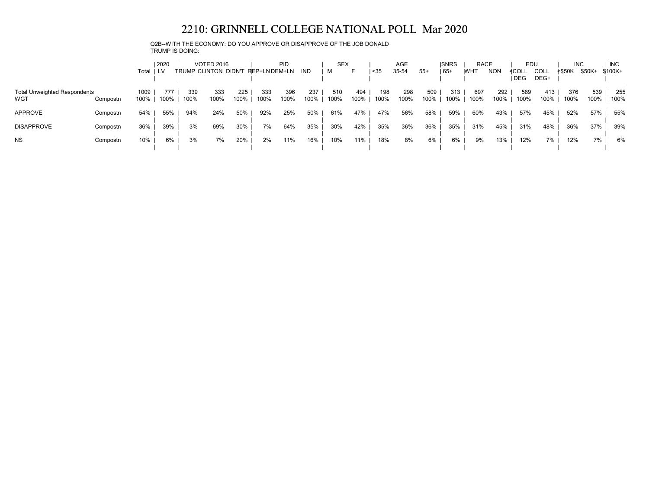Q2B--WITH THE ECONOMY: DO YOU APPROVE OR DISAPPROVE OF THE JOB DONALD TRUMP IS DOING:

|                                            |          | Total   LV   | 2020        |             | <b>VOTED 2016</b><br>TRUMP CLINTON DIDN'T |             | <b>PID</b><br>REP+LNDEM+LN |             | IND         | <b>SEX</b><br>м |             | $35$        | AGE<br>35-54 | $55+$       | <b>ISNRS</b><br>$165+$ | <b>RACE</b><br><b>IWHT</b> | <b>NON</b>  | EDU<br>≮COLL<br><b>DEG</b> | <b>COLL</b><br>DEG+ | <b>INC</b><br><b>≮\$50K</b> | \$50K+      | <b>INC</b><br>\$100K+ |
|--------------------------------------------|----------|--------------|-------------|-------------|-------------------------------------------|-------------|----------------------------|-------------|-------------|-----------------|-------------|-------------|--------------|-------------|------------------------|----------------------------|-------------|----------------------------|---------------------|-----------------------------|-------------|-----------------------|
| <b>Total Unweighted Respondents</b><br>WGT | Compostn | 1009<br>100% | 777<br>100% | 339<br>100% | 333<br>100%                               | 225<br>100% | 333<br>100%                | 396<br>100% | 237<br>100% | 510<br>100%     | 494<br>100% | 198<br>100% | 298<br>100%  | 509<br>100% | 313<br>100%            | 697<br>100%                | 292<br>100% | 589<br>100%                | 413<br>100%         | 376<br>100%                 | 539<br>100% | 255<br>100%           |
| <b>APPROVE</b>                             | Compostn | 54%          | 55%         | 94%         | 24%                                       | 50%         | 92%                        | 25%         | 50%         | 61%             | 47%         | 47%         | 56%          | 58%         | 59%                    | 60%                        | 43%         | 57%                        | 45%                 | 52%                         | 57%         | 55%                   |
| <b>DISAPPROVE</b>                          | Compostn | 36%          | 39%         | 3%          | 69%                                       | 30%         | 7%                         | 64%         | 35%         | 30%             | 42%         | 35%         | 36%          | 36%         | 35%                    | 31%                        | 45%         | 31%                        | 48%                 | 36%                         | 37%         | 39%                   |
| <b>NS</b>                                  | Compostn | 10%          | 6%          | 3%          | 7%                                        | 20%         | 2%                         | 11%         | 16%         | 10%             | 11%         | 18%         | 8%           | 6%          | 6%                     | 9%                         | 13%         | 12%                        | 7%                  | 12%                         | 7%          | 6%                    |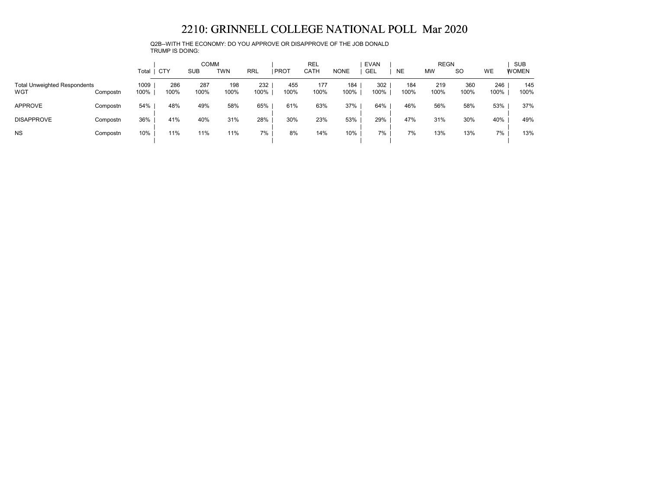Q2B--WITH THE ECONOMY: DO YOU APPROVE OR DISAPPROVE OF THE JOB DONALD TRUMP IS DOING:

|                                            |          | Total        | . CTY       | <b>COMM</b><br>SUB | <b>TWN</b>  | RRL         | <b>PROT</b> | <b>REL</b><br>CATH | <b>NONE</b> | <b>EVAN</b><br><b>GEL</b> | <b>NE</b>   | <b>REGN</b><br><b>MW</b> | <b>SO</b>   | WE          | <b>SUB</b><br><b>WOMEN</b> |
|--------------------------------------------|----------|--------------|-------------|--------------------|-------------|-------------|-------------|--------------------|-------------|---------------------------|-------------|--------------------------|-------------|-------------|----------------------------|
| <b>Total Unweighted Respondents</b><br>WGT | Compostn | 1009<br>100% | 286<br>100% | 287<br>100%        | 198<br>100% | 232<br>100% | 455<br>100% | 177<br>100%        | 184<br>100% | 302<br>100%               | 184<br>100% | 219<br>100%              | 360<br>100% | 246<br>100% | 145<br>100%                |
| <b>APPROVE</b>                             | Compostn | 54%          | 48%         | 49%                | 58%         | 65%         | 61%         | 63%                | 37%         | 64%                       | 46%         | 56%                      | 58%         | 53%         | 37%                        |
| <b>DISAPPROVE</b>                          | Compostn | 36%          | 41%         | 40%                | 31%         | 28%         | 30%         | 23%                | 53%         | 29%                       | 47%         | 31%                      | 30%         | 40%         | 49%                        |
| <b>NS</b>                                  | Compostn | 10%          | 11%         | 11%                | 11%         | 7%          | 8%          | 14%                | 10%         | 7%                        | 7%          | 13%                      | 13%         | 7%          | 13%                        |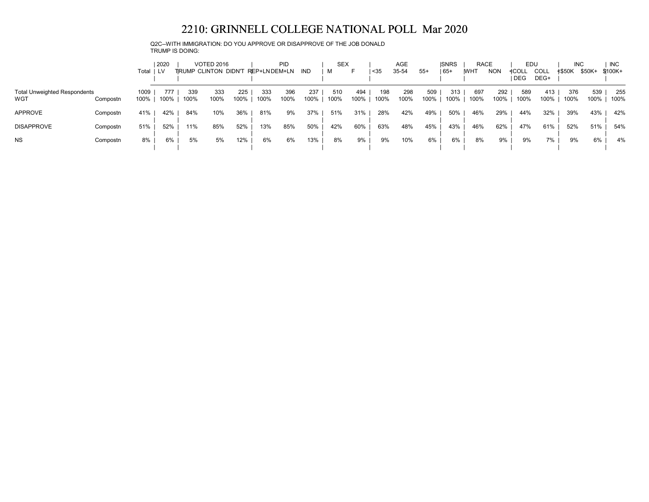Q2C--WITH IMMIGRATION: DO YOU APPROVE OR DISAPPROVE OF THE JOB DONALD TRUMP IS DOING:

|                                            |          | Total   LV   | 2020        |             | <b>VOTED 2016</b><br>TRUMP CLINTON DIDN'T |             | <b>PID</b><br>REP+LNDEM+LN | IND         | <b>SEX</b><br>м | ⊢.          | $35$        | AGE<br>35-54 | $55+$       | <b>ISNRS</b><br>$165+$ | <b>RACE</b><br><b>IWHT</b> | <b>NON</b>  | EDU<br>≮COLL<br><b>DEG</b> | <b>COLL</b><br>DEG+ | <b>INC</b><br><b>≮\$50K</b> | \$50K+      | <b>INC</b><br>\$100K+ |
|--------------------------------------------|----------|--------------|-------------|-------------|-------------------------------------------|-------------|----------------------------|-------------|-----------------|-------------|-------------|--------------|-------------|------------------------|----------------------------|-------------|----------------------------|---------------------|-----------------------------|-------------|-----------------------|
| <b>Total Unweighted Respondents</b><br>WGT | Compostn | 1009<br>100% | 777<br>100% | 339<br>100% | 333<br>100%                               | 225<br>100% | 333<br>396<br>100%<br>100% | 237<br>100% | 510<br>100%     | 494<br>100% | 198<br>100% | 298<br>100%  | 509<br>100% | 313<br>100%            | 697<br>100%                | 292<br>100% | 589<br>100%                | 413<br>100%         | 376<br>100%                 | 539<br>100% | 255<br>100%           |
| <b>APPROVE</b>                             | Compostn | 41%          | 42%         | 84%         | 10%                                       | 36%         | 81%                        | 9%<br>37%   | 51%             | 31%         | 28%         | 42%          | 49%         | 50%                    | 46%                        | 29%         | 44%                        | 32%                 | 39%                         | 43%         | 42%                   |
| <b>DISAPPROVE</b>                          | Compostn | 51%          | 52%         | 11%         | 85%                                       | 52%         | 85%<br>13%                 | 50%         | 42%             | 60%         | 63%         | 48%          | 45%         | 43%                    | 46%                        | 62%         | 47%                        | 61%                 | 52%                         | 51%         | 54%                   |
| <b>NS</b>                                  | Compostn | 8%           | 6%          | 5%          | 5%                                        | 12%         | 6%                         | 13%<br>6%   | 8%              | 9%          | 9%          | 10%          | 6%          | 6%                     | 8%                         | 9%          | 9%                         | 7%                  | 9%                          | 6%          | 4%                    |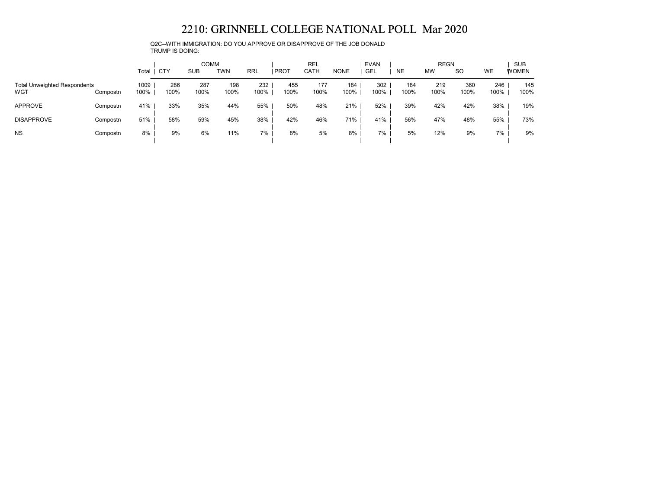Q2C--WITH IMMIGRATION: DO YOU APPROVE OR DISAPPROVE OF THE JOB DONALD TRUMP IS DOING:

|                                            |          | Total        | CTY         | <b>COMM</b><br><b>SUB</b> | TWN         | <b>RRL</b>  | <b>PROT</b> | <b>REL</b><br>CATH | <b>NONE</b> | <b>EVAN</b><br><b>GEL</b> | <b>NE</b>   | <b>REGN</b><br><b>MW</b> | <b>SO</b>   | WE          | <b>SUB</b><br><b>WOMEN</b> |
|--------------------------------------------|----------|--------------|-------------|---------------------------|-------------|-------------|-------------|--------------------|-------------|---------------------------|-------------|--------------------------|-------------|-------------|----------------------------|
| <b>Total Unweighted Respondents</b><br>WGT | Compostn | 1009<br>100% | 286<br>100% | 287<br>100%               | 198<br>100% | 232<br>100% | 455<br>100% | 177<br>100%        | 184<br>100% | 302<br>100%               | 184<br>100% | 219<br>100%              | 360<br>100% | 246<br>100% | 145<br>100%                |
| <b>APPROVE</b>                             | Compostn | 41%          | 33%         | 35%                       | 44%         | 55%         | 50%         | 48%                | 21%         | 52%                       | 39%         | 42%                      | 42%         | 38%         | 19%                        |
| <b>DISAPPROVE</b>                          | Compostn | 51%          | 58%         | 59%                       | 45%         | 38%         | 42%         | 46%                | 71%         | 41%                       | 56%         | 47%                      | 48%         | 55%         | 73%                        |
| <b>NS</b>                                  | Compostn | 8%           | 9%          | 6%                        | 11%         | 7%          | 8%          | 5%                 | 8%          | 7%                        | 5%          | 12%                      | 9%          | 7%          | 9%                         |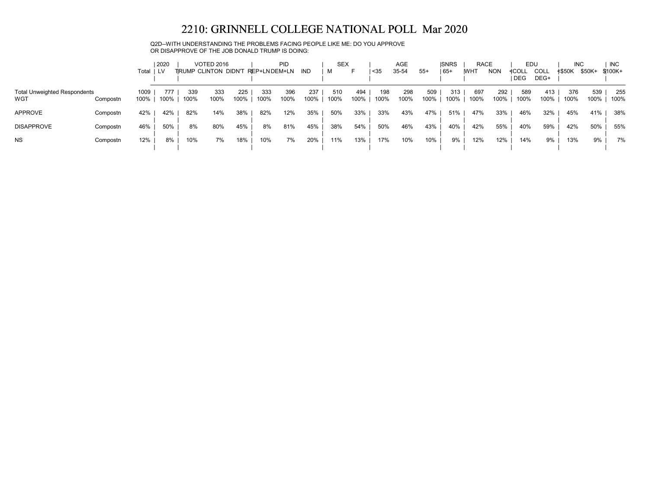Q2D--WITH UNDERSTANDING THE PROBLEMS FACING PEOPLE LIKE ME: DO YOU APPROVE OR DISAPPROVE OF THE JOB DONALD TRUMP IS DOING:

|                                            |          | Total        | 2020        |             | <b>VOTED 2016</b><br>TRUMP CLINTON DIDN'T |             | <b>PID</b><br>REP+LNDEM+LN |             | IND         | <b>SEX</b><br>M |             | $35$        | AGE<br>35-54 | $55+$       | <b>ISNRS</b><br>  65+ | <b>RACE</b><br><b>IWHT</b> | <b>NON</b>  | EDU<br>≮COL∟<br><b>DEG</b> | COLL<br>DEG+ | <b>INC</b><br><b>≮\$50K</b> | \$50K+      | <b>INC</b><br>\$100K+ |
|--------------------------------------------|----------|--------------|-------------|-------------|-------------------------------------------|-------------|----------------------------|-------------|-------------|-----------------|-------------|-------------|--------------|-------------|-----------------------|----------------------------|-------------|----------------------------|--------------|-----------------------------|-------------|-----------------------|
| <b>Total Unweighted Respondents</b><br>WGT | Compostn | 1009<br>100% | 777<br>100% | 339<br>100% | 333<br>100%                               | 225<br>100% | 333<br>100%                | 396<br>100% | 237<br>100% | 510<br>100%     | 494<br>100% | 198<br>100% | 298<br>100%  | 509<br>100% | 313<br>100%           | 697<br>100%                | 292<br>100% | 589<br>100%                | 413<br>100%  | 376<br>100%                 | 539<br>100% | 255<br>100%           |
| APPROVE                                    | Compostn | 42%          | 42%         | 82%         | 14%                                       | 38%         | 82%                        | 12%         | 35%         | 50%             | 33%         | 33%         | 43%          | 47%         | 51%                   | 47%                        | 33%         | 46%                        | 32%          | 45%                         | 41%         | 38%                   |
| <b>DISAPPROVE</b>                          | Compostn | 46%          | 50%         | 8%          | 80%                                       | 45%         | 8%                         | 81%         | 45%         | 38%             | 54%         | 50%         | 46%          | 43%         | 40%                   | 42%                        | 55%         | 40%                        | 59%          | 42%                         | 50%         | 55%                   |
| <b>NS</b>                                  | Compostn | 12%          | 8%          | 10%         | 7%                                        | 18%         | 10%                        | 7%          | 20%         | 11%             | 13%         | 17%         | 10%          | 10%         | 9%                    | 12%                        | 12%         | 14%                        | 9%           | 13%                         | 9%          | 7%                    |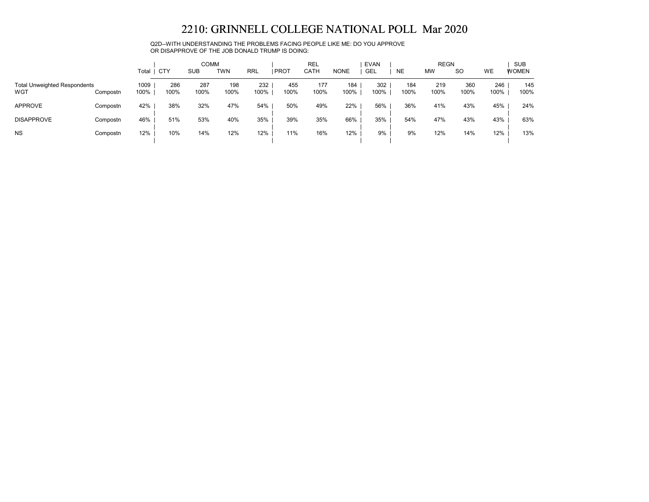Q2D--WITH UNDERSTANDING THE PROBLEMS FACING PEOPLE LIKE ME: DO YOU APPROVE OR DISAPPROVE OF THE JOB DONALD TRUMP IS DOING:

|                                            |          | Total        | <b>CTY</b>  | <b>COMM</b><br><b>SUB</b> | <b>TWN</b>  | <b>RRL</b>  | <b>PROT</b> | <b>REL</b><br>CATH | <b>NONE</b> | <b>EVAN</b><br><b>GEL</b> | <b>NE</b>   | <b>REGN</b><br><b>MW</b> | <sub>SO</sub> | WE          | <b>SUB</b><br><b>WOMEN</b> |
|--------------------------------------------|----------|--------------|-------------|---------------------------|-------------|-------------|-------------|--------------------|-------------|---------------------------|-------------|--------------------------|---------------|-------------|----------------------------|
| <b>Total Unweighted Respondents</b><br>WGT | Compostn | 1009<br>100% | 286<br>100% | 287<br>100%               | 198<br>100% | 232<br>100% | 455<br>100% | 177<br>100%        | 184<br>100% | 302<br>100%               | 184<br>100% | 219<br>100%              | 360<br>100%   | 246<br>100% | 145<br>100%                |
| <b>APPROVE</b>                             | Compostn | 42%          | 38%         | 32%                       | 47%         | 54%         | 50%         | 49%                | 22%         | 56%                       | 36%         | 41%                      | 43%           | 45%         | 24%                        |
| <b>DISAPPROVE</b>                          | Compostn | 46%          | 51%         | 53%                       | 40%         | 35%         | 39%         | 35%                | 66%         | 35%                       | 54%         | 47%                      | 43%           | 43%         | 63%                        |
| <b>NS</b>                                  | Compostn | 12%          | 10%         | 14%                       | 12%         | 12%         | 11%         | 16%                | 12%         | 9%                        | 9%          | 12%                      | 14%           | 12%         | 13%                        |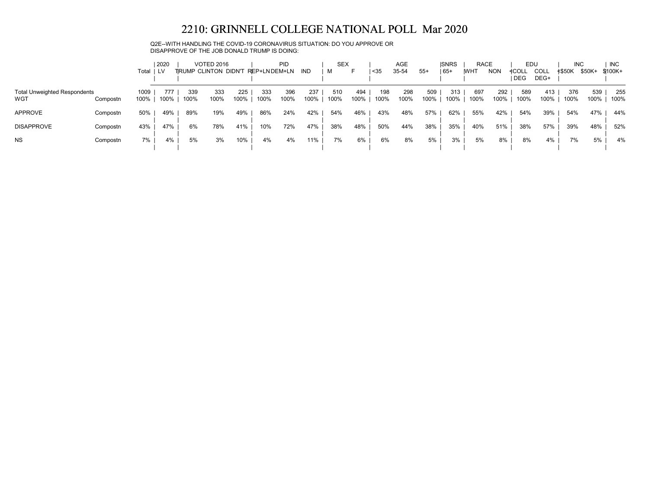Q2E--WITH HANDLING THE COVID-19 CORONAVIRUS SITUATION: DO YOU APPROVE OR DISAPPROVE OF THE JOB DONALD TRUMP IS DOING:

|                                            |          | Total        | 2020        |             | <b>VOTED 2016</b><br>TRUMP CLINTON DIDN'T |             | <b>PID</b><br>REP+LNDEM+LN |             | IND         | <b>SEX</b><br>м |             | $35$        | AGE<br>35-54 | $55+$       | <b>ISNRS</b><br>  65+ | <b>RACE</b><br><b>IWHT</b> | <b>NON</b>  | EDU<br>≮COL∟<br><b>DEG</b> | COLL<br>DEG+ | <b>INC</b><br>≮\$50K | \$50K+      | <b>INC</b><br>\$100K+ |
|--------------------------------------------|----------|--------------|-------------|-------------|-------------------------------------------|-------------|----------------------------|-------------|-------------|-----------------|-------------|-------------|--------------|-------------|-----------------------|----------------------------|-------------|----------------------------|--------------|----------------------|-------------|-----------------------|
| <b>Total Unweighted Respondents</b><br>WGT | Compostn | 1009<br>100% | 777<br>100% | 339<br>100% | 333<br>100%                               | 225<br>100% | 333<br>100%                | 396<br>100% | 237<br>100% | 510<br>100%     | 494<br>100% | 198<br>100% | 298<br>100%  | 509<br>100% | 313<br>100%           | 697<br>100%                | 292<br>100% | 589<br>100%                | 413<br>100%  | 376<br>100%          | 539<br>100% | 255<br>100%           |
| APPROVE                                    | Compostn | 50%          | 49%         | 89%         | 19%                                       | 49%         | 86%                        | 24%         | 42%         | 54%             | 46%         | 43%         | 48%          | 57%         | 62%                   | 55%                        | 42%         | 54%                        | 39%          | 54%                  | 47%         | 44%                   |
| <b>DISAPPROVE</b>                          | Compostn | 43%          | 47%         | 6%          | 78%                                       | 41%         | 10%                        | 72%         | 47%         | 38%             | 48%         | 50%         | 44%          | 38%         | 35%                   | 40%                        | 51%         | 38%                        | 57%          | 39%                  | 48%         | 52%                   |
| <b>NS</b>                                  | Compostn | 7%           | 4%          | 5%          | 3%                                        | 10%         | 4%                         | 4%          | 11%         | 7%              | 6%          | 6%          | 8%           | 5%          | 3%                    | 5%                         | 8%          | 8%                         | 4%           | 7%                   | 5%          | 4%                    |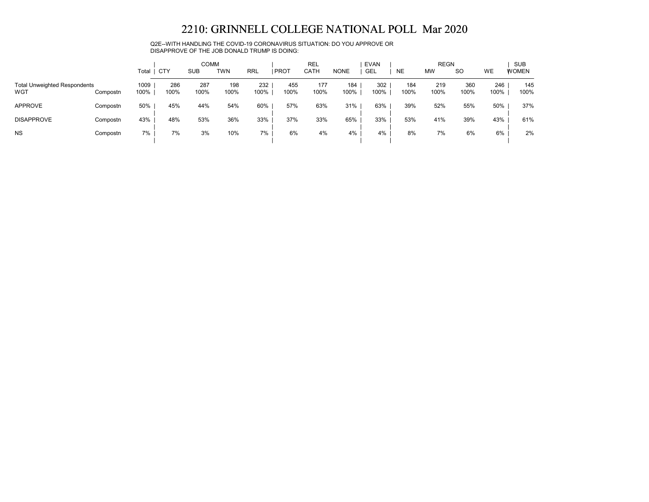Q2E--WITH HANDLING THE COVID-19 CORONAVIRUS SITUATION: DO YOU APPROVE OR DISAPPROVE OF THE JOB DONALD TRUMP IS DOING:

|                                            |          | Total        | CTY         | <b>COMM</b><br><b>SUB</b> | TWN         | <b>RRL</b>  | <b>I PROT</b> | <b>REL</b><br>CATH | <b>NONE</b> | <b>EVAN</b><br>GEL | <b>NE</b>   | <b>REGN</b><br><b>MW</b> | <b>SO</b>   | WE          | <b>SUB</b><br><b>WOMEN</b> |
|--------------------------------------------|----------|--------------|-------------|---------------------------|-------------|-------------|---------------|--------------------|-------------|--------------------|-------------|--------------------------|-------------|-------------|----------------------------|
| <b>Total Unweighted Respondents</b><br>WGT | Compostn | 1009<br>100% | 286<br>100% | 287<br>100%               | 198<br>100% | 232<br>100% | 455<br>100%   | 177<br>100%        | 184<br>100% | 302<br>100%        | 184<br>100% | 219<br>100%              | 360<br>100% | 246<br>100% | 145<br>100%                |
| <b>APPROVE</b>                             | Compostn | 50%          | 45%         | 44%                       | 54%         | 60%         | 57%           | 63%                | 31%         | 63%                | 39%         | 52%                      | 55%         | 50%         | 37%                        |
| <b>DISAPPROVE</b>                          | Compostn | 43%          | 48%         | 53%                       | 36%         | 33%         | 37%           | 33%                | 65%         | 33%                | 53%         | 41%                      | 39%         | 43%         | 61%                        |
| <b>NS</b>                                  | Compostn | 7%           | 7%          | 3%                        | 10%         | 7%          | 6%            | 4%                 | 4%          | 4%                 | 8%          | 7%                       | 6%          | 6%          | 2%                         |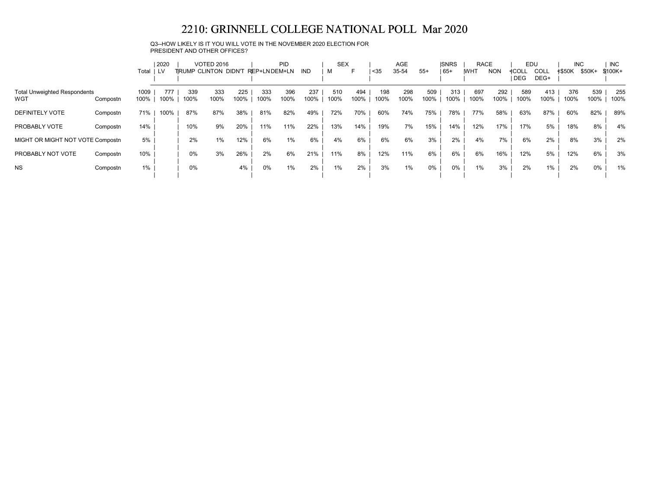Q3--HOW LIKELY IS IT YOU WILL VOTE IN THE NOVEMBER 2020 ELECTION FOR PRESIDENT AND OTHER OFFICES?

|                                            |          | 2020<br><b>VOTED 2016</b> |             | <b>PID</b>  |                       |             | <b>SEX</b>   |             |             | AGE         |             | <b>ISNRS</b> | <b>RACE</b> |             | EDU         |             | <b>INC</b>  |              | <b>INC</b>          |               |             |             |
|--------------------------------------------|----------|---------------------------|-------------|-------------|-----------------------|-------------|--------------|-------------|-------------|-------------|-------------|--------------|-------------|-------------|-------------|-------------|-------------|--------------|---------------------|---------------|-------------|-------------|
|                                            |          | Total                     | LV          |             | TIRUMP CLINTON DIDN'T |             | REP+LNDEM+LN |             | IND         | м           | н           | <35          | 35-54       | $55+$       | $165+$      | <b>IWHT</b> | <b>NON</b>  | ≮COLL<br>DEG | <b>COLL</b><br>DEG+ | <b>≮\$50K</b> | \$50K+      | \$100K+     |
| <b>Total Unweighted Respondents</b><br>WGT | Compostn | 1009<br>100%              | 777<br>100% | 339<br>100% | 333<br>100%           | 225<br>100% | 333<br>100%  | 396<br>100% | 237<br>100% | 510<br>100% | 494<br>100% | 198<br>100%  | 298<br>100% | 509<br>100% | 313<br>100% | 697<br>100% | 292<br>100% | 589<br>100%  | 413<br>100%         | 376<br>100%   | 539<br>100% | 255<br>100% |
| <b>DEFINITELY VOTE</b>                     | Compostn | 71%                       | 100%        | 87%         | 87%                   | 38%         | 81%          | 82%         | 49%         | 72%         | 70%         | 60%          | 74%         | 75%         | 78%         | 77%         | 58%         | 63%          | 87%                 | 60%           | 82%         | 89%         |
| PROBABLY VOTE                              | Compostn | 14%                       |             | 10%         | 9%                    | 20%         | 11%          | 11%         | 22%         | 13%         | 14%         | 19%          | 7%          | 15%         | 14%         | 12%         | 17%         | 17%          | 5%                  | 18%           | 8%          | 4%          |
| MIGHT OR MIGHT NOT VOTE Compostn           |          | 5%                        |             | 2%          | $1\%$                 | 12%         | 6%           | $1\%$       | 6%          | 4%          | 6%          | 6%           | 6%          | 3%          | 2%          | 4%          | 7%          | 6%           | 2%                  | 8%            | 3%          | 2%          |
| PROBABLY NOT VOTE                          | Compostn | 10%                       |             | 0%          | 3%                    | 26%         | 2%           | 6%          | 21%         | 11%         | 8%          | 12%          | 11%         | 6%          | 6%          | 6%          | 16%         | 12%          | 5%                  | 12%           | 6%          | 3%          |
| <b>NS</b>                                  | Compostn | 1%                        |             | 0%          |                       | 4%          | 0%           | $1\%$       | 2%          | $1\%$       | 2%          | 3%           | 1%          | $0\%$       | $0\%$       | 1%          | 3%          | 2%           | 1%                  | 2%            | 0%          | 1%          |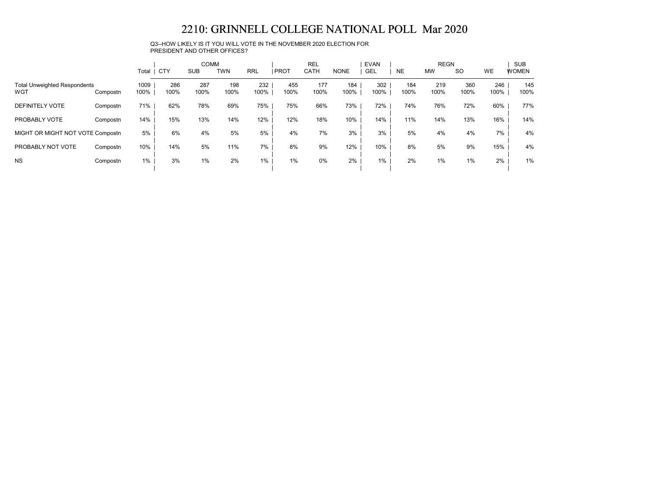Q3--HOW LIKELY IS IT YOU WILL VOTE IN THE NOVEMBER 2020 ELECTION FOR PRESIDENT AND OTHER OFFICES?

|                                                        |          |              |             | <b>COMM</b> |             |             |             | <b>REL</b>  |             | <b>EVAN</b> | <b>REGN</b> |             |             | <b>SUB</b>  |              |  |
|--------------------------------------------------------|----------|--------------|-------------|-------------|-------------|-------------|-------------|-------------|-------------|-------------|-------------|-------------|-------------|-------------|--------------|--|
|                                                        |          | Total        | <b>CTY</b>  | <b>SUB</b>  | <b>TWN</b>  | <b>RRL</b>  | <b>PROT</b> | <b>CATH</b> | <b>NONE</b> | <b>GEL</b>  | <b>NE</b>   | <b>MW</b>   | <b>SO</b>   | WE          | <b>WOMEN</b> |  |
| <b>Total Unweighted Respondents</b><br>WGT<br>Compostn |          | 1009<br>100% | 286<br>100% | 287<br>100% | 198<br>100% | 232<br>100% | 455<br>100% | 177<br>100% | 184<br>100% | 302<br>100% | 184<br>100% | 219<br>100% | 360<br>100% | 246<br>100% | 145<br>100%  |  |
| <b>DEFINITELY VOTE</b>                                 | Compostn | 71%          | 62%         | 78%         | 69%         | 75%         | 75%         | 66%         | 73%         | 72%         | 74%         | 76%         | 72%         | 60%         | 77%          |  |
| PROBABLY VOTE                                          | Compostn | 14%          | 15%         | 13%         | 14%         | 12%         | 12%         | 18%         | 10%         | 14%         | 11%         | 14%         | 13%         | 16%         | 14%          |  |
| MIGHT OR MIGHT NOT VOTE Compostn                       |          | 5%           | 6%          | 4%          | 5%          | 5%          | 4%          | 7%          | 3%          | 3%          | 5%          | 4%          | 4%          | 7%          | 4%           |  |
| PROBABLY NOT VOTE                                      | Compostn | 10%          | 14%         | 5%          | 11%         | 7%          | 8%          | 9%          | 12%         | 10%         | 8%          | 5%          | 9%          | 15%         | 4%           |  |
| <b>NS</b>                                              | Compostn | 1%           | 3%          | $1\%$       | 2%          | $1\%$       | 1%          | $0\%$       | 2%          | $1\%$       | 2%          | 1%          | 1%          | 2%          | 1%           |  |
|                                                        |          |              |             |             |             |             |             |             |             |             |             |             |             |             |              |  |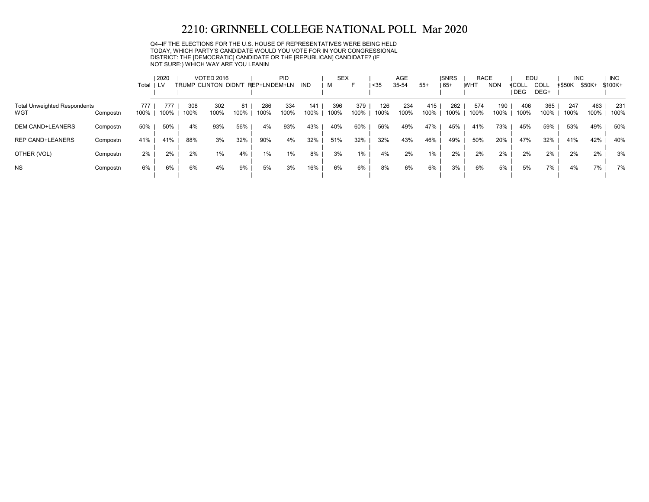Q4--IF THE ELECTIONS FOR THE U.S. HOUSE OF REPRESENTATIVES WERE BEING HELD TODAY, WHICH PARTY'S CANDIDATE WOULD YOU VOTE FOR IN YOUR CONGRESSIONAL DISTRICT: THE [DEMOCRATIC] CANDIDATE OR THE [REPUBLICAN] CANDIDATE? (IF NOT SURE:) WHICH WAY ARE YOU LEANIN

|                                            |          | Total I LV  | 2020        |             | <b>VOTED 2016</b><br>TRUMP CLINTON DIDN'T |            | REP+LNDEM+LN | PID         | IND         | <b>SEX</b><br>м | F           | $35$        | AGE<br>35-54 | $55+$       | <b>ISNRS</b><br>$65+$ | <b>RACE</b><br><b>IWHT</b> | <b>NON</b>  | EDU<br>≮COLL<br><b>DEG</b> | COLL<br>DEG+ | <b>INC</b><br>≮\$50K | \$50K+      | <b>INC</b><br>$$100K +$ |
|--------------------------------------------|----------|-------------|-------------|-------------|-------------------------------------------|------------|--------------|-------------|-------------|-----------------|-------------|-------------|--------------|-------------|-----------------------|----------------------------|-------------|----------------------------|--------------|----------------------|-------------|-------------------------|
| <b>Total Unweighted Respondents</b><br>WGT | Compostn | 777<br>100% | 777<br>100% | 308<br>100% | 302<br>100%                               | 81<br>100% | 286<br>100%  | 334<br>100% | 141<br>100% | 396<br>100%     | 379<br>100% | 126<br>100% | 234<br>100%  | 415<br>100% | 262<br>100%           | 574<br>100%                | 190<br>100% | 406<br>100%                | 365<br>100%  | 247<br>100%          | 463<br>100% | 231<br>100%             |
| <b>DEM CAND+LEANERS</b>                    | Compostn | 50%         | 50%         | 4%          | 93%                                       | 56%        | 4%           | 93%         | 43%         | 40%             | 60%         | 56%         | 49%          | 47%         | 45%                   | 41%                        | 73%         | 45%                        | 59%          | 53%                  | 49%         | 50%                     |
| <b>REP CAND+LEANERS</b>                    | Compostn | 41%         | 41%         | 88%         | 3%                                        | 32%        | 90%          | 4%          | 32%         | 51%             | 32%         | 32%         | 43%          | 46%         | 49%                   | 50%                        | 20%         | 47%                        | 32%          | 41%                  | 42%         | 40%                     |
| OTHER (VOL)                                | Compostn | 2%          | 2%          | 2%          | $1\%$                                     | 4%         | 1%           | 1%          | 8%          | 3%              | 1%          | 4%          | 2%           | 1%          | 2%                    | 2%                         | 2%          | 2%                         | 2%           | 2%                   | 2%          | 3%                      |
| <b>NS</b>                                  | Compostn | 6%          | 6%          | 6%          | 4%                                        | 9%         | 5%           | 3%          | 16%         | 6%              | 6%          | 8%          | 6%           | 6%          | 3%                    | 6%                         | 5%          | 5%                         | 7%           | 4%                   | 7%          | 7%                      |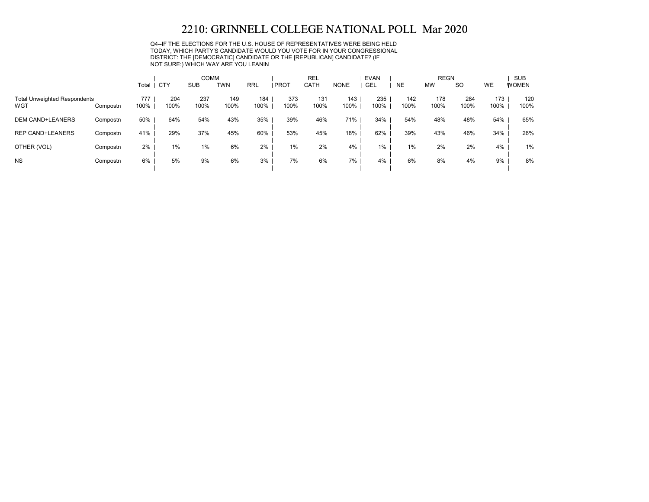Q4--IF THE ELECTIONS FOR THE U.S. HOUSE OF REPRESENTATIVES WERE BEING HELD TODAY, WHICH PARTY'S CANDIDATE WOULD YOU VOTE FOR IN YOUR CONGRESSIONAL DISTRICT: THE [DEMOCRATIC] CANDIDATE OR THE [REPUBLICAN] CANDIDATE? (IF NOT SURE:) WHICH WAY ARE YOU LEANIN

|                                            |          |             |             | <b>COMM</b> |             |             |             | <b>REL</b>  | <b>EVAN</b> |             |             | <b>REGN</b> |             | <b>SUB</b>  |              |  |
|--------------------------------------------|----------|-------------|-------------|-------------|-------------|-------------|-------------|-------------|-------------|-------------|-------------|-------------|-------------|-------------|--------------|--|
|                                            |          | Total       | <b>CTY</b>  | <b>SUB</b>  | TWN         | <b>RRL</b>  | PROT        | <b>CATH</b> | <b>NONE</b> | <b>GEL</b>  | <b>NE</b>   | <b>MW</b>   | <b>SO</b>   | <b>WE</b>   | <b>WOMEN</b> |  |
| <b>Total Unweighted Respondents</b><br>WGT | Compostn | 777<br>100% | 204<br>100% | 237<br>100% | 149<br>100% | 184<br>100% | 373<br>100% | 131<br>100% | 143<br>100% | 235<br>100% | 142<br>100% | 178<br>100% | 284<br>100% | 173<br>100% | 120<br>100%  |  |
| <b>DEM CAND+LEANERS</b>                    | Compostn | 50%         | 64%         | 54%         | 43%         | 35%         | 39%         | 46%         | 71%         | 34%         | 54%         | 48%         | 48%         | 54%         | 65%          |  |
| <b>REP CAND+LEANERS</b>                    | Compostn | 41%         | 29%         | 37%         | 45%         | 60%         | 53%         | 45%         | 18%         | 62%         | 39%         | 43%         | 46%         | 34%         | 26%          |  |
| OTHER (VOL)                                | Compostn | 2%          | $1\%$       | 1%          | 6%          | 2%          | 1%          | 2%          | 4%          | 1%          | 1%          | 2%          | 2%          | 4%          | 1%           |  |
| <b>NS</b>                                  | Compostn | 6%          | 5%          | 9%          | 6%          | 3%          | 7%          | 6%          | 7%          | 4%          | 6%          | 8%          | 4%          | 9%          | 8%           |  |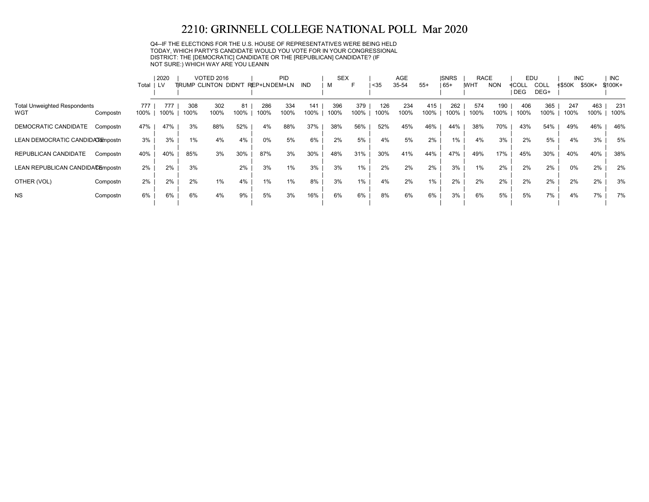Q4--IF THE ELECTIONS FOR THE U.S. HOUSE OF REPRESENTATIVES WERE BEING HELD TODAY, WHICH PARTY'S CANDIDATE WOULD YOU VOTE FOR IN YOUR CONGRESSIONAL DISTRICT: THE [DEMOCRATIC] CANDIDATE OR THE [REPUBLICAN] CANDIDATE? (IF NOT SURE:) WHICH WAY ARE YOU LEANIN

|                                            |          |             | 2020        |                             | <b>VOTED 2016</b> |            |               | PID         |             | <b>SEX</b>  |             |             | AGE         |             | <b>ISNRS</b> | <b>RACE</b> |             | EDU                 |                     | <b>INC</b>    |             | <b>INC</b>  |
|--------------------------------------------|----------|-------------|-------------|-----------------------------|-------------------|------------|---------------|-------------|-------------|-------------|-------------|-------------|-------------|-------------|--------------|-------------|-------------|---------------------|---------------------|---------------|-------------|-------------|
|                                            |          | Total I LV  |             | <b>TRUMP CLINTON DIDN'T</b> |                   |            | REP+LN DEM+LN |             | IND         | м           | F           | $35$        | 35-54       | $55+$       | $ 65+$       | <b>IWHT</b> | <b>NON</b>  | ≮COLL<br><b>DEG</b> | <b>COLL</b><br>DEG+ | <b>≮\$50K</b> | \$50K+      | \$100K+     |
| <b>Total Unweighted Respondents</b><br>WGT | Compostn | 777<br>100% | 777<br>100% | 308<br>100%                 | 302<br>100%       | 81<br>100% | 286<br>100%   | 334<br>100% | 141<br>100% | 396<br>100% | 379<br>100% | 126<br>100% | 234<br>100% | 415<br>100% | 262<br>100%  | 574<br>100% | 190<br>100% | 406<br>100%         | 365<br>100%         | 247<br>100%   | 463<br>100% | 231<br>100% |
| DEMOCRATIC CANDIDATE                       | Compostn | 47%         | 47%         | 3%                          | 88%               | 52%        | 4%            | 88%         | 37%         | 38%         | 56%         | 52%         | 45%         | 46%         | 44%          | 38%         | 70%         | 43%                 | 54%                 | 49%           | 46%         | 46%         |
| LEAN DEMOCRATIC CANDIDA Tompostn           |          | 3%          | 3%          | 1%                          | 4%                | 4%         | $0\%$         | 5%          | 6%          | 2%          | 5%          | 4%          | 5%          | 2%          | 1%           | 4%          | 3%          | 2%                  | 5%                  | 4%            | 3%          | 5%          |
| REPUBLICAN CANDIDATE                       | Compostn | 40%         | 40%         | 85%                         | 3%                | 30%        | 87%           | 3%          | 30%         | 48%         | 31%         | 30%         | 41%         | 44%         | 47%          | 49%         | 17%         | 45%                 | 30%                 | 40%           | 40%         | 38%         |
| LEAN REPUBLICAN CANDIDACEmpostn            |          | 2%          | 2%          | 3%                          |                   | 2%         | 3%            | 1%          | 3%          | 3%          | 1%          | 2%          | 2%          | 2%          | 3%           | 1%          | 2%          | 2%                  | 2%                  | 0%            | 2%          | 2%          |
| OTHER (VOL)                                | Compostn | 2%          | 2%          | 2%                          | $1\%$             | 4%         | 1%            | 1%          | 8%          | 3%          | 1%          | 4%          | 2%          | 1%          | 2%           | 2%          | 2%          | 2%                  | 2%                  | 2%            | 2%          | 3%          |
| <b>NS</b>                                  | Compostn | 6%          | 6%          | 6%                          | 4%                | 9%         | 5%            | 3%          | 16%         | 6%          | 6%          | 8%          | 6%          | 6%          | 3%           | 6%          | 5%          | 5%                  | 7%                  | 4%            | 7%          | 7%          |
|                                            |          |             |             |                             |                   |            |               |             |             |             |             |             |             |             |              |             |             |                     |                     |               |             |             |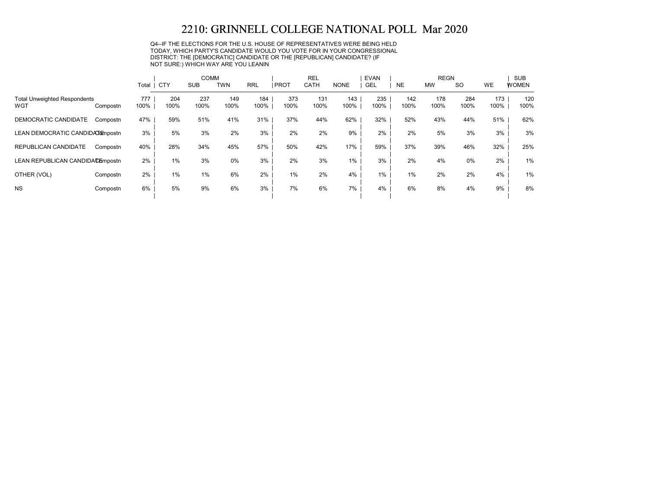Q4--IF THE ELECTIONS FOR THE U.S. HOUSE OF REPRESENTATIVES WERE BEING HELD TODAY, WHICH PARTY'S CANDIDATE WOULD YOU VOTE FOR IN YOUR CONGRESSIONAL DISTRICT: THE [DEMOCRATIC] CANDIDATE OR THE [REPUBLICAN] CANDIDATE? (IF NOT SURE:) WHICH WAY ARE YOU LEANIN

|                                            |          |             |             | <b>COMM</b> |             |             |             | <b>REL</b>  |             | <b>EVAN</b> |             | <b>REGN</b> |             |             | <b>SUB</b>   |
|--------------------------------------------|----------|-------------|-------------|-------------|-------------|-------------|-------------|-------------|-------------|-------------|-------------|-------------|-------------|-------------|--------------|
|                                            |          | Total   CTY |             | <b>SUB</b>  | <b>TWN</b>  | <b>RRL</b>  | <b>PROT</b> | CATH        | <b>NONE</b> | <b>GEL</b>  | <b>NE</b>   | <b>MW</b>   | <b>SO</b>   | <b>WE</b>   | <b>WOMEN</b> |
| <b>Total Unweighted Respondents</b><br>WGT | Compostn | 777<br>100% | 204<br>100% | 237<br>100% | 149<br>100% | 184<br>100% | 373<br>100% | 131<br>100% | 143<br>100% | 235<br>100% | 142<br>100% | 178<br>100% | 284<br>100% | 173<br>100% | 120<br>100%  |
| DEMOCRATIC CANDIDATE                       | Compostn | 47%         | 59%         | 51%         | 41%         | 31%         | 37%         | 44%         | 62%         | 32%         | 52%         | 43%         | 44%         | 51%         | 62%          |
| LEAN DEMOCRATIC CANDIDA Tompostn           |          | 3%          | 5%          | 3%          | 2%          | 3%          | 2%          | 2%          | 9%          | 2%          | 2%          | 5%          | 3%          | 3%          | 3%           |
| REPUBLICAN CANDIDATE                       | Compostn | 40%         | 28%         | 34%         | 45%         | 57%         | 50%         | 42%         | 17%         | 59%         | 37%         | 39%         | 46%         | 32%         | 25%          |
| LEAN REPUBLICAN CANDIDACEmpostn            |          | $2\%$       | $1\%$       | 3%          | 0%          | 3%          | 2%          | 3%          | 1%          | 3%          | 2%          | 4%          | 0%          | 2%          | 1%           |
| OTHER (VOL)                                | Compostn | 2%          | $1\%$       | 1%          | 6%          | 2%          | $1\%$       | 2%          | 4%          | $1\%$       | $1\%$       | 2%          | 2%          | 4%          | 1%           |
| <b>NS</b>                                  | Compostn | 6%          | 5%          | 9%          | 6%          | 3%          | 7%          | 6%          | 7%          | $4\%$       | 6%          | 8%          | 4%          | 9%          | 8%           |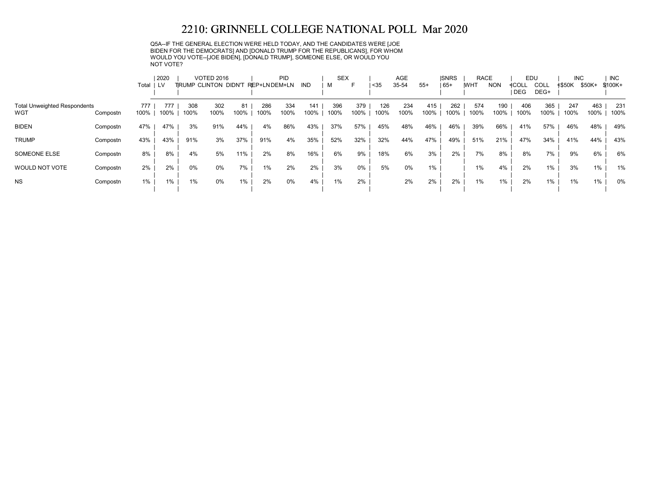Q5A--IF THE GENERAL ELECTION WERE HELD TODAY, AND THE CANDIDATES WERE [JOE BIDEN FOR THE DEMOCRATS] AND [DONALD TRUMP FOR THE REPUBLICANS], FOR WHOM WOULD YOU VOTE--[JOE BIDEN], [DONALD TRUMP], SOMEONE ELSE, OR WOULD YOU NOT VOTE?

|                                     |          |       | 2020 |       | <b>VOTED 2016</b>            |      |              | PID  |      | <b>SEX</b> |       |      | <b>AGE</b> |       | <b>ISNRS</b> | <b>RACE</b> |            | EDU                 |              | <b>INC</b>    |        | <b>INC</b> |
|-------------------------------------|----------|-------|------|-------|------------------------------|------|--------------|------|------|------------|-------|------|------------|-------|--------------|-------------|------------|---------------------|--------------|---------------|--------|------------|
|                                     |          | Total | LV   |       | <b>TIRUMP CLINTON DIDN'T</b> |      | REP+LNDEM+LN |      | IND  | м          | ⊏     | $35$ | 35-54      | $55+$ | $165+$       | <b>WHT</b>  | <b>NON</b> | ≮COLL<br><b>DEG</b> | COLL<br>DEG+ | <b>≮\$50K</b> | \$50K+ | \$100K+    |
|                                     |          |       |      |       |                              |      |              |      |      |            |       |      |            |       |              |             |            |                     |              |               |        |            |
| <b>Total Unweighted Respondents</b> |          | 777   | 777  | 308   | 302                          | 81   | 286          | 334  | 141  | 396        | 379   | 126  | 234        | 415   | 262          | 574         | 190        | 406                 | 365          | 247           | 463    | 231        |
| WGT                                 | Compostn | 100%  | 100% | 100%  | 100%                         | 100% | 100%         | 100% | 100% | 100%       | 100%  | 100% | 100%       | 100%  | 100%         | 100%        | 100%       | 100%                | 100%         | 100%          | 100%   | 100%       |
| <b>BIDEN</b>                        | Compostn | 47%   | 47%  | 3%    | 91%                          | 44%  | 4%           | 86%  | 43%  | 37%        | 57%   | 45%  | 48%        | 46%   | 46%          | 39%         | 66%        | 41%                 | 57%          | 46%           | 48%    | 49%        |
| <b>TRUMP</b>                        | Compostn | 43%   | 43%  | 91%   | 3%                           | 37%  | 91%          | 4%   | 35%  | 52%        | 32%   | 32%  | 44%        | 47%   | 49%          | 51%         | 21%        | 47%                 | 34%          | 41%           | 44%    | 43%        |
| SOMEONE ELSE                        | Compostn | 8%    | 8%   | 4%    | 5%                           | 11%  | 2%           | 8%   | 16%  | 6%         | 9%    | 18%  | 6%         | 3%    | 2%           | 7%          | 8%         | 8%                  | 7%           | 9%            | 6%     | 6%         |
| <b>WOULD NOT VOTE</b>               | Compostn | 2%    | 2%   | $0\%$ | 0%                           | 7%   | 1%           | 2%   | 2%   | 3%         | $0\%$ | 5%   | 0%         | 1%    |              | $1\%$       | 4%         | 2%                  | 1%           | 3%            | 1%     | 1%         |
| <b>NS</b>                           | Compostn | 1%    | 1%   | $1\%$ | 0%                           | 1%   | 2%           | 0%   | 4%   | 1%         | 2%    |      | 2%         | 2%    | 2%           | 1%          | 1%         | 2%                  | $1\%$        | 1%            | $1\%$  | 0%         |
|                                     |          |       |      |       |                              |      |              |      |      |            |       |      |            |       |              |             |            |                     |              |               |        |            |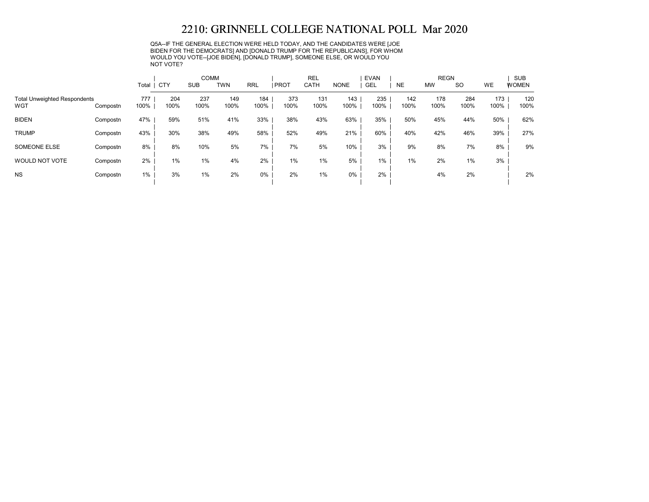Q5A--IF THE GENERAL ELECTION WERE HELD TODAY, AND THE CANDIDATES WERE [JOE BIDEN FOR THE DEMOCRATS] AND [DONALD TRUMP FOR THE REPUBLICANS], FOR WHOM WOULD YOU VOTE--[JOE BIDEN], [DONALD TRUMP], SOMEONE ELSE, OR WOULD YOU NOT VOTE?

|                                            |          |             |             | <b>COMM</b> |             |             |               | <b>REL</b>  |             | <b>EVAN</b> |             | <b>REGN</b> |             |             | <b>SUB</b>   |
|--------------------------------------------|----------|-------------|-------------|-------------|-------------|-------------|---------------|-------------|-------------|-------------|-------------|-------------|-------------|-------------|--------------|
|                                            |          | Total       | CTY         | <b>SUB</b>  | <b>TWN</b>  | <b>RRL</b>  | <b>I PROT</b> | CATH        | <b>NONE</b> | GEL         | <b>NE</b>   | <b>MW</b>   | <b>SO</b>   | <b>WE</b>   | <b>WOMEN</b> |
| <b>Total Unweighted Respondents</b><br>WGT | Compostn | 777<br>100% | 204<br>100% | 237<br>100% | 149<br>100% | 184<br>100% | 373<br>100%   | 131<br>100% | 143<br>100% | 235<br>100% | 142<br>100% | 178<br>100% | 284<br>100% | 173<br>100% | 120<br>100%  |
| <b>BIDEN</b>                               | Compostn | 47%         | 59%         | 51%         | 41%         | 33%         | 38%           | 43%         | 63%         | 35%         | 50%         | 45%         | 44%         | 50%         | 62%          |
| <b>TRUMP</b>                               | Compostn | 43%         | 30%         | 38%         | 49%         | 58%         | 52%           | 49%         | 21%         | 60%         | 40%         | 42%         | 46%         | 39%         | 27%          |
| SOMEONE ELSE                               | Compostn | 8%          | 8%          | 10%         | 5%          | 7%          | 7%            | 5%          | 10%         | 3%          | 9%          | 8%          | 7%          | 8%          | 9%           |
| WOULD NOT VOTE                             | Compostn | 2%          | $1\%$       | 1%          | 4%          | 2%          | $1\%$         | 1%          | 5%          | 1%          | 1%          | 2%          | 1%          | 3%          |              |
| <b>NS</b>                                  | Compostn | 1%          | 3%          | 1%          | 2%          | 0%          | 2%            | 1%          | 0%          | 2%          |             | 4%          | 2%          |             | 2%           |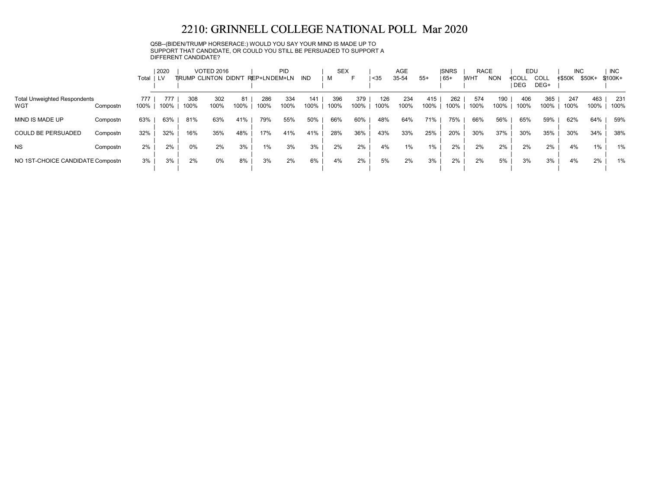Q5B--(BIDEN/TRUMP HORSERACE:) WOULD YOU SAY YOUR MIND IS MADE UP TO SUPPORT THAT CANDIDATE, OR COULD YOU STILL BE PERSUADED TO SUPPORT A DIFFERENT CANDIDATE?

|                                            |          | Total       | 2020 |             | <b>VOTED 2016</b><br>TRUMP CLINTON DIDN'T REP+LNDEM+LN |            |             | PID         | IND         | <b>SEX</b><br>M |             | $35$        | <b>AGE</b><br>35-54 | $55+$       | <b>ISNRS</b><br>  65+ | <b>RACE</b><br><b>WHT</b> | <b>NON</b>  | EDU<br>≮COLL<br>l DEG | COLL<br>DEG+ | <b>INC</b><br><b>≮\$50K</b> | \$50K+      | <b>INC</b><br>\$100K+ |
|--------------------------------------------|----------|-------------|------|-------------|--------------------------------------------------------|------------|-------------|-------------|-------------|-----------------|-------------|-------------|---------------------|-------------|-----------------------|---------------------------|-------------|-----------------------|--------------|-----------------------------|-------------|-----------------------|
| <b>Total Unweighted Respondents</b><br>WGT | Compostn | 777<br>100% | 100% | 308<br>100% | 302<br>100%                                            | 81<br>100% | 286<br>100% | 334<br>100% | 141<br>100% | 396<br>100%     | 379<br>100% | 126<br>100% | 234<br>100%         | 415<br>100% | 262<br>100%           | 574<br>100%               | 190<br>100% | 406<br>100%           | 365<br>100%  | 247<br>100%                 | 463<br>100% | 231<br>100%           |
| MIND IS MADE UP                            | Compostn | 63%         | 63%  | 81%         | 63%                                                    | 41%        | 79%         | 55%         | 50%         | 66%             | 60%         | 48%         | 64%                 | 71%         | 75%                   | 66%                       | 56%         | 65%                   | 59%          | 62%                         | 64%         | 59%                   |
| <b>COULD BE PERSUADED</b>                  | Compostn | 32%         | 32%  | 16%         | 35%                                                    | 48%        | 17%         | 41%         | 41%         | 28%             | 36%         | 43%         | 33%                 | 25%         | 20%                   | 30%                       | 37%         | 30%                   | 35%          | 30%                         | 34%         | 38%                   |
| <b>NS</b>                                  | Compostn | 2%          | 2%   | 0%          | 2%                                                     | 3%         | 1%          | 3%          | 3%          | 2%              | 2%          | 4%          | 1%                  | $1\%$       | 2%                    | 2%                        | 2%          | 2%                    | 2%           | 4%                          | 1%          | 1%                    |
| NO 1ST-CHOICE CANDIDATE Compostn           |          | 3%          | 3%   | 2%          | 0%                                                     | 8%         | 3%          | 2%          | 6%          | 4%              | 2%          | 5%          | 2%                  | 3%          | 2%                    | 2%                        | 5%          | 3%                    | 3%           | 4%                          | 2%          | 1%                    |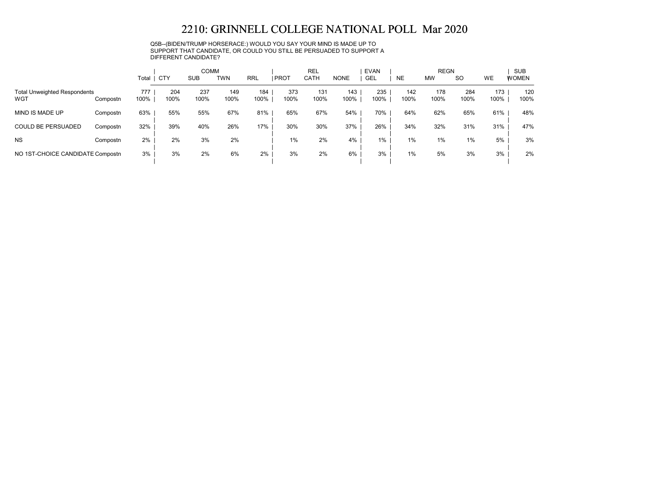Q5B--(BIDEN/TRUMP HORSERACE:) WOULD YOU SAY YOUR MIND IS MADE UP TO SUPPORT THAT CANDIDATE, OR COULD YOU STILL BE PERSUADED TO SUPPORT A DIFFERENT CANDIDATE?

|                                            |          | Total       | CTY         | <b>COMM</b><br><b>SUB</b> | TWN         | <b>RRL</b>  | <b>PROT</b> | <b>REL</b><br>CATH | <b>NONE</b> | <b>EVAN</b><br><b>GEL</b> | <b>NE</b>   | <b>REGN</b><br><b>MW</b> | <b>SO</b>   | WE          | <b>SUB</b><br><b>WOMEN</b> |
|--------------------------------------------|----------|-------------|-------------|---------------------------|-------------|-------------|-------------|--------------------|-------------|---------------------------|-------------|--------------------------|-------------|-------------|----------------------------|
| <b>Total Unweighted Respondents</b><br>WGT | Compostn | 777<br>100% | 204<br>100% | 237<br>100%               | 149<br>100% | 184<br>100% | 373<br>100% | 131<br>100%        | 143<br>100% | 235<br>100%               | 142<br>100% | 178<br>100%              | 284<br>100% | 173<br>100% | 120<br>100%                |
| MIND IS MADE UP                            | Compostn | 63%         | 55%         | 55%                       | 67%         | 81%         | 65%         | 67%                | 54%         | 70%                       | 64%         | 62%                      | 65%         | 61%         | 48%                        |
| <b>COULD BE PERSUADED</b>                  | Compostn | 32%         | 39%         | 40%                       | 26%         | 17%         | 30%         | 30%                | 37%         | 26%                       | 34%         | 32%                      | 31%         | 31%         | 47%                        |
| <b>NS</b>                                  | Compostn | 2%          | 2%          | 3%                        | 2%          |             | 1%          | 2%                 | 4%          | 1%                        | $1\%$       | 1%                       | 1%          | 5%          | 3%                         |
| NO 1ST-CHOICE CANDIDATE Compostn           |          | 3%          | 3%          | 2%                        | 6%          | 2%          | 3%          | 2%                 | 6%          | 3%                        | $1\%$       | 5%                       | 3%          | 3%          | 2%                         |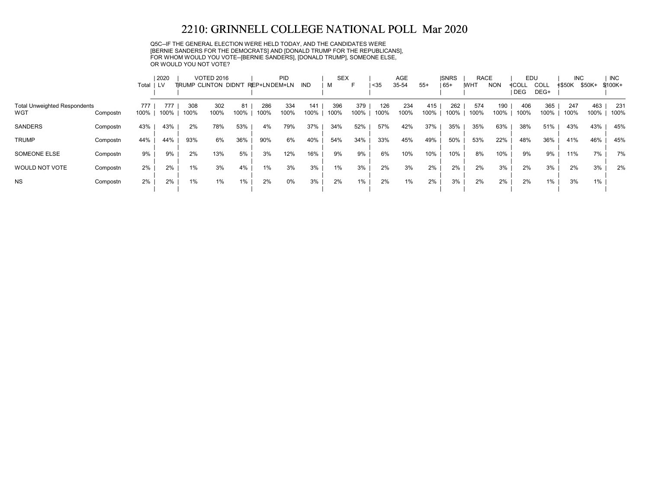Q5C--IF THE GENERAL ELECTION WERE HELD TODAY, AND THE CANDIDATES WERE [BERNIE SANDERS FOR THE DEMOCRATS] AND [DONALD TRUMP FOR THE REPUBLICANS], FOR WHOM WOULD YOU VOTE--[BERNIE SANDERS], [DONALD TRUMP], SOMEONE ELSE, OR WOULD YOU NOT VOTE?

|                                            |          |             | 2020        |             | <b>VOTED 2016</b>    |            |              | PID         |             | <b>SEX</b>  |             |             | AGE         |             | <b>ISNRS</b> | <b>RACE</b> |             | EDU                 |              | <b>INC</b>    |             | <b>INC</b>  |
|--------------------------------------------|----------|-------------|-------------|-------------|----------------------|------------|--------------|-------------|-------------|-------------|-------------|-------------|-------------|-------------|--------------|-------------|-------------|---------------------|--------------|---------------|-------------|-------------|
|                                            |          | Total       | LV.         |             | TRUMP CLINTON DIDN'T |            | REP+LNDEM+LN |             | IND         |             | F           | $35$        | 35-54       | $55+$       | 65+          | <b>WHT</b>  | <b>NON</b>  | ≮COLL<br><b>DEG</b> | COLL<br>DEG+ | <b>≮\$50K</b> | \$50K+      | $$100K+$    |
| <b>Total Unweighted Respondents</b><br>WGT | Compostn | 777<br>100% | 777<br>100% | 308<br>100% | 302<br>100%          | 81<br>100% | 286<br>100%  | 334<br>100% | 141<br>100% | 396<br>100% | 379<br>100% | 126<br>100% | 234<br>100% | 415<br>100% | 262<br>100%  | 574<br>100% | 190<br>100% | 406<br>100%         | 365<br>100%  | 247<br>100%   | 463<br>100% | 231<br>100% |
| <b>SANDERS</b>                             | Compostn | 43%         | 43%         | 2%          | 78%                  | 53%        | 4%           | 79%         | 37%         | 34%         | 52%         | 57%         | 42%         | 37%         | 35%          | 35%         | 63%         | 38%                 | 51%          | 43%           | 43%         | 45%         |
| <b>TRUMP</b>                               | Compostn | 44%         | 44%         | 93%         | 6%                   | 36%        | 90%          | 6%          | 40%         | 54%         | 34%         | 33%         | 45%         | 49%         | 50%          | 53%         | 22%         | 48%                 | 36%          | 41%           | 46%         | 45%         |
| SOMEONE ELSE                               | Compostn | 9%          | 9%          | 2%          | 13%                  | 5%         | 3%           | 12%         | 16%         | 9%          | 9%          | 6%          | 10%         | 10%         | 10%          | 8%          | 10%         | 9%                  | 9%           | 11%           | 7%          | 7%          |
| WOULD NOT VOTE                             | Compostn | 2%          | 2%          | 1%          | 3%                   | 4%         | 1%           | 3%          | 3%          | 1%          | 3%          | 2%          | 3%          | 2%          | 2%           | 2%          | 3%          | 2%                  | 3%           | 2%            | 3%          | 2%          |
| <b>NS</b>                                  | Compostn | 2%          | 2%          | $1\%$       | 1%                   | $1\%$      | 2%           | 0%          | 3%          | 2%          | 1%          | 2%          | $1\%$       | 2%          | 3%           | 2%          | 2%          | 2%                  | 1%           | 3%            | 1%          |             |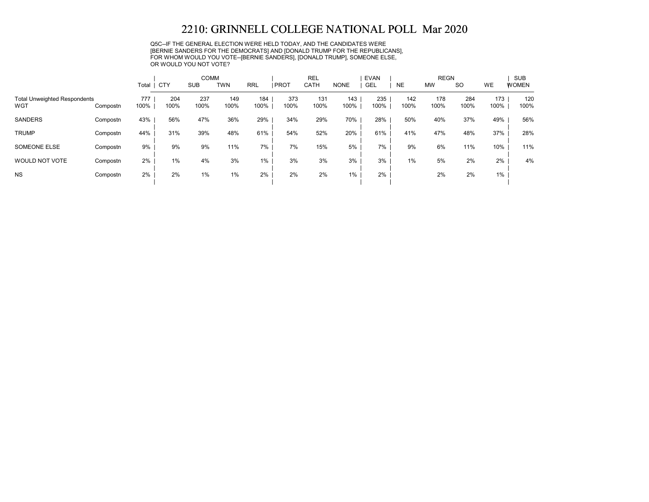Q5C--IF THE GENERAL ELECTION WERE HELD TODAY, AND THE CANDIDATES WERE [BERNIE SANDERS FOR THE DEMOCRATS] AND [DONALD TRUMP FOR THE REPUBLICANS], FOR WHOM WOULD YOU VOTE--[BERNIE SANDERS], [DONALD TRUMP], SOMEONE ELSE, OR WOULD YOU NOT VOTE?

|                                            |          |             |             | <b>COMM</b> |             |             |             | <b>REL</b>  |             | <b>EVAN</b> |             | <b>REGN</b> |             |             | <b>SUB</b>   |
|--------------------------------------------|----------|-------------|-------------|-------------|-------------|-------------|-------------|-------------|-------------|-------------|-------------|-------------|-------------|-------------|--------------|
|                                            |          | Total   CTY |             | <b>SUB</b>  | <b>TWN</b>  | <b>RRL</b>  | <b>PROT</b> | CATH        | <b>NONE</b> | <b>GEL</b>  | <b>NE</b>   | <b>MW</b>   | <b>SO</b>   | <b>WE</b>   | <b>WOMEN</b> |
| <b>Total Unweighted Respondents</b><br>WGT | Compostn | 777<br>100% | 204<br>100% | 237<br>100% | 149<br>100% | 184<br>100% | 373<br>100% | 131<br>100% | 143<br>100% | 235<br>100% | 142<br>100% | 178<br>100% | 284<br>100% | 173<br>100% | 120<br>100%  |
| <b>SANDERS</b>                             | Compostn | 43%         | 56%         | 47%         | 36%         | 29%         | 34%         | 29%         | 70%         | 28%         | 50%         | 40%         | 37%         | 49%         | 56%          |
| <b>TRUMP</b>                               | Compostn | 44%         | 31%         | 39%         | 48%         | 61%         | 54%         | 52%         | 20%         | 61%         | 41%         | 47%         | 48%         | 37%         | 28%          |
| SOMEONE ELSE                               | Compostn | 9%          | 9%          | 9%          | 11%         | 7%          | 7%          | 15%         | 5%          | 7%          | 9%          | 6%          | 11%         | 10%         | 11%          |
| WOULD NOT VOTE                             | Compostn | $2\%$       | 1%          | 4%          | 3%          | 1%          | 3%          | 3%          | 3%          | 3%          | 1%          | 5%          | 2%          | 2%          | 4%           |
| <b>NS</b>                                  | Compostn | $2\%$       | 2%          | $1\%$       | 1%          | 2%          | 2%          | 2%          | $1\%$       | 2%          |             | 2%          | 2%          | $1\%$       |              |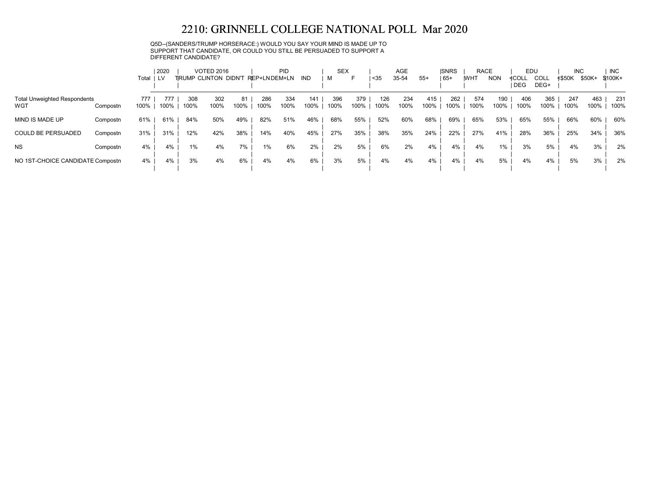Q5D--(SANDERS/TRUMP HORSERACE:) WOULD YOU SAY YOUR MIND IS MADE UP TO SUPPORT THAT CANDIDATE, OR COULD YOU STILL BE PERSUADED TO SUPPORT A DIFFERENT CANDIDATE?

|                                            |          | Total       | 2020 |             | <b>VOTED 2016</b><br>TRUMP CLINTON DIDN'T REP+LNDEM+LN |            |             | <b>PID</b>  | <b>IND</b>  | <b>SEX</b><br>м |             | $35$        | AGE<br>35-54 | $55+$       | <b>ISNRS</b><br>  65+ | <b>RACE</b><br><b>IWHT</b> | <b>NON</b>  | EDU<br>≮COLL<br>I DEG | COLL<br>DEG+ | <b>INC</b><br><b>≮\$50K</b> | \$50K+      | <b>INC</b><br>$$100K +$ |
|--------------------------------------------|----------|-------------|------|-------------|--------------------------------------------------------|------------|-------------|-------------|-------------|-----------------|-------------|-------------|--------------|-------------|-----------------------|----------------------------|-------------|-----------------------|--------------|-----------------------------|-------------|-------------------------|
| <b>Total Unweighted Respondents</b><br>WGT | Compostn | 777<br>100% | 100% | 308<br>100% | 302<br>100%                                            | 81<br>100% | 286<br>100% | 334<br>100% | 141<br>100% | 396<br>100%     | 379<br>100% | 126<br>100% | 234<br>100%  | 415<br>100% | 262<br>100%           | 574<br>100%                | 190<br>100% | 406<br>100%           | 365<br>100%  | 247<br>100%                 | 463<br>100% | 231<br>100%             |
| MIND IS MADE UP                            | Compostn | 61%         | 61%  | 84%         | 50%                                                    | 49%        | 82%         | 51%         | 46%         | 68%             | 55%         | 52%         | 60%          | 68%         | 69%                   | 65%                        | 53%         | 65%                   | 55%          | 66%                         | 60%         | 60%                     |
| <b>COULD BE PERSUADED</b>                  | Compostn | 31%         | 31%  | 12%         | 42%                                                    | 38%        | 14%         | 40%         | 45%         | 27%             | 35%         | 38%         | 35%          | 24%         | 22%                   | 27%                        | 41%         | 28%                   | 36%          | 25%                         | 34%         | 36%                     |
| <b>NS</b>                                  | Compostn | 4%          | 4%   | 1%          | 4%                                                     | 7%         | 1%          | 6%          | 2%          | 2%              | 5%          | 6%          | 2%           | 4%          | 4%                    | 4%                         | 1%          | 3%                    | 5%           | 4%                          | 3%          | 2%                      |
| NO 1ST-CHOICE CANDIDATE Compostn           |          | 4%          | 4%   | 3%          | 4%                                                     | 6%         | 4%          | 4%          | 6%          | 3%              | 5%          | 4%          | 4%           | 4%          | 4%                    | 4%                         | 5%          | 4%                    | 4%           | 5%                          | 3%          | 2%                      |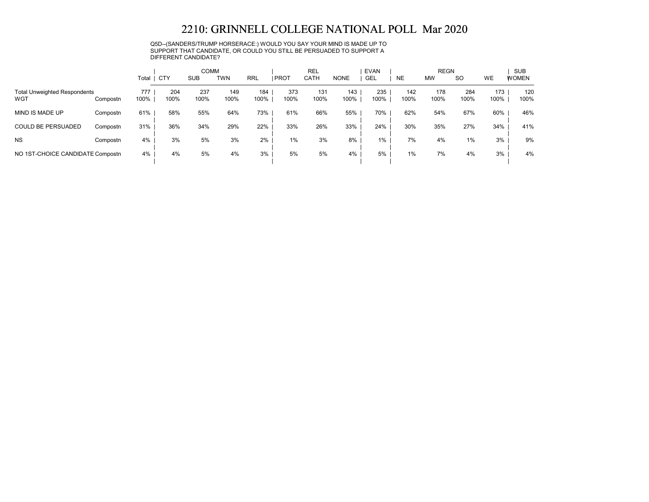Q5D--(SANDERS/TRUMP HORSERACE:) WOULD YOU SAY YOUR MIND IS MADE UP TO SUPPORT THAT CANDIDATE, OR COULD YOU STILL BE PERSUADED TO SUPPORT A DIFFERENT CANDIDATE?

|                                            |          | Total       | <b>CTY</b>  | <b>COMM</b><br><b>SUB</b> | <b>TWN</b>  | <b>RRL</b>  | <b>PROT</b> | <b>REL</b><br>CATH | <b>NONE</b> | <b>EVAN</b><br><b>GEL</b> | <b>NE</b>   | <b>REGN</b><br><b>MW</b> | <b>SO</b>   | WE          | <b>SUB</b><br><b>WOMEN</b> |
|--------------------------------------------|----------|-------------|-------------|---------------------------|-------------|-------------|-------------|--------------------|-------------|---------------------------|-------------|--------------------------|-------------|-------------|----------------------------|
| <b>Total Unweighted Respondents</b><br>WGT | Compostn | 777<br>100% | 204<br>100% | 237<br>100%               | 149<br>100% | 184<br>100% | 373<br>100% | 131<br>100%        | 143<br>100% | 235<br>100%               | 142<br>100% | 178<br>100%              | 284<br>100% | 173<br>100% | 120<br>100%                |
| MIND IS MADE UP                            | Compostn | 61%         | 58%         | 55%                       | 64%         | 73%         | 61%         | 66%                | 55%         | 70%                       | 62%         | 54%                      | 67%         | 60%         | 46%                        |
| <b>COULD BE PERSUADED</b>                  | Compostn | 31%         | 36%         | 34%                       | 29%         | 22%         | 33%         | 26%                | 33%         | 24%                       | 30%         | 35%                      | 27%         | 34%         | 41%                        |
| <b>NS</b>                                  | Compostn | 4%          | 3%          | 5%                        | 3%          | $2\%$       | $1\%$       | 3%                 | 8%          | 1%                        | 7%          | 4%                       | 1%          | 3%          | 9%                         |
| NO 1ST-CHOICE CANDIDATE Compostn           |          | 4%          | 4%          | 5%                        | 4%          | 3%          | 5%          | 5%                 | 4%          | 5%                        | $1\%$       | 7%                       | 4%          | 3%          | 4%                         |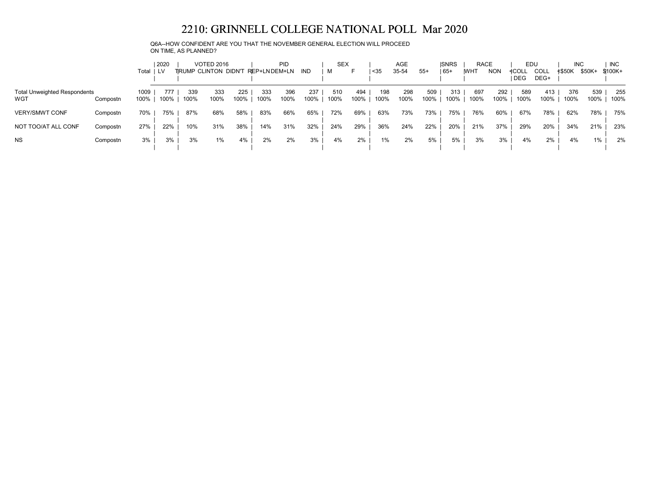Q6A--HOW CONFIDENT ARE YOU THAT THE NOVEMBER GENERAL ELECTION WILL PROCEED ON TIME, AS PLANNED?

|                                            |          | Total   LV   | 2020        |             | <b>VOTED 2016</b><br>TRUMP CLINTON DIDN'T REP+LNDEM+LN |             |             | <b>PID</b>  | IND         | <b>SEX</b><br>м | ⊢           | $35$        | <b>AGE</b><br>35-54 | $55+$       | <b>ISNRS</b><br>$ 65+$ | <b>RACE</b><br><b>IWHT</b> | <b>NON</b>  | EDU<br>≮COLL<br>I DEG | <b>COLL</b><br>DEG+ | <b>INC</b><br><b>≮\$50K</b> | \$50K+      | <b>INC</b><br>\$100K+ |
|--------------------------------------------|----------|--------------|-------------|-------------|--------------------------------------------------------|-------------|-------------|-------------|-------------|-----------------|-------------|-------------|---------------------|-------------|------------------------|----------------------------|-------------|-----------------------|---------------------|-----------------------------|-------------|-----------------------|
| <b>Total Unweighted Respondents</b><br>WGT | Compostn | 1009<br>100% | 777<br>100% | 339<br>100% | 333<br>100%                                            | 225<br>100% | 333<br>100% | 396<br>100% | 237<br>100% | 510<br>100%     | 494<br>100% | 198<br>100% | 298<br>100%         | 509<br>100% | 313<br>100%            | 697<br>100%                | 292<br>100% | 589<br>100%           | 413<br>100%         | 376<br>100%                 | 539<br>100% | 255<br>100%           |
| <b>VERY/SMWT CONF</b>                      | Compostn | 70%          | 75%         | 87%         | 68%                                                    | 58%         | 83%         | 66%         | 65%         | 72%             | 69%         | 63%         | 73%                 | 73%         | 75%                    | 76%                        | 60%         | 67%                   | 78%                 | 62%                         | 78%         | 75%                   |
| NOT TOO/AT ALL CONF                        | Compostn | 27%          | 22%         | 10%         | 31%                                                    | 38%         | 14%         | 31%         | 32%         | 24%             | 29%         | 36%         | 24%                 | 22%         | 20%                    | 21%                        | 37%         | 29%                   | 20%                 | 34%                         | 21%         | 23%                   |
| <b>NS</b>                                  | Compostn | 3%           | 3%          | 3%          | $1\%$                                                  | 4%          | 2%          | 2%          | 3%          | 4%              | 2%          | 1%          | 2%                  | 5%          | 5%                     | 3%                         | 3%          | 4%                    | 2%                  | 4%                          | 1%          | 2%                    |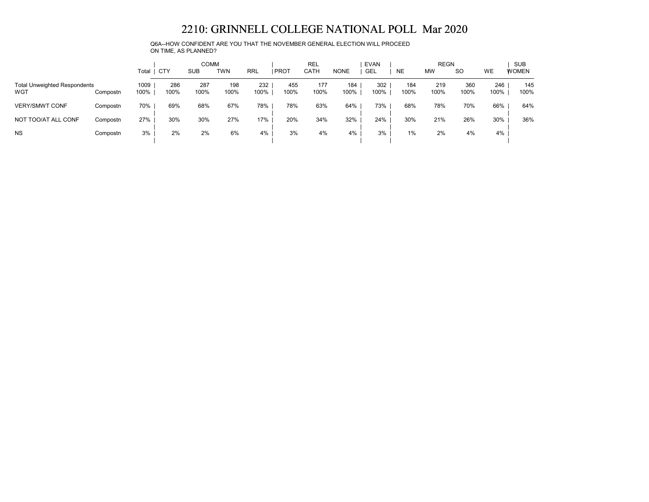Q6A--HOW CONFIDENT ARE YOU THAT THE NOVEMBER GENERAL ELECTION WILL PROCEED ON TIME, AS PLANNED?

|                                            |          | Total        | CTY         | <b>COMM</b><br>SUB | <b>TWN</b>  | RRL         | <b>PROT</b> | <b>REL</b><br><b>CATH</b> | NONE        | <b>EVAN</b><br>GEL | <b>NE</b>   | <b>REGN</b><br><b>MW</b> | <sub>SO</sub> | WE          | <b>SUB</b><br><b>WOMEN</b> |
|--------------------------------------------|----------|--------------|-------------|--------------------|-------------|-------------|-------------|---------------------------|-------------|--------------------|-------------|--------------------------|---------------|-------------|----------------------------|
| <b>Total Unweighted Respondents</b><br>WGT | Compostn | 1009<br>100% | 286<br>100% | 287<br>100%        | 198<br>100% | 232<br>100% | 455<br>100% | 177<br>100%               | 184<br>100% | 302<br>100%        | 184<br>100% | 219<br>100%              | 360<br>100%   | 246<br>100% | 145<br>100%                |
| <b>VERY/SMWT CONF</b>                      | Compostn | 70%          | 69%         | 68%                | 67%         | 78%         | 78%         | 63%                       | 64%         | 73%                | 68%         | 78%                      | 70%           | 66%         | 64%                        |
| NOT TOO/AT ALL CONF                        | Compostn | 27%          | 30%         | 30%                | 27%         | 17%         | 20%         | 34%                       | 32%         | 24%                | 30%         | 21%                      | 26%           | 30%         | 36%                        |
| <b>NS</b>                                  | Compostn | 3%           | 2%          | 2%                 | 6%          | 4%          | 3%          | 4%                        | 4%          | 3%                 | $1\%$       | 2%                       | 4%            | 4%          |                            |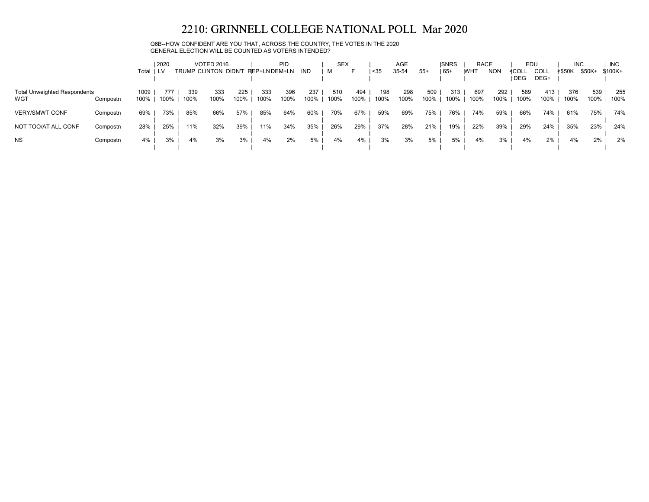Q6B--HOW CONFIDENT ARE YOU THAT, ACROSS THE COUNTRY, THE VOTES IN THE 2020 GENERAL ELECTION WILL BE COUNTED AS VOTERS INTENDED?

|                                            |          | Total        | 2020<br>i lv |             | <b>VOTED 2016</b><br>TRUMP CLINTON DIDN'T |             | <b>PID</b><br>REP+LNDEM+LN |             | IND         | <b>SEX</b><br>м |             | <35         | <b>AGE</b><br>35-54 | $55+$       | <b>ISNRS</b><br>$ 65+$ | <b>RACE</b><br><b>IWHT</b> | <b>NON</b>  | EDU<br>≮COLL<br>I DEG | <b>COLL</b><br>DEG+ | <b>INC</b><br><b>≮\$50K</b> | \$50K+      | <b>INC</b><br>\$100K+ |
|--------------------------------------------|----------|--------------|--------------|-------------|-------------------------------------------|-------------|----------------------------|-------------|-------------|-----------------|-------------|-------------|---------------------|-------------|------------------------|----------------------------|-------------|-----------------------|---------------------|-----------------------------|-------------|-----------------------|
| <b>Total Unweighted Respondents</b><br>WGT | Compostn | 1009<br>100% | 777<br>100%  | 339<br>100% | 333<br>100%                               | 225<br>100% | 333<br>100%                | 396<br>100% | 237<br>100% | 510<br>100%     | 494<br>100% | 198<br>100% | 298<br>100%         | 509<br>100% | 313<br>100%            | 697<br>100%                | 292<br>100% | 589<br>100%           | 413<br>100%         | 376<br>100%                 | 539<br>100% | 255<br>100%           |
| <b>VERY/SMWT CONF</b>                      | Compostn | 69%          | 73%          | 85%         | 66%                                       | 57%         | 85%                        | 64%         | 60%         | 70%             | 67%         | 59%         | 69%                 | 75%         | 76%                    | 74%                        | 59%         | 66%                   | 74%                 | 61%                         | 75%         | 74%                   |
| NOT TOO/AT ALL CONF                        | Compostn | 28%          | 25%          | 11%         | 32%                                       | 39%         | 11%                        | 34%         | 35%         | 26%             | 29%         | 37%         | 28%                 | 21%         | 19%                    | 22%                        | 39%         | 29%                   | 24%                 | 35%                         | 23%         | 24%                   |
| <b>NS</b>                                  | Compostn | 4%           | 3%           | 4%          | 3%                                        | 3%          | 4%                         | 2%          | 5%          | 4%              | 4%          | 3%          | 3%                  | 5%          | 5%                     | 4%                         | 3%          | 4%                    | 2%                  | 4%                          | 2%          | 2%                    |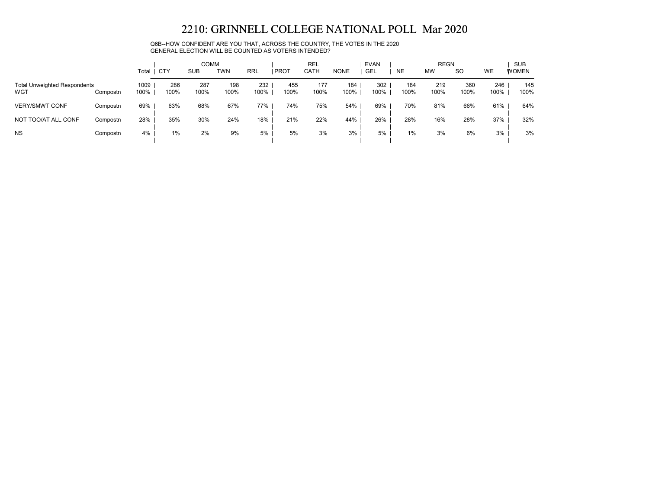Q6B--HOW CONFIDENT ARE YOU THAT, ACROSS THE COUNTRY, THE VOTES IN THE 2020 GENERAL ELECTION WILL BE COUNTED AS VOTERS INTENDED?

|                                            |          | Total        | <b>CTY</b>  | <b>COMM</b><br><b>SUB</b> | <b>TWN</b>  | RRL         | <b>PROT</b> | <b>REL</b><br>CATH | <b>NONE</b> | <b>EVAN</b><br><b>GEL</b> | <b>NE</b>   | <b>REGN</b><br><b>MW</b> | <sub>SO</sub> | WE          | <b>SUB</b><br><b>WOMEN</b> |
|--------------------------------------------|----------|--------------|-------------|---------------------------|-------------|-------------|-------------|--------------------|-------------|---------------------------|-------------|--------------------------|---------------|-------------|----------------------------|
| <b>Total Unweighted Respondents</b><br>WGT | Compostn | 1009<br>100% | 286<br>100% | 287<br>100%               | 198<br>100% | 232<br>100% | 455<br>100% | 177<br>100%        | 184<br>100% | 302<br>100%               | 184<br>100% | 219<br>100%              | 360<br>100%   | 246<br>100% | 145<br>100%                |
| <b>VERY/SMWT CONF</b>                      | Compostn | 69%          | 63%         | 68%                       | 67%         | 77%         | 74%         | 75%                | 54%         | 69%                       | 70%         | 81%                      | 66%           | 61%         | 64%                        |
| NOT TOO/AT ALL CONF                        | Compostn | 28%          | 35%         | 30%                       | 24%         | 18%         | 21%         | 22%                | 44%         | 26%                       | 28%         | 16%                      | 28%           | 37%         | 32%                        |
| <b>NS</b>                                  | Compostn | 4%           | 1%          | 2%                        | 9%          | 5%          | 5%          | 3%                 | 3%          | 5%                        | 1%          | 3%                       | 6%            | 3%          | 3%                         |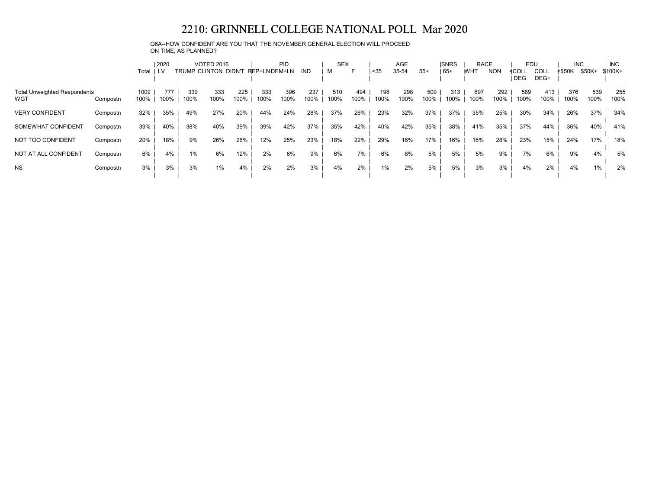Q6A--HOW CONFIDENT ARE YOU THAT THE NOVEMBER GENERAL ELECTION WILL PROCEED ON TIME, AS PLANNED?

|                                     |          |       | 2020 |      | <b>VOTED 2016</b>    |      |               | <b>PID</b> |      | <b>SEX</b> |      |      | AGE   |       | <b>ISNRS</b> | RACE        |            | EDU          |             | <b>INC</b>    |        | <b>INC</b> |
|-------------------------------------|----------|-------|------|------|----------------------|------|---------------|------------|------|------------|------|------|-------|-------|--------------|-------------|------------|--------------|-------------|---------------|--------|------------|
|                                     |          | Total | 1 LV |      | TRUMP CLINTON DIDN'T |      | REP+LN DEM+LN |            | IND. | M          | F    | $35$ | 35-54 | $55+$ | $ 65+$       | <b>IWHT</b> | <b>NON</b> | <b>≮COLL</b> | <b>COLL</b> | <b>≮\$50K</b> | \$50K+ | \$100K+    |
|                                     |          |       |      |      |                      |      |               |            |      |            |      |      |       |       |              |             |            | <b>DEG</b>   | DEG+        |               |        |            |
| <b>Total Unweighted Respondents</b> |          | 1009  | 777  | 339  | 333                  | 225  | 333           | 396        | 237  | 510        | 494  | 198  | 298   | 509   | 313          | 697         | 292        | 589          | 413         | 376           | 539    | 255        |
| WGT                                 | Compostn | 100%  | 100% | 100% | 100%                 | 100% | 100%          | 100%       | 100% | 100%       | 100% | 100% | 100%  | 100%  | 100%         | 100%        | 100%       | 100%         | 100%        | 100%          | 100%   | 100%       |
| <b>VERY CONFIDENT</b>               | Compostn | 32%   | 35%  | 49%  | 27%                  | 20%  | 44%           | 24%        | 28%  | 37%        | 26%  | 23%  | 32%   | 37%   | 37%          | 35%         | 25%        | 30%          | 34%         | 26%           | 37%    | 34%        |
| SOMEWHAT CONFIDENT                  | Compostn | 39%   | 40%  | 38%  | 40%                  | 39%  | 39%           | 42%        | 37%  | 35%        | 42%  | 40%  | 42%   | 35%   | 38%          | 41%         | 35%        | 37%          | 44%         | 36%           | 40%    | 41%        |
| NOT TOO CONFIDENT                   | Compostn | 20%   | 18%  | 9%   | 26%                  | 26%  | 12%           | 25%        | 23%  | 18%        | 22%  | 29%  | 16%   | 17%   | 16%          | 16%         | 28%        | 23%          | 15%         | 24%           | 17%    | 18%        |
| NOT AT ALL CONFIDENT                | Compostn | 6%    | 4%   | 1%   | 6%                   | 12%  | 2%            | 6%         | 9%   | 6%         | 7%   | 6%   | 8%    | 5%    | 5%           | 5%          | 9%         | 7%           | 6%          | 9%            | 4%     | 5%         |
| <b>NS</b>                           | Compostn | 3%    | 3%   | 3%   | 1%                   | 4%   | 2%            | 2%         | 3%   | 4%         | 2%   | 1%   | 2%    | 5%    | 5%           | 3%          | 3%         | 4%           | 2%          | 4%            | 1%     | 2%         |
|                                     |          |       |      |      |                      |      |               |            |      |            |      |      |       |       |              |             |            |              |             |               |        |            |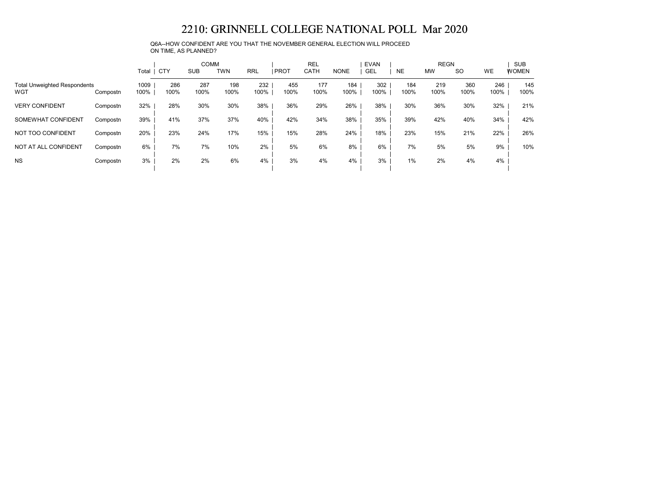Q6A--HOW CONFIDENT ARE YOU THAT THE NOVEMBER GENERAL ELECTION WILL PROCEED ON TIME, AS PLANNED?

|                                            |          |              |             | <b>COMM</b> |             |             |             | <b>REL</b>  |             | <b>EVAN</b> |             | <b>REGN</b> |             |             | <b>SUB</b>   |
|--------------------------------------------|----------|--------------|-------------|-------------|-------------|-------------|-------------|-------------|-------------|-------------|-------------|-------------|-------------|-------------|--------------|
|                                            |          | Total        | <b>CTY</b>  | <b>SUB</b>  | <b>TWN</b>  | <b>RRL</b>  | <b>PROT</b> | CATH        | <b>NONE</b> | GEL         | <b>NE</b>   | <b>MW</b>   | <b>SO</b>   | <b>WE</b>   | <b>WOMEN</b> |
| <b>Total Unweighted Respondents</b><br>WGT | Compostn | 1009<br>100% | 286<br>100% | 287<br>100% | 198<br>100% | 232<br>100% | 455<br>100% | 177<br>100% | 184<br>100% | 302<br>100% | 184<br>100% | 219<br>100% | 360<br>100% | 246<br>100% | 145<br>100%  |
| <b>VERY CONFIDENT</b>                      | Compostn | 32%          | 28%         | 30%         | 30%         | 38%         | 36%         | 29%         | 26%         | 38%         | 30%         | 36%         | 30%         | 32%         | 21%          |
| SOMEWHAT CONFIDENT                         | Compostn | 39%          | 41%         | 37%         | 37%         | 40%         | 42%         | 34%         | 38%         | 35%         | 39%         | 42%         | 40%         | 34%         | 42%          |
| NOT TOO CONFIDENT                          | Compostn | 20%          | 23%         | 24%         | 17%         | 15%         | 15%         | 28%         | 24%         | 18%         | 23%         | 15%         | 21%         | 22%         | 26%          |
| NOT AT ALL CONFIDENT                       | Compostn | 6%           | 7%          | 7%          | 10%         | 2%          | 5%          | 6%          | 8%          | 6%          | 7%          | 5%          | 5%          | 9%          | 10%          |
| <b>NS</b>                                  | Compostn | 3%           | 2%          | 2%          | 6%          | 4%          | 3%          | 4%          | 4%          | 3%          | 1%          | 2%          | 4%          | 4%          |              |
|                                            |          |              |             |             |             |             |             |             |             |             |             |             |             |             |              |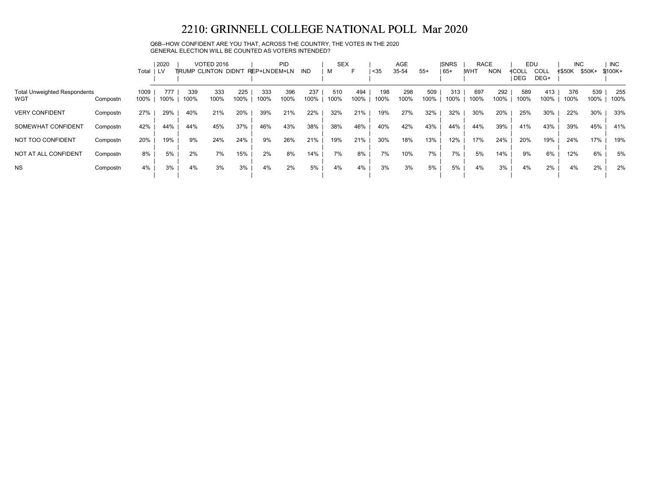### Q6B--HOW CONFIDENT ARE YOU THAT, ACROSS THE COUNTRY, THE VOTES IN THE 2020 GENERAL ELECTION WILL BE COUNTED AS VOTERS INTENDED?

|                                     |          |       | 2020 |      | <b>VOTED 2016</b>    |      |              | <b>PID</b> |      | <b>SEX</b> |      |          | AGE   |       | <b>ISNRS</b> | <b>RACE</b> |            | EDU   |             | <b>INC</b>    |        | <b>INC</b> |
|-------------------------------------|----------|-------|------|------|----------------------|------|--------------|------------|------|------------|------|----------|-------|-------|--------------|-------------|------------|-------|-------------|---------------|--------|------------|
|                                     |          | Total | I LV |      | TRUMP CLINTON DIDN'T |      | REP+LNDEM+LN |            | IND  | м          | F    | $ $ < 35 | 35-54 | $55+$ | $165+$       | <b>WHT</b>  | <b>NON</b> | ≮COLL | <b>COLL</b> | <b>≮\$50K</b> | \$50K+ | $$100K+$   |
|                                     |          |       |      |      |                      |      |              |            |      |            |      |          |       |       |              |             |            | DEG   | DEG+        |               |        |            |
| <b>Total Unweighted Respondents</b> |          | 1009  | 777  | 339  | 333                  | 225  | 333          | 396        | 237  | 510        | 494  | 198      | 298   | 509   | 313          | 697         | 292        | 589   | 413         | 376           | 539    | 255        |
| WGT                                 | Compostn | 100%  | 100% | 100% | 100%                 | 100% | 100%         | 100%       | 100% | 100%       | 100% | 100%     | 100%  | 100%  | 100%         | 100%        | 100%       | 100%  | 100%        | 100%          | 100%   | 100%       |
| <b>VERY CONFIDENT</b>               | Compostn | 27%   | 29%  | 40%  | 21%                  | 20%  | 39%          | 21%        | 22%  | 32%        | 21%  | 19%      | 27%   | 32%   | 32%          | 30%         | 20%        | 25%   | 30%         | 22%           | 30%    | 33%        |
| SOMEWHAT CONFIDENT                  | Compostn | 42%   | 44%  | 44%  | 45%                  | 37%  | 46%          | 43%        | 38%  | 38%        | 46%  | 40%      | 42%   | 43%   | 44%          | 44%         | 39%        | 41%   | 43%         | 39%           | 45%    | 41%        |
| NOT TOO CONFIDENT                   | Compostn | 20%   | 19%  | 9%   | 24%                  | 24%  | 9%           | 26%        | 21%  | 19%        | 21%  | 30%      | 18%   | 13%   | 12%          | 17%         | 24%        | 20%   | 19%         | 24%           | 17%    | 19%        |
| NOT AT ALL CONFIDENT                | Compostn | 8%    | 5%   | 2%   | 7%                   | 15%  | 2%           | 8%         | 14%  | 7%         | 8%   | 7%       | 10%   | 7%    | 7%           | 5%          | 14%        | 9%    | 6%          | 12%           | 6%     | 5%         |
| <b>NS</b>                           | Compostn | 4%    | 3%   | 4%   | 3%                   | 3%   | 4%           | 2%         | 5%   | 4%         | 4%   | 3%       | 3%    | 5%    | 5%           | 4%          | 3%         | 4%    | $2\%$       | 4%            | 2%     | 2%         |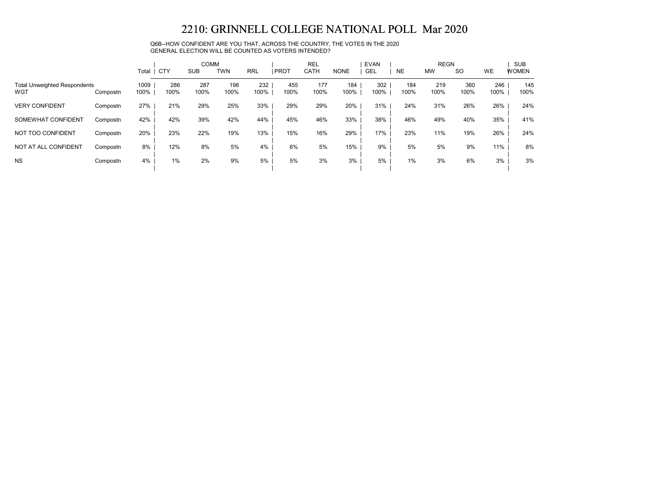Q6B--HOW CONFIDENT ARE YOU THAT, ACROSS THE COUNTRY, THE VOTES IN THE 2020 GENERAL ELECTION WILL BE COUNTED AS VOTERS INTENDED?

|                                            |          |              |             | <b>COMM</b><br>TWN |             |             |             | <b>REL</b>  |             | <b>EVAN</b> |             | <b>REGN</b> |             |             | <b>SUB</b>   |
|--------------------------------------------|----------|--------------|-------------|--------------------|-------------|-------------|-------------|-------------|-------------|-------------|-------------|-------------|-------------|-------------|--------------|
|                                            |          | Total        | CTY         | <b>SUB</b>         |             | <b>RRL</b>  | <b>PROT</b> | <b>CATH</b> | <b>NONE</b> | <b>GEL</b>  | <b>NE</b>   | <b>MW</b>   | <b>SO</b>   | <b>WE</b>   | <b>WOMEN</b> |
| <b>Total Unweighted Respondents</b><br>WGT | Compostn | 1009<br>100% | 286<br>100% | 287<br>100%        | 198<br>100% | 232<br>100% | 455<br>100% | 177<br>100% | 184<br>100% | 302<br>100% | 184<br>100% | 219<br>100% | 360<br>100% | 246<br>100% | 145<br>100%  |
| <b>VERY CONFIDENT</b>                      | Compostn | 27%          | 21%         | 29%                | 25%         | 33%         | 29%         | 29%         | 20%         | 31%         | 24%         | 31%         | 26%         | 26%         | 24%          |
| SOMEWHAT CONFIDENT                         | Compostn | 42%          | 42%         | 39%                | 42%         | 44%         | 45%         | 46%         | 33%         | 38%         | 46%         | 49%         | 40%         | 35%         | 41%          |
| NOT TOO CONFIDENT                          | Compostn | 20%          | 23%         | 22%                | 19%         | 13%         | 15%         | 16%         | 29%         | 17%         | 23%         | 11%         | 19%         | 26%         | 24%          |
| NOT AT ALL CONFIDENT                       | Compostn | 8%           | 12%         | 8%                 | 5%          | 4%          | 6%          | 5%          | 15%         | 9%          | 5%          | 5%          | 9%          | 11%         | 8%           |
| <b>NS</b>                                  | Compostn | 4%           | $1\%$       | 2%                 | 9%          | 5%          | 5%          | 3%          | 3%          | 5%          | $1\%$       | 3%          | 6%          | 3%          | 3%           |
|                                            |          |              |             |                    |             |             |             |             |             |             |             |             |             |             |              |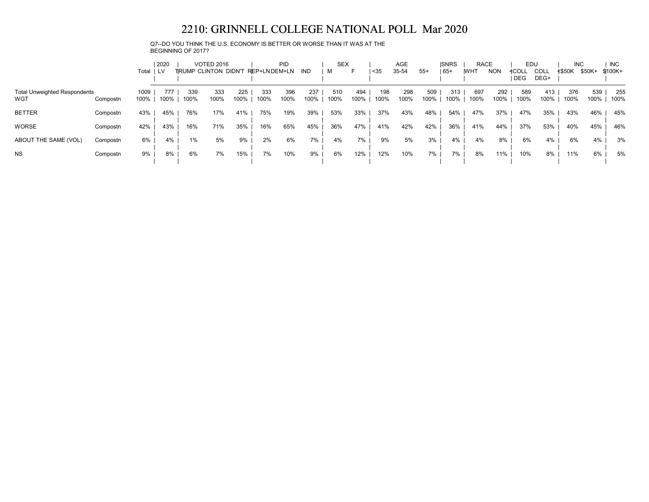Q7--DO YOU THINK THE U.S. ECONOMY IS BETTER OR WORSE THAN IT WAS AT THE BEGINNING OF 2017?

|                                     |          |            | 2020 |      | <b>VOTED 2016</b> |                                   |      | <b>PID</b> |      | <b>SEX</b> |      |      | AGE   |       | <b>ISNRS</b> | <b>RACE</b> |            | EDU                 |              | <b>INC</b>    |        | <b>INC</b> |
|-------------------------------------|----------|------------|------|------|-------------------|-----------------------------------|------|------------|------|------------|------|------|-------|-------|--------------|-------------|------------|---------------------|--------------|---------------|--------|------------|
|                                     |          | Total   LV |      |      |                   | TRUMP CLINTON DIDN'T REP+LNDEM+LN |      |            | IND  | м          | F.   | $35$ | 35-54 | $55+$ | 65+          | <b>IWHT</b> | <b>NON</b> | <b>4COLL</b><br>DEG | COLL<br>DEG+ | <b>≮\$50K</b> | \$50K+ | \$100K+    |
| <b>Total Unweighted Respondents</b> |          | 1009       | 777  | 339  | 333               | 225                               | 333  | 396        | 237  | 510        | 494  | 198  | 298   | 509   | 313          | 697         | 292        | 589                 | 413          | 376           | 539    | 255        |
| WGT                                 | Compostn | 100%       | 100% | 100% | 100%              | 100%                              | 100% | 100%       | 100% | 100%       | 100% | 100% | 100%  | 100%  | 100%         | 100%        | 100%       | 100%                | 100%         | 100%          | 100%   | 100%       |
| <b>BETTER</b>                       | Compostn | 43%        | 45%  | 76%  | 17%               | 41%                               | 75%  | 19%        | 39%  | 53%        | 33%  | 37%  | 43%   | 48%   | 54%          | 47%         | 37%        | 47%                 | 35%          | 43%           | 46%    | 45%        |
| <b>WORSE</b>                        | Compostn | 42%        | 43%  | 16%  | 71%               | 35%                               | 16%  | 65%        | 45%  | 36%        | 47%  | 41%  | 42%   | 42%   | 36%          | 41%         | 44%        | 37%                 | 53%          | 40%           | 45%    | 46%        |
| ABOUT THE SAME (VOL)                | Compostn | 6%         | 4%   | 1%   | 5%                | 9%                                | 2%   | 6%         | 7%   | 4%         | 7%   | 9%   | 5%    | 3%    | 4%           | 4%          | 8%         | 6%                  | 4%           | 6%            | 4%     | 3%         |
| <b>NS</b>                           | Compostn | 9%         | 8%   | 6%   | 7%                | 15%                               | 7%   | 10%        | 9%   | 6%         | 12%  | 12%  | 10%   | 7%    | 7%           | 8%          | 11%        | 10%                 | 8%           | 11%           | 6%     | 5%         |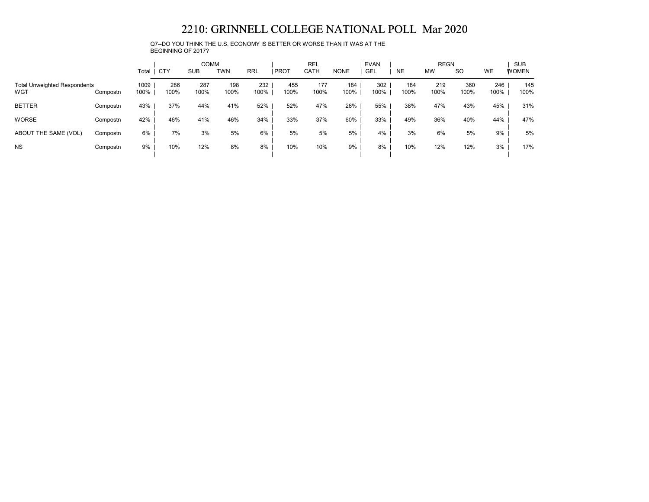Q7--DO YOU THINK THE U.S. ECONOMY IS BETTER OR WORSE THAN IT WAS AT THE BEGINNING OF 2017?

|                                            |          | Total        | <b>CTY</b>  | <b>COMM</b><br><b>SUB</b> | <b>TWN</b>  | <b>RRL</b>  | <b>PROT</b> | <b>REL</b><br>CATH | <b>NONE</b> | <b>EVAN</b><br>GEL | <b>NE</b>   | <b>REGN</b><br><b>MW</b> | <b>SO</b>   | WE          | <b>SUB</b><br><b>WOMEN</b> |
|--------------------------------------------|----------|--------------|-------------|---------------------------|-------------|-------------|-------------|--------------------|-------------|--------------------|-------------|--------------------------|-------------|-------------|----------------------------|
| <b>Total Unweighted Respondents</b><br>WGT | Compostn | 1009<br>100% | 286<br>100% | 287<br>100%               | 198<br>100% | 232<br>100% | 455<br>100% | 177<br>100%        | 184<br>100% | 302<br>100%        | 184<br>100% | 219<br>100%              | 360<br>100% | 246<br>100% | 145<br>100%                |
| <b>BETTER</b>                              | Compostn | 43%          | 37%         | 44%                       | 41%         | 52%         | 52%         | 47%                | 26%         | 55%                | 38%         | 47%                      | 43%         | 45%         | 31%                        |
| <b>WORSE</b>                               | Compostn | 42%          | 46%         | 41%                       | 46%         | 34%         | 33%         | 37%                | 60%         | 33%                | 49%         | 36%                      | 40%         | 44%         | 47%                        |
| ABOUT THE SAME (VOL)                       | Compostn | 6%           | 7%          | 3%                        | 5%          | 6%          | 5%          | 5%                 | 5%          | 4%                 | 3%          | 6%                       | 5%          | 9%          | 5%                         |
| <b>NS</b>                                  | Compostn | 9%           | 10%         | 12%                       | 8%          | 8%          | 10%         | 10%                | 9%          | 8%                 | 10%         | 12%                      | 12%         | 3%          | 17%                        |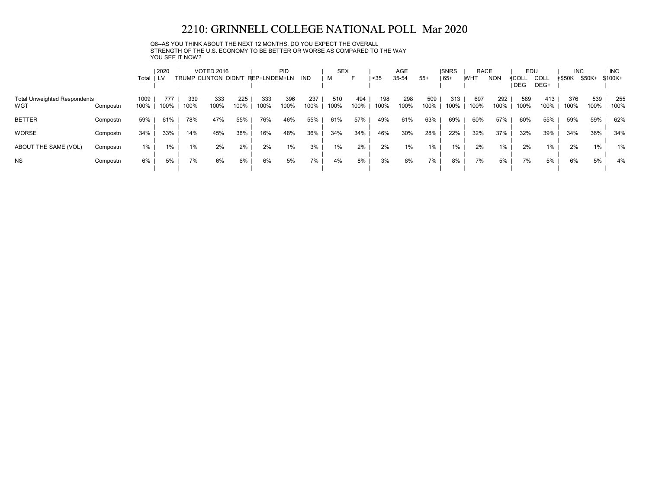Q8--AS YOU THINK ABOUT THE NEXT 12 MONTHS, DO YOU EXPECT THE OVERALL STRENGTH OF THE U.S. ECONOMY TO BE BETTER OR WORSE AS COMPARED TO THE WAY YOU SEE IT NOW?

|                                            |          | Total        | 2020<br>I LV |             | <b>VOTED 2016</b><br>TRUMP CLINTON DIDN'T REP+LNDEM+LN |             |             | <b>PID</b>  | IND         | <b>SEX</b><br>м |             | <sub>35</sub> | AGE<br>35-54 | $55+$       | <b>ISNRS</b><br>$ 65+$ | <b>RACE</b><br><b>IWHT</b> | <b>NON</b>  | EDU<br>≮COLL<br><b>DEG</b> | <b>COLL</b><br>DEG+ | <b>INC</b><br><b>≮\$50K</b> | \$50K+      | <b>INC</b><br>$$100K +$ |
|--------------------------------------------|----------|--------------|--------------|-------------|--------------------------------------------------------|-------------|-------------|-------------|-------------|-----------------|-------------|---------------|--------------|-------------|------------------------|----------------------------|-------------|----------------------------|---------------------|-----------------------------|-------------|-------------------------|
| <b>Total Unweighted Respondents</b><br>WGT | Compostn | 1009<br>100% | 777<br>100%  | 339<br>100% | 333<br>100%                                            | 225<br>100% | 333<br>100% | 396<br>100% | 237<br>100% | 510<br>100%     | 494<br>100% | 198<br>100%   | 298<br>100%  | 509<br>100% | 313<br>100%            | 697<br>100%                | 292<br>100% | 589<br>100%                | 413<br>100%         | 376<br>100%                 | 539<br>100% | 255<br>100%             |
| <b>BETTER</b>                              | Compostn | 59%          | 61%          | 78%         | 47%                                                    | 55%         | 76%         | 46%         | 55%         | 61%             | 57%         | 49%           | 61%          | 63%         | 69%                    | 60%                        | 57%         | 60%                        | 55%                 | 59%                         | 59%         | 62%                     |
| <b>WORSE</b>                               | Compostn | 34%          | 33%          | 14%         | 45%                                                    | 38%         | 16%         | 48%         | 36%         | 34%             | 34%         | 46%           | 30%          | 28%         | 22%                    | 32%                        | 37%         | 32%                        | 39%                 | 34%                         | 36%         | 34%                     |
| ABOUT THE SAME (VOL)                       | Compostn | 1%           | $1\%$        | 1%          | 2%                                                     | 2%          | 2%          | 1%          | 3%          | 1%              | 2%          | 2%            | 1%           | $1\%$       | $1\%$                  | 2%                         | 1%          | 2%                         | $1\%$               | 2%                          | 1%          | 1%                      |
| <b>NS</b>                                  | Compostn | 6%           | 5%           | 7%          | 6%                                                     | 6%          | 6%          | 5%          | 7%          | 4%              | 8%          | 3%            | 8%           | 7%          | 8%                     | 7%                         | 5%          | 7%                         | 5%                  | 6%                          | 5%          | 4%                      |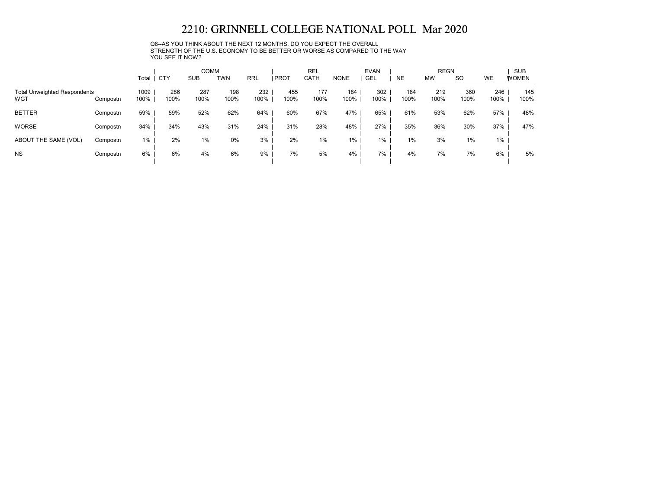Q8--AS YOU THINK ABOUT THE NEXT 12 MONTHS, DO YOU EXPECT THE OVERALL STRENGTH OF THE U.S. ECONOMY TO BE BETTER OR WORSE AS COMPARED TO THE WAY YOU SEE IT NOW?

|                                            |          | Total        | <b>CTY</b>  | <b>COMM</b><br><b>SUB</b> | <b>TWN</b>  | <b>RRL</b>  | <b>PROT</b> | <b>REL</b><br>CATH | <b>NONE</b> | <b>EVAN</b><br><b>GEL</b> | <b>NE</b>   | <b>REGN</b><br><b>MW</b> | <b>SO</b>   | WE          | <b>SUB</b><br><b>WOMEN</b> |
|--------------------------------------------|----------|--------------|-------------|---------------------------|-------------|-------------|-------------|--------------------|-------------|---------------------------|-------------|--------------------------|-------------|-------------|----------------------------|
| <b>Total Unweighted Respondents</b><br>WGT | Compostn | 1009<br>100% | 286<br>100% | 287<br>100%               | 198<br>100% | 232<br>100% | 455<br>100% | 177<br>100%        | 184<br>100% | 302<br>100%               | 184<br>100% | 219<br>100%              | 360<br>100% | 246<br>100% | 145<br>100%                |
| <b>BETTER</b>                              | Compostn | 59%          | 59%         | 52%                       | 62%         | 64%         | 60%         | 67%                | 47%         | 65%                       | 61%         | 53%                      | 62%         | 57%         | 48%                        |
| <b>WORSE</b>                               | Compostn | 34%          | 34%         | 43%                       | 31%         | 24%         | 31%         | 28%                | 48%         | 27%                       | 35%         | 36%                      | 30%         | 37%         | 47%                        |
| ABOUT THE SAME (VOL)                       | Compostn | 1%           | 2%          | 1%                        | 0%          | 3%          | 2%          | 1%                 | 1%          | $1\%$                     | 1%          | 3%                       | 1%          | 1%          |                            |
| <b>NS</b>                                  | Compostn | 6%           | 6%          | 4%                        | 6%          | 9%          | 7%          | 5%                 | 4%          | 7%                        | 4%          | 7%                       | 7%          | 6%          | 5%                         |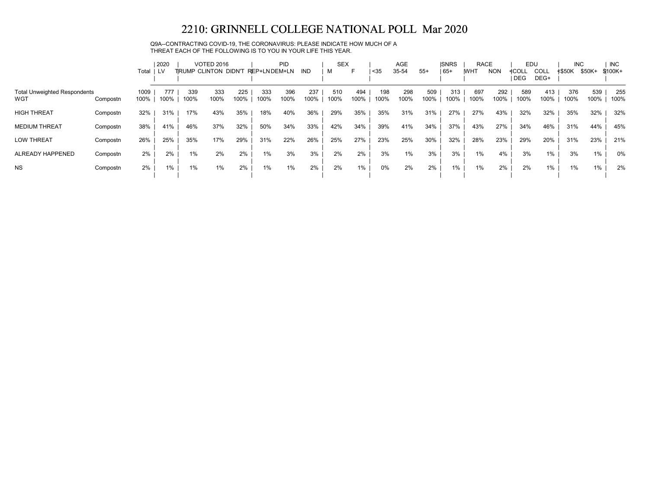Q9A--CONTRACTING COVID-19, THE CORONAVIRUS: PLEASE INDICATE HOW MUCH OF A THREAT EACH OF THE FOLLOWING IS TO YOU IN YOUR LIFE THIS YEAR.

|                                     |          |       | 2020 |      | <b>VOTED 2016</b>    |      |               | <b>PID</b> |      | <b>SEX</b> |      |      | AGE   |       | <b>ISNRS</b> | <b>RACE</b> |            | EDU        |             | <b>INC</b>    |        | <b>INC</b> |
|-------------------------------------|----------|-------|------|------|----------------------|------|---------------|------------|------|------------|------|------|-------|-------|--------------|-------------|------------|------------|-------------|---------------|--------|------------|
|                                     |          | Total | 1 LV |      | TRUMP CLINTON DIDN'T |      | REP+LN DEM+LN |            | IND. | M          | F    | $35$ | 35-54 | $55+$ | $ 65+$       | <b>IWHT</b> | <b>NON</b> | ≮COLL      | <b>COLL</b> | <b>≮\$50K</b> | \$50K+ | \$100K+    |
|                                     |          |       |      |      |                      |      |               |            |      |            |      |      |       |       |              |             |            | <b>DEG</b> | DEG+        |               |        |            |
| <b>Total Unweighted Respondents</b> |          | 1009  | 777  | 339  | 333                  | 225  | 333           | 396        | 237  | 510        | 494  | 198  | 298   | 509   | 313          | 697         | 292        | 589        | 413         | 376           | 539    | 255        |
| WGT                                 | Compostn | 100%  | 100% | 100% | 100%                 | 100% | 100%          | 100%       | 100% | 100%       | 100% | 100% | 100%  | 100%  | 100%         | 100%        | 100%       | 100%       | 100%        | 100%          | 100%   | 100%       |
| <b>HIGH THREAT</b>                  | Compostn | 32%   | 31%  | 17%  | 43%                  | 35%  | 18%           | 40%        | 36%  | 29%        | 35%  | 35%  | 31%   | 31%   | 27%          | 27%         | 43%        | 32%        | 32%         | 35%           | 32%    | 32%        |
| <b>MEDIUM THREAT</b>                | Compostn | 38%   | 41%  | 46%  | 37%                  | 32%  | 50%           | 34%        | 33%  | 42%        | 34%  | 39%  | 41%   | 34%   | 37%          | 43%         | 27%        | 34%        | 46%         | 31%           | 44%    | 45%        |
| <b>LOW THREAT</b>                   | Compostn | 26%   | 25%  | 35%  | 17%                  | 29%  | 31%           | 22%        | 26%  | 25%        | 27%  | 23%  | 25%   | 30%   | 32%          | 28%         | 23%        | 29%        | 20%         | 31%           | 23%    | 21%        |
| ALREADY HAPPENED                    | Compostn | 2%    | 2%   | 1%   | 2%                   | 2%   | 1%            | 3%         | 3%   | 2%         | 2%   | 3%   | 1%    | 3%    | 3%           | 1%          | 4%         | 3%         | $1\%$       | 3%            | 1%     | 0%         |
| <b>NS</b>                           | Compostn | 2%    | 1%   | 1%   | 1%                   | 2%   | 1%            | 1%         | 2%   | 2%         | 1%   | 0%   | 2%    | 2%    | 1%           | 1%          | 2%         | 2%         | 1%          | $1\%$         | 1%     | 2%         |
|                                     |          |       |      |      |                      |      |               |            |      |            |      |      |       |       |              |             |            |            |             |               |        |            |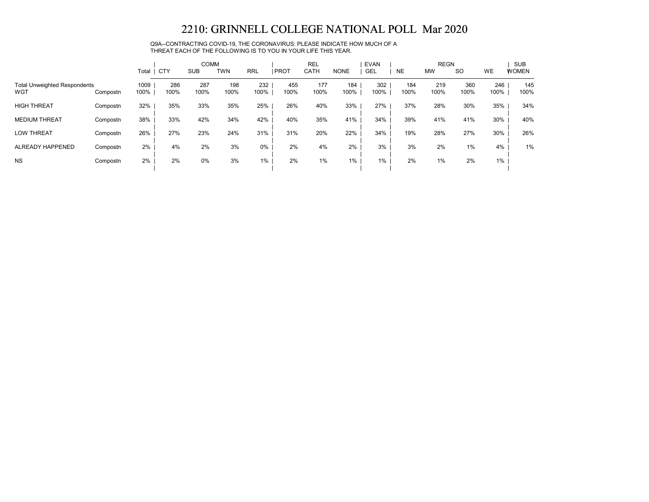Q9A--CONTRACTING COVID-19, THE CORONAVIRUS: PLEASE INDICATE HOW MUCH OF A THREAT EACH OF THE FOLLOWING IS TO YOU IN YOUR LIFE THIS YEAR.

|                                            |          |              |             | <b>COMM</b> |             |             |             | <b>REL</b>  |             | <b>EVAN</b> |             | <b>REGN</b> |             |             | <b>SUB</b>   |
|--------------------------------------------|----------|--------------|-------------|-------------|-------------|-------------|-------------|-------------|-------------|-------------|-------------|-------------|-------------|-------------|--------------|
|                                            |          | Total        | CTY         | <b>SUB</b>  | <b>TWN</b>  | <b>RRL</b>  | <b>PROT</b> | CATH        | <b>NONE</b> | <b>GEL</b>  | <b>NE</b>   | <b>MW</b>   | <b>SO</b>   | WE          | <b>WOMEN</b> |
| <b>Total Unweighted Respondents</b><br>WGT | Compostn | 1009<br>100% | 286<br>100% | 287<br>100% | 198<br>100% | 232<br>100% | 455<br>100% | 177<br>100% | 184<br>100% | 302<br>100% | 184<br>100% | 219<br>100% | 360<br>100% | 246<br>100% | 145<br>100%  |
| <b>HIGH THREAT</b>                         | Compostn | 32%          | 35%         | 33%         | 35%         | 25%         | 26%         | 40%         | 33%         | 27%         | 37%         | 28%         | 30%         | 35%         | 34%          |
| <b>MEDIUM THREAT</b>                       | Compostn | 38%          | 33%         | 42%         | 34%         | 42%         | 40%         | 35%         | 41%         | 34%         | 39%         | 41%         | 41%         | 30%         | 40%          |
| <b>LOW THREAT</b>                          | Compostn | 26%          | 27%         | 23%         | 24%         | 31%         | 31%         | 20%         | 22%         | 34%         | 19%         | 28%         | 27%         | 30%         | 26%          |
| ALREADY HAPPENED                           | Compostn | 2%           | 4%          | 2%          | 3%          | 0%          | 2%          | 4%          | 2%          | 3%          | 3%          | 2%          | 1%          | 4%          | 1%           |
| <b>NS</b>                                  | Compostn | 2%           | 2%          | 0%          | 3%          | $1\%$       | 2%          | 1%          | $1\%$       | $1\%$       | 2%          | 1%          | 2%          | 1%          |              |
|                                            |          |              |             |             |             |             |             |             |             |             |             |             |             |             |              |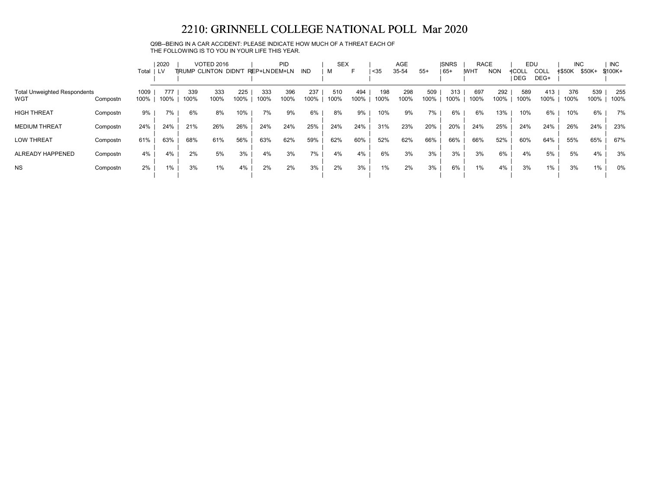### Q9B--BEING IN A CAR ACCIDENT: PLEASE INDICATE HOW MUCH OF A THREAT EACH OF THE FOLLOWING IS TO YOU IN YOUR LIFE THIS YEAR.

|                                     |          |       | 2020 |      | <b>VOTED 2016</b>    |      |              | <b>PID</b> |            | <b>SEX</b> |      |      | AGE   |       | <b>ISNRS</b> | <b>RACE</b> |            | EDU   |             | <b>INC</b>    |        | <b>INC</b> |
|-------------------------------------|----------|-------|------|------|----------------------|------|--------------|------------|------------|------------|------|------|-------|-------|--------------|-------------|------------|-------|-------------|---------------|--------|------------|
|                                     |          | Total | I LV |      | TRUMP CLINTON DIDN'T |      | REP+LNDEM+LN |            | <b>IND</b> | м          | F    | $35$ | 35-54 | $55+$ | $165+$       | <b>IWHT</b> | <b>NON</b> | ≮COLL | <b>COLL</b> | <b>≮\$50K</b> | \$50K+ | $$100K +$  |
|                                     |          |       |      |      |                      |      |              |            |            |            |      |      |       |       |              |             |            | DEG   | DEG+        |               |        |            |
| <b>Total Unweighted Respondents</b> |          | 1009  | 777  | 339  | 333                  | 225  | 333          | 396        | 237        | 510        | 494  | 198  | 298   | 509   | 313          | 697         | 292        | 589   | 413         | 376           | 539    | 255        |
| WGT                                 | Compostn | 100%  | 100% | 100% | 100%                 | 100% | 100%         | 100%       | 100%       | 100%       | 100% | 100% | 100%  | 100%  | 100%         | 100%        | 100%       | 100%  | 100%        | 100%          | 100%   | 100%       |
| <b>HIGH THREAT</b>                  | Compostn | 9%    | 7%   | 6%   | 8%                   | 10%  | 7%           | 9%         | 6%         | 8%         | 9%   | 10%  | 9%    | 7%    | 6%           | 6%          | 13%        | 10%   | 6%          | 10%           | 6%     | 7%         |
| <b>MEDIUM THREAT</b>                | Compostn | 24%   | 24%  | 21%  | 26%                  | 26%  | 24%          | 24%        | 25%        | 24%        | 24%  | 31%  | 23%   | 20%   | 20%          | 24%         | 25%        | 24%   | 24%         | 26%           | 24%    | 23%        |
| <b>LOW THREAT</b>                   | Compostn | 61%   | 63%  | 68%  | 61%                  | 56%  | 63%          | 62%        | 59%        | 62%        | 60%  | 52%  | 62%   | 66%   | 66%          | 66%         | 52%        | 60%   | 64%         | 55%           | 65%    | 67%        |
| ALREADY HAPPENED                    | Compostn | 4%    | 4%   | 2%   | 5%                   | 3%   | 4%           | 3%         | 7%         | 4%         | 4%   | 6%   | 3%    | 3%    | 3%           | 3%          | 6%         | 4%    | 5%          | 5%            | 4%     | 3%         |
| <b>NS</b>                           | Compostn | 2%    | $\%$ | 3%   | $1\%$                | 4%   | 2%           | 2%         | 3%         | 2%         | 3%   | 1%   | 2%    | 3%    | 6%           | 1%          | 4%         | 3%    | $1\%$       | 3%            | 1%     | 0%         |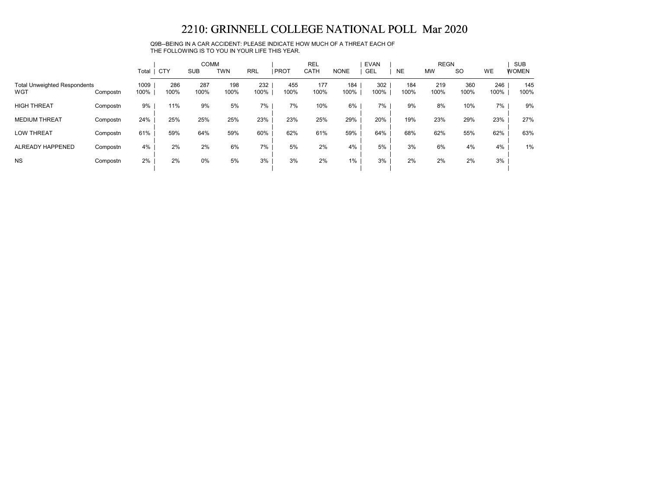Q9B--BEING IN A CAR ACCIDENT: PLEASE INDICATE HOW MUCH OF A THREAT EACH OF THE FOLLOWING IS TO YOU IN YOUR LIFE THIS YEAR.

|                                            |          |              |             | <b>COMM</b> |             |             |             | <b>REL</b>  |             | <b>EVAN</b> |             | <b>REGN</b> |             |             | <b>SUB</b>   |
|--------------------------------------------|----------|--------------|-------------|-------------|-------------|-------------|-------------|-------------|-------------|-------------|-------------|-------------|-------------|-------------|--------------|
|                                            |          | Total        | CTY         | <b>SUB</b>  | <b>TWN</b>  | <b>RRL</b>  | <b>PROT</b> | CATH        | <b>NONE</b> | <b>GEL</b>  | <b>NE</b>   | <b>MW</b>   | <b>SO</b>   | <b>WE</b>   | <b>WOMEN</b> |
| <b>Total Unweighted Respondents</b><br>WGT | Compostn | 1009<br>100% | 286<br>100% | 287<br>100% | 198<br>100% | 232<br>100% | 455<br>100% | 177<br>100% | 184<br>100% | 302<br>100% | 184<br>100% | 219<br>100% | 360<br>100% | 246<br>100% | 145<br>100%  |
| <b>HIGH THREAT</b>                         | Compostn | 9%           | 11%         | 9%          | 5%          | 7%          | 7%          | 10%         | 6%          | 7%          | 9%          | 8%          | 10%         | 7%          | 9%           |
| <b>MEDIUM THREAT</b>                       | Compostn | 24%          | 25%         | 25%         | 25%         | 23%         | 23%         | 25%         | 29%         | 20%         | 19%         | 23%         | 29%         | 23%         | 27%          |
| <b>LOW THREAT</b>                          | Compostn | 61%          | 59%         | 64%         | 59%         | 60%         | 62%         | 61%         | 59%         | 64%         | 68%         | 62%         | 55%         | 62%         | 63%          |
| ALREADY HAPPENED                           | Compostn | 4%           | 2%          | 2%          | 6%          | 7%          | 5%          | 2%          | 4%          | 5%          | 3%          | 6%          | 4%          | 4%          | 1%           |
| <b>NS</b>                                  | Compostn | 2%           | 2%          | 0%          | 5%          | 3%          | 3%          | 2%          | $1\%$       | 3%          | 2%          | 2%          | 2%          | 3%          |              |
|                                            |          |              |             |             |             |             |             |             |             |             |             |             |             |             |              |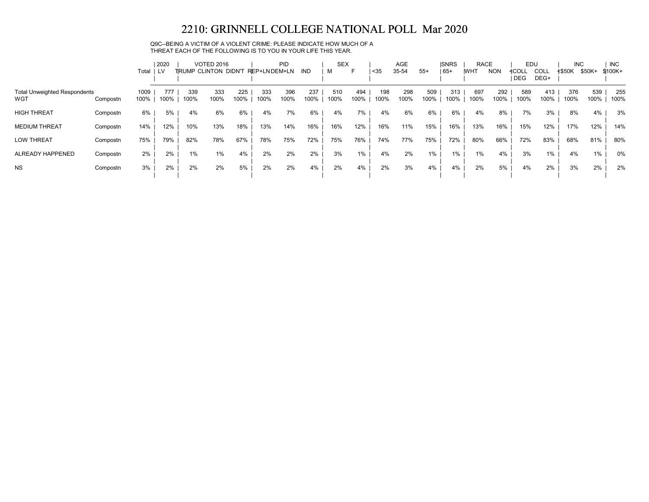#### Q9C--BEING A VICTIM OF A VIOLENT CRIME: PLEASE INDICATE HOW MUCH OF A THREAT EACH OF THE FOLLOWING IS TO YOU IN YOUR LIFE THIS YEAR.

|                                            |          |              | 2020        |             | <b>VOTED 2016</b>     |             |              | <b>PID</b>  |             | <b>SEX</b>  |             |             | AGE         |             | <b>ISNRS</b> | <b>RACE</b> |             | EDU          |                     | <b>INC</b>    |             | <b>INC</b>  |
|--------------------------------------------|----------|--------------|-------------|-------------|-----------------------|-------------|--------------|-------------|-------------|-------------|-------------|-------------|-------------|-------------|--------------|-------------|-------------|--------------|---------------------|---------------|-------------|-------------|
|                                            |          | Total        | LV          |             | TIRUMP CLINTON DIDN'T |             | REP+LNDEM+LN |             | IND         | м           | ►           | $35$        | 35-54       | $55+$       | $165+$       | <b>IWHT</b> | <b>NON</b>  | ≮COLL<br>DEG | <b>COLL</b><br>DEG+ | <b>≮\$50K</b> | \$50K+      | $$100K +$   |
| <b>Total Unweighted Respondents</b><br>WGT | Compostn | 1009<br>100% | 777<br>100% | 339<br>100% | 333<br>100%           | 225<br>100% | 333<br>100%  | 396<br>100% | 237<br>100% | 510<br>100% | 494<br>100% | 198<br>100% | 298<br>100% | 509<br>100% | 313<br>100%  | 697<br>100% | 292<br>100% | 589<br>100%  | 413<br>100%         | 376<br>100%   | 539<br>100% | 255<br>100% |
| <b>HIGH THREAT</b>                         | Compostn | 6%           | 5%          | 4%          | 6%                    | 6%          | 4%           | 7%          | 6%          | 4%          | 7%          | 4%          | 6%          | 6%          | 6%           | 4%          | 8%          | 7%           | 3%                  | 8%            | 4%          | 3%          |
| <b>MEDIUM THREAT</b>                       | Compostn | 14%          | 12%         | 10%         | 13%                   | 18%         | 13%          | 14%         | 16%         | 16%         | 12%         | 16%         | 11%         | 15%         | 16%          | 13%         | 16%         | 15%          | 12%                 | 17%           | 12%         | 14%         |
| <b>LOW THREAT</b>                          | Compostn | 75%          | 79%         | 82%         | 78%                   | 67%         | 78%          | 75%         | 72%         | 75%         | 76%         | 74%         | 77%         | 75%         | 72%          | 80%         | 66%         | 72%          | 83%                 | 68%           | 81%         | 80%         |
| ALREADY HAPPENED                           | Compostn | 2%           | 2%          | 1%          | $1\%$                 | 4%          | 2%           | 2%          | 2%          | 3%          | 1%          | 4%          | 2%          | 1%          | $1\%$        | 1%          | 4%          | 3%           | 1%                  | 4%            | $1\%$       | 0%          |
| <b>NS</b>                                  | Compostn | 3%           | 2%          | 2%          | 2%                    | 5%          | 2%           | 2%          | 4%          | 2%          | 4%          | 2%          | 3%          | 4%          | 4%           | 2%          | 5%          | 4%           | 2%                  | 3%            | 2%          | 2%          |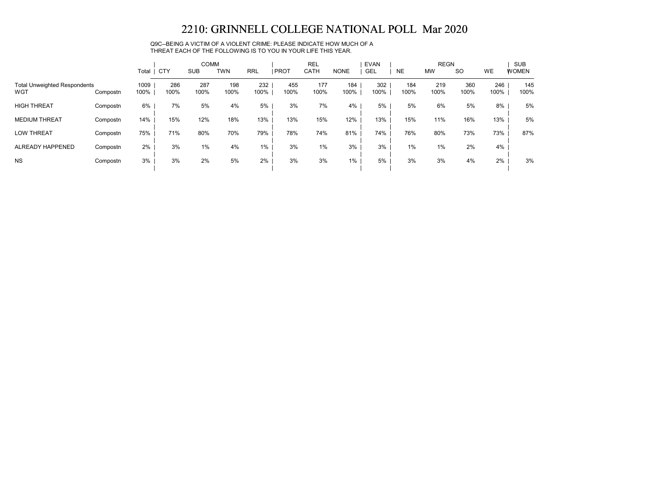Q9C--BEING A VICTIM OF A VIOLENT CRIME: PLEASE INDICATE HOW MUCH OF A THREAT EACH OF THE FOLLOWING IS TO YOU IN YOUR LIFE THIS YEAR.

|                                            |          |              |             | <b>COMM</b> |             |             |             | <b>REL</b>  |             | <b>EVAN</b> |             | <b>REGN</b> |             |             | <b>SUB</b>   |
|--------------------------------------------|----------|--------------|-------------|-------------|-------------|-------------|-------------|-------------|-------------|-------------|-------------|-------------|-------------|-------------|--------------|
|                                            |          | Total        | CTY         | <b>SUB</b>  | <b>TWN</b>  | <b>RRL</b>  | <b>PROT</b> | CATH        | <b>NONE</b> | <b>GEL</b>  | <b>NE</b>   | <b>MW</b>   | <b>SO</b>   | <b>WE</b>   | <b>WOMEN</b> |
| <b>Total Unweighted Respondents</b><br>WGT | Compostn | 1009<br>100% | 286<br>100% | 287<br>100% | 198<br>100% | 232<br>100% | 455<br>100% | 177<br>100% | 184<br>100% | 302<br>100% | 184<br>100% | 219<br>100% | 360<br>100% | 246<br>100% | 145<br>100%  |
| <b>HIGH THREAT</b>                         | Compostn | 6%           | 7%          | 5%          | 4%          | 5%          | 3%          | 7%          | $4\%$       | 5%          | 5%          | 6%          | 5%          | 8%          | 5%           |
| <b>MEDIUM THREAT</b>                       | Compostn | 14%          | 15%         | 12%         | 18%         | 13%         | 13%         | 15%         | 12%         | 13%         | 15%         | 11%         | 16%         | 13%         | 5%           |
| <b>LOW THREAT</b>                          | Compostn | 75%          | 71%         | 80%         | 70%         | 79%         | 78%         | 74%         | 81%         | 74%         | 76%         | 80%         | 73%         | 73%         | 87%          |
| ALREADY HAPPENED                           | Compostn | 2%           | 3%          | 1%          | 4%          | 1%          | 3%          | $1\%$       | 3%          | 3%          | 1%          | 1%          | 2%          | 4%          |              |
| <b>NS</b>                                  | Compostn | 3%           | 3%          | 2%          | 5%          | 2%          | 3%          | 3%          | $1\%$       | 5%          | 3%          | 3%          | 4%          | 2%          | 3%           |
|                                            |          |              |             |             |             |             |             |             |             |             |             |             |             |             |              |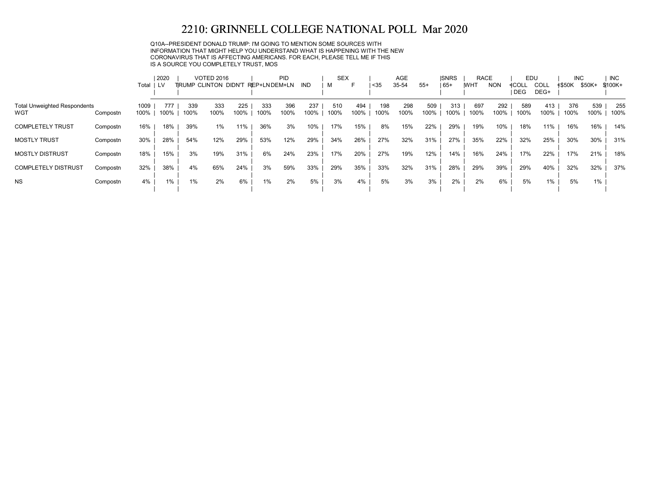Q10A--PRESIDENT DONALD TRUMP: I'M GOING TO MENTION SOME SOURCES WITH INFORMATION THAT MIGHT HELP YOU UNDERSTAND WHAT IS HAPPENING WITH THE NEW CORONAVIRUS THAT IS AFFECTING AMERICANS. FOR EACH, PLEASE TELL ME IF THIS IS A SOURCE YOU COMPLETELY TRUST, MOS

|                                            |          |              | 2020        |             | <b>VOTED 2016</b>    |             |              | PID         |             | <b>SEX</b>  |             |             | AGE         |             | <b>ISNRS</b> | <b>RACE</b> |             | EDU                 |              | <b>INC</b>    |             | <b>INC</b>  |
|--------------------------------------------|----------|--------------|-------------|-------------|----------------------|-------------|--------------|-------------|-------------|-------------|-------------|-------------|-------------|-------------|--------------|-------------|-------------|---------------------|--------------|---------------|-------------|-------------|
|                                            |          | Total        | LV.         |             | TRUMP CLINTON DIDN'T |             | REP+LNDEM+LN |             | IND         |             | F           | $35$        | 35-54       | $55+$       | 65+          | <b>WHT</b>  | <b>NON</b>  | ≮COLL<br><b>DEG</b> | COLL<br>DEG+ | <b>≮\$50K</b> | \$50K+      | $$100K+$    |
| <b>Total Unweighted Respondents</b><br>WGT | Compostn | 1009<br>100% | 777<br>100% | 339<br>100% | 333<br>100%          | 225<br>100% | 333<br>100%  | 396<br>100% | 237<br>100% | 510<br>100% | 494<br>100% | 198<br>100% | 298<br>100% | 509<br>100% | 313<br>100%  | 697<br>100% | 292<br>100% | 589<br>100%         | 413<br>100%  | 376<br>100%   | 539<br>100% | 255<br>100% |
| <b>COMPLETELY TRUST</b>                    | Compostn | 16%          | 18%         | 39%         | 1%                   | 11%         | 36%          | 3%          | 10%         | 17%         | 15%         | 8%          | 15%         | 22%         | 29%          | 19%         | 10%         | 18%                 | 11%          | 16%           | 16%         | 14%         |
| <b>MOSTLY TRUST</b>                        | Compostn | 30%          | 28%         | 54%         | 12%                  | 29%         | 53%          | 12%         | 29%         | 34%         | 26%         | 27%         | 32%         | 31%         | 27%          | 35%         | 22%         | 32%                 | 25%          | 30%           | 30%         | 31%         |
| <b>MOSTLY DISTRUST</b>                     | Compostn | 18%          | 15%         | 3%          | 19%                  | 31%         | 6%           | 24%         | 23%         | 17%         | 20%         | 27%         | 19%         | 12%         | 14%          | 16%         | 24%         | 17%                 | 22%          | 17%           | 21%         | 18%         |
| <b>COMPLETELY DISTRUST</b>                 | Compostn | 32%          | 38%         | 4%          | 65%                  | 24%         | 3%           | 59%         | 33%         | 29%         | 35%         | 33%         | 32%         | 31%         | 28%          | 29%         | 39%         | 29%                 | 40%          | 32%           | 32%         | 37%         |
| <b>NS</b>                                  | Compostn | 4%           | $1\%$       | $1\%$       | 2%                   | 6%          | $1\%$        | 2%          | 5%          | 3%          | 4%          | 5%          | 3%          | 3%          | 2%           | 2%          | 6%          | 5%                  | $1\%$        | 5%            | 1%          |             |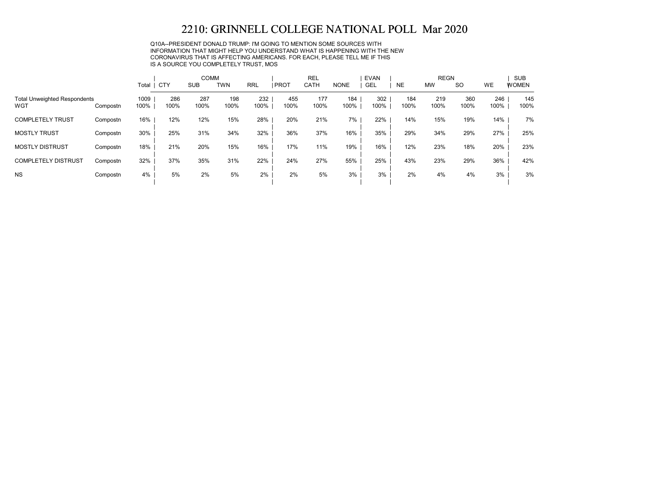Q10A--PRESIDENT DONALD TRUMP: I'M GOING TO MENTION SOME SOURCES WITH INFORMATION THAT MIGHT HELP YOU UNDERSTAND WHAT IS HAPPENING WITH THE NEW CORONAVIRUS THAT IS AFFECTING AMERICANS. FOR EACH, PLEASE TELL ME IF THIS IS A SOURCE YOU COMPLETELY TRUST, MOS

|                                            |          |              |             | <b>COMM</b> |             |             |             | <b>REL</b>  |             | <b>EVAN</b> |             | <b>REGN</b> |             |             | <b>SUB</b>   |
|--------------------------------------------|----------|--------------|-------------|-------------|-------------|-------------|-------------|-------------|-------------|-------------|-------------|-------------|-------------|-------------|--------------|
|                                            |          | Total   CTY  |             | <b>SUB</b>  | <b>TWN</b>  | <b>RRL</b>  | <b>PROT</b> | CATH        | <b>NONE</b> | <b>GEL</b>  | <b>NE</b>   | <b>MW</b>   | <b>SO</b>   | <b>WE</b>   | <b>WOMEN</b> |
| <b>Total Unweighted Respondents</b><br>WGT | Compostn | 1009<br>100% | 286<br>100% | 287<br>100% | 198<br>100% | 232<br>100% | 455<br>100% | 177<br>100% | 184<br>100% | 302<br>100% | 184<br>100% | 219<br>100% | 360<br>100% | 246<br>100% | 145<br>100%  |
| <b>COMPLETELY TRUST</b>                    | Compostn | 16%          | 12%         | 12%         | 15%         | 28%         | 20%         | 21%         | 7%          | 22%         | 14%         | 15%         | 19%         | 14%         | 7%           |
| <b>MOSTLY TRUST</b>                        | Compostn | 30%          | 25%         | 31%         | 34%         | 32%         | 36%         | 37%         | 16%         | 35%         | 29%         | 34%         | 29%         | 27%         | 25%          |
| <b>MOSTLY DISTRUST</b>                     | Compostn | 18%          | 21%         | 20%         | 15%         | 16%         | 17%         | 11%         | 19%         | 16%         | 12%         | 23%         | 18%         | 20%         | 23%          |
| <b>COMPLETELY DISTRUST</b>                 | Compostn | 32%          | 37%         | 35%         | 31%         | 22%         | 24%         | 27%         | 55%         | 25%         | 43%         | 23%         | 29%         | 36%         | 42%          |
| <b>NS</b>                                  | Compostn | 4%           | 5%          | 2%          | 5%          | 2%          | 2%          | 5%          | 3%          | 3%          | 2%          | 4%          | 4%          | 3%          | 3%           |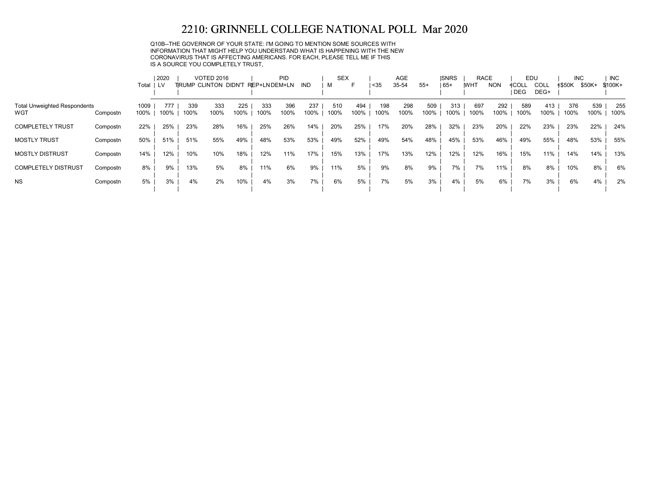Q10B--THE GOVERNOR OF YOUR STATE: I'M GOING TO MENTION SOME SOURCES WITH INFORMATION THAT MIGHT HELP YOU UNDERSTAND WHAT IS HAPPENING WITH THE NEW CORONAVIRUS THAT IS AFFECTING AMERICANS. FOR EACH, PLEASE TELL ME IF THIS IS A SOURCE YOU COMPLETELY TRUST,

|                                     |          |       | 2020 |      | <b>VOTED 2016</b>            |      |              | <b>PID</b> |            | <b>SEX</b> |      |      | <b>AGE</b> |       | <b>ISNRS</b> | <b>RACE</b> |            | EDU   |      | <b>INC</b> |        | <b>INC</b> |
|-------------------------------------|----------|-------|------|------|------------------------------|------|--------------|------------|------------|------------|------|------|------------|-------|--------------|-------------|------------|-------|------|------------|--------|------------|
|                                     |          | Total | LV.  |      | <b>TIRUMP CLINTON DIDN'T</b> |      | REP+LNDEM+LN |            | <b>IND</b> | м          | F    | $35$ | 35-54      | $55+$ | $ 65+$       | <b>IWHT</b> | <b>NON</b> | ≮COL∟ | COLL | ≮\$50K     | \$50K+ | $$100K +$  |
|                                     |          |       |      |      |                              |      |              |            |            |            |      |      |            |       |              |             |            | DEG   | DEG+ |            |        |            |
| <b>Total Unweighted Respondents</b> |          | 1009  | 777  | 339  | 333                          | 225  | 333          | 396        | 237        | 510        | 494  | 198  | 298        | 509   | 313          | 697         | 292        | 589   | 413  | 376        | 539    | 255        |
| WGT                                 | Compostn | 100%  | 100% | 100% | 100%                         | 100% | 100%         | 100%       | 100%       | 100%       | 100% | 100% | 100%       | 100%  | 100%         | 100%        | 100%       | 100%  | 100% | 100%       | 100%   | 100%       |
| <b>COMPLETELY TRUST</b>             | Compostn | 22%   | 25%  | 23%  | 28%                          | 16%  | 25%          | 26%        | 14%        | 20%        | 25%  | 17%  | 20%        | 28%   | 32%          | 23%         | 20%        | 22%   | 23%  | 23%        | 22%    | 24%        |
| <b>MOSTLY TRUST</b>                 | Compostn | 50%   | 51%  | 51%  | 55%                          | 49%  | 48%          | 53%        | 53%        | 49%        | 52%  | 49%  | 54%        | 48%   | 45%          | 53%         | 46%        | 49%   | 55%  | 48%        | 53%    | 55%        |
| <b>MOSTLY DISTRUST</b>              | Compostn | 14%   | 12%  | 10%  | 10%                          | 18%  | 12%          | 11%        | 17%        | 15%        | 13%  | 17%  | 13%        | 12%   | 12%          | 12%         | 16%        | 15%   | 11%  | 14%        | 14%    | 13%        |
|                                     |          |       |      |      |                              |      |              |            |            |            |      |      |            |       |              |             |            |       |      |            |        |            |
| <b>COMPLETELY DISTRUST</b>          | Compostn | 8%    | 9%   | 13%  | 5%                           | 8%   | 11%          | 6%         | 9%         | 11%        | 5%   | 9%   | 8%         | 9%    | 7%           | 7%          | 11%        | 8%    | 8%   | 10%        | 8%     | 6%         |
| <b>NS</b>                           | Compostn | 5%    | 3%   | 4%   | 2%                           | 10%  | 4%           | 3%         | 7%         | 6%         | 5%   | 7%   | 5%         | 3%    | 4%           | 5%          | 6%         | 7%    | 3%   | 6%         | 4%     | 2%         |
|                                     |          |       |      |      |                              |      |              |            |            |            |      |      |            |       |              |             |            |       |      |            |        |            |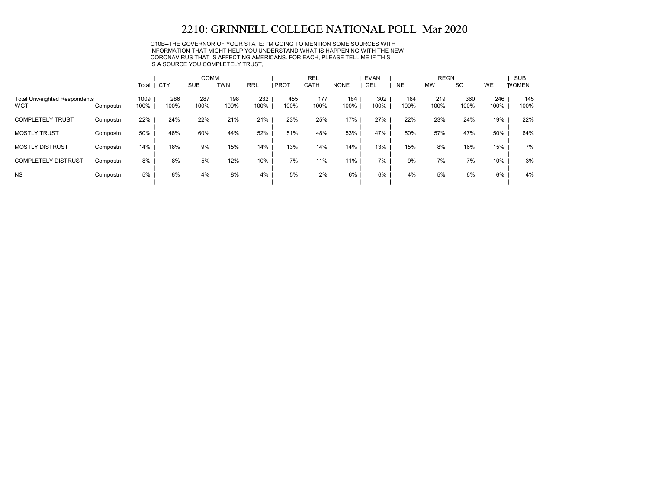Q10B--THE GOVERNOR OF YOUR STATE: I'M GOING TO MENTION SOME SOURCES WITH INFORMATION THAT MIGHT HELP YOU UNDERSTAND WHAT IS HAPPENING WITH THE NEW CORONAVIRUS THAT IS AFFECTING AMERICANS. FOR EACH, PLEASE TELL ME IF THIS IS A SOURCE YOU COMPLETELY TRUST,

|                                            |          |              |             | <b>COMM</b> |             |             |             | <b>REL</b>  |             | EVAN        |             | <b>REGN</b> |             |             | <b>SUB</b>   |
|--------------------------------------------|----------|--------------|-------------|-------------|-------------|-------------|-------------|-------------|-------------|-------------|-------------|-------------|-------------|-------------|--------------|
|                                            |          | Total        | <b>CTY</b>  | <b>SUB</b>  | TWN         | <b>RRL</b>  | PROT        | CATH        | <b>NONE</b> | <b>GEL</b>  | <b>NE</b>   | <b>MW</b>   | <b>SO</b>   | WE          | <b>WOMEN</b> |
| <b>Total Unweighted Respondents</b><br>WGT | Compostn | 1009<br>100% | 286<br>100% | 287<br>100% | 198<br>100% | 232<br>100% | 455<br>100% | 177<br>100% | 184<br>100% | 302<br>100% | 184<br>100% | 219<br>100% | 360<br>100% | 246<br>100% | 145<br>100%  |
| <b>COMPLETELY TRUST</b>                    | Compostn | 22%          | 24%         | 22%         | 21%         | 21%         | 23%         | 25%         | 17%         | 27%         | 22%         | 23%         | 24%         | 19%         | 22%          |
| <b>MOSTLY TRUST</b>                        | Compostn | 50%          | 46%         | 60%         | 44%         | 52%         | 51%         | 48%         | 53%         | 47%         | 50%         | 57%         | 47%         | 50%         | 64%          |
| <b>MOSTLY DISTRUST</b>                     | Compostn | 14%          | 18%         | 9%          | 15%         | 14%         | 13%         | 14%         | 14%         | 13%         | 15%         | 8%          | 16%         | 15%         | 7%           |
| <b>COMPLETELY DISTRUST</b>                 | Compostn | 8%           | 8%          | 5%          | 12%         | 10%         | 7%          | 11%         | 11%         | 7%          | 9%          | 7%          | 7%          | 10%         | 3%           |
| <b>NS</b>                                  | Compostn | 5%           | 6%          | 4%          | 8%          | 4%          | 5%          | 2%          | 6%          | 6%          | 4%          | 5%          | 6%          | 6%          | 4%           |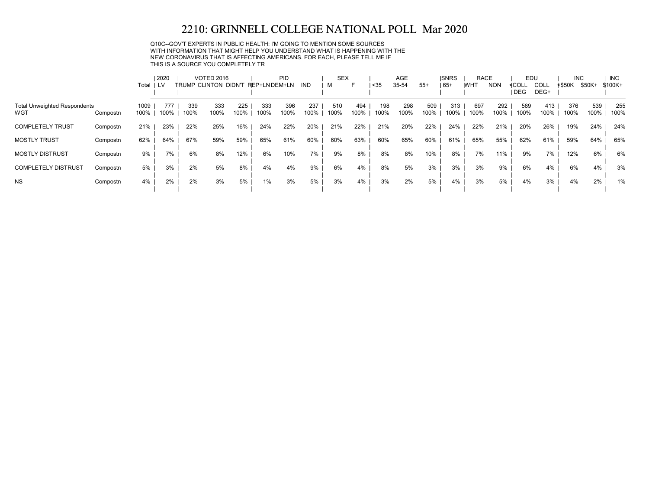Q10C--GOV'T EXPERTS IN PUBLIC HEALTH: I'M GOING TO MENTION SOME SOURCES WITH INFORMATION THAT MIGHT HELP YOU UNDERSTAND WHAT IS HAPPENING WITH THE NEW CORONAVIRUS THAT IS AFFECTING AMERICANS. FOR EACH, PLEASE TELL ME IF THIS IS A SOURCE YOU COMPLETELY TR

| <b>≮\$50K</b><br>\$50K+<br>\$100K+        |
|-------------------------------------------|
| 539<br>376<br>255<br>100%<br>100%<br>100% |
| 24%<br>24%<br>19%                         |
| 64%<br>65%<br>59%                         |
| 6%<br>12%<br>6%                           |
| 6%<br>4%<br>3%                            |
| 4%<br>2%<br>1%                            |
|                                           |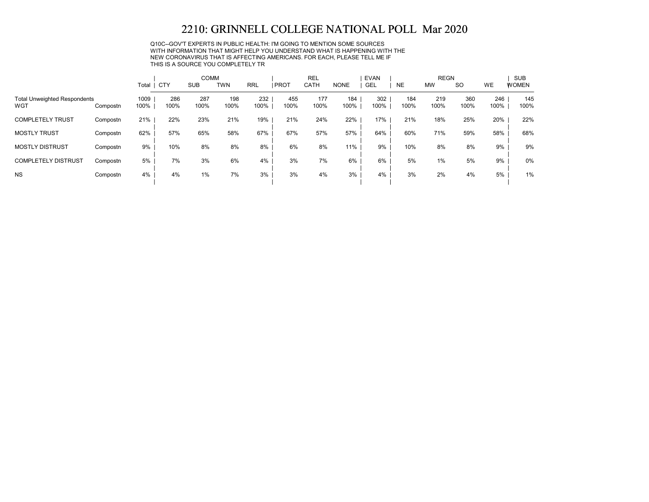Q10C--GOV'T EXPERTS IN PUBLIC HEALTH: I'M GOING TO MENTION SOME SOURCES WITH INFORMATION THAT MIGHT HELP YOU UNDERSTAND WHAT IS HAPPENING WITH THE NEW CORONAVIRUS THAT IS AFFECTING AMERICANS. FOR EACH, PLEASE TELL ME IF THIS IS A SOURCE YOU COMPLETELY TR

|                                            |          |              |             | <b>COMM</b> |             |             |             | <b>REL</b>  |             | <b>EVAN</b> |             | <b>REGN</b> |             |             | <b>SUB</b>   |
|--------------------------------------------|----------|--------------|-------------|-------------|-------------|-------------|-------------|-------------|-------------|-------------|-------------|-------------|-------------|-------------|--------------|
|                                            |          | Total        | <b>CTY</b>  | <b>SUB</b>  | <b>TWN</b>  | <b>RRL</b>  | PROT        | CATH        | <b>NONE</b> | GEL         | <b>NE</b>   | <b>MW</b>   | <b>SO</b>   | WE          | <b>WOMEN</b> |
| <b>Total Unweighted Respondents</b><br>WGT | Compostn | 1009<br>100% | 286<br>100% | 287<br>100% | 198<br>100% | 232<br>100% | 455<br>100% | 177<br>100% | 184<br>100% | 302<br>100% | 184<br>100% | 219<br>100% | 360<br>100% | 246<br>100% | 145<br>100%  |
| <b>COMPLETELY TRUST</b>                    | Compostn | 21%          | 22%         | 23%         | 21%         | 19%         | 21%         | 24%         | 22%         | 17%         | 21%         | 18%         | 25%         | 20%         | 22%          |
| <b>MOSTLY TRUST</b>                        | Compostn | 62%          | 57%         | 65%         | 58%         | 67%         | 67%         | 57%         | 57%         | 64%         | 60%         | 71%         | 59%         | 58%         | 68%          |
| <b>MOSTLY DISTRUST</b>                     | Compostn | 9%           | 10%         | 8%          | 8%          | 8%          | 6%          | 8%          | 11%         | 9%          | 10%         | 8%          | 8%          | 9%          | 9%           |
| <b>COMPLETELY DISTRUST</b>                 | Compostn | 5%           | 7%          | 3%          | 6%          | 4%          | 3%          | 7%          | 6%          | 6%          | 5%          | 1%          | 5%          | 9%          | 0%           |
| <b>NS</b>                                  | Compostn | 4%           | 4%          | 1%          | 7%          | 3%          | 3%          | 4%          | 3%          | 4%          | 3%          | 2%          | 4%          | 5%          | 1%           |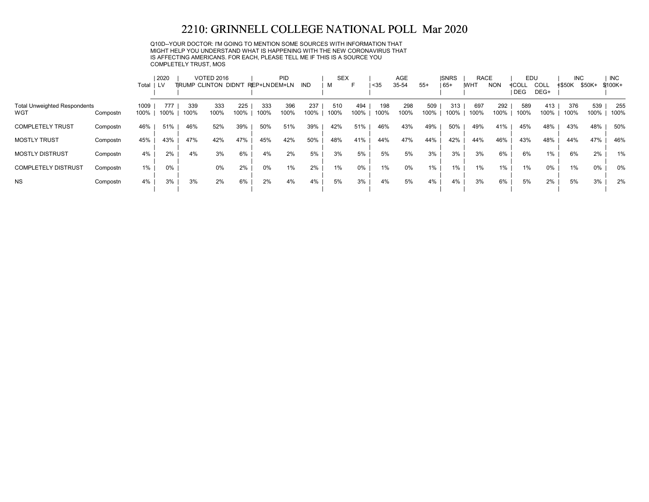Q10D--YOUR DOCTOR: I'M GOING TO MENTION SOME SOURCES WITH INFORMATION THAT MIGHT HELP YOU UNDERSTAND WHAT IS HAPPENING WITH THE NEW CORONAVIRUS THAT IS AFFECTING AMERICANS. FOR EACH, PLEASE TELL ME IF THIS IS A SOURCE YOU COMPLETELY TRUST, MOS

|                                     |          |       | 2020 |      | <b>VOTED 2016</b>           |      |              | PID  |      | <b>SEX</b> |       |      | <b>AGE</b> |       | <b>ISNRS</b> | <b>RACE</b> |            | EDU   |       | <b>INC</b> |        | <b>INC</b> |
|-------------------------------------|----------|-------|------|------|-----------------------------|------|--------------|------|------|------------|-------|------|------------|-------|--------------|-------------|------------|-------|-------|------------|--------|------------|
|                                     |          | Total | LV   |      | <b>TRUMP CLINTON DIDN'T</b> |      | REP+LNDEM+LN |      | IND  | M          | F     | $35$ | 35-54      | $55+$ | 65+          | <b>WHT</b>  | <b>NON</b> | ≮COLL | COLL  | ≮\$50K     | \$50K+ | $$100K+$   |
|                                     |          |       |      |      |                             |      |              |      |      |            |       |      |            |       |              |             |            | DEG   | DEG+  |            |        |            |
| <b>Total Unweighted Respondents</b> |          | 1009  | 777  | 339  | 333                         | 225  | 333          | 396  | 237  | 510        | 494   | 198  | 298        | 509   | 313          | 697         | 292        | 589   | 413   | 376        | 539    | 255        |
| WGT                                 | Compostn | 100%  | 100% | 100% | 100%                        | 100% | 100%         | 100% | 100% | 100%       | 100%  | 100% | 100%       | 100%  | 100%         | 100%        | 100%       | 100%  | 100%  | 100%       | 100%   | 100%       |
| <b>COMPLETELY TRUST</b>             | Compostn | 46%   | 51%  | 46%  | 52%                         | 39%  | 50%          | 51%  | 39%  | 42%        | 51%   | 46%  | 43%        | 49%   | 50%          | 49%         | 41%        | 45%   | 48%   | 43%        | 48%    | 50%        |
| <b>MOSTLY TRUST</b>                 | Compostn | 45%   | 43%  | 47%  | 42%                         | 47%  | 45%          | 42%  | 50%  | 48%        | 41%   | 44%  | 47%        | 44%   | 42%          | 44%         | 46%        | 43%   | 48%   | 44%        | 47%    | 46%        |
| <b>MOSTLY DISTRUST</b>              | Compostn | 4%    | 2%   | 4%   | 3%                          | 6%   | 4%           | 2%   | 5%   | 3%         | 5%    | 5%   | 5%         | 3%    | 3%           | 3%          | 6%         | 6%    | $1\%$ | 6%         | 2%     | 1%         |
| <b>COMPLETELY DISTRUST</b>          | Compostn | $1\%$ | 0%   |      | 0%                          | 2%   | 0%           | 1%   | 2%   | $1\%$      | $0\%$ | 1%   | $0\%$      | 1%    | 1%           | 1%          | 1%         | 1%    | $0\%$ | 1%         | 0%     | 0%         |
| <b>NS</b>                           | Compostn | 4%    | 3%   | 3%   | 2%                          | 6%   | 2%           | 4%   | 4%   | 5%         | 3%    | 4%   | 5%         | 4%    | 4%           | 3%          | 6%         | 5%    | 2%    | 5%         | 3%     | 2%         |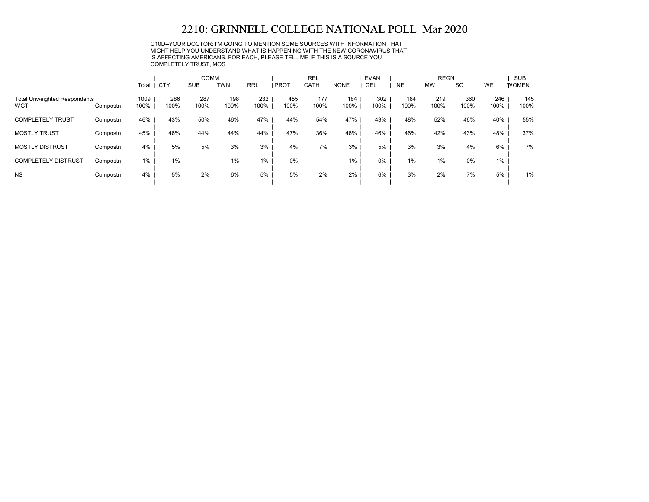Q10D--YOUR DOCTOR: I'M GOING TO MENTION SOME SOURCES WITH INFORMATION THAT MIGHT HELP YOU UNDERSTAND WHAT IS HAPPENING WITH THE NEW CORONAVIRUS THAT IS AFFECTING AMERICANS. FOR EACH, PLEASE TELL ME IF THIS IS A SOURCE YOU COMPLETELY TRUST, MOS

|                                            |          |              |             | <b>COMM</b> |             |             |             | <b>REL</b>  |             | <b>EVAN</b> |             | <b>REGN</b> |             |             | <b>SUB</b>   |
|--------------------------------------------|----------|--------------|-------------|-------------|-------------|-------------|-------------|-------------|-------------|-------------|-------------|-------------|-------------|-------------|--------------|
|                                            |          | Total   CTY  |             | <b>SUB</b>  | <b>TWN</b>  | <b>RRL</b>  | <b>PROT</b> | CATH        | <b>NONE</b> | <b>GEL</b>  | <b>NE</b>   | <b>MW</b>   | <b>SO</b>   | <b>WE</b>   | <b>WOMEN</b> |
| <b>Total Unweighted Respondents</b><br>WGT | Compostn | 1009<br>100% | 286<br>100% | 287<br>100% | 198<br>100% | 232<br>100% | 455<br>100% | 177<br>100% | 184<br>100% | 302<br>100% | 184<br>100% | 219<br>100% | 360<br>100% | 246<br>100% | 145<br>100%  |
| <b>COMPLETELY TRUST</b>                    | Compostn | 46%          | 43%         | 50%         | 46%         | 47%         | 44%         | 54%         | 47%         | 43%         | 48%         | 52%         | 46%         | 40%         | 55%          |
| <b>MOSTLY TRUST</b>                        | Compostn | 45%          | 46%         | 44%         | 44%         | 44%         | 47%         | 36%         | 46%         | 46%         | 46%         | 42%         | 43%         | 48%         | 37%          |
| <b>MOSTLY DISTRUST</b>                     | Compostn | 4%           | 5%          | 5%          | 3%          | 3%          | 4%          | 7%          | 3%          | 5%          | 3%          | 3%          | 4%          | 6%          | 7%           |
| <b>COMPLETELY DISTRUST</b>                 | Compostn | $1\%$        | 1%          |             | 1%          | 1%          | 0%          |             | 1%          | $0\%$       | $1\%$       | 1%          | 0%          | $1\%$       |              |
| <b>NS</b>                                  | Compostn | 4%           | 5%          | 2%          | 6%          | 5%          | 5%          | 2%          | 2%          | 6%          | 3%          | 2%          | 7%          | 5%          | 1%           |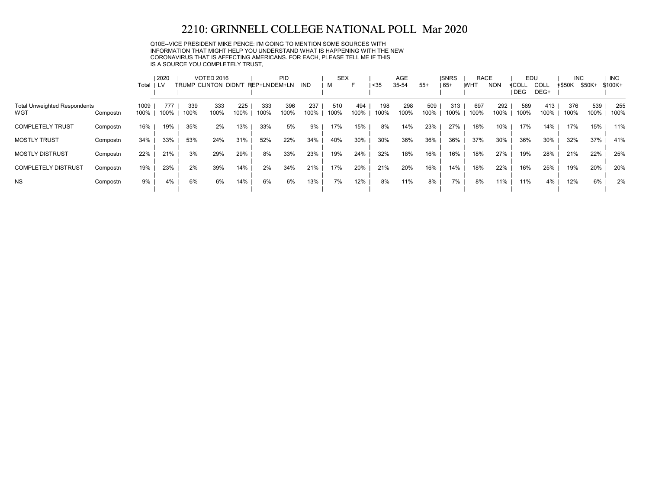Q10E--VICE PRESIDENT MIKE PENCE: I'M GOING TO MENTION SOME SOURCES WITH INFORMATION THAT MIGHT HELP YOU UNDERSTAND WHAT IS HAPPENING WITH THE NEW CORONAVIRUS THAT IS AFFECTING AMERICANS. FOR EACH, PLEASE TELL ME IF THIS IS A SOURCE YOU COMPLETELY TRUST,

|                                            |          |              | 2020        |             | <b>VOTED 2016</b>            |             |              | <b>PID</b>  |             | <b>SEX</b>  | F           |             | <b>AGE</b>  |             | <b>ISNRS</b> | <b>RACE</b> |             | EDU                 |              | <b>INC</b>  |             | <b>INC</b>  |
|--------------------------------------------|----------|--------------|-------------|-------------|------------------------------|-------------|--------------|-------------|-------------|-------------|-------------|-------------|-------------|-------------|--------------|-------------|-------------|---------------------|--------------|-------------|-------------|-------------|
|                                            |          | Total        | LV.         |             | <b>TIRUMP CLINTON DIDN'T</b> |             | REP+LNDEM+LN |             | IND         | м           |             | $35$        | 35-54       | $55+$       | $165+$       | <b>IWHT</b> | <b>NON</b>  | <b>NCOLL</b><br>DEG | COLL<br>DEG+ | ≮\$50K      | \$50K+      | \$100K+     |
| <b>Total Unweighted Respondents</b><br>WGT | Compostn | 1009<br>100% | 777<br>100% | 339<br>100% | 333<br>100%                  | 225<br>100% | 333<br>100%  | 396<br>100% | 237<br>100% | 510<br>100% | 494<br>100% | 198<br>100% | 298<br>100% | 509<br>100% | 313<br>100%  | 697<br>100% | 292<br>100% | 589<br>100%         | 413<br>100%  | 376<br>100% | 539<br>100% | 255<br>100% |
| <b>COMPLETELY TRUST</b>                    | Compostn | 16%          | 19%         | 35%         | 2%                           | 13%         | 33%          | 5%          | 9%          | 17%         | 15%         | 8%          | 14%         | 23%         | 27%          | 18%         | 10%         | 17%                 | 14%          | 17%         | 15%         | 11%         |
| <b>MOSTLY TRUST</b>                        | Compostn | 34%          | 33%         | 53%         | 24%                          | 31%         | 52%          | 22%         | 34%         | 40%         | 30%         | 30%         | 36%         | 36%         | 36%          | 37%         | 30%         | 36%                 | 30%          | 32%         | 37%         | 41%         |
| <b>MOSTLY DISTRUST</b>                     | Compostn | 22%          | 21%         | 3%          | 29%                          | 29%         | 8%           | 33%         | 23%         | 19%         | 24%         | 32%         | 18%         | 16%         | 16%          | 18%         | 27%         | 19%                 | 28%          | 21%         | 22%         | 25%         |
| <b>COMPLETELY DISTRUST</b>                 | Compostn | 19%          | 23%         | 2%          | 39%                          | 14%         | 2%           | 34%         | 21%         | 17%         | 20%         | 21%         | 20%         | 16%         | 14%          | 18%         | 22%         | 16%                 | 25%          | 19%         | 20%         | 20%         |
| <b>NS</b>                                  | Compostn | 9%           | 4%          | 6%          | 6%                           | 14%         | 6%           | 6%          | 13%         | 7%          | 12%         | 8%          | 11%         | 8%          | 7%           | 8%          | 11%         | 11%                 | 4%           | 12%         | 6%          | 2%          |
|                                            |          |              |             |             |                              |             |              |             |             |             |             |             |             |             |              |             |             |                     |              |             |             |             |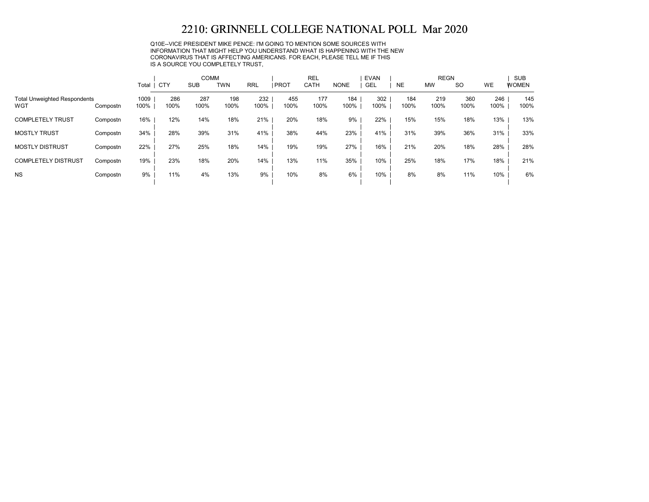Q10E--VICE PRESIDENT MIKE PENCE: I'M GOING TO MENTION SOME SOURCES WITH INFORMATION THAT MIGHT HELP YOU UNDERSTAND WHAT IS HAPPENING WITH THE NEW CORONAVIRUS THAT IS AFFECTING AMERICANS. FOR EACH, PLEASE TELL ME IF THIS IS A SOURCE YOU COMPLETELY TRUST,

|                                            |          |              |             | <b>COMM</b> |             |             |             | <b>REL</b>  |             | <b>EVAN</b> |             | <b>REGN</b> |             |             | <b>SUB</b>   |
|--------------------------------------------|----------|--------------|-------------|-------------|-------------|-------------|-------------|-------------|-------------|-------------|-------------|-------------|-------------|-------------|--------------|
|                                            |          | Total   CTY  |             | <b>SUB</b>  | <b>TWN</b>  | <b>RRL</b>  | <b>PROT</b> | <b>CATH</b> | <b>NONE</b> | GEL         | <b>NE</b>   | <b>MW</b>   | <b>SO</b>   | <b>WE</b>   | <b>WOMEN</b> |
| <b>Total Unweighted Respondents</b><br>WGT | Compostn | 1009<br>100% | 286<br>100% | 287<br>100% | 198<br>100% | 232<br>100% | 455<br>100% | 177<br>100% | 184<br>100% | 302<br>100% | 184<br>100% | 219<br>100% | 360<br>100% | 246<br>100% | 145<br>100%  |
| <b>COMPLETELY TRUST</b>                    | Compostn | 16%          | 12%         | 14%         | 18%         | 21%         | 20%         | 18%         | 9%          | 22%         | 15%         | 15%         | 18%         | 13%         | 13%          |
| <b>MOSTLY TRUST</b>                        | Compostn | 34%          | 28%         | 39%         | 31%         | 41%         | 38%         | 44%         | 23%         | 41%         | 31%         | 39%         | 36%         | 31%         | 33%          |
| <b>MOSTLY DISTRUST</b>                     | Compostn | 22%          | 27%         | 25%         | 18%         | 14%         | 19%         | 19%         | 27%         | 16%         | 21%         | 20%         | 18%         | 28%         | 28%          |
| <b>COMPLETELY DISTRUST</b>                 | Compostn | 19%          | 23%         | 18%         | 20%         | 14%         | 13%         | 11%         | 35%         | 10%         | 25%         | 18%         | 17%         | 18%         | 21%          |
| <b>NS</b>                                  | Compostn | 9%           | 11%         | 4%          | 13%         | 9%          | 10%         | 8%          | 6%          | 10%         | 8%          | 8%          | 11%         | 10%         | 6%           |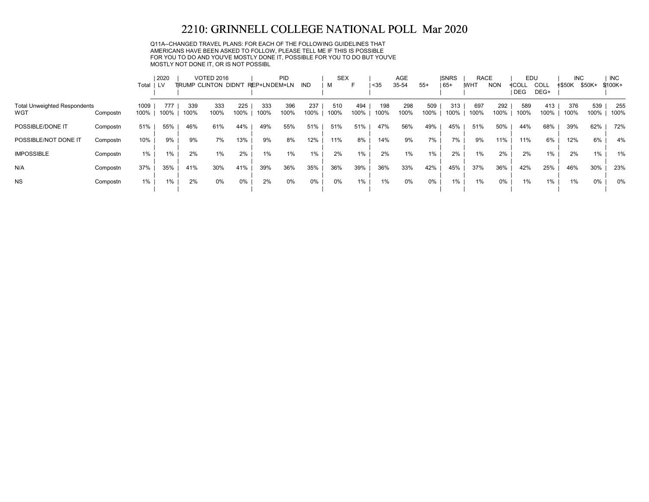Q11A--CHANGED TRAVEL PLANS: FOR EACH OF THE FOLLOWING GUIDELINES THAT AMERICANS HAVE BEEN ASKED TO FOLLOW, PLEASE TELL ME IF THIS IS POSSIBLE FOR YOU TO DO AND YOU'VE MOSTLY DONE IT, POSSIBLE FOR YOU TO DO BUT YOU'VE MOSTLY NOT DONE IT, OR IS NOT POSSIBL

|                                     |          |       | 2020 |      | <b>VOTED 2016</b>                 |      |      | <b>PID</b> |       | <b>SEX</b> |      |      | <b>AGE</b> |       | <b>ISNRS</b> | <b>RACE</b> |            | EDU   |      | <b>INC</b>    |        | <b>INC</b> |
|-------------------------------------|----------|-------|------|------|-----------------------------------|------|------|------------|-------|------------|------|------|------------|-------|--------------|-------------|------------|-------|------|---------------|--------|------------|
|                                     |          | Total | LV.  |      | TRUMP CLINTON DIDN'T REP+LNDEM+LN |      |      |            | IND   | м          | ►    | <35  | 35-54      | $55+$ | $ 65+$       | <b>IWHT</b> | <b>NON</b> | ≮COLL | COLL | <b>≮\$50K</b> | \$50K+ | \$100K+    |
|                                     |          |       |      |      |                                   |      |      |            |       |            |      |      |            |       |              |             |            | DEG   | DEG+ |               |        |            |
| <b>Total Unweighted Respondents</b> |          | 1009  | 777  | 339  | 333                               | 225  | 333  | 396        | 237   | 510        | 494  | 198  | 298        | 509   | 313          | 697         | 292        | 589   | 413  | 376           | 539    | 255        |
| WGT                                 | Compostn | 100%  | 100% | 100% | 100%                              | 100% | 100% | 100%       | 100%  | 100%       | 100% | 100% | 100%       | 100%  | 100%         | 100%        | 100%       | 100%  | 100% | 100%          | 100%   | 100%       |
| POSSIBLE/DONE IT                    | Compostn | 51%   | 55%  | 46%  | 61%                               | 44%  | 49%  | 55%        | 51%   | 51%        | 51%  | 47%  | 56%        | 49%   | 45%          | 51%         | 50%        | 44%   | 68%  | 39%           | 62%    | 72%        |
| POSSIBLE/NOT DONE IT                | Compostn | 10%   | 9%   | 9%   | 7%                                | 13%  | 9%   | 8%         | 12%   | 11%        | 8%   | 14%  | 9%         | 7%    | 7%           | 9%          | 11%        | 11%   | 6%   | 12%           | 6%     | 4%         |
| <b>IMPOSSIBLE</b>                   | Compostn | 1%    | 1%   | 2%   | $1\%$                             | 2%   | 1%   | $1\%$      | 1%    | 2%         | 1%   | 2%   | 1%         | 1%    | 2%           | 1%          | 2%         | 2%    | 1%   | 2%            | 1%     | 1%         |
| N/A                                 | Compostn | 37%   | 35%  | 41%  | 30%                               | 41%  | 39%  | 36%        | 35%   | 36%        | 39%  | 36%  | 33%        | 42%   | 45%          | 37%         | 36%        | 42%   | 25%  | 46%           | 30%    | 23%        |
| <b>NS</b>                           | Compostn | $1\%$ | 1%   | 2%   | 0%                                | 0%   | 2%   | 0%         | $0\%$ | 0%         | 1%   | 1%   | $0\%$      | $0\%$ | $1\%$        | 1%          | 0%         | 1%    | 1%   | 1%            | $0\%$  | 0%         |
|                                     |          |       |      |      |                                   |      |      |            |       |            |      |      |            |       |              |             |            |       |      |               |        |            |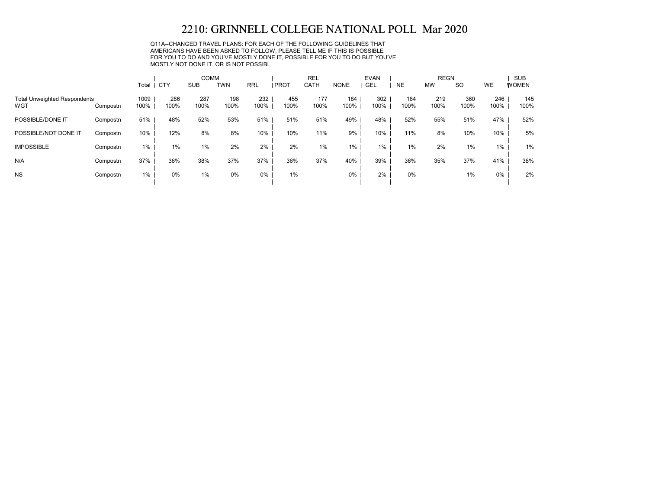Q11A--CHANGED TRAVEL PLANS: FOR EACH OF THE FOLLOWING GUIDELINES THAT AMERICANS HAVE BEEN ASKED TO FOLLOW, PLEASE TELL ME IF THIS IS POSSIBLE FOR YOU TO DO AND YOU'VE MOSTLY DONE IT, POSSIBLE FOR YOU TO DO BUT YOU'VE MOSTLY NOT DONE IT, OR IS NOT POSSIBL

|                                            |          |              |             | <b>COMM</b> |             |             |             | <b>REL</b>  |             | <b>EVAN</b> |             | <b>REGN</b> |             |             | <b>SUB</b>   |
|--------------------------------------------|----------|--------------|-------------|-------------|-------------|-------------|-------------|-------------|-------------|-------------|-------------|-------------|-------------|-------------|--------------|
|                                            |          | Total        | <b>CTY</b>  | <b>SUB</b>  | <b>TWN</b>  | <b>RRL</b>  | <b>PROT</b> | CATH        | <b>NONE</b> | GEL         | <b>NE</b>   | <b>MW</b>   | <b>SO</b>   | WE          | <b>WOMEN</b> |
| <b>Total Unweighted Respondents</b><br>WGT | Compostn | 1009<br>100% | 286<br>100% | 287<br>100% | 198<br>100% | 232<br>100% | 455<br>100% | 177<br>100% | 184<br>100% | 302<br>100% | 184<br>100% | 219<br>100% | 360<br>100% | 246<br>100% | 145<br>100%  |
| POSSIBLE/DONE IT                           | Compostn | 51%          | 48%         | 52%         | 53%         | 51%         | 51%         | 51%         | 49%         | 48%         | 52%         | 55%         | 51%         | 47%         | 52%          |
| POSSIBLE/NOT DONE IT                       | Compostn | 10%          | 12%         | 8%          | 8%          | 10%         | 10%         | 11%         | 9%          | 10%         | 11%         | 8%          | 10%         | 10%         | 5%           |
| <b>IMPOSSIBLE</b>                          | Compostn | 1%           | $1\%$       | 1%          | 2%          | 2%          | 2%          | 1%          | $1\%$       | 1%          | 1%          | 2%          | 1%          | 1%          | 1%           |
| N/A                                        | Compostn | 37%          | 38%         | 38%         | 37%         | 37%         | 36%         | 37%         | 40%         | 39%         | 36%         | 35%         | 37%         | 41%         | 38%          |
| <b>NS</b>                                  | Compostn | 1%           | 0%          | 1%          | 0%          | 0%          | 1%          |             | 0%          | 2%          | 0%          |             | 1%          | 0%          | 2%           |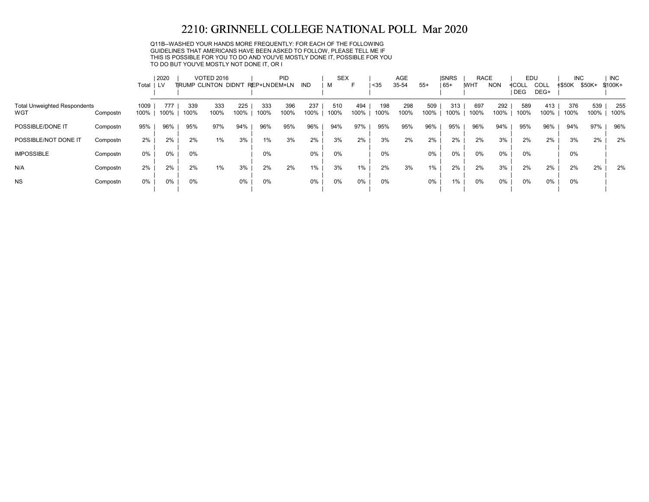Q11B--WASHED YOUR HANDS MORE FREQUENTLY: FOR EACH OF THE FOLLOWING GUIDELINES THAT AMERICANS HAVE BEEN ASKED TO FOLLOW, PLEASE TELL ME IF THIS IS POSSIBLE FOR YOU TO DO AND YOU'VE MOSTLY DONE IT, POSSIBLE FOR YOU TO DO BUT YOU'VE MOSTLY NOT DONE IT, OR I

|                                     |          |       | 2020 |      | <b>VOTED 2016</b>           |       |              | PID  |            | <b>SEX</b> |      |      | AGE   |       | <b>ISNRS</b> | <b>RACE</b> |            | EDU   |       | <b>INC</b>    |        | <b>INC</b> |
|-------------------------------------|----------|-------|------|------|-----------------------------|-------|--------------|------|------------|------------|------|------|-------|-------|--------------|-------------|------------|-------|-------|---------------|--------|------------|
|                                     |          | Total | LV   |      | <b>TRUMP CLINTON DIDN'T</b> |       | REP+LNDEM+LN |      | <b>IND</b> | м          | F    | $35$ | 35-54 | $55+$ | $ 65+$       | <b>IWHT</b> | <b>NON</b> | ≮COLL | COLL  | <b>≮\$50K</b> | \$50K+ | \$100K+    |
|                                     |          |       |      |      |                             |       |              |      |            |            |      |      |       |       |              |             |            | DEG   | DEG+  |               |        |            |
| <b>Total Unweighted Respondents</b> |          | 1009  | 777  | 339  | 333                         | 225   | 333          | 396  | 237        | 510        | 494  | 198  | 298   | 509   | 313          | 697         | 292        | 589   | 413   | 376           | 539    | 255        |
| WGT                                 | Compostn | 100%  | 100% | 100% | 100%                        | 100%  | 100%         | 100% | 100%       | 100%       | 100% | 100% | 100%  | 100%  | 100%         | 100%        | 100%       | 100%  | 100%  | 100%          | 100%   | 100%       |
| POSSIBLE/DONE IT                    | Compostn | 95%   | 96%  | 95%  | 97%                         | 94%   | 96%          | 95%  | 96%        | 94%        | 97%  | 95%  | 95%   | 96%   | 95%          | 96%         | 94%        | 95%   | 96%   | 94%           | 97%    | 96%        |
| POSSIBLE/NOT DONE IT                | Compostn | $2\%$ | 2%   | 2%   | 1%                          | 3%    | $1\%$        | 3%   | 2%         | 3%         | 2%   | 3%   | 2%    | 2%    | 2%           | 2%          | 3%         | 2%    | 2%    | 3%            | 2%     | 2%         |
| <b>IMPOSSIBLE</b>                   | Compostn | $0\%$ | 0%   | 0%   |                             |       | 0%           |      | 0%         | $0\%$      |      | 0%   |       | 0%    | 0%           | 0%          | 0%         | 0%    |       | 0%            |        |            |
| N/A                                 | Compostn | 2%    | 2%   | 2%   | 1%                          | 3%    | 2%           | 2%   | 1%         | 3%         | 1%   | 2%   | 3%    | $1\%$ | 2%           | 2%          | 3%         | 2%    | 2%    | 2%            | 2%     | 2%         |
| <b>NS</b>                           | Compostn | 0%    | 0%   | 0%   |                             | $0\%$ | 0%           |      | 0%         | $0\%$      | 0%   | 0%   |       | 0%    | 1%           | 0%          | 0%         | 0%    | $0\%$ | 0%            |        |            |
|                                     |          |       |      |      |                             |       |              |      |            |            |      |      |       |       |              |             |            |       |       |               |        |            |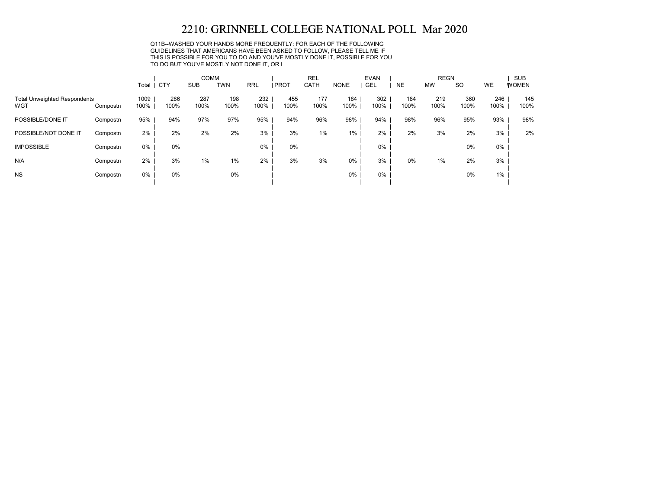Q11B--WASHED YOUR HANDS MORE FREQUENTLY: FOR EACH OF THE FOLLOWING GUIDELINES THAT AMERICANS HAVE BEEN ASKED TO FOLLOW, PLEASE TELL ME IF THIS IS POSSIBLE FOR YOU TO DO AND YOU'VE MOSTLY DONE IT, POSSIBLE FOR YOU TO DO BUT YOU'VE MOSTLY NOT DONE IT, OR I

|                                            |          |              |             | <b>COMM</b> |             |             |             | <b>REL</b>  |             | <b>EVAN</b> |             | <b>REGN</b> |             |             | <b>SUB</b>   |
|--------------------------------------------|----------|--------------|-------------|-------------|-------------|-------------|-------------|-------------|-------------|-------------|-------------|-------------|-------------|-------------|--------------|
|                                            |          | Total        | CTY         | <b>SUB</b>  | <b>TWN</b>  | <b>RRL</b>  | <b>PROT</b> | CATH        | <b>NONE</b> | GEL         | <b>NE</b>   | <b>MW</b>   | <b>SO</b>   | WE          | <b>WOMEN</b> |
| <b>Total Unweighted Respondents</b><br>WGT | Compostn | 1009<br>100% | 286<br>100% | 287<br>100% | 198<br>100% | 232<br>100% | 455<br>100% | 177<br>100% | 184<br>100% | 302<br>100% | 184<br>100% | 219<br>100% | 360<br>100% | 246<br>100% | 145<br>100%  |
| POSSIBLE/DONE IT                           | Compostn | 95%          | 94%         | 97%         | 97%         | 95%         | 94%         | 96%         | 98%         | 94%         | 98%         | 96%         | 95%         | 93%         | 98%          |
| POSSIBLE/NOT DONE IT                       | Compostn | 2%           | 2%          | 2%          | 2%          | 3%          | 3%          | $1\%$       | $1\%$       | 2%          | 2%          | 3%          | 2%          | 3%          | 2%           |
| <b>IMPOSSIBLE</b>                          | Compostn | $0\%$        | 0%          |             |             | $0\%$       | 0%          |             |             | $0\%$       |             |             | 0%          | 0%          |              |
| N/A                                        | Compostn | 2%           | 3%          | 1%          | 1%          | 2%          | 3%          | 3%          | 0%          | 3%          | 0%          | 1%          | 2%          | 3%          |              |
| <b>NS</b>                                  | Compostn | $0\%$        | 0%          |             | 0%          |             |             |             | $0\%$       | $0\%$       |             |             | 0%          | 1%          |              |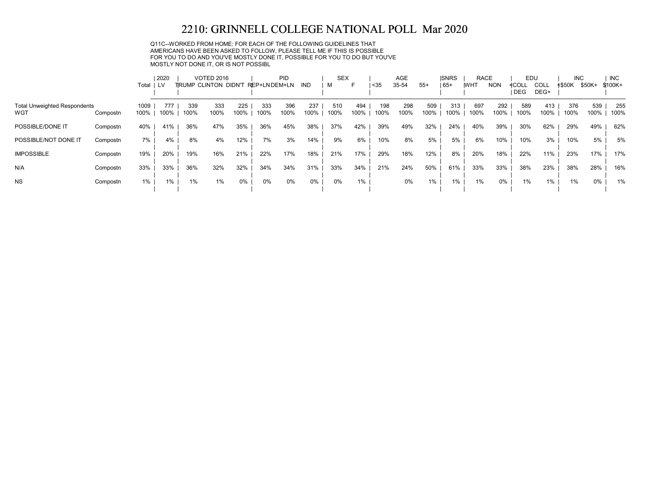Q11C--WORKED FROM HOME: FOR EACH OF THE FOLLOWING GUIDELINES THAT AMERICANS HAVE BEEN ASKED TO FOLLOW, PLEASE TELL ME IF THIS IS POSSIBLE FOR YOU TO DO AND YOU'VE MOSTLY DONE IT, POSSIBLE FOR YOU TO DO BUT YOU'VE MOSTLY NOT DONE IT, OR IS NOT POSSIBL

|                                            |          |              | 2020        |             | <b>VOTED 2016</b>     |             |              | <b>PID</b>  |             | <b>SEX</b>  |             |               | AGE         |             | <b>ISNRS</b> | <b>RACE</b> |             | EDU          |                     | <b>INC</b>    |             | <b>INC</b>  |
|--------------------------------------------|----------|--------------|-------------|-------------|-----------------------|-------------|--------------|-------------|-------------|-------------|-------------|---------------|-------------|-------------|--------------|-------------|-------------|--------------|---------------------|---------------|-------------|-------------|
|                                            |          | Total        | i lv        |             | TIRUMP CLINTON DIDN'T |             | REP+LNDEM+LN |             | IND         | м           | н           | <sub>35</sub> | 35-54       | $55+$       | $165+$       | <b>IWHT</b> | <b>NON</b>  | ≮COLL<br>DEG | <b>COLL</b><br>DEG+ | <b>≮\$50K</b> | \$50K+      | \$100K+     |
| <b>Total Unweighted Respondents</b><br>WGT | Compostn | 1009<br>100% | 777<br>100% | 339<br>100% | 333<br>100%           | 225<br>100% | 333<br>100%  | 396<br>100% | 237<br>100% | 510<br>100% | 494<br>100% | 198<br>100%   | 298<br>100% | 509<br>100% | 313<br>100%  | 697<br>100% | 292<br>100% | 589<br>100%  | 413<br>100%         | 376<br>100%   | 539<br>100% | 255<br>100% |
| POSSIBLE/DONE IT                           | Compostn | 40%          | 41%         | 36%         | 47%                   | 35%         | 36%          | 45%         | 38%         | 37%         | 42%         | 39%           | 49%         | 32%         | 24%          | 40%         | 39%         | 30%          | 62%                 | 29%           | 49%         | 62%         |
| POSSIBLE/NOT DONE IT                       | Compostn | 7%           | 4%          | 8%          | 4%                    | 12%         | 7%           | 3%          | 14%         | 9%          | 6%          | 10%           | 8%          | 5%          | 5%           | 6%          | 10%         | 10%          | 3%                  | 10%           | 5%          | 5%          |
| <b>IMPOSSIBLE</b>                          | Compostn | 19%          | 20%         | 19%         | 16%                   | 21%         | 22%          | 17%         | 18%         | 21%         | 17%         | 29%           | 18%         | 12%         | 8%           | 20%         | 18%         | 22%          | 11%                 | 23%           | 17%         | 17%         |
| N/A                                        | Compostn | 33%          | 33%         | 36%         | 32%                   | 32%         | 34%          | 34%         | 31%         | 33%         | 34%         | 21%           | 24%         | 50%         | 61%          | 33%         | 33%         | 38%          | 23%                 | 38%           | 28%         | 16%         |
| <b>NS</b>                                  | Compostn | $1\%$        | 1%          | 1%          | 1%                    | 0%          | 0%           | 0%          | 0%          | 0%          | 1%          |               | $0\%$       | 1%          | 1%           | 1%          | 0%          | 1%           | 1%                  | 1%            | $0\%$       | 1%          |
|                                            |          |              |             |             |                       |             |              |             |             |             |             |               |             |             |              |             |             |              |                     |               |             |             |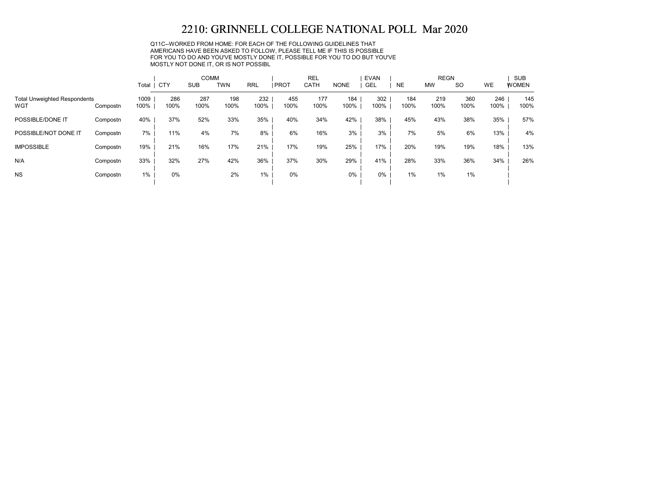Q11C--WORKED FROM HOME: FOR EACH OF THE FOLLOWING GUIDELINES THAT AMERICANS HAVE BEEN ASKED TO FOLLOW, PLEASE TELL ME IF THIS IS POSSIBLE FOR YOU TO DO AND YOU'VE MOSTLY DONE IT, POSSIBLE FOR YOU TO DO BUT YOU'VE MOSTLY NOT DONE IT, OR IS NOT POSSIBL

|                                            |          | Total        | CTY         | <b>COMM</b><br><b>SUB</b> | <b>TWN</b>  | <b>RRL</b>  | <b>PROT</b> | <b>REL</b><br>CATH | <b>NONE</b> | <b>EVAN</b><br><b>GEL</b> | <b>NE</b>   | <b>REGN</b><br><b>MW</b> | <b>SO</b>   | WE          | SUB<br><b>WOMEN</b> |
|--------------------------------------------|----------|--------------|-------------|---------------------------|-------------|-------------|-------------|--------------------|-------------|---------------------------|-------------|--------------------------|-------------|-------------|---------------------|
| <b>Total Unweighted Respondents</b><br>WGT | Compostn | 1009<br>100% | 286<br>100% | 287<br>100%               | 198<br>100% | 232<br>100% | 455<br>100% | 177<br>100%        | 184<br>100% | 302<br>100%               | 184<br>100% | 219<br>100%              | 360<br>100% | 246<br>100% | 145<br>100%         |
| POSSIBLE/DONE IT                           | Compostn | 40%          | 37%         | 52%                       | 33%         | 35%         | 40%         | 34%                | 42%         | 38%                       | 45%         | 43%                      | 38%         | 35%         | 57%                 |
| POSSIBLE/NOT DONE IT                       | Compostn | 7%           | 11%         | 4%                        | 7%          | 8%          | 6%          | 16%                | 3%          | 3%                        | 7%          | 5%                       | 6%          | 13%         | 4%                  |
| <b>IMPOSSIBLE</b>                          | Compostn | 19%          | 21%         | 16%                       | 17%         | 21%         | 17%         | 19%                | 25%         | 17%                       | 20%         | 19%                      | 19%         | 18%         | 13%                 |
| N/A                                        | Compostn | 33%          | 32%         | 27%                       | 42%         | 36%         | 37%         | 30%                | 29%         | 41%                       | 28%         | 33%                      | 36%         | 34%         | 26%                 |
| <b>NS</b>                                  | Compostn | $1\%$        | 0%          |                           | 2%          | $1\%$       | 0%          |                    | 0%          | $0\%$                     | 1%          | 1%                       | 1%          |             |                     |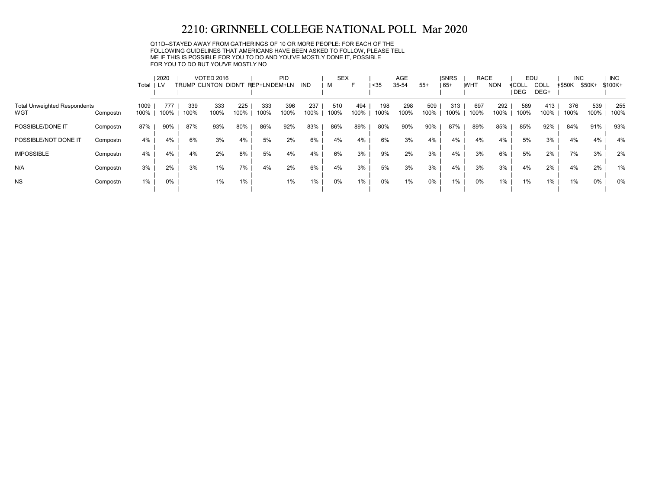Q11D--STAYED AWAY FROM GATHERINGS OF 10 OR MORE PEOPLE: FOR EACH OF THE FOLLOWING GUIDELINES THAT AMERICANS HAVE BEEN ASKED TO FOLLOW, PLEASE TELL ME IF THIS IS POSSIBLE FOR YOU TO DO AND YOU'VE MOSTLY DONE IT, POSSIBLE FOR YOU TO DO BUT YOU'VE MOSTLY NO

|                                     |          |       | 2020 |      | <b>VOTED 2016</b>    |       |              | PID  |       | <b>SEX</b> |      |      | AGE   |       | <b>ISNRS</b> | <b>RACE</b> |            | EDU        |       | <b>INC</b>    |        | <b>INC</b> |
|-------------------------------------|----------|-------|------|------|----------------------|-------|--------------|------|-------|------------|------|------|-------|-------|--------------|-------------|------------|------------|-------|---------------|--------|------------|
|                                     |          | Total | 1 LV |      | TRUMP CLINTON DIDN'T |       | REP+LNDEM+LN |      | IND   |            | F    | $35$ | 35-54 | $55+$ | $165+$       | <b>WHT</b>  | <b>NON</b> | ≮COLL      | COLL  | <b>≮\$50K</b> | \$50K+ | \$100K+    |
|                                     |          |       |      |      |                      |       |              |      |       |            |      |      |       |       |              |             |            | <b>DEG</b> | DEG+  |               |        |            |
| <b>Total Unweighted Respondents</b> |          | 1009  | 777  | 339  | 333                  | 225   | 333          | 396  | 237   | 510        | 494  | 198  | 298   | 509   | 313          | 697         | 292        | 589        | 413   | 376           | 539    | 255        |
| WGT                                 | Compostn | 100%  | 100% | 100% | 100%                 | 100%  | 100%         | 100% | 100%  | 100%       | 100% | 100% | 100%  | 100%  | 100%         | 100%        | 100%       | 100%       | 100%  | 100%          | 100%   | 100%       |
| POSSIBLE/DONE IT                    | Compostn | 87%   | 90%  | 87%  | 93%                  | 80%   | 86%          | 92%  | 83%   | 86%        | 89%  | 80%  | 90%   | 90%   | 87%          | 89%         | 85%        | 85%        | 92%   | 84%           | 91%    | 93%        |
| POSSIBLE/NOT DONE IT                | Compostn | 4%    | 4%   | 6%   | 3%                   | 4%    | 5%           | 2%   | 6%    | 4%         | 4%   | 6%   | 3%    | 4%    | 4%           | 4%          | 4%         | 5%         | 3%    | 4%            | 4%     | 4%         |
| <b>IMPOSSIBLE</b>                   | Compostn | 4%    | 4%   | 4%   | 2%                   | 8%    | 5%           | 4%   | 4%    | 6%         | 3%   | 9%   | 2%    | 3%    | 4%           | 3%          | 6%         | 5%         | 2%    | 7%            | 3%     | 2%         |
| N/A                                 | Compostn | 3%    | 2%   | 3%   | 1%                   | 7%    | 4%           | 2%   | 6%    | 4%         | 3%   | 5%   | 3%    | 3%    | 4%           | 3%          | 3%         | 4%         | 2%    | 4%            | 2%     | 1%         |
| <b>NS</b>                           | Compostn | 1%    | 0%   |      | 1%                   | $1\%$ |              | 1%   | $1\%$ | 0%         | 1%   | 0%   | $1\%$ | 0%    | 1%           | 0%          | $1\%$      | 1%         | $1\%$ | 1%            | $0\%$  | 0%         |
|                                     |          |       |      |      |                      |       |              |      |       |            |      |      |       |       |              |             |            |            |       |               |        |            |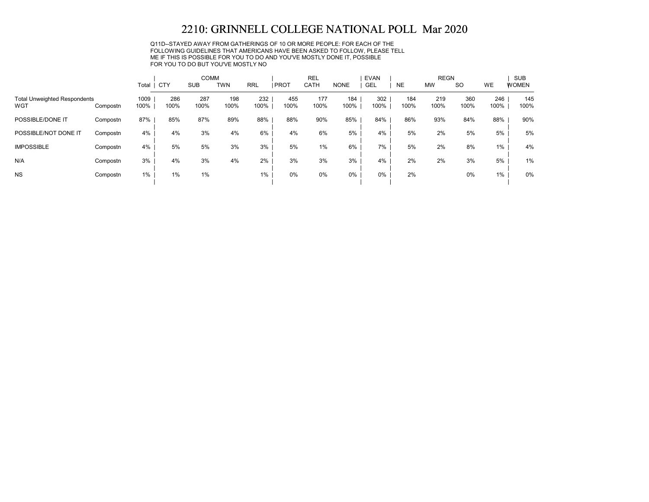Q11D--STAYED AWAY FROM GATHERINGS OF 10 OR MORE PEOPLE: FOR EACH OF THE FOLLOWING GUIDELINES THAT AMERICANS HAVE BEEN ASKED TO FOLLOW, PLEASE TELL ME IF THIS IS POSSIBLE FOR YOU TO DO AND YOU'VE MOSTLY DONE IT, POSSIBLE FOR YOU TO DO BUT YOU'VE MOSTLY NO

|                                            |          |              |             | <b>COMM</b> |             |             |             | <b>REL</b>  |             | <b>EVAN</b> |             | <b>REGN</b> |             |             | <b>SUB</b>   |
|--------------------------------------------|----------|--------------|-------------|-------------|-------------|-------------|-------------|-------------|-------------|-------------|-------------|-------------|-------------|-------------|--------------|
|                                            |          | Total   CTY  |             | <b>SUB</b>  | <b>TWN</b>  | <b>RRL</b>  | <b>PROT</b> | CATH        | <b>NONE</b> | GEL         | <b>NE</b>   | <b>MW</b>   | <b>SO</b>   | WE          | <b>WOMEN</b> |
| <b>Total Unweighted Respondents</b><br>WGT | Compostn | 1009<br>100% | 286<br>100% | 287<br>100% | 198<br>100% | 232<br>100% | 455<br>100% | 177<br>100% | 184<br>100% | 302<br>100% | 184<br>100% | 219<br>100% | 360<br>100% | 246<br>100% | 145<br>100%  |
| POSSIBLE/DONE IT                           | Compostn | 87%          | 85%         | 87%         | 89%         | 88%         | 88%         | 90%         | 85%         | 84%         | 86%         | 93%         | 84%         | 88%         | 90%          |
| POSSIBLE/NOT DONE IT                       | Compostn | 4%           | 4%          | 3%          | 4%          | 6%          | 4%          | 6%          | 5%          | 4%          | 5%          | 2%          | 5%          | 5%          | 5%           |
| <b>IMPOSSIBLE</b>                          | Compostn | 4%           | 5%          | 5%          | 3%          | 3%          | 5%          | 1%          | 6%          | 7%          | 5%          | 2%          | 8%          | 1%          | 4%           |
| N/A                                        | Compostn | 3%           | 4%          | 3%          | 4%          | 2%          | 3%          | 3%          | 3%          | 4%          | 2%          | 2%          | 3%          | 5%          | 1%           |
| <b>NS</b>                                  | Compostn | $1\%$        | 1%          | 1%          |             | 1%          | 0%          | 0%          | 0%          | $0\%$       | 2%          |             | 0%          | $1\%$       | 0%           |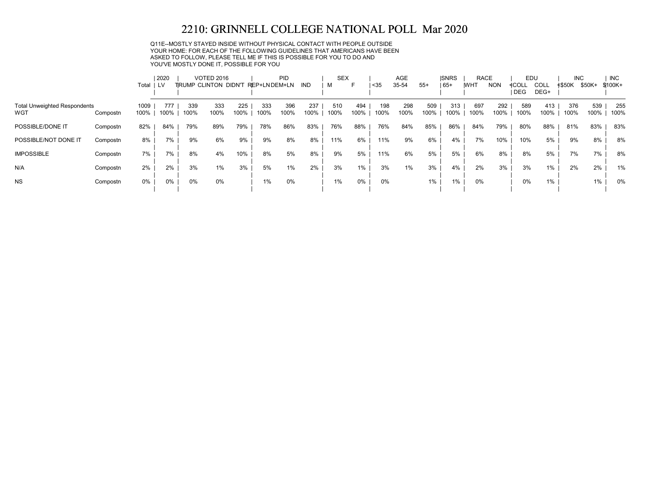Q11E--MOSTLY STAYED INSIDE WITHOUT PHYSICAL CONTACT WITH PEOPLE OUTSIDE YOUR HOME: FOR EACH OF THE FOLLOWING GUIDELINES THAT AMERICANS HAVE BEEN ASKED TO FOLLOW, PLEASE TELL ME IF THIS IS POSSIBLE FOR YOU TO DO AND YOU'VE MOSTLY DONE IT, POSSIBLE FOR YOU

|                                            |          |              | 2020        |             | <b>VOTED 2016</b>            |             |              | PID         |             | <b>SEX</b>  |             |             | <b>AGE</b>  |             | <b>ISNRS</b> | <b>RACE</b> |             | EDU          |              | <b>INC</b>    |             | <b>INC</b>  |
|--------------------------------------------|----------|--------------|-------------|-------------|------------------------------|-------------|--------------|-------------|-------------|-------------|-------------|-------------|-------------|-------------|--------------|-------------|-------------|--------------|--------------|---------------|-------------|-------------|
|                                            |          | Total        | LV          |             | <b>TIRUMP CLINTON DIDN'T</b> |             | REP+LNDEM+LN |             | <b>IND</b>  | м           | F           | $35$        | 35-54       | $55+$       | 65+          | <b>WHT</b>  | <b>NON</b>  | ≮COLL<br>DEG | COLL<br>DEG+ | <b>≮\$50K</b> | \$50K+      | \$100K+     |
| <b>Total Unweighted Respondents</b><br>WGT | Compostn | 1009<br>100% | 777<br>100% | 339<br>100% | 333<br>100%                  | 225<br>100% | 333<br>100%  | 396<br>100% | 237<br>100% | 510<br>100% | 494<br>100% | 198<br>100% | 298<br>100% | 509<br>100% | 313<br>100%  | 697<br>100% | 292<br>100% | 589<br>100%  | 413<br>100%  | 376<br>100%   | 539<br>100% | 255<br>100% |
| POSSIBLE/DONE IT                           | Compostn | 82%          | 84%         | 79%         | 89%                          | 79%         | 78%          | 86%         | 83%         | 76%         | 88%         | 76%         | 84%         | 85%         | 86%          | 84%         | 79%         | 80%          | 88%          | 81%           | 83%         | 83%         |
| POSSIBLE/NOT DONE IT                       | Compostn | 8%           | 7%          | 9%          | 6%                           | 9%          | 9%           | 8%          | 8%          | 11%         | 6%          | 11%         | 9%          | 6%          | 4%           | 7%          | 10%         | 10%          | 5%           | 9%            | 8%          | 8%          |
| <b>IMPOSSIBLE</b>                          | Compostn | 7%           | 7%          | 8%          | 4%                           | 10%         | 8%           | 5%          | 8%          | 9%          | 5%          | 11%         | 6%          | 5%          | 5%           | 6%          | 8%          | 8%           | 5%           | 7%            | 7%          | 8%          |
| N/A                                        | Compostn | 2%           | 2%          | 3%          | 1%                           | 3%          | 5%           | 1%          | 2%          | 3%          | $1\%$       | 3%          | $1\%$       | 3%          | 4%           | 2%          | 3%          | 3%           | $1\%$        | 2%            | 2%          | 1%          |
| <b>NS</b>                                  | Compostn | 0%           | 0%          | $0\%$       | 0%                           |             | 1%           | 0%          |             | $1\%$       | 0%          | 0%          |             | 1%          | $1\%$        | 0%          |             | 0%           | 1%           |               | 1%          | 0%          |
|                                            |          |              |             |             |                              |             |              |             |             |             |             |             |             |             |              |             |             |              |              |               |             |             |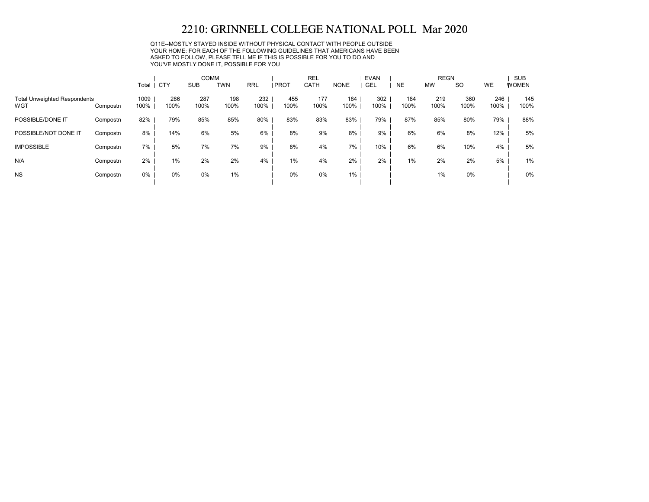Q11E--MOSTLY STAYED INSIDE WITHOUT PHYSICAL CONTACT WITH PEOPLE OUTSIDE YOUR HOME: FOR EACH OF THE FOLLOWING GUIDELINES THAT AMERICANS HAVE BEEN ASKED TO FOLLOW, PLEASE TELL ME IF THIS IS POSSIBLE FOR YOU TO DO AND YOU'VE MOSTLY DONE IT, POSSIBLE FOR YOU

|                                            |          |              |             | <b>COMM</b> |             |             |             | <b>REL</b>  |             | <b>EVAN</b> |             | <b>REGN</b> |             |             | <b>SUB</b>   |
|--------------------------------------------|----------|--------------|-------------|-------------|-------------|-------------|-------------|-------------|-------------|-------------|-------------|-------------|-------------|-------------|--------------|
|                                            |          | Total        | CTY         | <b>SUB</b>  | TWN         | <b>RRL</b>  | PROT        | CATH        | <b>NONE</b> | GEL         | <b>NE</b>   | <b>MW</b>   | <b>SO</b>   | WE          | <b>WOMEN</b> |
| <b>Total Unweighted Respondents</b><br>WGT | Compostn | 1009<br>100% | 286<br>100% | 287<br>100% | 198<br>100% | 232<br>100% | 455<br>100% | 177<br>100% | 184<br>100% | 302<br>100% | 184<br>100% | 219<br>100% | 360<br>100% | 246<br>100% | 145<br>100%  |
| POSSIBLE/DONE IT                           | Compostn | 82%          | 79%         | 85%         | 85%         | 80%         | 83%         | 83%         | 83%         | 79%         | 87%         | 85%         | 80%         | 79%         | 88%          |
| POSSIBLE/NOT DONE IT                       | Compostn | 8%           | 14%         | 6%          | 5%          | 6%          | 8%          | 9%          | 8%          | 9%          | 6%          | 6%          | 8%          | 12%         | 5%           |
| <b>IMPOSSIBLE</b>                          | Compostn | 7%           | 5%          | 7%          | 7%          | 9%          | 8%          | 4%          | 7%          | 10%         | 6%          | 6%          | 10%         | 4%          | 5%           |
| N/A                                        | Compostn | 2%           | 1%          | 2%          | 2%          | 4%          | 1%          | 4%          | 2%          | 2%          | 1%          | 2%          | 2%          | 5%          | 1%           |
| <b>NS</b>                                  | Compostn | $0\%$        | 0%          | $0\%$       | 1%          |             | 0%          | 0%          | 1%          |             |             | 1%          | 0%          |             | 0%           |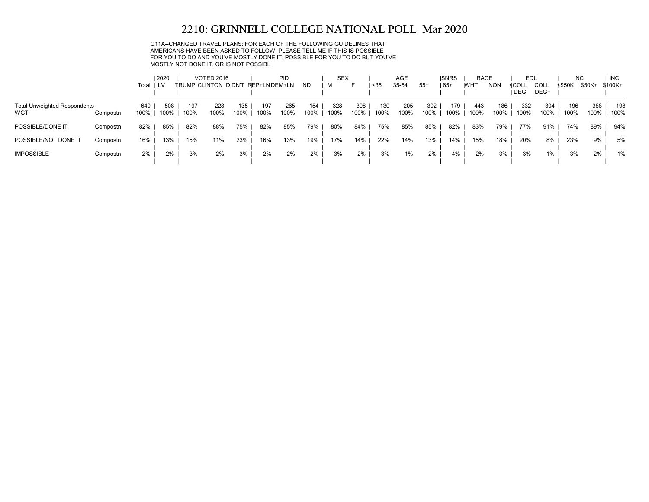Q11A--CHANGED TRAVEL PLANS: FOR EACH OF THE FOLLOWING GUIDELINES THAT AMERICANS HAVE BEEN ASKED TO FOLLOW, PLEASE TELL ME IF THIS IS POSSIBLE FOR YOU TO DO AND YOU'VE MOSTLY DONE IT, POSSIBLE FOR YOU TO DO BUT YOU'VE MOSTLY NOT DONE IT, OR IS NOT POSSIBL

|                                            |          | Total   LV  | 2020        |             | <b>VOTED 2016</b><br><b>TRUMP CLINTON DIDN'T</b> |             | REP+LNDEM+LN | PID         | IND         | <b>SEX</b><br>м |             | $35$        | <b>AGE</b><br>35-54 | $55+$       | <b>ISNRS</b><br>$ 65+$ | <b>RACE</b><br><b>WHT</b> | <b>NON</b>  | EDU<br>≮COLL | COLL        | <b>INC</b><br>≮\$50K | \$50K+      | <b>INC</b><br>$$100K +$ |
|--------------------------------------------|----------|-------------|-------------|-------------|--------------------------------------------------|-------------|--------------|-------------|-------------|-----------------|-------------|-------------|---------------------|-------------|------------------------|---------------------------|-------------|--------------|-------------|----------------------|-------------|-------------------------|
|                                            |          |             |             |             |                                                  |             |              |             |             |                 |             |             |                     |             |                        |                           |             | <b>DEG</b>   | DEG+        |                      |             |                         |
| <b>Total Unweighted Respondents</b><br>WGT | Compostn | 640<br>100% | 508<br>100% | 197<br>100% | 228<br>100%                                      | 135<br>100% | 197<br>100%  | 265<br>100% | 154<br>100% | 328<br>100%     | 308<br>100% | 130<br>100% | 205<br>100%         | 302<br>100% | 179<br>100%            | 443<br>100%               | 186<br>100% | 332<br>100%  | 304<br>100% | 196<br>100%          | 388<br>100% | 198<br>100%             |
| POSSIBLE/DONE IT                           | Compostn | 82%         | 85%         | 82%         | 88%                                              | 75%         | 82%          | 85%         | 79%         | 80%             | 84%         | 75%         | 85%                 | 85%         | 82%                    | 83%                       | 79%         | 77%          | 91%         | 74%                  | 89%         | 94%                     |
| POSSIBLE/NOT DONE IT                       | Compostn | 16%         | 13%         | 15%         | 11%                                              | 23%         | 16%          | 13%         | 19%         | 17%             | 14%         | 22%         | 14%                 | 13%         | 14%                    | 15%                       | 18%         | 20%          | 8%          | 23%                  | 9%          | 5%                      |
| <b>IMPOSSIBLE</b>                          | Compostn | 2%          | 2%          | 3%          | 2%                                               | 3%          | 2%           | 2%          | 2%          | 3%              | 2%          | 3%          | 1%                  | 2%          | 4%                     | 2%                        | 3%          | 3%           | 1%          | 3%                   | 2%          | 1%                      |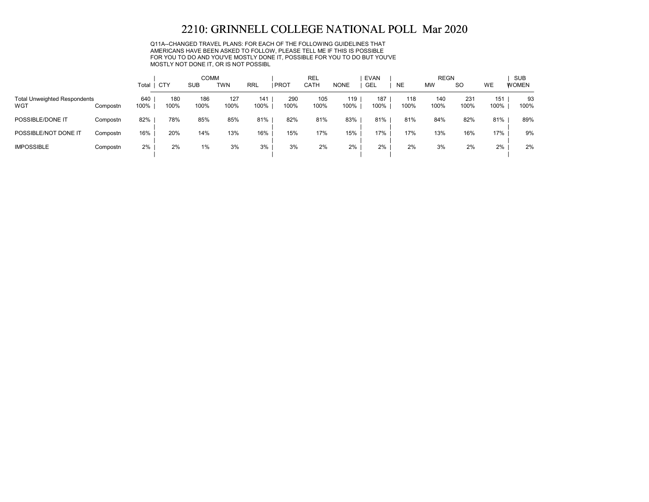Q11A--CHANGED TRAVEL PLANS: FOR EACH OF THE FOLLOWING GUIDELINES THAT AMERICANS HAVE BEEN ASKED TO FOLLOW, PLEASE TELL ME IF THIS IS POSSIBLE FOR YOU TO DO AND YOU'VE MOSTLY DONE IT, POSSIBLE FOR YOU TO DO BUT YOU'VE MOSTLY NOT DONE IT, OR IS NOT POSSIBL

|                                            |          |             |             | <b>COMM</b> |             |             |             | <b>REL</b>  |             | <b>EVAN</b> |             | <b>REGN</b> |             |             | <b>SUB</b>   |
|--------------------------------------------|----------|-------------|-------------|-------------|-------------|-------------|-------------|-------------|-------------|-------------|-------------|-------------|-------------|-------------|--------------|
|                                            |          | Total       | CTY         | <b>SUB</b>  | <b>TWN</b>  | <b>RRL</b>  | <b>PROT</b> | <b>CATH</b> | <b>NONE</b> | GEL         | <b>NE</b>   | <b>MW</b>   | <b>SO</b>   | WE          | <b>WOMEN</b> |
| <b>Total Unweighted Respondents</b><br>WGT | Compostn | 640<br>100% | 180<br>100% | 186<br>100% | 127<br>100% | 141<br>100% | 290<br>100% | 105<br>100% | 119<br>100% | 187<br>100% | 118<br>100% | 140<br>100% | 231<br>100% | 151<br>100% | 93<br>100%   |
| POSSIBLE/DONE IT                           | Compostn | 82%         | 78%         | 85%         | 85%         | 81%         | 82%         | 81%         | 83%         | 81%         | 81%         | 84%         | 82%         | 81%         | 89%          |
| POSSIBLE/NOT DONE IT                       | Compostn | 16%         | 20%         | 14%         | 13%         | 16%         | 15%         | 17%         | 15%         | 17%         | 17%         | 13%         | 16%         | 17%         | 9%           |
| <b>IMPOSSIBLE</b>                          | Compostn | 2%          | 2%          | $1\%$       | 3%          | 3%          | 3%          | 2%          | 2%          | 2%          | 2%          | 3%          | 2%          | 2%          | 2%           |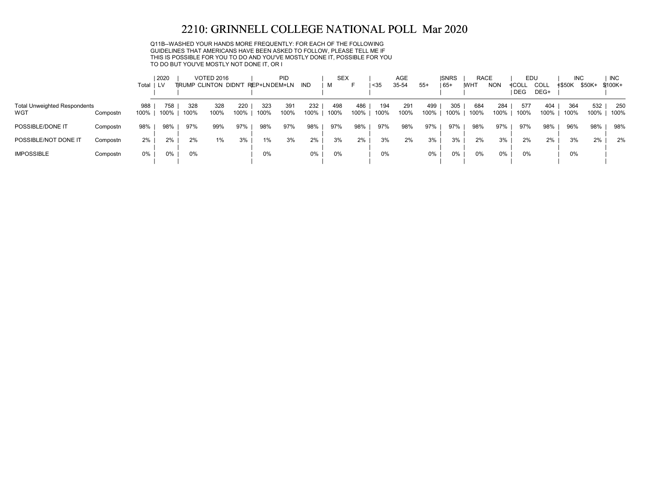Q11B--WASHED YOUR HANDS MORE FREQUENTLY: FOR EACH OF THE FOLLOWING GUIDELINES THAT AMERICANS HAVE BEEN ASKED TO FOLLOW, PLEASE TELL ME IF THIS IS POSSIBLE FOR YOU TO DO AND YOU'VE MOSTLY DONE IT, POSSIBLE FOR YOU TO DO BUT YOU'VE MOSTLY NOT DONE IT, OR I

|                                            |          | Total I     | 2020<br><b>LV</b> |             | <b>VOTED 2016</b> |             | TRUMP CLINTON DIDN'T REP+LNDEM+LN | PID         | IND         | <b>SEX</b><br>м |             | $35$        | <b>AGE</b><br>35-54 | $55+$       | <b>ISNRS</b><br>  65+ | <b>RACE</b><br><b>WHT</b> | <b>NON</b>  | EDU<br>≮COLL | COLL        | <b>INC</b><br><b>≮\$50K</b> | \$50K+      | <b>INC</b><br>$$100K+$ |
|--------------------------------------------|----------|-------------|-------------------|-------------|-------------------|-------------|-----------------------------------|-------------|-------------|-----------------|-------------|-------------|---------------------|-------------|-----------------------|---------------------------|-------------|--------------|-------------|-----------------------------|-------------|------------------------|
|                                            |          |             |                   |             |                   |             |                                   |             |             |                 |             |             |                     |             |                       |                           |             | DEG          | DEG+        |                             |             |                        |
| <b>Total Unweighted Respondents</b><br>WGT | Compostn | 988<br>100% | 758<br>100%       | 328<br>100% | 328<br>100%       | 220<br>100% | 323<br>100%                       | 391<br>100% | 232<br>100% | 498<br>100%     | 486<br>100% | 194<br>100% | 291<br>100%         | 499<br>100% | 305<br>100%           | 684<br>100%               | 284<br>100% | 577<br>100%  | 404<br>100% | 364<br>100%                 | 532<br>100% | 250<br>100%            |
| POSSIBLE/DONE IT                           | Compostn | 98%         | 98%               | 97%         | 99%               | 97%         | 98%                               | 97%         | 98%         | 97%             | 98%         | 97%         | 98%                 | 97%         | 97%                   | 98%                       | 97%         | 97%          | 98%         | 96%                         | 98%         | 98%                    |
| POSSIBLE/NOT DONE IT                       | Compostn | 2%          | 2%                | 2%          | 1%                | 3%          | 1%                                | 3%          | 2%          | 3%              | 2%          | 3%          | 2%                  | 3%          | 3%                    | 2%                        | 3%          | 2%           | 2%          | 3%                          | 2%          | 2%                     |
| <b>IMPOSSIBLE</b>                          | Compostn | 0%          | 0%                | $0\%$       |                   |             | $0\%$                             |             | 0%          | 0%              |             | 0%          |                     | 0%          | $0\%$                 | 0%                        | $0\%$       | 0%           |             | 0%                          |             |                        |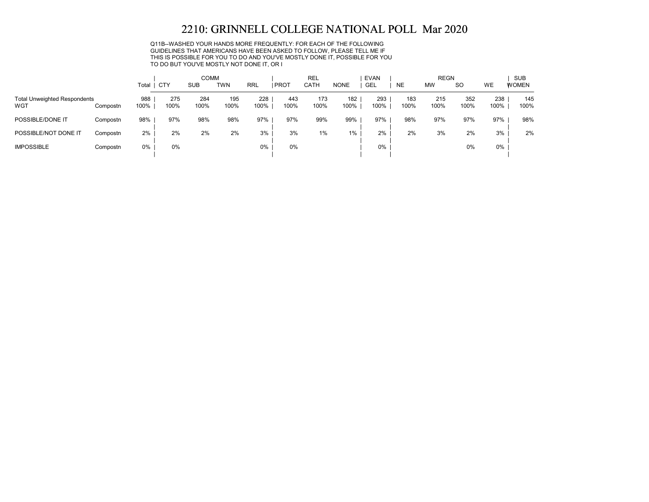Q11B--WASHED YOUR HANDS MORE FREQUENTLY: FOR EACH OF THE FOLLOWING GUIDELINES THAT AMERICANS HAVE BEEN ASKED TO FOLLOW, PLEASE TELL ME IF THIS IS POSSIBLE FOR YOU TO DO AND YOU'VE MOSTLY DONE IT, POSSIBLE FOR YOU TO DO BUT YOU'VE MOSTLY NOT DONE IT, OR I

|                                            |          |             |             | <b>COMM</b> |             |             |               | <b>REL</b>  |             | <b>EVAN</b> |             | <b>REGN</b> |             |             | <b>SUB</b>   |
|--------------------------------------------|----------|-------------|-------------|-------------|-------------|-------------|---------------|-------------|-------------|-------------|-------------|-------------|-------------|-------------|--------------|
|                                            |          | Total       | <b>CTY</b>  | <b>SUB</b>  | <b>TWN</b>  | <b>RRL</b>  | <b>I PROT</b> | <b>CATH</b> | <b>NONE</b> | GEL         | <b>NE</b>   | <b>MW</b>   | <b>SO</b>   | WE          | <b>WOMEN</b> |
| <b>Total Unweighted Respondents</b><br>WGT | Compostn | 988<br>100% | 275<br>100% | 284<br>100% | 195<br>100% | 228<br>100% | 443<br>100%   | 173<br>100% | 182<br>100% | 293<br>100% | 183<br>100% | 215<br>100% | 352<br>100% | 238<br>100% | 145<br>100%  |
| POSSIBLE/DONE IT                           | Compostn | 98%         | 97%         | 98%         | 98%         | 97%         | 97%           | 99%         | 99%         | 97%         | 98%         | 97%         | 97%         | 97%         | 98%          |
| POSSIBLE/NOT DONE IT                       | Compostn | 2%          | 2%          | 2%          | 2%          | 3%          | 3%            | 1%          | $1\%$       | 2%          | 2%          | 3%          | 2%          | 3%          | 2%           |
| <b>IMPOSSIBLE</b>                          | Compostn | $0\%$       | 0%          |             |             | 0%          | 0%            |             |             | 0%          |             |             | 0%          | 0%          |              |
|                                            |          |             |             |             |             |             |               |             |             |             |             |             |             |             |              |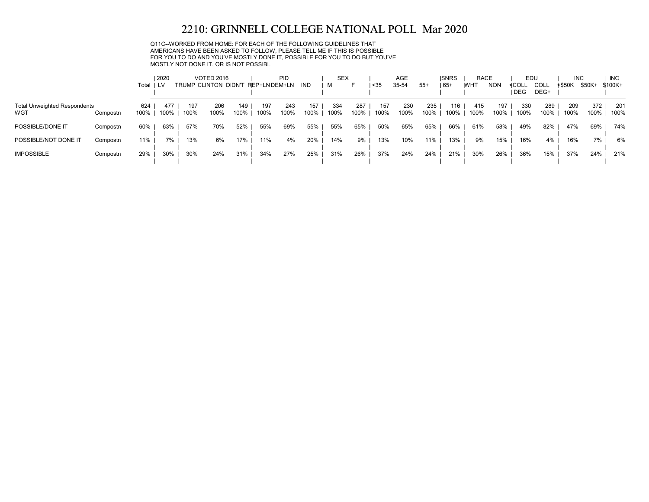Q11C--WORKED FROM HOME: FOR EACH OF THE FOLLOWING GUIDELINES THAT AMERICANS HAVE BEEN ASKED TO FOLLOW, PLEASE TELL ME IF THIS IS POSSIBLE FOR YOU TO DO AND YOU'VE MOSTLY DONE IT, POSSIBLE FOR YOU TO DO BUT YOU'VE MOSTLY NOT DONE IT, OR IS NOT POSSIBL

|                                     |          |       | 2020 |      | <b>VOTED 2016</b>           |      |              | PID  |      | <b>SEX</b> |      |      | <b>AGE</b> |       | <b>ISNRS</b> | <b>RACE</b> |            | EDU   |      | <b>INC</b> |        | <b>INC</b> |
|-------------------------------------|----------|-------|------|------|-----------------------------|------|--------------|------|------|------------|------|------|------------|-------|--------------|-------------|------------|-------|------|------------|--------|------------|
|                                     |          | Total | LV.  |      | <b>TRUMP CLINTON DIDN'T</b> |      | REP+LNDEM+LN |      | IND  | M          |      | $35$ | 35-54      | $55+$ | 65+          | <b>WHT</b>  | <b>NON</b> | ≮COLL | COLL | ≮\$50K     | \$50K+ | \$100K+    |
|                                     |          |       |      |      |                             |      |              |      |      |            |      |      |            |       |              |             |            | DEG   | DEG+ |            |        |            |
| <b>Total Unweighted Respondents</b> |          | 624   | 477  | 197  | 206                         | 149  | 197          | 243  | 157  | 334        | 287  | 157  | 230        | 235   | 16           | 415         | 197        | 330   | 289  | 209        | 372    | 201        |
| WGT                                 | Compostn | 100%  | 100% | 100% | 100%                        | 100% | 100%         | 100% | 100% | 100%       | 100% | 100% | 100%       | 100%  | 100%         | 100%        | 100%       | 100%  | 100% | 100%       | 100%   | 100%       |
| POSSIBLE/DONE IT                    | Compostn | 60%   | 63%  | 57%  | 70%                         | 52%  | 55%          | 69%  | 55%  | 55%        | 65%  | 50%  | 65%        | 65%   | 66%          | 61%         | 58%        | 49%   | 82%  | 47%        | 69%    | 74%        |
| POSSIBLE/NOT DONE IT                | Compostn | 11%   | 7%   | 13%  | 6%                          | 17%  | 11%          | 4%   | 20%  | 14%        | 9%   | 13%  | 10%        | 11%   | 13%          | 9%          | 15%        | 16%   | 4%   | 16%        | 7%     | 6%         |
|                                     |          |       |      |      |                             |      |              |      |      |            |      |      |            |       |              |             |            |       |      |            |        |            |
| <b>IMPOSSIBLE</b>                   | Compostn | 29%   | 30%  | 30%  | 24%                         | 31%  | 34%          | 27%  | 25%  | 31%        | 26%  | 37%  | 24%        | 24%   | 21%          | 30%         | 26%        | 36%   | 15%  | 37%        | 24%    | 21%        |
|                                     |          |       |      |      |                             |      |              |      |      |            |      |      |            |       |              |             |            |       |      |            |        |            |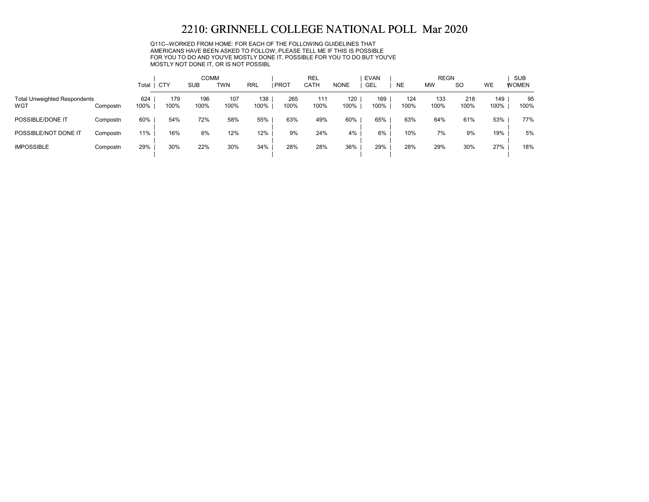Q11C--WORKED FROM HOME: FOR EACH OF THE FOLLOWING GUIDELINES THAT AMERICANS HAVE BEEN ASKED TO FOLLOW, PLEASE TELL ME IF THIS IS POSSIBLE FOR YOU TO DO AND YOU'VE MOSTLY DONE IT, POSSIBLE FOR YOU TO DO BUT YOU'VE MOSTLY NOT DONE IT, OR IS NOT POSSIBL

|                                            |          |             |             | <b>COMM</b> |             |             |             | <b>REL</b>  |             | EVAN        |             | <b>REGN</b> |             |             | <b>SUB</b>   |
|--------------------------------------------|----------|-------------|-------------|-------------|-------------|-------------|-------------|-------------|-------------|-------------|-------------|-------------|-------------|-------------|--------------|
|                                            |          | Total       | <b>CTY</b>  | <b>SUB</b>  | <b>TWN</b>  | <b>RRL</b>  | PROT        | <b>CATH</b> | <b>NONE</b> | GEL         | <b>NE</b>   | <b>MW</b>   | <b>SO</b>   | WE          | <b>WOMEN</b> |
| <b>Total Unweighted Respondents</b><br>WGT | Compostn | 624<br>100% | 179<br>100% | 196<br>100% | 107<br>100% | 138<br>100% | 265<br>100% | 111<br>100% | 120<br>100% | 169<br>100% | 124<br>100% | 133<br>100% | 218<br>100% | 149<br>100% | 95<br>100%   |
| POSSIBLE/DONE IT                           | Compostn | 60%         | 54%         | 72%         | 58%         | 55%         | 63%         | 49%         | 60%         | 65%         | 63%         | 64%         | 61%         | 53%         | 77%          |
| POSSIBLE/NOT DONE IT                       | Compostn | 11%         | 16%         | 6%          | 12%         | 12%         | 9%          | 24%         | 4%          | 6%          | 10%         | 7%          | 9%          | 19%         | 5%           |
| <b>IMPOSSIBLE</b>                          | Compostn | 29%         | 30%         | 22%         | 30%         | 34%         | 28%         | 28%         | 36%         | 29%         | 28%         | 29%         | 30%         | 27%         | 18%          |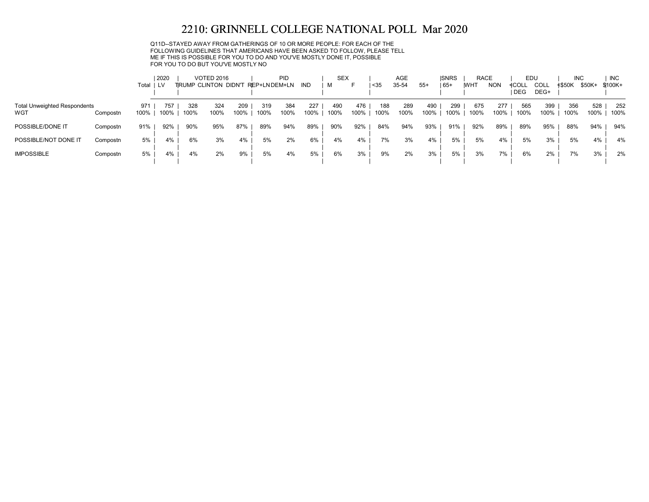Q11D--STAYED AWAY FROM GATHERINGS OF 10 OR MORE PEOPLE: FOR EACH OF THE FOLLOWING GUIDELINES THAT AMERICANS HAVE BEEN ASKED TO FOLLOW, PLEASE TELL ME IF THIS IS POSSIBLE FOR YOU TO DO AND YOU'VE MOSTLY DONE IT, POSSIBLE FOR YOU TO DO BUT YOU'VE MOSTLY NO

|                                            |          | Total ILV   | 2020        |             | <b>VOTED 2016</b><br>TRUMP CLINTON DIDN'T |             | REP+LNDEM+LN | <b>PID</b>  | <b>IND</b>  | <b>SEX</b><br>м |             | $35$        | <b>AGE</b><br>35-54 | $55+$       | <b>ISNRS</b><br>$165+$ | <b>RACE</b><br><b>WHT</b> | <b>NON</b>  | EDU<br>≮COLL | COLL        | <b>INC</b><br>≮\$50K | \$50K+      | <b>INC</b><br>$$100K+$ |
|--------------------------------------------|----------|-------------|-------------|-------------|-------------------------------------------|-------------|--------------|-------------|-------------|-----------------|-------------|-------------|---------------------|-------------|------------------------|---------------------------|-------------|--------------|-------------|----------------------|-------------|------------------------|
|                                            |          |             |             |             |                                           |             |              |             |             |                 |             |             |                     |             |                        |                           |             | <b>DEG</b>   | DEG+        |                      |             |                        |
| <b>Total Unweighted Respondents</b><br>WGT | Compostn | 971<br>100% | 757<br>100% | 328<br>100% | 324<br>100%                               | 209<br>100% | 319<br>100%  | 384<br>100% | 227<br>100% | 490<br>100%     | 476<br>100% | 188<br>100% | 289<br>100%         | 490<br>100% | 299<br>100%            | 675<br>100%               | 277<br>100% | 565<br>100%  | 399<br>100% | 356<br>100%          | 528<br>100% | 252<br>100%            |
| POSSIBLE/DONE IT                           | Compostn | 91%         | 92%         | 90%         | 95%                                       | 87%         | 89%          | 94%         | 89%         | 90%             | 92%         | 84%         | 94%                 | 93%         | 91%                    | 92%                       | 89%         | 89%          | 95%         | 88%                  | 94%         | 94%                    |
| POSSIBLE/NOT DONE IT                       | Compostn | 5%          | 4%          | 6%          | 3%                                        | 4%          | 5%           | 2%          | 6%          | 4%              | 4%          | 7%          | 3%                  | 4%          | 5%                     | 5%                        | 4%          | 5%           | 3%          | 5%                   | 4%          | 4%                     |
| <b>IMPOSSIBLE</b>                          | Compostn | 5%          | 4%          | 4%          | 2%                                        | 9%          | 5%           | 4%          | 5%          | 6%              | 3%          | 9%          | 2%                  | 3%          | 5%                     | 3%                        | 7%          | 6%           | 2%          | 7%                   | 3%          | 2%                     |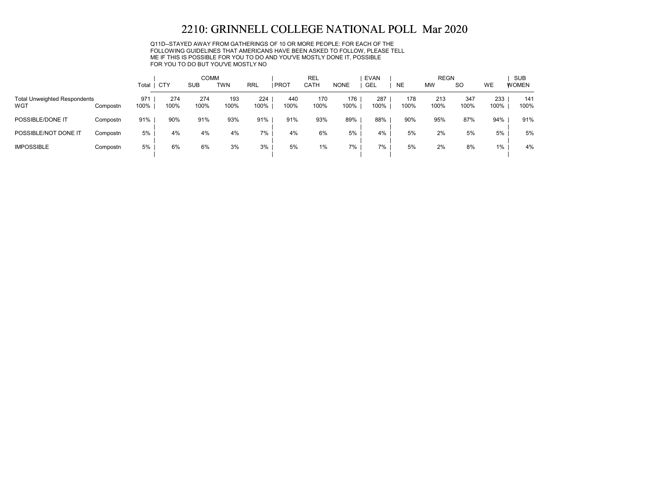Q11D--STAYED AWAY FROM GATHERINGS OF 10 OR MORE PEOPLE: FOR EACH OF THE FOLLOWING GUIDELINES THAT AMERICANS HAVE BEEN ASKED TO FOLLOW, PLEASE TELL ME IF THIS IS POSSIBLE FOR YOU TO DO AND YOU'VE MOSTLY DONE IT, POSSIBLE FOR YOU TO DO BUT YOU'VE MOSTLY NO

|                                            |          |             |             | <b>COMM</b> |             |             |             | REL         |             | <b>EVAN</b> |             | <b>REGN</b> |             |             | <b>SUB</b>   |
|--------------------------------------------|----------|-------------|-------------|-------------|-------------|-------------|-------------|-------------|-------------|-------------|-------------|-------------|-------------|-------------|--------------|
|                                            |          | Total       | <b>CTY</b>  | <b>SUB</b>  | <b>TWN</b>  | <b>RRL</b>  | PROT        | CATH        | <b>NONE</b> | <b>GEL</b>  | <b>NE</b>   | <b>MW</b>   | <b>SO</b>   | WE          | <b>WOMEN</b> |
| <b>Total Unweighted Respondents</b><br>WGT | Compostn | 971<br>100% | 274<br>100% | 274<br>100% | 193<br>100% | 224<br>100% | 440<br>100% | 170<br>100% | 176<br>100% | 287<br>100% | 178<br>100% | 213<br>100% | 347<br>100% | 233<br>100% | 141<br>100%  |
| POSSIBLE/DONE IT                           | Compostn | 91%         | 90%         | 91%         | 93%         | 91%         | 91%         | 93%         | 89%         | 88%         | 90%         | 95%         | 87%         | 94%         | 91%          |
| POSSIBLE/NOT DONE IT                       | Compostn | 5%          | 4%          | 4%          | 4%          | 7%          | 4%          | 6%          | 5%          | 4%          | 5%          | 2%          | 5%          | 5%          | 5%           |
| <b>IMPOSSIBLE</b>                          | Compostn | 5%          | 6%          | 6%          | 3%          | 3%          | 5%          | 1%          | 7%          | 7%          | 5%          | 2%          | 8%          | $1\%$       | 4%           |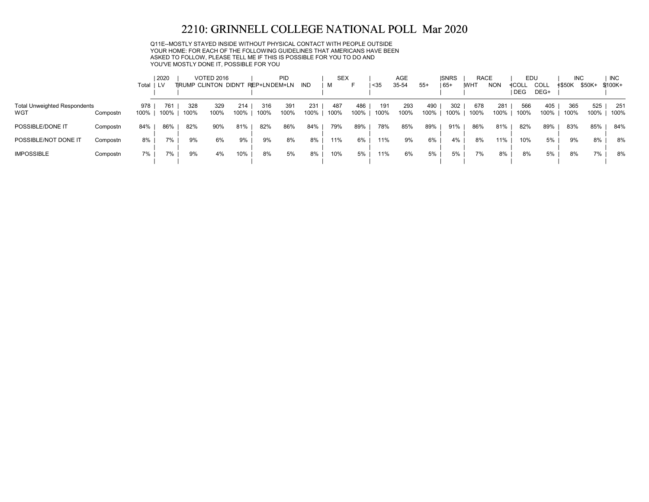Q11E--MOSTLY STAYED INSIDE WITHOUT PHYSICAL CONTACT WITH PEOPLE OUTSIDE YOUR HOME: FOR EACH OF THE FOLLOWING GUIDELINES THAT AMERICANS HAVE BEEN ASKED TO FOLLOW, PLEASE TELL ME IF THIS IS POSSIBLE FOR YOU TO DO AND YOU'VE MOSTLY DONE IT, POSSIBLE FOR YOU

|                                            |          |             | 2020        |             | <b>VOTED 2016</b>            |             |              | <b>PID</b>  |             | <b>SEX</b>  |             |             | AGE         |             | <b>ISNRS</b> | <b>RACE</b> |             | EDU            |              | <b>INC</b>  |             | <b>INC</b>  |
|--------------------------------------------|----------|-------------|-------------|-------------|------------------------------|-------------|--------------|-------------|-------------|-------------|-------------|-------------|-------------|-------------|--------------|-------------|-------------|----------------|--------------|-------------|-------------|-------------|
|                                            |          | Total ILV   |             |             | <b>TIRUMP CLINTON DIDN'T</b> |             | REP+LNDEM+LN |             | IND         | M           |             | $35$        | 35-54       | $55+$       | 65+          | <b>WHT</b>  | <b>NON</b>  | ≮COLL<br>I DEG | COLL<br>DEG+ | ≮\$50K      | \$50K+      | $$100K +$   |
| <b>Total Unweighted Respondents</b><br>WGT | Compostn | 978<br>100% | 761<br>100% | 328<br>100% | 329<br>100%                  | 214<br>100% | 316<br>100%  | 391<br>100% | 231<br>100% | 487<br>100% | 486<br>100% | 191<br>100% | 293<br>100% | 490<br>100% | 302<br>100%  | 678<br>100% | 281<br>100% | 566<br>100%    | 405<br>100%  | 365<br>100% | 525<br>100% | 251<br>100% |
| POSSIBLE/DONE IT                           | Compostn | 84%         | 86%         | 82%         | 90%                          | 81%         | 82%          | 86%         | 84%         | 79%         | 89%         | 78%         | 85%         | 89%         | 91%          | 86%         | 81%         | 82%            | 89%          | 83%         | 85%         | 84%         |
| POSSIBLE/NOT DONE IT                       | Compostn | 8%          | 7%          | 9%          | 6%                           | 9%          | 9%           | 8%          | 8%          | 11%         | 6%          | 11%         | 9%          | 6%          | 4%           | 8%          | 11%         | 10%            | 5%           | 9%          | 8%          | 8%          |
| <b>IMPOSSIBLE</b>                          | Compostn | 7%          | 7%          | 9%          | 4%                           | 10%         | 8%           | 5%          | 8%          | 10%         | 5%          | 11%         | 6%          | 5%          | 5%           | 7%          | 8%          | 8%             | 5%           | 8%          | 7%          | 8%          |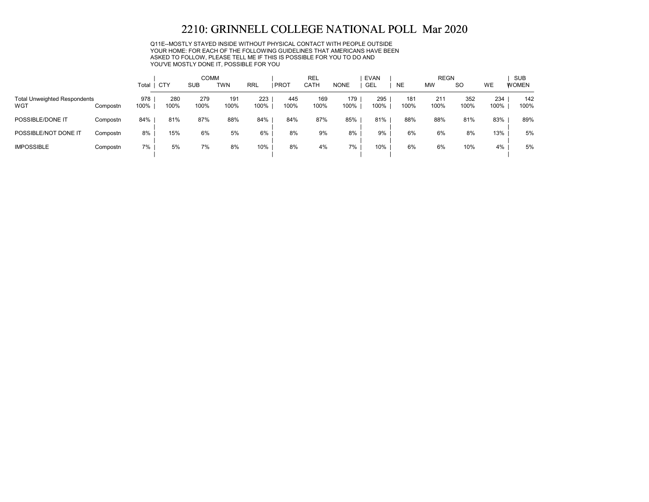Q11E--MOSTLY STAYED INSIDE WITHOUT PHYSICAL CONTACT WITH PEOPLE OUTSIDE YOUR HOME: FOR EACH OF THE FOLLOWING GUIDELINES THAT AMERICANS HAVE BEEN ASKED TO FOLLOW, PLEASE TELL ME IF THIS IS POSSIBLE FOR YOU TO DO AND YOU'VE MOSTLY DONE IT, POSSIBLE FOR YOU

|                                            |          | Total       | CTY         | <b>COMM</b><br><b>SUB</b> | <b>TWN</b>  | <b>RRL</b>  | <b>PROT</b> | <b>REL</b><br>CATH | <b>NONE</b> | <b>EVAN</b><br><b>GEL</b> | <b>NE</b>   | <b>REGN</b><br><b>MW</b> | <sub>SO</sub> | WE          | <b>SUB</b><br><b>WOMEN</b> |
|--------------------------------------------|----------|-------------|-------------|---------------------------|-------------|-------------|-------------|--------------------|-------------|---------------------------|-------------|--------------------------|---------------|-------------|----------------------------|
| <b>Total Unweighted Respondents</b><br>WGT | Compostn | 978<br>100% | 280<br>100% | 279<br>100%               | 191<br>100% | 223<br>100% | 445<br>100% | 169<br>100%        | 179<br>100% | 295<br>100%               | 181<br>100% | 211<br>100%              | 352<br>100%   | 234<br>100% | 142<br>100%                |
| POSSIBLE/DONE IT                           | Compostn | 84%         | 81%         | 87%                       | 88%         | 84%         | 84%         | 87%                | 85%         | 81%                       | 88%         | 88%                      | 81%           | 83%         | 89%                        |
| POSSIBLE/NOT DONE IT                       | Compostn | 8%          | 15%         | 6%                        | 5%          | 6%          | 8%          | 9%                 | 8%          | 9%                        | 6%          | 6%                       | 8%            | 13%         | 5%                         |
| <b>IMPOSSIBLE</b>                          | Compostn | 7%          | 5%          | 7%                        | 8%          | 10%         | 8%          | 4%                 | 7%          | 10%                       | 6%          | 6%                       | 10%           | 4%          | 5%                         |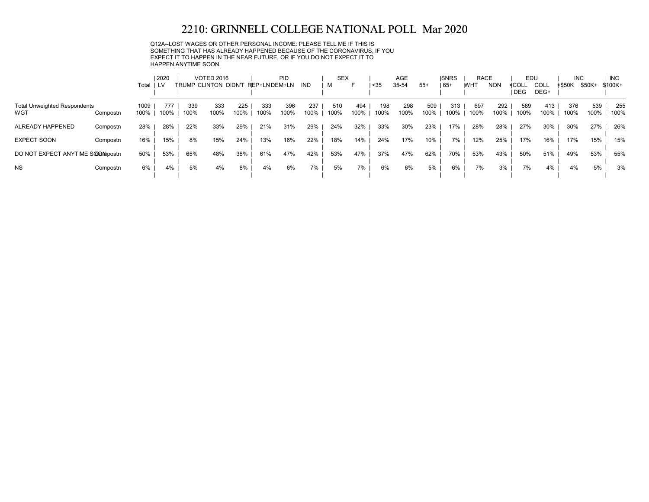Q12A--LOST WAGES OR OTHER PERSONAL INCOME: PLEASE TELL ME IF THIS IS SOMETHING THAT HAS ALREADY HAPPENED BECAUSE OF THE CORONAVIRUS, IF YOU EXPECT IT TO HAPPEN IN THE NEAR FUTURE, OR IF YOU DO NOT EXPECT IT TO HAPPEN ANYTIME SOON.

|                                            |          | Total        | 2020<br>I LV |             | <b>VOTED 2016</b><br><b>TIRUMP CLINTON DIDN'T</b> |             | REP+LNDEM+LN | PID         | IND         | <b>SEX</b><br>M | F           | $35$        | <b>AGE</b><br>35-54 | $55+$       | <b>ISNRS</b><br>$ 65+$ | <b>RACE</b><br><b>IWHT</b> | <b>NON</b>  | EDU<br><b>4COLL</b><br><b>DEG</b> | COLL<br>DEG+ | <b>INC</b><br>≮\$50K | \$50K+      | <b>INC</b><br>\$100K+ |
|--------------------------------------------|----------|--------------|--------------|-------------|---------------------------------------------------|-------------|--------------|-------------|-------------|-----------------|-------------|-------------|---------------------|-------------|------------------------|----------------------------|-------------|-----------------------------------|--------------|----------------------|-------------|-----------------------|
| <b>Total Unweighted Respondents</b><br>WGT | Compostn | 1009<br>100% | 777<br>100%  | 339<br>100% | 333<br>100%                                       | 225<br>100% | 333<br>100%  | 396<br>100% | 237<br>100% | 510<br>100%     | 494<br>100% | 198<br>100% | 298<br>100%         | 509<br>100% | 313<br>100%            | 697<br>100%                | 292<br>100% | 589<br>100%                       | 413<br>100%  | 376<br>100%          | 539<br>100% | 255<br>100%           |
| ALREADY HAPPENED                           | Compostn | 28%          | 28%          | 22%         | 33%                                               | 29%         | 21%          | 31%         | 29%         | 24%             | 32%         | 33%         | 30%                 | 23%         | 17%                    | 28%                        | 28%         | 27%                               | 30%          | 30%                  | 27%         | 26%                   |
| <b>EXPECT SOON</b>                         | Compostn | 16%          | 15%          | 8%          | 15%                                               | 24%         | 13%          | 16%         | 22%         | 18%             | 14%         | 24%         | 17%                 | 10%         | 7%                     | 12%                        | 25%         | 17%                               | 16%          | 17%                  | 15%         | 15%                   |
| DO NOT EXPECT ANYTIME SCOOMpostn           |          | 50%          | 53%          | 65%         | 48%                                               | 38%         | 61%          | 47%         | 42%         | 53%             | 47%         | 37%         | 47%                 | 62%         | 70%                    | 53%                        | 43%         | 50%                               | 51%          | 49%                  | 53%         | 55%                   |
| <b>NS</b>                                  | Compostn | 6%           | 4%           | 5%          | 4%                                                | 8%          | 4%           | 6%          | 7%          | 5%              | 7%          | 6%          | 6%                  | 5%          | 6%                     | 7%                         | 3%          | 7%                                | 4%           | 4%                   | 5%          | 3%                    |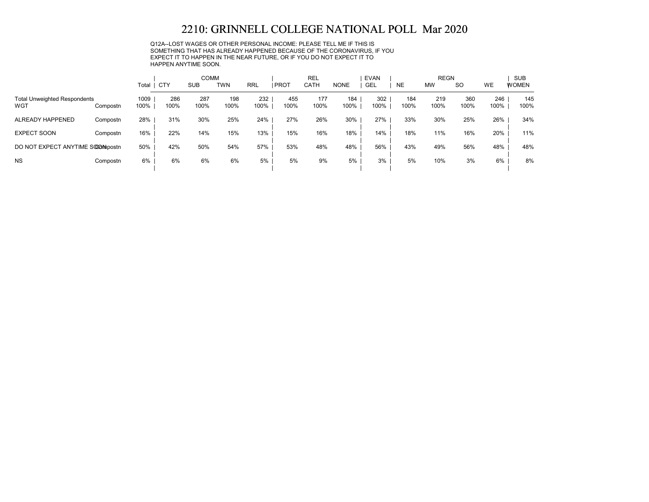Q12A--LOST WAGES OR OTHER PERSONAL INCOME: PLEASE TELL ME IF THIS IS SOMETHING THAT HAS ALREADY HAPPENED BECAUSE OF THE CORONAVIRUS, IF YOU EXPECT IT TO HAPPEN IN THE NEAR FUTURE, OR IF YOU DO NOT EXPECT IT TO HAPPEN ANYTIME SOON.

|                                            |          |              |             | <b>COMM</b> |             |             |             | <b>REL</b>  |             | <b>EVAN</b> |             | <b>REGN</b> |             |             | <b>SUB</b>   |
|--------------------------------------------|----------|--------------|-------------|-------------|-------------|-------------|-------------|-------------|-------------|-------------|-------------|-------------|-------------|-------------|--------------|
|                                            |          | Total        | , CTY       | <b>SUB</b>  | <b>TWN</b>  | <b>RRL</b>  | PROT        | <b>CATH</b> | <b>NONE</b> | <b>GEL</b>  | <b>NE</b>   | <b>MW</b>   | <b>SO</b>   | <b>WE</b>   | <b>WOMEN</b> |
| <b>Total Unweighted Respondents</b><br>WGT | Compostn | 1009<br>100% | 286<br>100% | 287<br>100% | 198<br>100% | 232<br>100% | 455<br>100% | 177<br>100% | 184<br>100% | 302<br>100% | 184<br>100% | 219<br>100% | 360<br>100% | 246<br>100% | 145<br>100%  |
| ALREADY HAPPENED                           | Compostn | 28%          | 31%         | 30%         | 25%         | 24%         | 27%         | 26%         | 30%         | 27%         | 33%         | 30%         | 25%         | 26%         | 34%          |
| <b>EXPECT SOON</b>                         | Compostn | 16%          | 22%         | 14%         | 15%         | 13%         | 15%         | 16%         | 18%         | 14%         | 18%         | 11%         | 16%         | 20%         | 11%          |
| DO NOT EXPECT ANYTIME SOOMpostn            |          | 50%          | 42%         | 50%         | 54%         | 57%         | 53%         | 48%         | 48%         | 56%         | 43%         | 49%         | 56%         | 48%         | 48%          |
| <b>NS</b>                                  | Compostn | 6%           | 6%          | 6%          | 6%          | 5%          | 5%          | 9%          | 5%          | 3%          | 5%          | 10%         | 3%          | 6%          | 8%           |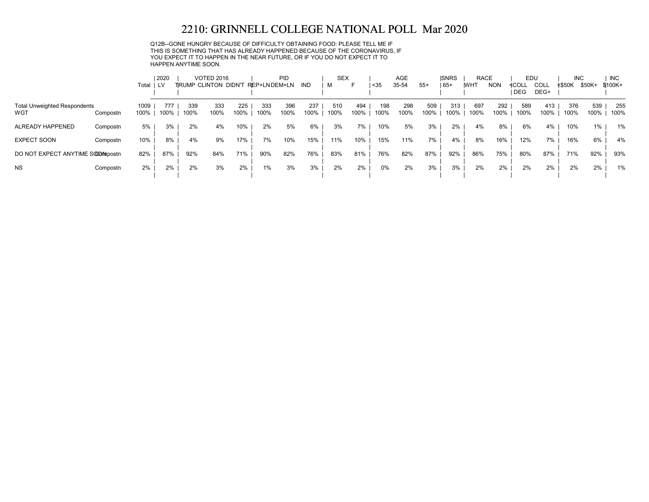Q12B--GONE HUNGRY BECAUSE OF DIFFICULTY OBTAINING FOOD: PLEASE TELL ME IF THIS IS SOMETHING THAT HAS ALREADY HAPPENED BECAUSE OF THE CORONAVIRUS, IF YOU EXPECT IT TO HAPPEN IN THE NEAR FUTURE, OR IF YOU DO NOT EXPECT IT TO HAPPEN ANYTIME SOON.

|                                            |          | Total        | 2020<br>I LV |             | <b>VOTED 2016</b><br><b>TIRUMP CLINTON DIDN'T</b> |             | REP+LNDEM+LN | PID         | IND         | <b>SEX</b><br>м | F           | $35$        | <b>AGE</b><br>35-54 | $55+$       | <b>ISNRS</b><br>$ 65+$ | <b>RACE</b><br><b>IWHT</b> | <b>NON</b>  | EDU<br>≮COLL<br><b>DEG</b> | COLL<br>DEG+ | <b>INC</b><br>≮\$50K | \$50K+      | <b>INC</b><br>\$100K+ |
|--------------------------------------------|----------|--------------|--------------|-------------|---------------------------------------------------|-------------|--------------|-------------|-------------|-----------------|-------------|-------------|---------------------|-------------|------------------------|----------------------------|-------------|----------------------------|--------------|----------------------|-------------|-----------------------|
| <b>Total Unweighted Respondents</b><br>WGT | Compostn | 1009<br>100% | 777<br>100%  | 339<br>100% | 333<br>100%                                       | 225<br>100% | 333<br>100%  | 396<br>100% | 237<br>100% | 510<br>100%     | 494<br>100% | 198<br>100% | 298<br>100%         | 509<br>100% | 313<br>100%            | 697<br>100%                | 292<br>100% | 589<br>100%                | 413<br>100%  | 376<br>100%          | 539<br>100% | 255<br>100%           |
| ALREADY HAPPENED                           | Compostn | 5%           | 3%           | 2%          | 4%                                                | 10%         | 2%           | 5%          | 6%          | 3%              | 7%          | 10%         | 5%                  | 3%          | 2%                     | 4%                         | 8%          | 6%                         | 4%           | 10%                  | 1%          | 1%                    |
| <b>EXPECT SOON</b>                         | Compostn | 10%          | 8%           | 4%          | 9%                                                | 17%         | 7%           | 10%         | 15%         | 11%             | 10%         | 15%         | 11%                 | 7%          | 4%                     | 8%                         | 16%         | 12%                        | 7%           | 16%                  | 6%          | 4%                    |
| DO NOT EXPECT ANYTIME SOOMpostn            |          | 82%          | 87%          | 92%         | 84%                                               | 71%         | 90%          | 82%         | 76%         | 83%             | 81%         | 76%         | 82%                 | 87%         | 92%                    | 86%                        | 75%         | 80%                        | 87%          | 71%                  | 92%         | 93%                   |
| <b>NS</b>                                  | Compostn | 2%           | 2%           | 2%          | 3%                                                | 2%          | 1%           | 3%          | 3%          | 2%              | 2%          | 0%          | 2%                  | 3%          | 3%                     | 2%                         | 2%          | 2%                         | 2%           | 2%                   | 2%          | 1%                    |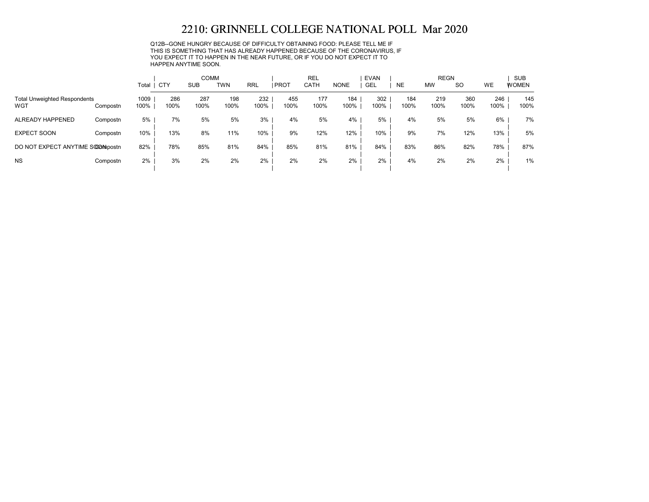Q12B--GONE HUNGRY BECAUSE OF DIFFICULTY OBTAINING FOOD: PLEASE TELL ME IF THIS IS SOMETHING THAT HAS ALREADY HAPPENED BECAUSE OF THE CORONAVIRUS, IF YOU EXPECT IT TO HAPPEN IN THE NEAR FUTURE, OR IF YOU DO NOT EXPECT IT TO HAPPEN ANYTIME SOON.

|                                            |          |              |             | <b>COMM</b> |             |             |             | <b>REL</b>  |             | <b>EVAN</b> |             | <b>REGN</b> |             |             | <b>SUB</b>   |
|--------------------------------------------|----------|--------------|-------------|-------------|-------------|-------------|-------------|-------------|-------------|-------------|-------------|-------------|-------------|-------------|--------------|
|                                            |          | Total        | CTY         | <b>SUB</b>  | <b>TWN</b>  | <b>RRL</b>  | <b>PROT</b> | CATH        | <b>NONE</b> | <b>GEL</b>  | <b>NE</b>   | <b>MW</b>   | <b>SO</b>   | <b>WE</b>   | <b>WOMEN</b> |
| <b>Total Unweighted Respondents</b><br>WGT | Compostn | 1009<br>100% | 286<br>100% | 287<br>100% | 198<br>100% | 232<br>100% | 455<br>100% | 177<br>100% | 184<br>100% | 302<br>100% | 184<br>100% | 219<br>100% | 360<br>100% | 246<br>100% | 145<br>100%  |
| ALREADY HAPPENED                           | Compostn | 5%           | 7%          | 5%          | 5%          | 3%          | 4%          | 5%          | 4%          | 5%          | 4%          | 5%          | 5%          | 6%          | 7%           |
| <b>EXPECT SOON</b>                         | Compostn | 10%          | 13%         | 8%          | 11%         | 10%         | 9%          | 12%         | 12%         | 10%         | 9%          | 7%          | 12%         | 13%         | 5%           |
| DO NOT EXPECT ANYTIME SOOMpostn            |          | 82%          | 78%         | 85%         | 81%         | 84%         | 85%         | 81%         | 81%         | 84%         | 83%         | 86%         | 82%         | 78%         | 87%          |
| <b>NS</b>                                  | Compostn | $2\%$        | 3%          | 2%          | 2%          | 2%          | 2%          | 2%          | 2%          | 2%          | 4%          | 2%          | 2%          | 2%          | 1%           |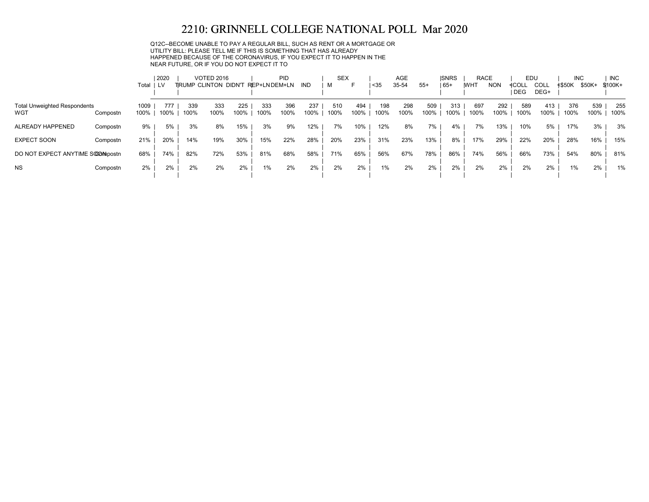#### Q12C--BECOME UNABLE TO PAY A REGULAR BILL, SUCH AS RENT OR A MORTGAGE OR UTILITY BILL: PLEASE TELL ME IF THIS IS SOMETHING THAT HAS ALREADY HAPPENED BECAUSE OF THE CORONAVIRUS, IF YOU EXPECT IT TO HAPPEN IN THE NEAR FUTURE, OR IF YOU DO NOT EXPECT IT TO

|                                            |                          | 2020<br>Total ILV |             |             | <b>VOTED 2016</b><br>TRUMP CLINTON DIDN'T |             | REP+LNDEM+LN | <b>PID</b>  | IND         | <b>SEX</b><br>м | F           | $35$        | AGE<br>35-54 | $55+$       | <b>ISNRS</b><br>$65+$ | <b>RACE</b><br><b>IWHT</b> | <b>NON</b>  | EDU<br>≮COLL<br><b>DEG</b> | <b>COLL</b><br>DEG+ | <b>INC</b><br><b>≮\$50K</b> | \$50K+      | <b>INC</b><br>\$100K+ |
|--------------------------------------------|--------------------------|-------------------|-------------|-------------|-------------------------------------------|-------------|--------------|-------------|-------------|-----------------|-------------|-------------|--------------|-------------|-----------------------|----------------------------|-------------|----------------------------|---------------------|-----------------------------|-------------|-----------------------|
| <b>Total Unweighted Respondents</b><br>WGT | 1009<br>100%<br>Compostn |                   | 777<br>100% | 339<br>100% | 333<br>100%                               | 225<br>100% | 333<br>100%  | 396<br>100% | 237<br>100% | 510<br>100%     | 494<br>100% | 198<br>100% | 298<br>100%  | 509<br>100% | 313<br>100%           | 697<br>100%                | 292<br>100% | 589<br>100%                | 413<br>100%         | 376<br>100%                 | 539<br>100% | 255<br>100%           |
| ALREADY HAPPENED                           | Compostn                 | 9%                | 5%          | 3%          | 8%                                        | 15%         | 3%           | 9%          | 12%         | 7%              | 10%         | 12%         | 8%           | 7%          | 4%                    | 7%                         | 13%         | 10%                        | 5%                  | 17%                         | 3%          | 3%                    |
| <b>EXPECT SOON</b>                         | 21%<br>Compostn          |                   | 20%         | 14%         | 19%                                       | 30%         | 15%          | 22%         | 28%         | 20%             | 23%         | 31%         | 23%          | 13%         | 8%                    | 17%                        | 29%         | 22%                        | 20%                 | 28%                         | 16%         | 15%                   |
| DO NOT EXPECT ANYTIME SOOMpostn            | 68%                      |                   | 74%         | 82%         | 72%                                       | 53%         | 81%          | 68%         | 58%         | 71%             | 65%         | 56%         | 67%          | 78%         | 86%                   | 74%                        | 56%         | 66%                        | 73%                 | 54%                         | 80%         | 81%                   |
| <b>NS</b>                                  | Compostn                 | 2%                | 2%          | 2%          | 2%                                        | 2%          | $1\%$        | 2%          | 2%          | 2%              | 2%          | 1%          | 2%           | 2%          | 2%                    | 2%                         | 2%          | 2%                         | 2%                  | $1\%$                       | 2%          | 1%                    |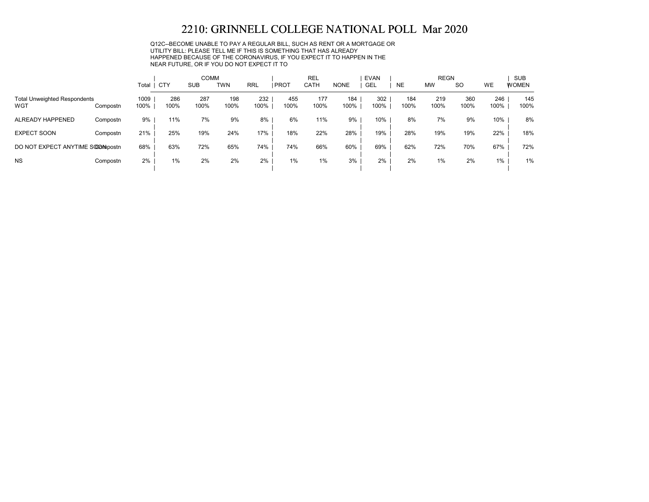Q12C--BECOME UNABLE TO PAY A REGULAR BILL, SUCH AS RENT OR A MORTGAGE OR UTILITY BILL: PLEASE TELL ME IF THIS IS SOMETHING THAT HAS ALREADY HAPPENED BECAUSE OF THE CORONAVIRUS, IF YOU EXPECT IT TO HAPPEN IN THE NEAR FUTURE, OR IF YOU DO NOT EXPECT IT TO

|                                            |          |              |             | <b>COMM</b> |             |             |             | <b>REL</b>  |             | <b>EVAN</b> |             | <b>REGN</b> |             |             | <b>SUB</b>   |
|--------------------------------------------|----------|--------------|-------------|-------------|-------------|-------------|-------------|-------------|-------------|-------------|-------------|-------------|-------------|-------------|--------------|
|                                            |          | Total        | CTY         | <b>SUB</b>  | TWN         | <b>RRL</b>  | <b>PROT</b> | <b>CATH</b> | <b>NONE</b> | GEL         | <b>NE</b>   | <b>MW</b>   | <b>SO</b>   | <b>WE</b>   | <b>WOMEN</b> |
| <b>Total Unweighted Respondents</b><br>WGT | Compostn | 1009<br>100% | 286<br>100% | 287<br>100% | 198<br>100% | 232<br>100% | 455<br>100% | 177<br>100% | 184<br>100% | 302<br>100% | 184<br>100% | 219<br>100% | 360<br>100% | 246<br>100% | 145<br>100%  |
| ALREADY HAPPENED                           | Compostn | 9%           | 11%         | 7%          | 9%          | 8%          | 6%          | 11%         | 9%          | 10%         | 8%          | 7%          | 9%          | 10%         | 8%           |
| <b>EXPECT SOON</b>                         | Compostn | 21%          | 25%         | 19%         | 24%         | 17%         | 18%         | 22%         | 28%         | 19%         | 28%         | 19%         | 19%         | 22%         | 18%          |
| DO NOT EXPECT ANYTIME SOOMpostn            |          | 68%          | 63%         | 72%         | 65%         | 74%         | 74%         | 66%         | 60%         | 69%         | 62%         | 72%         | 70%         | 67%         | 72%          |
| <b>NS</b>                                  | Compostn | 2%           | 1%          | 2%          | 2%          | 2%          | 1%          | 1%          | 3%          | 2%          | 2%          | 1%          | 2%          | $1\%$       | 1%           |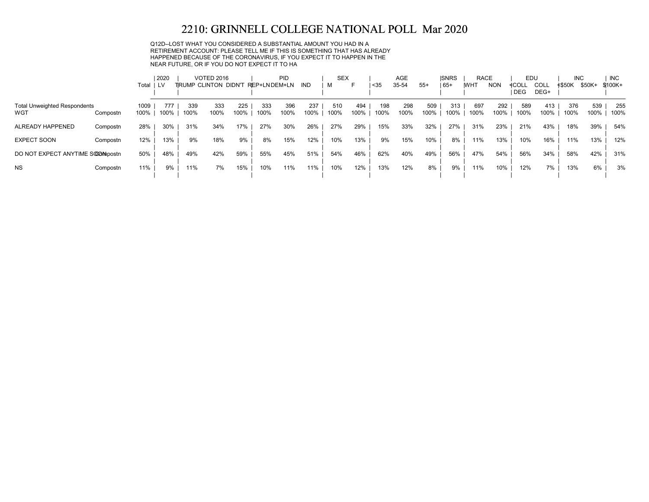Q12D--LOST WHAT YOU CONSIDERED A SUBSTANTIAL AMOUNT YOU HAD IN A RETIREMENT ACCOUNT: PLEASE TELL ME IF THIS IS SOMETHING THAT HAS ALREADY HAPPENED BECAUSE OF THE CORONAVIRUS, IF YOU EXPECT IT TO HAPPEN IN THE NEAR FUTURE, OR IF YOU DO NOT EXPECT IT TO HA

|                                            | Total                    | 2020<br>LV |             | <b>VOTED 2016</b><br>TRUMP CLINTON DIDN'T REP+LNDEM+LN |             |             | PID         | IND         | <b>SEX</b><br>м | F           | $35$        | <b>AGE</b><br>35-54 | $55+$       | <b>ISNRS</b><br>  65+ | <b>RACE</b><br><b>IWHT</b> | <b>NON</b>  | EDU<br>≮COLL<br><b>DEG</b> | <b>COLL</b><br>DEG+ | <b>INC</b><br><b>≮\$50K</b> | \$50K+      | <b>INC</b><br>\$100K+ |
|--------------------------------------------|--------------------------|------------|-------------|--------------------------------------------------------|-------------|-------------|-------------|-------------|-----------------|-------------|-------------|---------------------|-------------|-----------------------|----------------------------|-------------|----------------------------|---------------------|-----------------------------|-------------|-----------------------|
| <b>Total Unweighted Respondents</b><br>WGT | 1009<br>100%<br>Compostn | 77<br>100% | 339<br>100% | 333<br>100%                                            | 225<br>100% | 333<br>100% | 396<br>100% | 237<br>100% | 510<br>100%     | 494<br>100% | 198<br>100% | 298<br>100%         | 509<br>100% | 313<br>100%           | 697<br>100%                | 292<br>100% | 589<br>100%                | 413<br>100%         | 376<br>100%                 | 539<br>100% | 255<br>100%           |
| ALREADY HAPPENED                           | 28%<br>Compostn          | 30%        | 31%         | 34%                                                    | 17%         | 27%         | 30%         | 26%         | 27%             | 29%         | 15%         | 33%                 | 32%         | 27%                   | 31%                        | 23%         | 21%                        | 43%                 | 18%                         | 39%         | 54%                   |
| <b>EXPECT SOON</b>                         | 12%<br>Compostn          | 13%        | 9%          | 18%                                                    | 9%          | 8%          | 15%         | 12%         | 10%             | 13%         | 9%          | 15%                 | 10%         | 8%                    | 11%                        | 13%         | 10%                        | 16%                 | 11%                         | 13%         | 12%                   |
| DO NOT EXPECT ANYTIME SOOMbostn            | 50%                      | 48%        | 49%         | 42%                                                    | 59%         | 55%         | 45%         | 51%         | 54%             | 46%         | 62%         | 40%                 | 49%         | 56%                   | 47%                        | 54%         | 56%                        | 34%                 | 58%                         | 42%         | 31%                   |
| <b>NS</b>                                  | 11%<br>Compostn          | 9%         | 11%         | 7%                                                     | 15%         | 10%         | 11%         | 11%         | 10%             | 12%         | 13%         | 12%                 | 8%          | 9%                    | 11%                        | 10%         | 12%                        | 7%                  | 13%                         | 6%          | 3%                    |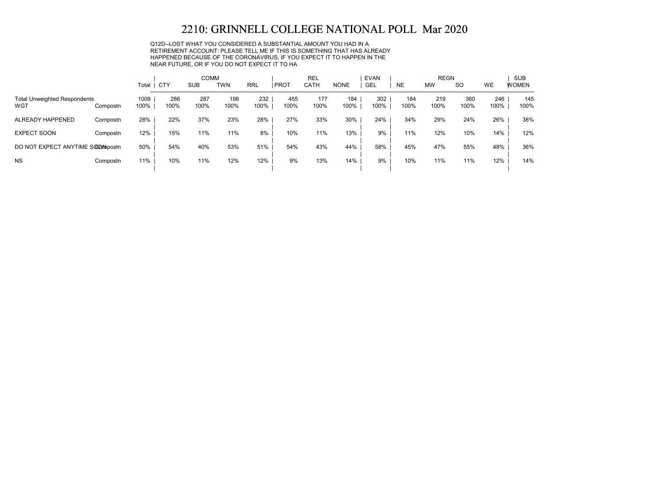Q12D--LOST WHAT YOU CONSIDERED A SUBSTANTIAL AMOUNT YOU HAD IN A RETIREMENT ACCOUNT: PLEASE TELL ME IF THIS IS SOMETHING THAT HAS ALREADY HAPPENED BECAUSE OF THE CORONAVIRUS, IF YOU EXPECT IT TO HAPPEN IN THE NEAR FUTURE, OR IF YOU DO NOT EXPECT IT TO HA

|                                            |          |              |             | <b>COMM</b> |             |             |             | <b>REL</b>  |             | <b>EVAN</b> |             | <b>REGN</b> |             |             | <b>SUB</b>   |
|--------------------------------------------|----------|--------------|-------------|-------------|-------------|-------------|-------------|-------------|-------------|-------------|-------------|-------------|-------------|-------------|--------------|
|                                            |          | Total        | <b>CTY</b>  | <b>SUB</b>  | <b>TWN</b>  | <b>RRL</b>  | PROT        | <b>CATH</b> | <b>NONE</b> | GEL         | <b>NE</b>   | <b>MW</b>   | <b>SO</b>   | <b>WE</b>   | <b>WOMEN</b> |
| <b>Total Unweighted Respondents</b><br>WGT | Compostn | 1009<br>100% | 286<br>100% | 287<br>100% | 198<br>100% | 232<br>100% | 455<br>100% | 177<br>100% | 184<br>100% | 302<br>100% | 184<br>100% | 219<br>100% | 360<br>100% | 246<br>100% | 145<br>100%  |
| ALREADY HAPPENED                           | Compostn | 28%          | 22%         | 37%         | 23%         | 28%         | 27%         | 33%         | 30%         | 24%         | 34%         | 29%         | 24%         | 26%         | 38%          |
| <b>EXPECT SOON</b>                         | Compostn | 12%          | 15%         | 11%         | 11%         | 8%          | 10%         | 11%         | 13%         | 9%          | 11%         | 12%         | 10%         | 14%         | 12%          |
| DO NOT EXPECT ANYTIME SOOMpostn            |          | 50%          | 54%         | 40%         | 53%         | 51%         | 54%         | 43%         | 44%         | 58%         | 45%         | 47%         | 55%         | 48%         | 36%          |
| <b>NS</b>                                  | Compostn | 11%          | 10%         | 11%         | 12%         | 12%         | 9%          | 13%         | 14%         | 9%          | 10%         | 11%         | 11%         | 12%         | 14%          |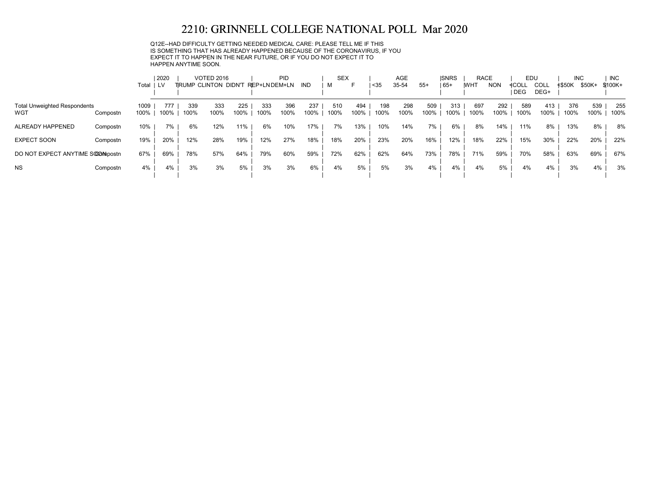Q12E--HAD DIFFICULTY GETTING NEEDED MEDICAL CARE: PLEASE TELL ME IF THIS IS SOMETHING THAT HAS ALREADY HAPPENED BECAUSE OF THE CORONAVIRUS, IF YOU EXPECT IT TO HAPPEN IN THE NEAR FUTURE, OR IF YOU DO NOT EXPECT IT TO HAPPEN ANYTIME SOON.

|                                            |          | Total        | 2020<br>LV. |             | <b>VOTED 2016</b><br>TRUMP CLINTON DIDN'T |             | REP+LNDEM+LN | PID         | IND         | <b>SEX</b><br>M | ►           | $35$        | <b>AGE</b><br>35-54 | $55+$       | <b>ISNRS</b><br>  65+ | <b>RACE</b><br><b>WHT</b> | <b>NON</b>  | EDU<br>≮COLL<br><b>DEG</b> | COLL<br>DEG+ | <b>INC</b><br>≮\$50K | \$50K+      | <b>INC</b><br>$$100K +$ |
|--------------------------------------------|----------|--------------|-------------|-------------|-------------------------------------------|-------------|--------------|-------------|-------------|-----------------|-------------|-------------|---------------------|-------------|-----------------------|---------------------------|-------------|----------------------------|--------------|----------------------|-------------|-------------------------|
| <b>Total Unweighted Respondents</b><br>WGT | Compostn | 1009<br>100% | 777<br>100% | 339<br>100% | 333<br>100%                               | 225<br>100% | 333<br>100%  | 396<br>100% | 237<br>100% | 510<br>100%     | 494<br>100% | 198<br>100% | 298<br>100%         | 509<br>100% | 313<br>100%           | 697<br>100%               | 292<br>100% | 589<br>100%                | 413<br>100%  | 376<br>100%          | 539<br>100% | 255<br>100%             |
| ALREADY HAPPENED                           | Compostn | 10%          | 7%          | 6%          | 12%                                       | 11%         | 6%           | 10%         | 17%         | 7%              | 13%         | 10%         | 14%                 | 7%          | 6%                    | 8%                        | 14%         | 11%                        | 8%           | 13%                  | 8%          | 8%                      |
| <b>EXPECT SOON</b>                         | Compostn | 19%          | 20%         | 12%         | 28%                                       | 19%         | 12%          | 27%         | 18%         | 18%             | 20%         | 23%         | 20%                 | 16%         | 12%                   | 18%                       | 22%         | 15%                        | 30%          | 22%                  | 20%         | 22%                     |
| DO NOT EXPECT ANYTIME SOOMpostn            |          | 67%          | 69%         | 78%         | 57%                                       | 64%         | 79%          | 60%         | 59%         | 72%             | 62%         | 62%         | 64%                 | 73%         | 78%                   | 71%                       | 59%         | 70%                        | 58%          | 63%                  | 69%         | 67%                     |
| <b>NS</b>                                  | Compostn | 4%           | 4%          | 3%          | 3%                                        | 5%          | 3%           | 3%          | 6%          | 4%              | 5%          | 5%          | 3%                  | 4%          | 4%                    | 4%                        | 5%          | 4%                         | 4%           | 3%                   | 4%          | 3%                      |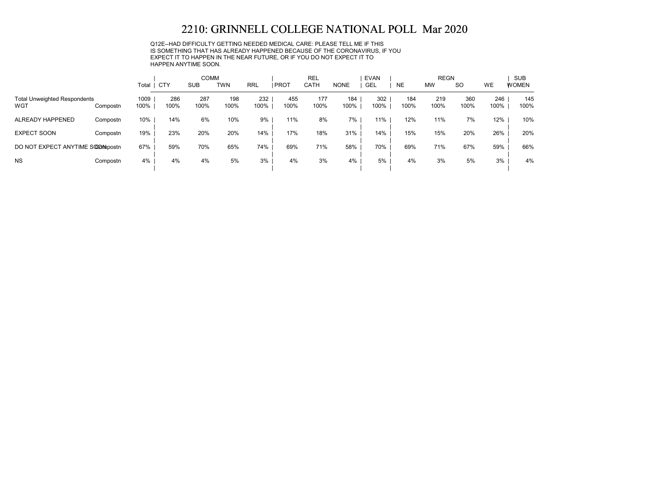Q12E--HAD DIFFICULTY GETTING NEEDED MEDICAL CARE: PLEASE TELL ME IF THIS IS SOMETHING THAT HAS ALREADY HAPPENED BECAUSE OF THE CORONAVIRUS, IF YOU EXPECT IT TO HAPPEN IN THE NEAR FUTURE, OR IF YOU DO NOT EXPECT IT TO HAPPEN ANYTIME SOON.

|                                            |          |              |             | <b>COMM</b> |             |             |             | <b>REL</b>  |             | <b>EVAN</b> |             | <b>REGN</b> |             |             | <b>SUB</b>   |
|--------------------------------------------|----------|--------------|-------------|-------------|-------------|-------------|-------------|-------------|-------------|-------------|-------------|-------------|-------------|-------------|--------------|
|                                            |          | Total        | CTY         | <b>SUB</b>  | <b>TWN</b>  | <b>RRL</b>  | <b>PROT</b> | <b>CATH</b> | <b>NONE</b> | <b>GEL</b>  | <b>NE</b>   | <b>MW</b>   | <b>SO</b>   | <b>WE</b>   | <b>WOMEN</b> |
| <b>Total Unweighted Respondents</b><br>WGT | Compostn | 1009<br>100% | 286<br>100% | 287<br>100% | 198<br>100% | 232<br>100% | 455<br>100% | 177<br>100% | 184<br>100% | 302<br>100% | 184<br>100% | 219<br>100% | 360<br>100% | 246<br>100% | 145<br>100%  |
| ALREADY HAPPENED                           | Compostn | 10%          | 14%         | 6%          | 10%         | 9%          | 11%         | 8%          | 7%          | 11%         | 12%         | 11%         | 7%          | 12%         | 10%          |
| <b>EXPECT SOON</b>                         | Compostn | 19%          | 23%         | 20%         | 20%         | 14%         | 17%         | 18%         | 31%         | 14%         | 15%         | 15%         | 20%         | 26%         | 20%          |
| DO NOT EXPECT ANYTIME SOOMpostn            |          | 67%          | 59%         | 70%         | 65%         | 74%         | 69%         | 71%         | 58%         | 70%         | 69%         | 71%         | 67%         | 59%         | 66%          |
| <b>NS</b>                                  | Compostn | 4%           | 4%          | 4%          | 5%          | 3%          | 4%          | 3%          | 4%          | 5%          | 4%          | 3%          | 5%          | 3%          | 4%           |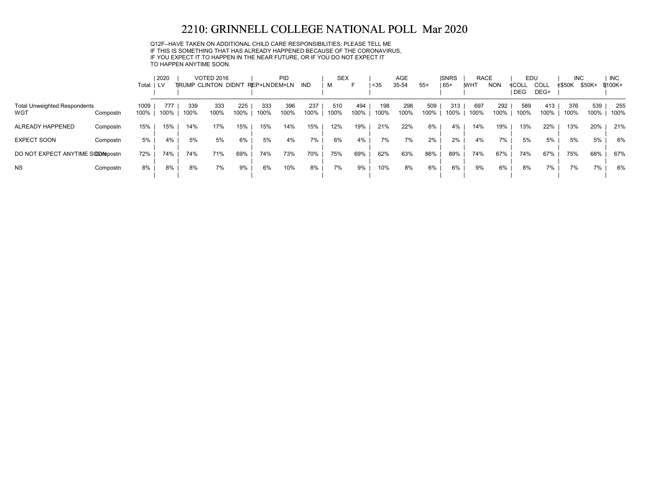Q12F--HAVE TAKEN ON ADDITIONAL CHILD CARE RESPONSIBILITIES: PLEASE TELL ME IF THIS IS SOMETHING THAT HAS ALREADY HAPPENED BECAUSE OF THE CORONAVIRUS, IF YOU EXPECT IT TO HAPPEN IN THE NEAR FUTURE, OR IF YOU DO NOT EXPECT IT TO HAPPEN ANYTIME SOON.

|                                            |          | Total ILV    | 2020        |             | <b>VOTED 2016</b><br>TRUMP CLINTON DIDN'T |             | REP+LNDEM+LN | PID         | IND         | <b>SEX</b><br>м | ь           | $35$        | AGE<br>35-54 | $55+$       | <b>ISNRS</b><br>  65+ | <b>RACE</b><br><b>IWHT</b> | <b>NON</b>  | EDU<br>≮COLL<br><b>DEG</b> | COLL<br>DEG+ | <b>INC</b><br><b>≮\$50K</b> | \$50K+      | <b>INC</b><br>\$100K+ |
|--------------------------------------------|----------|--------------|-------------|-------------|-------------------------------------------|-------------|--------------|-------------|-------------|-----------------|-------------|-------------|--------------|-------------|-----------------------|----------------------------|-------------|----------------------------|--------------|-----------------------------|-------------|-----------------------|
| <b>Total Unweighted Respondents</b><br>WGT | Compostn | 1009<br>100% | 777<br>100% | 339<br>100% | 333<br>100%                               | 225<br>100% | 333<br>100%  | 396<br>100% | 237<br>100% | 510<br>100%     | 494<br>100% | 198<br>100% | 298<br>100%  | 509<br>100% | 313<br>100%           | 697<br>100%                | 292<br>100% | 589<br>100%                | 413<br>100%  | 376<br>100%                 | 539<br>100% | 255<br>100%           |
| ALREADY HAPPENED                           | Compostn | 15%          | 15%         | 14%         | 17%                                       | 15%         | 15%          | 14%         | 15%         | 12%             | 19%         | 21%         | 22%          | 6%          | 4%                    | 14%                        | 19%         | 13%                        | 22%          | 13%                         | 20%         | 21%                   |
| <b>EXPECT SOON</b>                         | Compostn | 5%           | 4%          | 5%          | 5%                                        | 6%          | 5%           | 4%          | 7%          | 6%              | 4%          | 7%          | 7%           | 2%          | 2%                    | 4%                         | 7%          | 5%                         | 5%           | 5%                          | 5%          | 6%                    |
| DO NOT EXPECT ANYTIME SOOMpostn            |          | 72%          | 74%         | 74%         | 71%                                       | 69%         | 74%          | 73%         | 70%         | 75%             | 69%         | 62%         | 63%          | 86%         | 89%                   | 74%                        | 67%         | 74%                        | 67%          | 75%                         | 68%         | 67%                   |
| <b>NS</b>                                  | Compostn | 8%           | 8%          | 8%          | 7%                                        | 9%          | 6%           | 10%         | 8%          | 7%              | 9%          | 10%         | 8%           | 6%          | 6%                    | 9%                         | 6%          | 8%                         | 7%           | 7%                          | 7%          | 6%                    |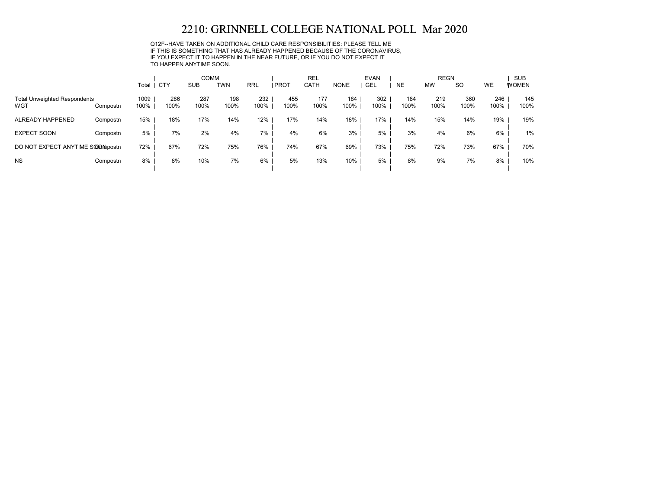Q12F--HAVE TAKEN ON ADDITIONAL CHILD CARE RESPONSIBILITIES: PLEASE TELL ME IF THIS IS SOMETHING THAT HAS ALREADY HAPPENED BECAUSE OF THE CORONAVIRUS, IF YOU EXPECT IT TO HAPPEN IN THE NEAR FUTURE, OR IF YOU DO NOT EXPECT IT TO HAPPEN ANYTIME SOON.

|                                            |          |              |             | <b>COMM</b> |             |             |             | <b>REL</b>  |             | <b>EVAN</b> |             | <b>REGN</b> |             |             | <b>SUB</b>   |
|--------------------------------------------|----------|--------------|-------------|-------------|-------------|-------------|-------------|-------------|-------------|-------------|-------------|-------------|-------------|-------------|--------------|
|                                            |          | Total        | <b>CTY</b>  | <b>SUB</b>  | <b>TWN</b>  | <b>RRL</b>  | PROT        | <b>CATH</b> | <b>NONE</b> | <b>GEL</b>  | <b>NE</b>   | <b>MW</b>   | <b>SO</b>   | <b>WE</b>   | <b>WOMEN</b> |
| <b>Total Unweighted Respondents</b><br>WGT | Compostn | 1009<br>100% | 286<br>100% | 287<br>100% | 198<br>100% | 232<br>100% | 455<br>100% | 177<br>100% | 184<br>100% | 302<br>100% | 184<br>100% | 219<br>100% | 360<br>100% | 246<br>100% | 145<br>100%  |
| ALREADY HAPPENED                           | Compostn | 15%          | 18%         | 17%         | 14%         | 12%         | 17%         | 14%         | 18%         | 17%         | 14%         | 15%         | 14%         | 19%         | 19%          |
| <b>EXPECT SOON</b>                         | Compostn | 5%           | 7%          | 2%          | 4%          | 7%          | 4%          | 6%          | 3%          | 5%          | 3%          | 4%          | 6%          | 6%          | 1%           |
| DO NOT EXPECT ANYTIME SOOMpostn            |          | 72%          | 67%         | 72%         | 75%         | 76%         | 74%         | 67%         | 69%         | 73%         | 75%         | 72%         | 73%         | 67%         | 70%          |
| <b>NS</b>                                  | Compostn | 8%           | 8%          | 10%         | 7%          | 6%          | 5%          | 13%         | 10%         | 5%          | 8%          | 9%          | 7%          | 8%          | 10%          |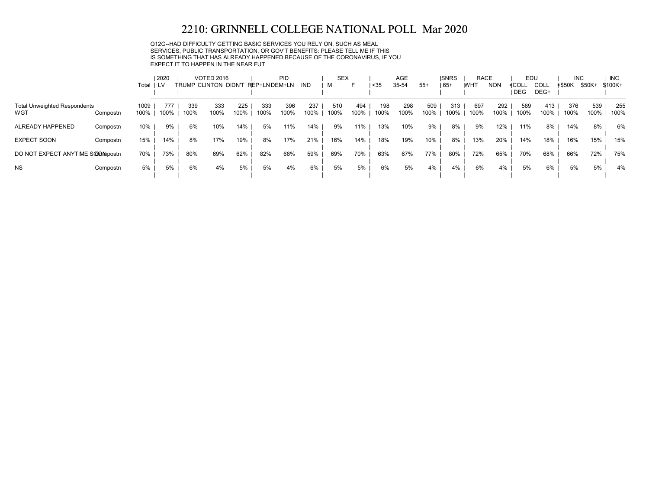Q12G--HAD DIFFICULTY GETTING BASIC SERVICES YOU RELY ON, SUCH AS MEAL SERVICES, PUBLIC TRANSPORTATION, OR GOV'T BENEFITS: PLEASE TELL ME IF THIS IS SOMETHING THAT HAS ALREADY HAPPENED BECAUSE OF THE CORONAVIRUS, IF YOU EXPECT IT TO HAPPEN IN THE NEAR FUT

|                                            | Total                    | 2020<br>LV |            |             | <b>VOTED 2016</b><br>TRUMP CLINTON DIDN'T REP+LNDEM+LN |             |             | PID         | IND         | <b>SEX</b><br>м | F           | $35$        | <b>AGE</b><br>35-54 | $55+$       | <b>ISNRS</b><br>  65+ | <b>RACE</b><br><b>IWHT</b> | <b>NON</b>  | EDU<br><b>4COLL</b><br><b>DEG</b> | <b>COLL</b><br>DEG+ | <b>INC</b><br><b>≮\$50K</b> | \$50K+      | <b>INC</b><br>$$100K +$ |
|--------------------------------------------|--------------------------|------------|------------|-------------|--------------------------------------------------------|-------------|-------------|-------------|-------------|-----------------|-------------|-------------|---------------------|-------------|-----------------------|----------------------------|-------------|-----------------------------------|---------------------|-----------------------------|-------------|-------------------------|
| <b>Total Unweighted Respondents</b><br>WGT | 1009<br>100%<br>Compostn |            | 77<br>100% | 339<br>100% | 333<br>100%                                            | 225<br>100% | 333<br>100% | 396<br>100% | 237<br>100% | 510<br>100%     | 494<br>100% | 198<br>100% | 298<br>100%         | 509<br>100% | 313<br>100%           | 697<br>100%                | 292<br>100% | 589<br>100%                       | 413<br>100%         | 376<br>100%                 | 539<br>100% | 255<br>100%             |
| ALREADY HAPPENED                           | 10%<br>Compostn          |            | 9%         | 6%          | 10%                                                    | 14%         | 5%          | 11%         | 14%         | 9%              | 11%         | 13%         | 10%                 | 9%          | 8%                    | 9%                         | 12%         | 11%                               | 8%                  | 14%                         | 8%          | 6%                      |
| <b>EXPECT SOON</b>                         | 15%<br>Compostn          |            | 14%        | 8%          | 17%                                                    | 19%         | 8%          | 17%         | 21%         | 16%             | 14%         | 18%         | 19%                 | 10%         | 8%                    | 13%                        | 20%         | 14%                               | 18%                 | 16%                         | 15%         | 15%                     |
| DO NOT EXPECT ANYTIME SCOM bostn           | 70%                      |            | 73%        | 80%         | 69%                                                    | 62%         | 82%         | 68%         | 59%         | 69%             | 70%         | 63%         | 67%                 | 77%         | 80%                   | 72%                        | 65%         | 70%                               | 68%                 | 66%                         | 72%         | 75%                     |
| <b>NS</b>                                  | 5%<br>Compostn           |            | 5%         | 6%          | 4%                                                     | 5%          | 5%          | 4%          | 6%          | 5%              | 5%          | 6%          | 5%                  | 4%          | 4%                    | 6%                         | 4%          | 5%                                | 6%                  | 5%                          | 5%          | 4%                      |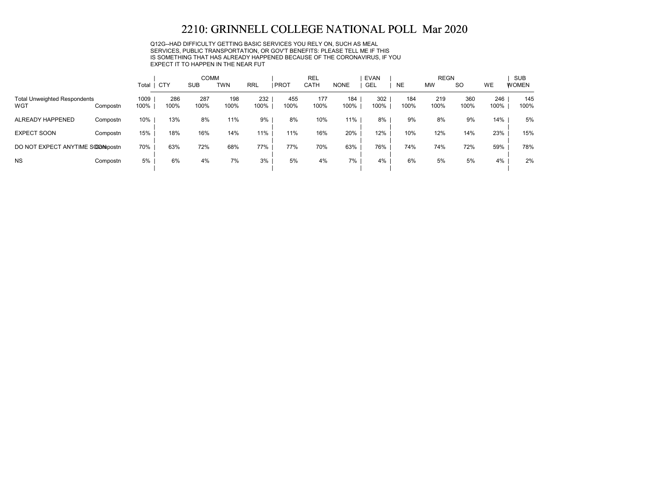Q12G--HAD DIFFICULTY GETTING BASIC SERVICES YOU RELY ON, SUCH AS MEAL SERVICES, PUBLIC TRANSPORTATION, OR GOV'T BENEFITS: PLEASE TELL ME IF THIS IS SOMETHING THAT HAS ALREADY HAPPENED BECAUSE OF THE CORONAVIRUS, IF YOU EXPECT IT TO HAPPEN IN THE NEAR FUT

|                                            |          |              |             | <b>COMM</b> |             |             |             | <b>REL</b>  |             | <b>EVAN</b> |             | <b>REGN</b> |             |             | <b>SUB</b>   |
|--------------------------------------------|----------|--------------|-------------|-------------|-------------|-------------|-------------|-------------|-------------|-------------|-------------|-------------|-------------|-------------|--------------|
|                                            |          | Total        | CTY         | <b>SUB</b>  | TWN         | <b>RRL</b>  | <b>PROT</b> | <b>CATH</b> | <b>NONE</b> | <b>GEL</b>  | <b>NE</b>   | <b>MW</b>   | <b>SO</b>   | <b>WE</b>   | <b>WOMEN</b> |
| <b>Total Unweighted Respondents</b><br>WGT | Compostn | 1009<br>100% | 286<br>100% | 287<br>100% | 198<br>100% | 232<br>100% | 455<br>100% | 177<br>100% | 184<br>100% | 302<br>100% | 184<br>100% | 219<br>100% | 360<br>100% | 246<br>100% | 145<br>100%  |
| ALREADY HAPPENED                           | Compostn | 10%          | 13%         | 8%          | 11%         | 9%          | 8%          | 10%         | 11%         | 8%          | 9%          | 8%          | 9%          | 14%         | 5%           |
| <b>EXPECT SOON</b>                         | Compostn | 15%          | 18%         | 16%         | 14%         | 11%         | 11%         | 16%         | 20%         | 12%         | 10%         | 12%         | 14%         | 23%         | 15%          |
| DO NOT EXPECT ANYTIME SOOMpostn            |          | 70%          | 63%         | 72%         | 68%         | 77%         | 77%         | 70%         | 63%         | 76%         | 74%         | 74%         | 72%         | 59%         | 78%          |
| <b>NS</b>                                  | Compostn | 5%           | 6%          | 4%          | 7%          | 3%          | 5%          | 4%          | 7%          | 4%          | 6%          | 5%          | 5%          | 4%          | 2%           |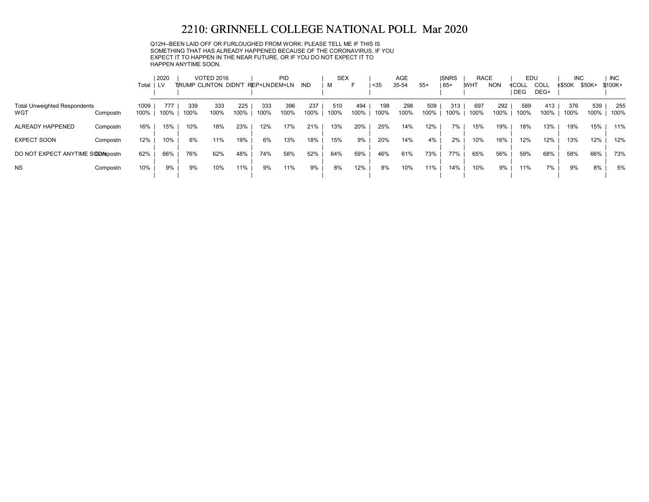Q12H--BEEN LAID OFF OR FURLOUGHED FROM WORK: PLEASE TELL ME IF THIS IS SOMETHING THAT HAS ALREADY HAPPENED BECAUSE OF THE CORONAVIRUS, IF YOU EXPECT IT TO HAPPEN IN THE NEAR FUTURE, OR IF YOU DO NOT EXPECT IT TO HAPPEN ANYTIME SOON.

|                                            |          |              | 2020        |             | <b>VOTED 2016</b>            |             |              | PID         |             | <b>SEX</b>  |             |             | AGE         |             | <b>ISNRS</b> | <b>RACE</b> |             | EDU          |              | <b>INC</b>    |             | <b>INC</b>  |
|--------------------------------------------|----------|--------------|-------------|-------------|------------------------------|-------------|--------------|-------------|-------------|-------------|-------------|-------------|-------------|-------------|--------------|-------------|-------------|--------------|--------------|---------------|-------------|-------------|
|                                            |          | Total ILV    |             |             | <b>TIRUMP CLINTON DIDN'T</b> |             | REP+LNDEM+LN |             | IND         | м           | ⊢           | $35$        | 35-54       | $55+$       | $65+$        | <b>IWHT</b> | <b>NON</b>  | ≮COLL<br>DEG | COLL<br>DEG+ | <b>≮\$50K</b> | \$50K+      | $$100K +$   |
| <b>Total Unweighted Respondents</b><br>WGT | Compostn | 1009<br>100% | 777<br>100% | 339<br>100% | 333<br>100%                  | 225<br>100% | 333<br>100%  | 396<br>100% | 237<br>100% | 510<br>100% | 494<br>100% | 198<br>100% | 298<br>100% | 509<br>100% | 313<br>100%  | 697<br>100% | 292<br>100% | 589<br>100%  | 413<br>100%  | 376<br>100%   | 539<br>100% | 255<br>100% |
| ALREADY HAPPENED                           | Compostn | 16%          | 15%         | 10%         | 18%                          | 23%         | 12%          | 17%         | 21%         | 13%         | 20%         | 25%         | 14%         | 12%         | 7%           | 15%         | 19%         | 18%          | 13%          | 19%           | 15%         | 11%         |
| <b>EXPECT SOON</b>                         | Compostn | 12%          | 10%         | 6%          | 11%                          | 19%         | 6%           | 13%         | 18%         | 15%         | 9%          | 20%         | 14%         | 4%          | 2%           | 10%         | 16%         | 12%          | 12%          | 13%           | 12%         | 12%         |
| DO NOT EXPECT ANYTIME SOOMpostn            |          | 62%          | 66%         | 76%         | 62%                          | 48%         | 74%          | 58%         | 52%         | 64%         | 59%         | 46%         | 61%         | 73%         | 77%          | 65%         | 56%         | 59%          | 68%          | 58%           | 66%         | 73%         |
| <b>NS</b>                                  | Compostn | 10%          | 9%          | 9%          | 10%                          | 11%         | 9%           | 11%         | 9%          | 8%          | 12%         | 8%          | 10%         | 11%         | 14%          | 10%         | 9%          | 11%          | 7%           | 9%            | 8%          | 5%          |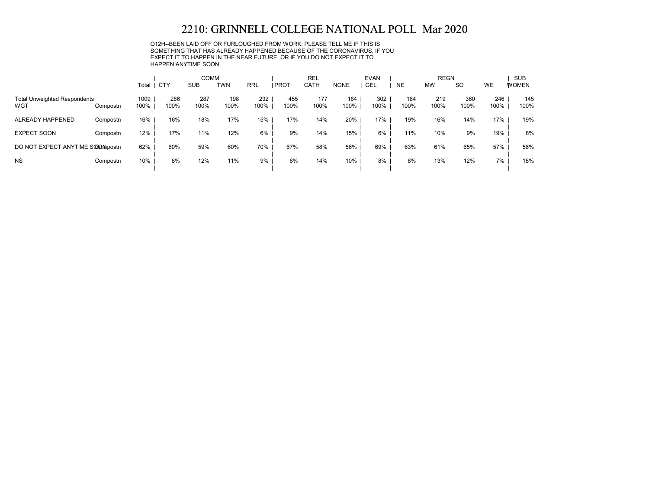Q12H--BEEN LAID OFF OR FURLOUGHED FROM WORK: PLEASE TELL ME IF THIS IS SOMETHING THAT HAS ALREADY HAPPENED BECAUSE OF THE CORONAVIRUS, IF YOU EXPECT IT TO HAPPEN IN THE NEAR FUTURE, OR IF YOU DO NOT EXPECT IT TO HAPPEN ANYTIME SOON.

|                                            |          |              |             | <b>COMM</b> |             |             |             | <b>REL</b>  |             | <b>EVAN</b> |             | <b>REGN</b> |             |             | <b>SUB</b>   |
|--------------------------------------------|----------|--------------|-------------|-------------|-------------|-------------|-------------|-------------|-------------|-------------|-------------|-------------|-------------|-------------|--------------|
|                                            |          | Total        | CTY         | <b>SUB</b>  | <b>TWN</b>  | <b>RRL</b>  | <b>PROT</b> | <b>CATH</b> | <b>NONE</b> | <b>GEL</b>  | <b>NE</b>   | <b>MW</b>   | <b>SO</b>   | <b>WE</b>   | <b>WOMEN</b> |
| <b>Total Unweighted Respondents</b><br>WGT | Compostn | 1009<br>100% | 286<br>100% | 287<br>100% | 198<br>100% | 232<br>100% | 455<br>100% | 177<br>100% | 184<br>100% | 302<br>100% | 184<br>100% | 219<br>100% | 360<br>100% | 246<br>100% | 145<br>100%  |
| ALREADY HAPPENED                           | Compostn | 16%          | 16%         | 18%         | 17%         | 15%         | 17%         | 14%         | 20%         | 17%         | 19%         | 16%         | 14%         | 17%         | 19%          |
| <b>EXPECT SOON</b>                         | Compostn | 12%          | 17%         | 11%         | 12%         | 6%          | 9%          | 14%         | 15%         | 6%          | 11%         | 10%         | 9%          | 19%         | 8%           |
| DO NOT EXPECT ANYTIME SOOMpostn            |          | 62%          | 60%         | 59%         | 60%         | 70%         | 67%         | 58%         | 56%         | 69%         | 63%         | 61%         | 65%         | 57%         | 56%          |
| <b>NS</b>                                  | Compostn | 10%          | 8%          | 12%         | 11%         | 9%          | 8%          | 14%         | 10%         | 8%          | 8%          | 13%         | 12%         | 7%          | 18%          |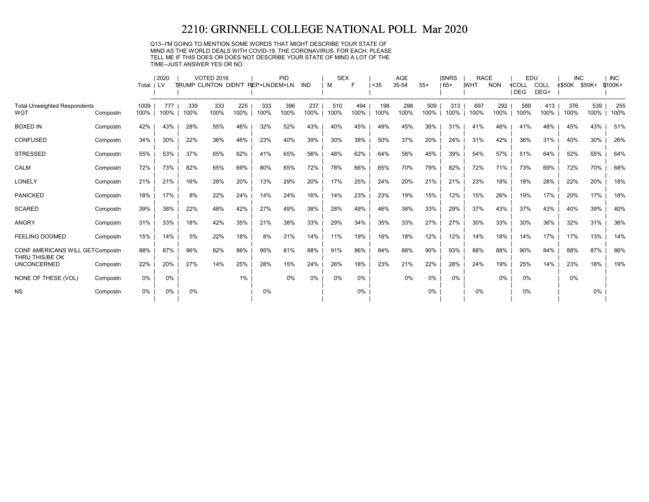Q13--I'M GOING TO MENTION SOME WORDS THAT MIGHT DESCRIBE YOUR STATE OF MIND AS THE WORLD DEALS WITH COVID-19, THE CORONAVIRUS. FOR EACH, PLEASE TELL ME IF THIS DOES OR DOES NOT DESCRIBE YOUR STATE OF MIND A LOT OF THE TIME--JUST ANSWER YES OR NO.

|                                                    |          |            | 2020  |      | <b>VOTED 2016</b>                 |      |      | PID  |            | <b>SEX</b> |       |      | <b>AGE</b> |       | <b>ISNRS</b> | <b>RACE</b> |            |              | EDU  | <b>INC</b>           |       | <b>INC</b> |
|----------------------------------------------------|----------|------------|-------|------|-----------------------------------|------|------|------|------------|------------|-------|------|------------|-------|--------------|-------------|------------|--------------|------|----------------------|-------|------------|
|                                                    |          | Total   LV |       |      | TRUMP CLINTON DIDN'T REP+LNDEM+LN |      |      |      | <b>IND</b> | м          | Е     | < 35 | 35-54      | $55+$ | $165+$       | <b>IWHT</b> | <b>NON</b> | <b>≮COLL</b> | COLL | <b>≮\$50K \$50K+</b> |       | $$100K +$  |
|                                                    |          |            |       |      |                                   |      |      |      |            |            |       |      |            |       |              |             |            | <b>DEG</b>   | DEG+ |                      |       |            |
| <b>Total Unweighted Respondents</b>                |          | 1009       | 777   | 339  | 333                               | 225  | 333  | 396  | 237        | 510        | 494   | 198  | 298        | 509   | 313          | 697         | 292        | 589          | 413  | 376                  | 539   | 255        |
| WGT                                                | Compostn | 100%       | 100%  | 100% | 100%                              | 100% | 100% | 100% | 100%       | 100%       | 100%  | 100% | 100%       | 100%  | 100%         | 100%        | 100%       | 100%         | 100% | 100%                 | 100%  | 100%       |
| <b>BOXED IN</b>                                    | Compostn | 42%        | 43%   | 28%  | 55%                               | 46%  | 32%  | 52%  | 43%        | 40%        | 45%   | 49%  | 45%        | 36%   | 31%          | 41%         | 46%        | 41%          | 48%  | 45%                  | 43%   | 51%        |
| <b>CONFUSED</b>                                    | Compostn | 34%        | 30%   | 22%  | 36%                               | 46%  | 23%  | 40%  | 39%        | 30%        | 38%   | 50%  | 37%        | 20%   | 24%          | 31%         | 42%        | 36%          | 31%  | 40%                  | 30%   | 26%        |
| <b>STRESSED</b>                                    | Compostn | 55%        | 53%   | 37%  | 65%                               | 62%  | 41%  | 65%  | 56%        | 48%        | 62%   | 64%  | 58%        | 45%   | 39%          | 54%         | 57%        | 51%          | 64%  | 52%                  | 55%   | 64%        |
| <b>CALM</b>                                        | Compostn | 72%        | 73%   | 82%  | 65%                               | 69%  | 80%  | 65%  | 72%        | 78%        | 66%   | 65%  | 70%        | 79%   | 82%          | 72%         | 71%        | 73%          | 69%  | 72%                  | 70%   | 68%        |
| <b>LONELY</b>                                      | Compostn | 21%        | 21%   | 16%  | 28%                               | 20%  | 13%  | 29%  | 20%        | 17%        | 25%   | 24%  | 20%        | 21%   | 21%          | 23%         | 18%        | 18%          | 28%  | 22%                  | 20%   | 18%        |
| <b>PANICKED</b>                                    | Compostn | 18%        | 17%   | 8%   | 22%                               | 24%  | 14%  | 24%  | 16%        | 14%        | 23%   | 23%  | 19%        | 15%   | 12%          | 15%         | 26%        | 19%          | 17%  | 20%                  | 17%   | 18%        |
| <b>SCARED</b>                                      | Compostn | 39%        | 38%   | 22%  | 48%                               | 42%  | 27%  | 49%  | 38%        | 28%        | 49%   | 46%  | 38%        | 33%   | 29%          | 37%         | 43%        | 37%          | 43%  | 40%                  | 39%   | 40%        |
| <b>ANGRY</b>                                       | Compostn | 31%        | 33%   | 18%  | 42%                               | 35%  | 21%  | 38%  | 33%        | 29%        | 34%   | 35%  | 33%        | 27%   | 27%          | 30%         | 33%        | 30%          | 36%  | 32%                  | 31%   | 36%        |
| <b>FEELING DOOMED</b>                              | Compostn | 15%        | 14%   | 5%   | 22%                               | 18%  | 8%   | 21%  | 14%        | 11%        | 19%   | 16%  | 18%        | 12%   | 12%          | 14%         | 18%        | 14%          | 17%  | 17%                  | 13%   | 14%        |
| CONF AMERICANS WILL GETCompostn<br>THRU THIS/BE OK |          | 88%        | 87%   | 96%  | 82%                               | 86%  | 95%  | 81%  | 88%        | 91%        | 86%   | 84%  | 88%        | 90%   | 93%          | 88%         | 88%        | 90%          | 84%  | 88%                  | 87%   | 86%        |
| <b>UNCONCERNED</b>                                 | Compostn | 22%        | 20%   | 27%  | 14%                               | 25%  | 28%  | 15%  | 24%        | 26%        | 18%   | 23%  | 21%        | 22%   | 28%          | 24%         | 19%        | 25%          | 14%  | 23%                  | 18%   | 19%        |
| NONE OF THESE (VOL)                                | Compostn | 0%         | $0\%$ |      |                                   | 1%   |      | 0%   | 0%         | 0%         | $0\%$ |      | $0\%$      | 0%    | $0\%$        |             | 0%         | 0%           |      | 0%                   |       |            |
| <b>NS</b>                                          | Compostn | 0%         | 0%    | 0%   |                                   |      | 0%   |      |            |            | $0\%$ |      |            | $0\%$ |              | 0%          |            | 0%           |      |                      | $0\%$ |            |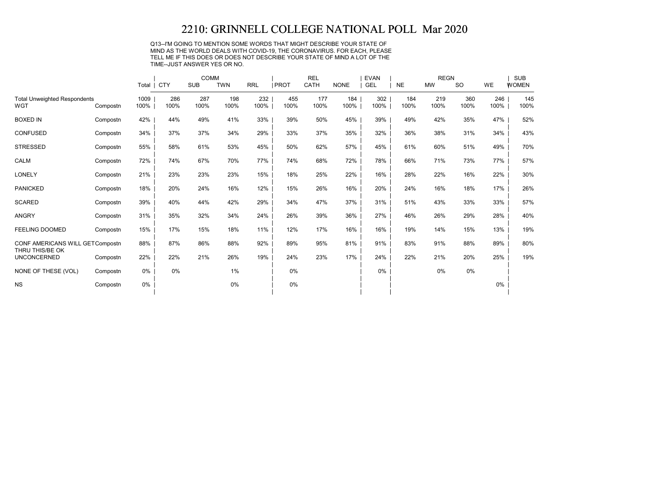Q13--I'M GOING TO MENTION SOME WORDS THAT MIGHT DESCRIBE YOUR STATE OF MIND AS THE WORLD DEALS WITH COVID-19, THE CORONAVIRUS. FOR EACH, PLEASE TELL ME IF THIS DOES OR DOES NOT DESCRIBE YOUR STATE OF MIND A LOT OF THE TIME--JUST ANSWER YES OR NO.

|                                                    |          |              |             | COMM        |             |             |              | <b>REL</b>  |             | <b>EVAN</b> |             | <b>REGN</b> |             |             | <b>SUB</b>   |
|----------------------------------------------------|----------|--------------|-------------|-------------|-------------|-------------|--------------|-------------|-------------|-------------|-------------|-------------|-------------|-------------|--------------|
|                                                    |          |              | Total   CTY | <b>SUB</b>  | <b>TWN</b>  | <b>RRL</b>  | <b>IPROT</b> | CATH        | <b>NONE</b> | <b>GEL</b>  | <b>NE</b>   | <b>MW</b>   | <b>SO</b>   | <b>WE</b>   | <b>WOMEN</b> |
| <b>Total Unweighted Respondents</b><br><b>WGT</b>  | Compostn | 1009<br>100% | 286<br>100% | 287<br>100% | 198<br>100% | 232<br>100% | 455<br>100%  | 177<br>100% | 184<br>100% | 302<br>100% | 184<br>100% | 219<br>100% | 360<br>100% | 246<br>100% | 145<br>100%  |
| <b>BOXED IN</b>                                    | Compostn | 42%          | 44%         | 49%         | 41%         | 33%         | 39%          | 50%         | 45%         | 39%         | 49%         | 42%         | 35%         | 47%         | 52%          |
| CONFUSED                                           | Compostn | 34%          | 37%         | 37%         | 34%         | 29%         | 33%          | 37%         | 35%         | 32%         | 36%         | 38%         | 31%         | 34%         | 43%          |
| <b>STRESSED</b>                                    | Compostn | 55%          | 58%         | 61%         | 53%         | 45%         | 50%          | 62%         | 57%         | 45%         | 61%         | 60%         | 51%         | 49%         | 70%          |
| <b>CALM</b>                                        | Compostn | 72%          | 74%         | 67%         | 70%         | 77%         | 74%          | 68%         | 72%         | 78%         | 66%         | 71%         | 73%         | 77%         | 57%          |
| <b>LONELY</b>                                      | Compostn | 21%          | 23%         | 23%         | 23%         | 15%         | 18%          | 25%         | 22%         | 16%         | 28%         | 22%         | 16%         | 22%         | 30%          |
| <b>PANICKED</b>                                    | Compostn | 18%          | 20%         | 24%         | 16%         | 12%         | 15%          | 26%         | 16%         | 20%         | 24%         | 16%         | 18%         | 17%         | 26%          |
| <b>SCARED</b>                                      | Compostn | 39%          | 40%         | 44%         | 42%         | 29%         | 34%          | 47%         | 37%         | 31%         | 51%         | 43%         | 33%         | 33%         | 57%          |
| ANGRY                                              | Compostn | 31%          | 35%         | 32%         | 34%         | 24%         | 26%          | 39%         | 36%         | 27%         | 46%         | 26%         | 29%         | 28%         | 40%          |
| <b>FEELING DOOMED</b>                              | Compostn | 15%          | 17%         | 15%         | 18%         | 11%         | 12%          | 17%         | 16%         | 16%         | 19%         | 14%         | 15%         | 13%         | 19%          |
| CONF AMERICANS WILL GETCompostn<br>THRU THIS/BE OK |          | 88%          | 87%         | 86%         | 88%         | 92%         | 89%          | 95%         | 81%         | 91%         | 83%         | 91%         | 88%         | 89%         | 80%          |
| <b>UNCONCERNED</b>                                 | Compostn | 22%          | 22%         | 21%         | 26%         | 19%         | 24%          | 23%         | 17%         | 24%         | 22%         | 21%         | 20%         | 25%         | 19%          |
| NONE OF THESE (VOL)                                | Compostn | $0\%$        | 0%          |             | $1\%$       |             | $0\%$        |             |             | $0\%$       |             | 0%          | $0\%$       |             |              |
| <b>NS</b>                                          | Compostn | 0%           |             |             | 0%          |             | $0\%$        |             |             |             |             |             |             | $0\%$       |              |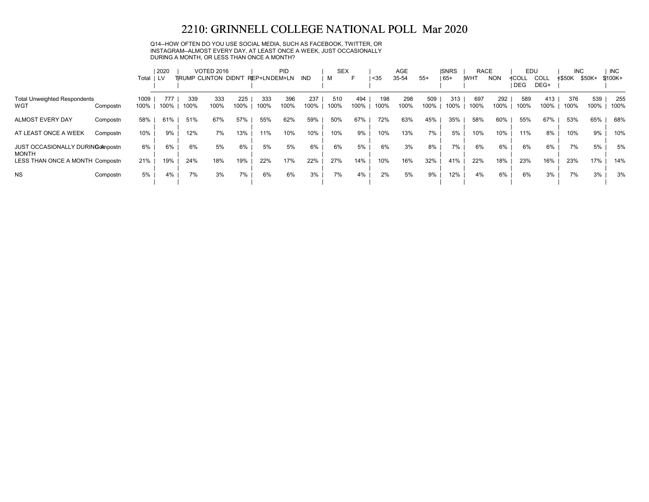Q14--HOW OFTEN DO YOU USE SOCIAL MEDIA, SUCH AS FACEBOOK, TWITTER, OR INSTAGRAM--ALMOST EVERY DAY, AT LEAST ONCE A WEEK, JUST OCCASIONALLY DURING A MONTH, OR LESS THAN ONCE A MONTH?

|                                                  |          | Total        | 2020<br>1 LV |             | <b>VOTED 2016</b><br>TRUMP CLINTON DIDN'T REP+LNDEM+LN |             |             | <b>PID</b>  | IND         | <b>SEX</b><br>м | ⊢           | $35$        | AGE<br>35-54 | $55+$       | <b>ISNRS</b><br>$ 65+$ | <b>RACE</b><br><b>IWHT</b> | <b>NON</b>  | EDU<br>≮COLL | COLL        | <b>INC</b><br><b>≮\$50K</b> | \$50K+      | <b>INC</b><br>\$100K+ |
|--------------------------------------------------|----------|--------------|--------------|-------------|--------------------------------------------------------|-------------|-------------|-------------|-------------|-----------------|-------------|-------------|--------------|-------------|------------------------|----------------------------|-------------|--------------|-------------|-----------------------------|-------------|-----------------------|
|                                                  |          |              |              |             |                                                        |             |             |             |             |                 |             |             |              |             |                        |                            |             | DEG          | DEG+        |                             |             |                       |
| <b>Total Unweighted Respondents</b><br>WGT       | Compostn | 1009<br>100% | 777<br>100%  | 339<br>100% | 333<br>100%                                            | 225<br>100% | 333<br>100% | 396<br>100% | 237<br>100% | 510<br>100%     | 494<br>100% | 198<br>100% | 298<br>100%  | 509<br>100% | 313<br>100%            | 697<br>100%                | 292<br>100% | 589<br>100%  | 413<br>100% | 376<br>100%                 | 539<br>100% | 255<br>100%           |
| ALMOST EVERY DAY                                 | Compostn | 58%          | 61%          | 51%         | 67%                                                    | 57%         | 55%         | 62%         | 59%         | 50%             | 67%         | 72%         | 63%          | 45%         | 35%                    | 58%                        | 60%         | 55%          | 67%         | 53%                         | 65%         | 68%                   |
| AT LEAST ONCE A WEEK                             | Compostn | 10%          | 9%           | 12%         | 7%                                                     | 13%         | 11%         | 10%         | 10%         | 10%             | 9%          | 10%         | 13%          | 7%          | 5%                     | 10%                        | 10%         | 11%          | 8%          | 10%                         | 9%          | 10%                   |
| JUST OCCASIONALLY DURING Ompostn<br><b>MONTH</b> |          | 6%           | 6%           | 6%          | 5%                                                     | 6%          | 5%          | 5%          | 6%          | 6%              | 5%          | 6%          | 3%           | 8%          | 7%                     | 6%                         | 6%          | 6%           | 6%          | 7%                          | 5%          | 5%                    |
| LESS THAN ONCE A MONTH Compostn                  |          | 21%          | 19%          | 24%         | 18%                                                    | 19%         | 22%         | 17%         | 22%         | 27%             | 14%         | 10%         | 16%          | 32%         | 41%                    | 22%                        | 18%         | 23%          | 16%         | 23%                         | 17%         | 14%                   |
| <b>NS</b>                                        | Compostn | 5%           | 4%           | 7%          | 3%                                                     | 7%          | 6%          | 6%          | 3%          | 7%              | 4%          | 2%          | 5%           | 9%          | 12%                    | 4%                         | 6%          | 6%           | 3%          | 7%                          | 3%          | 3%                    |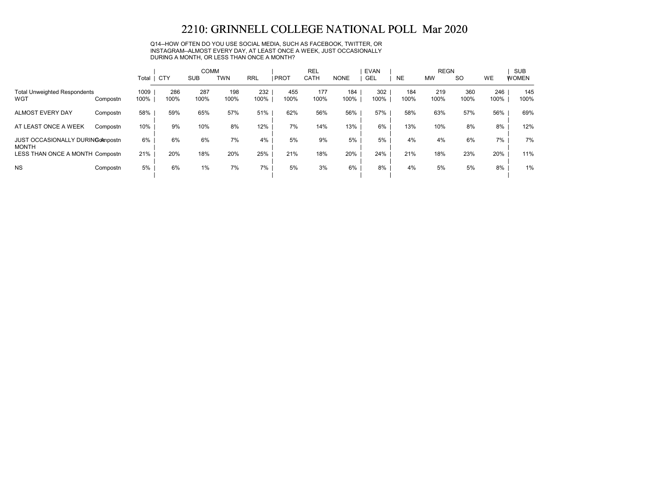Q14--HOW OFTEN DO YOU USE SOCIAL MEDIA, SUCH AS FACEBOOK, TWITTER, OR INSTAGRAM--ALMOST EVERY DAY, AT LEAST ONCE A WEEK, JUST OCCASIONALLY DURING A MONTH, OR LESS THAN ONCE A MONTH?

|                                                         |          |              |             | <b>COMM</b> |             |             |             | <b>REL</b>  |             | <b>EVAN</b> |             | <b>REGN</b> |             |             | <b>SUB</b>   |
|---------------------------------------------------------|----------|--------------|-------------|-------------|-------------|-------------|-------------|-------------|-------------|-------------|-------------|-------------|-------------|-------------|--------------|
|                                                         |          | Total        | <b>CTY</b>  | <b>SUB</b>  | <b>TWN</b>  | <b>RRL</b>  | PROT        | CATH        | <b>NONE</b> | <b>GEL</b>  | <b>NE</b>   | <b>MW</b>   | <b>SO</b>   | <b>WE</b>   | <b>WOMEN</b> |
| <b>Total Unweighted Respondents</b><br>WGT              | Compostn | 1009<br>100% | 286<br>100% | 287<br>100% | 198<br>100% | 232<br>100% | 455<br>100% | 177<br>100% | 184<br>100% | 302<br>100% | 184<br>100% | 219<br>100% | 360<br>100% | 246<br>100% | 145<br>100%  |
| <b>ALMOST EVERY DAY</b>                                 | Compostn | 58%          | 59%         | 65%         | 57%         | 51%         | 62%         | 56%         | 56%         | 57%         | 58%         | 63%         | 57%         | 56%         | 69%          |
| AT LEAST ONCE A WEEK                                    | Compostn | 10%          | 9%          | 10%         | 8%          | 12%         | 7%          | 14%         | 13%         | 6%          | 13%         | 10%         | 8%          | 8%          | 12%          |
| <b>JUST OCCASIONALLY DURING Anpostn</b><br><b>MONTH</b> |          | 6%           | 6%          | 6%          | 7%          | 4%          | 5%          | 9%          | 5%          | 5%          | 4%          | 4%          | 6%          | 7%          | 7%           |
| LESS THAN ONCE A MONTH Compostn                         |          | 21%          | 20%         | 18%         | 20%         | 25%         | 21%         | 18%         | 20%         | 24%         | 21%         | 18%         | 23%         | 20%         | 11%          |
| <b>NS</b>                                               | Compostn | 5%           | 6%          | 1%          | 7%          | 7%          | 5%          | 3%          | 6%          | 8%          | 4%          | 5%          | 5%          | 8%          | 1%           |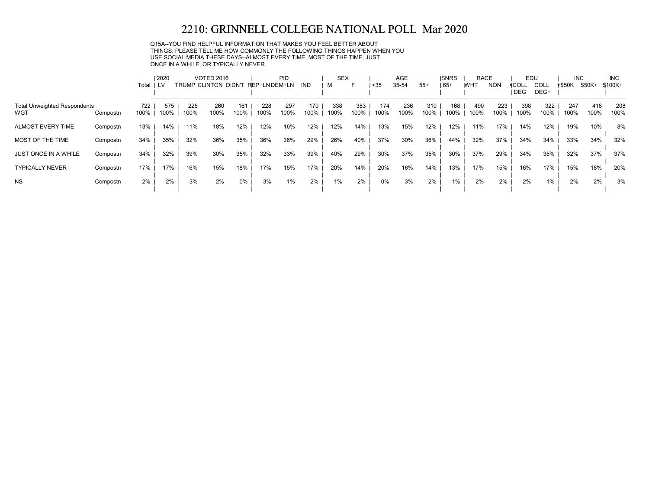Q15A--YOU FIND HELPFUL INFORMATION THAT MAKES YOU FEEL BETTER ABOUT THINGS: PLEASE TELL ME HOW COMMONLY THE FOLLOWING THINGS HAPPEN WHEN YOU USE SOCIAL MEDIA THESE DAYS--ALMOST EVERY TIME, MOST OF THE TIME, JUST ONCE IN A WHILE, OR TYPICALLY NEVER.

|                                     |          |       | 2020 |                       | <b>VOTED 2016</b> |      |              | <b>PID</b> |            | <b>SEX</b> |      |      | <b>AGE</b> |       | <b>ISNRS</b> | <b>RACE</b> |            | EDU   |             | <b>INC</b> |        | <b>INC</b> |
|-------------------------------------|----------|-------|------|-----------------------|-------------------|------|--------------|------------|------------|------------|------|------|------------|-------|--------------|-------------|------------|-------|-------------|------------|--------|------------|
|                                     |          | Total | LV.  | TIRUMP CLINTON DIDN'T |                   |      | REP+LNDEM+LN |            | <b>IND</b> | м          |      | $35$ | 35-54      | $55+$ | $165+$       | <b>WHT</b>  | <b>NON</b> | ≮COLL | <b>COLL</b> | ≮\$50K     | \$50K+ | \$100K+    |
|                                     |          |       |      |                       |                   |      |              |            |            |            |      |      |            |       |              |             |            | DEG   | DEG+        |            |        |            |
| <b>Total Unweighted Respondents</b> |          | 722   | 575  | 225                   | 260               | 161  | 228          | 297        | 170        | 338        | 383  | 174  | 236        | 310   | 168          | 490         | 223        | 398   | 322         | 247        | 418    | 208        |
| WGT                                 | Compostn | 100%  | 100% | 100%                  | 100%              | 100% | 100%         | 100%       | 100%       | 100%       | 100% | 100% | 100%       | 100%  | 100%         | 100%        | 100%       | 100%  | 100%        | 100%       | 100%   | 100%       |
| <b>ALMOST EVERY TIME</b>            | Compostn | 13%   | 14%  | 11%                   | 18%               | 12%  | 12%          | 16%        | 12%        | 12%        | 14%  | 13%  | 15%        | 12%   | 12%          | 11%         | 17%        | 14%   | 12%         | 19%        | 10%    | 8%         |
| MOST OF THE TIME                    | Compostn | 34%   | 35%  | 32%                   | 36%               | 35%  | 36%          | 36%        | 29%        | 26%        | 40%  | 37%  | 30%        | 36%   | 44%          | 32%         | 37%        | 34%   | 34%         | 33%        | 34%    | 32%        |
| <b>JUST ONCE IN A WHILE</b>         | Compostn | 34%   | 32%  | 39%                   | 30%               | 35%  | 32%          | 33%        | 39%        | 40%        | 29%  | 30%  | 37%        | 35%   | 30%          | 37%         | 29%        | 34%   | 35%         | 32%        | 37%    | 37%        |
| <b>TYPICALLY NEVER</b>              | Compostn | 17%   | 17%  | 16%                   | 15%               | 18%  | 17%          | 15%        | 17%        | 20%        | 14%  | 20%  | 16%        | 14%   | 13%          | 17%         | 15%        | 16%   | 17%         | 15%        | 18%    | 20%        |
| <b>NS</b>                           | Compostn | 2%    | 2%   | 3%                    | 2%                | 0%   | 3%           | 1%         | 2%         | $1\%$      | 2%   | 0%   | 3%         | 2%    | $1\%$        | 2%          | 2%         | 2%    | 1%          | 2%         | 2%     | 3%         |
|                                     |          |       |      |                       |                   |      |              |            |            |            |      |      |            |       |              |             |            |       |             |            |        |            |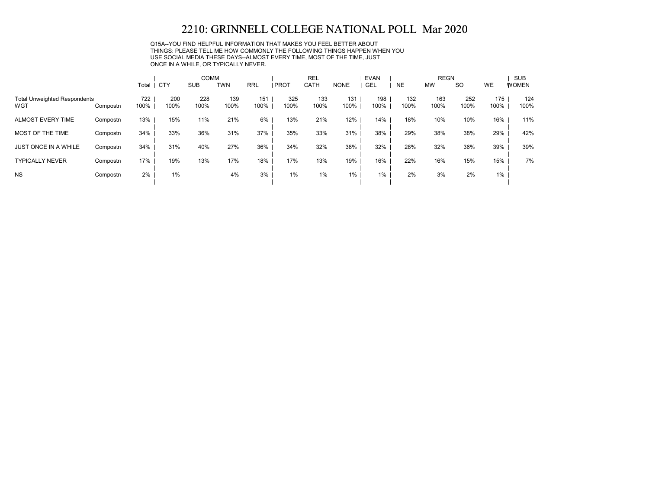Q15A--YOU FIND HELPFUL INFORMATION THAT MAKES YOU FEEL BETTER ABOUT THINGS: PLEASE TELL ME HOW COMMONLY THE FOLLOWING THINGS HAPPEN WHEN YOU USE SOCIAL MEDIA THESE DAYS--ALMOST EVERY TIME, MOST OF THE TIME, JUST ONCE IN A WHILE, OR TYPICALLY NEVER.

|                                            |          |             |             | <b>COMM</b> |             |             |             | <b>REL</b>  |             | <b>EVAN</b> |             | <b>REGN</b> |             |             | <b>SUB</b>   |
|--------------------------------------------|----------|-------------|-------------|-------------|-------------|-------------|-------------|-------------|-------------|-------------|-------------|-------------|-------------|-------------|--------------|
|                                            |          | Total       | <b>CTY</b>  | <b>SUB</b>  | <b>TWN</b>  | <b>RRL</b>  | <b>PROT</b> | <b>CATH</b> | <b>NONE</b> | <b>GEL</b>  | <b>NE</b>   | <b>MW</b>   | <b>SO</b>   | <b>WE</b>   | <b>WOMEN</b> |
| <b>Total Unweighted Respondents</b><br>WGT | Compostn | 722<br>100% | 200<br>100% | 228<br>100% | 139<br>100% | 151<br>100% | 325<br>100% | 133<br>100% | 131<br>100% | 198<br>100% | 132<br>100% | 163<br>100% | 252<br>100% | 175<br>100% | 124<br>100%  |
| <b>ALMOST EVERY TIME</b>                   | Compostn | 13%         | 15%         | 11%         | 21%         | 6%          | 13%         | 21%         | 12%         | 14%         | 18%         | 10%         | 10%         | 16%         | 11%          |
| MOST OF THE TIME                           | Compostn | 34%         | 33%         | 36%         | 31%         | 37%         | 35%         | 33%         | 31%         | 38%         | 29%         | 38%         | 38%         | 29%         | 42%          |
| <b>JUST ONCE IN A WHILE</b>                | Compostn | 34%         | 31%         | 40%         | 27%         | 36%         | 34%         | 32%         | 38%         | 32%         | 28%         | 32%         | 36%         | 39%         | 39%          |
| <b>TYPICALLY NEVER</b>                     | Compostn | 17%         | 19%         | 13%         | 17%         | 18%         | 17%         | 13%         | 19%         | 16%         | 22%         | 16%         | 15%         | 15%         | 7%           |
| <b>NS</b>                                  | Compostn | 2%          | 1%          |             | 4%          | 3%          | 1%          | 1%          | 1%          | 1%          | 2%          | 3%          | 2%          | 1%          |              |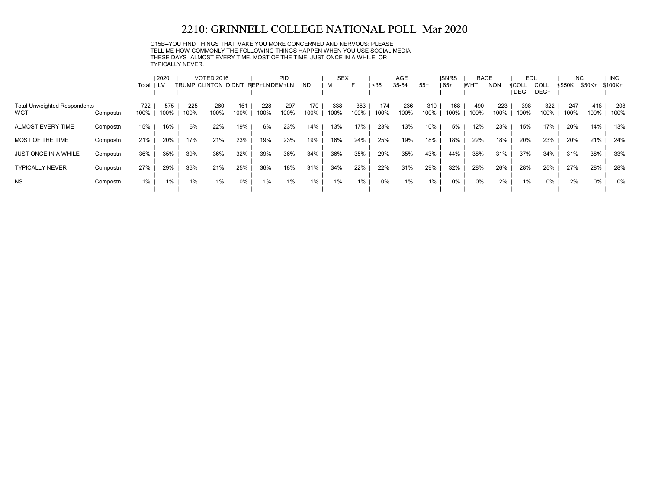Q15B--YOU FIND THINGS THAT MAKE YOU MORE CONCERNED AND NERVOUS: PLEASE TELL ME HOW COMMONLY THE FOLLOWING THINGS HAPPEN WHEN YOU USE SOCIAL MEDIA THESE DAYS--ALMOST EVERY TIME, MOST OF THE TIME, JUST ONCE IN A WHILE, OR TYPICALLY NEVER.

|                                     |          |           | 2020 |      | <b>VOTED 2016</b>            |       |              | PID  |       | <b>SEX</b> |       |      | AGE   |       | <b>ISNRS</b> | <b>RACE</b> |            | EDU        |             | <b>INC</b>    |        | <b>INC</b> |
|-------------------------------------|----------|-----------|------|------|------------------------------|-------|--------------|------|-------|------------|-------|------|-------|-------|--------------|-------------|------------|------------|-------------|---------------|--------|------------|
|                                     |          | Total ILV |      |      | <b>TIRUMP CLINTON DIDN'T</b> |       | REP+LNDEM+LN |      | IND   |            | F     | $35$ | 35-54 | $55+$ | 65+          | <b>WHT</b>  | <b>NON</b> | ≮COLL      | <b>COLL</b> | <b>≮\$50K</b> | \$50K+ | \$100K+    |
|                                     |          |           |      |      |                              |       |              |      |       |            |       |      |       |       |              |             |            | <b>DEG</b> | DEG+        |               |        |            |
| <b>Total Unweighted Respondents</b> |          | 722       | 575  | 225  | 260                          | 161   | 228          | 297  | 170   | 338        | 383   | 174  | 236   | 310   | 168          | 490         | 223        | 398        | 322         | 247           | 418    | 208        |
| WGT                                 | Compostn | 100%      | 100% | 100% | 100%                         | 100%  | 100%         | 100% | 100%  | 100%       | 100%  | 100% | 100%  | 100%  | 100%         | 100%        | 100%       | 100%       | 100%        | 100%          | 100%   | 100%       |
| ALMOST EVERY TIME                   | Compostn | 15%       | 16%  | 6%   | 22%                          | 19%   | 6%           | 23%  | 14%   | 13%        | 17%   | 23%  | 13%   | 10%   | 5%           | 12%         | 23%        | 15%        | 17%         | 20%           | 14%    | 13%        |
| MOST OF THE TIME                    | Compostn | 21%       | 20%  | 17%  | 21%                          | 23%   | 19%          | 23%  | 19%   | 16%        | 24%   | 25%  | 19%   | 18%   | 18%          | 22%         | 18%        | 20%        | 23%         | 20%           | 21%    | 24%        |
| <b>JUST ONCE IN A WHILE</b>         | Compostn | 36%       | 35%  | 39%  | 36%                          | 32%   | 39%          | 36%  | 34%   | 36%        | 35%   | 29%  | 35%   | 43%   | 44%          | 38%         | 31%        | 37%        | 34%         | 31%           | 38%    | 33%        |
| <b>TYPICALLY NEVER</b>              | Compostn | 27%       | 29%  | 36%  | 21%                          | 25%   | 36%          | 18%  | 31%   | 34%        | 22%   | 22%  | 31%   | 29%   | 32%          | 28%         | 26%        | 28%        | 25%         | 27%           | 28%    | 28%        |
| <b>NS</b>                           | Compostn | $1\%$     | 1%   | 1%   | $1\%$                        | $0\%$ | 1%           | 1%   | $1\%$ | $1\%$      | $1\%$ | 0%   | $1\%$ | 1%    | $0\%$        | 0%          | 2%         | 1%         | 0%          | 2%            | 0%     | 0%         |
|                                     |          |           |      |      |                              |       |              |      |       |            |       |      |       |       |              |             |            |            |             |               |        |            |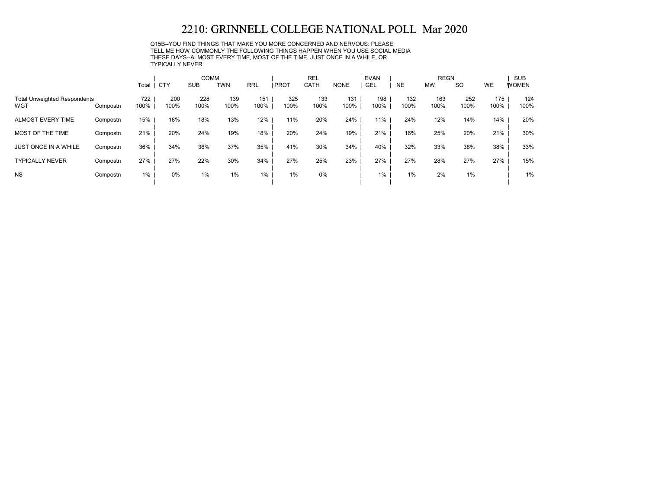Q15B--YOU FIND THINGS THAT MAKE YOU MORE CONCERNED AND NERVOUS: PLEASE TELL ME HOW COMMONLY THE FOLLOWING THINGS HAPPEN WHEN YOU USE SOCIAL MEDIA THESE DAYS--ALMOST EVERY TIME, MOST OF THE TIME, JUST ONCE IN A WHILE, OR TYPICALLY NEVER.

|                                            |          |             |             | <b>COMM</b> |             |             |             | <b>REL</b>  |             | <b>EVAN</b> |             | <b>REGN</b> |             |             | <b>SUB</b>   |
|--------------------------------------------|----------|-------------|-------------|-------------|-------------|-------------|-------------|-------------|-------------|-------------|-------------|-------------|-------------|-------------|--------------|
|                                            |          | Total   CTY |             | <b>SUB</b>  | <b>TWN</b>  | <b>RRL</b>  | <b>PROT</b> | CATH        | <b>NONE</b> | <b>GEL</b>  | <b>NE</b>   | <b>MW</b>   | <b>SO</b>   | <b>WE</b>   | <b>WOMEN</b> |
| <b>Total Unweighted Respondents</b><br>WGT | Compostn | 722<br>100% | 200<br>100% | 228<br>100% | 139<br>100% | 151<br>100% | 325<br>100% | 133<br>100% | 131<br>100% | 198<br>100% | 132<br>100% | 163<br>100% | 252<br>100% | 175<br>100% | 124<br>100%  |
| <b>ALMOST EVERY TIME</b>                   | Compostn | 15%         | 18%         | 18%         | 13%         | 12%         | 11%         | 20%         | 24%         | 11%         | 24%         | 12%         | 14%         | 14%         | 20%          |
| MOST OF THE TIME                           | Compostn | 21%         | 20%         | 24%         | 19%         | 18%         | 20%         | 24%         | 19%         | 21%         | 16%         | 25%         | 20%         | 21%         | 30%          |
| <b>JUST ONCE IN A WHILE</b>                | Compostn | 36%         | 34%         | 36%         | 37%         | 35%         | 41%         | 30%         | 34%         | 40%         | 32%         | 33%         | 38%         | 38%         | 33%          |
| <b>TYPICALLY NEVER</b>                     | Compostn | 27%         | 27%         | 22%         | 30%         | 34%         | 27%         | 25%         | 23%         | 27%         | 27%         | 28%         | 27%         | 27%         | 15%          |
| <b>NS</b>                                  | Compostn | $1\%$       | 0%          | 1%          | $1\%$       | 1%          | 1%          | 0%          |             | 1%          | 1%          | 2%          | 1%          |             | 1%           |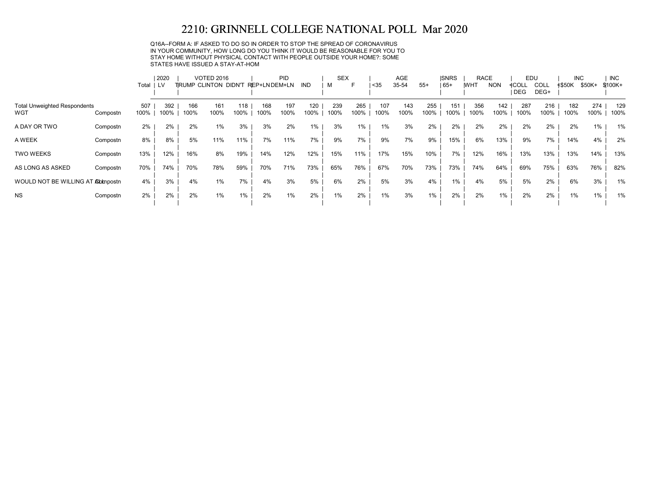Q16A--FORM A: IF ASKED TO DO SO IN ORDER TO STOP THE SPREAD OF CORONAVIRUS IN YOUR COMMUNITY, HOW LONG DO YOU THINK IT WOULD BE REASONABLE FOR YOU TO STAY HOME WITHOUT PHYSICAL CONTACT WITH PEOPLE OUTSIDE YOUR HOME?: SOME STATES HAVE ISSUED A STAY-AT-HOM

|                                            |                  |       | 2020        |             | <b>VOTED 2016</b>    |             |              | <b>PID</b>  |             | <b>SEX</b>  |             |               | AGE         |             | <b>ISNRS</b> | <b>RACE</b> |             | EDU                 |                     | <b>INC</b>    |             | <b>INC</b>  |
|--------------------------------------------|------------------|-------|-------------|-------------|----------------------|-------------|--------------|-------------|-------------|-------------|-------------|---------------|-------------|-------------|--------------|-------------|-------------|---------------------|---------------------|---------------|-------------|-------------|
|                                            |                  | Total | LV          |             | TRUMP CLINTON DIDN'T |             | REP+LNDEM+LN |             | IND         | м           | ᄃ           | <sub>35</sub> | 35-54       | $55+$       | $165+$       | <b>IWHT</b> | <b>NON</b>  | ≮COLL<br><b>DEG</b> | <b>COLL</b><br>DEG+ | <b>≮\$50K</b> | \$50K+      | $$100K+$    |
| <b>Total Unweighted Respondents</b><br>WGT | 100%<br>Compostn | 507   | 392<br>100% | 166<br>100% | 161<br>100%          | 118<br>100% | 168<br>100%  | 197<br>100% | 120<br>100% | 239<br>100% | 265<br>100% | 107<br>100%   | 143<br>100% | 255<br>100% | 151<br>100%  | 356<br>100% | 142<br>100% | 287<br>100%         | 216<br>100%         | 182<br>100%   | 274<br>100% | 129<br>100% |
| A DAY OR TWO                               | Compostn         | 2%    | 2%          | 2%          | $1\%$                | 3%          | 3%           | 2%          | 1%          | 3%          | 1%          | 1%            | 3%          | 2%          | 2%           | 2%          | 2%          | 2%                  | 2%                  | 2%            | 1%          | 1%          |
| A WEEK                                     | Compostn         | 8%    | 8%          | 5%          | 11%                  | 11%         | 7%           | 11%         | 7%          | 9%          | 7%          | 9%            | 7%          | 9%          | 15%          | 6%          | 13%         | 9%                  | 7%                  | 14%           | 4%          | 2%          |
| <b>TWO WEEKS</b>                           | Compostn         | 13%   | 12%         | 16%         | 8%                   | 19%         | 14%          | 12%         | 12%         | 15%         | 11%         | 17%           | 15%         | 10%         | 7%           | 12%         | 16%         | 13%                 | 13%                 | 13%           | 14%         | 13%         |
| AS LONG AS ASKED                           | Compostn         | 70%   | 74%         | 70%         | 78%                  | 59%         | 70%          | 71%         | 73%         | 65%         | 76%         | 67%           | 70%         | 73%         | 73%          | 74%         | 64%         | 69%                 | 75%                 | 63%           | 76%         | 82%         |
| WOULD NOT BE WILLING AT Abbnpostn          |                  | 4%    | 3%          | 4%          | $1\%$                | 7%          | 4%           | 3%          | 5%          | 6%          | 2%          | 5%            | 3%          | 4%          | 1%           | 4%          | 5%          | 5%                  | 2%                  | 6%            | 3%          | 1%          |
| <b>NS</b>                                  | Compostn         | 2%    | 2%          | 2%          | $1\%$                | 1%          | 2%           | 1%          | 2%          | 1%          | 2%          | 1%            | 3%          | $1\%$       | 2%           | 2%          | $1\%$       | 2%                  | 2%                  | $1\%$         | $1\%$       | 1%          |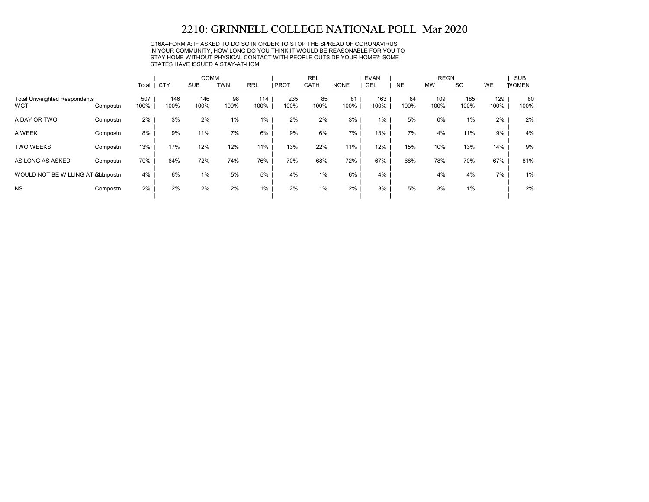Q16A--FORM A: IF ASKED TO DO SO IN ORDER TO STOP THE SPREAD OF CORONAVIRUS IN YOUR COMMUNITY, HOW LONG DO YOU THINK IT WOULD BE REASONABLE FOR YOU TO STAY HOME WITHOUT PHYSICAL CONTACT WITH PEOPLE OUTSIDE YOUR HOME?: SOME STATES HAVE ISSUED A STAY-AT-HOM

|                                            |          |             |             | <b>COMM</b> |            |             |             | <b>REL</b>  |             | <b>EVAN</b> |            | <b>REGN</b> |             |             | <b>SUB</b>   |
|--------------------------------------------|----------|-------------|-------------|-------------|------------|-------------|-------------|-------------|-------------|-------------|------------|-------------|-------------|-------------|--------------|
|                                            |          | Total       | <b>CTY</b>  | <b>SUB</b>  | <b>TWN</b> | <b>RRL</b>  | <b>PROT</b> | <b>CATH</b> | <b>NONE</b> | <b>GEL</b>  | <b>NE</b>  | <b>MW</b>   | <b>SO</b>   | <b>WE</b>   | <b>WOMEN</b> |
| <b>Total Unweighted Respondents</b><br>WGT | Compostn | 507<br>100% | 146<br>100% | 146<br>100% | 98<br>100% | 114<br>100% | 235<br>100% | 85<br>100%  | 81<br>100%  | 163<br>100% | 84<br>100% | 109<br>100% | 185<br>100% | 129<br>100% | 80<br>100%   |
| A DAY OR TWO                               | Compostn | 2%          | 3%          | 2%          | 1%         | 1%          | 2%          | 2%          | 3%          | $1\%$       | 5%         | 0%          | 1%          | 2%          | 2%           |
| A WEEK                                     | Compostn | 8%          | 9%          | 11%         | 7%         | 6%          | 9%          | 6%          | 7%          | 13%         | 7%         | 4%          | 11%         | 9%          | 4%           |
| <b>TWO WEEKS</b>                           | Compostn | 13%         | 17%         | 12%         | 12%        | 11%         | 13%         | 22%         | 11%         | 12%         | 15%        | 10%         | 13%         | 14%         | 9%           |
| AS LONG AS ASKED                           | Compostn | 70%         | 64%         | 72%         | 74%        | 76%         | 70%         | 68%         | 72%         | 67%         | 68%        | 78%         | 70%         | 67%         | 81%          |
| WOULD NOT BE WILLING AT Abbnpostn          |          | 4%          | 6%          | 1%          | 5%         | 5%          | 4%          | $1\%$       | 6%          | 4%          |            | 4%          | 4%          | 7%          | 1%           |
| <b>NS</b>                                  | Compostn | 2%          | 2%          | 2%          | 2%         | $1\%$       | 2%          | $1\%$       | 2%          | 3%          | 5%         | 3%          | 1%          |             | 2%           |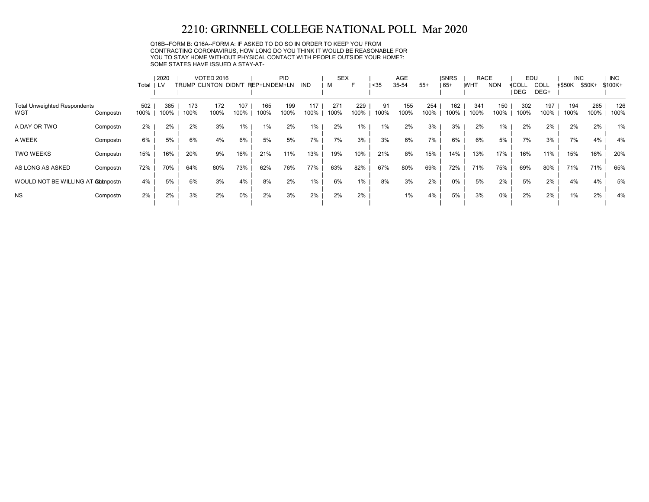Q16B--FORM B: Q16A--FORM A: IF ASKED TO DO SO IN ORDER TO KEEP YOU FROM CONTRACTING CORONAVIRUS, HOW LONG DO YOU THINK IT WOULD BE REASONABLE FOR YOU TO STAY HOME WITHOUT PHYSICAL CONTACT WITH PEOPLE OUTSIDE YOUR HOME?: SOME STATES HAVE ISSUED A STAY-AT-

|                                            |          | 2020        |             |             | <b>VOTED 2016</b>     |             |              | <b>PID</b>  |             | <b>SEX</b>  |             |            | AGE         |             | <b>ISNRS</b> | <b>RACE</b> |             | EDU            |                     | <b>INC</b>    |             | <b>INC</b>  |  |
|--------------------------------------------|----------|-------------|-------------|-------------|-----------------------|-------------|--------------|-------------|-------------|-------------|-------------|------------|-------------|-------------|--------------|-------------|-------------|----------------|---------------------|---------------|-------------|-------------|--|
|                                            |          | Total       | i lv        |             | TIRUMP CLINTON DIDN'T |             | REP+LNDEM+LN |             | IND         | м           | F           | <35        | 35-54       | $55+$       | $ 65+$       | <b>IWHT</b> | <b>NON</b>  | ≮COLL<br>I DEG | <b>COLL</b><br>DEG+ | <b>≮\$50K</b> | \$50K+      | \$100K+     |  |
| <b>Total Unweighted Respondents</b><br>WGT | Compostn | 502<br>100% | 385<br>100% | 173<br>100% | 172<br>100%           | 107<br>100% | 165<br>100%  | 199<br>100% | 117<br>100% | 271<br>100% | 229<br>100% | 91<br>100% | 155<br>100% | 254<br>100% | 162<br>100%  | 341<br>100% | 150<br>100% | 302<br>100%    | 197<br>100%         | 194<br>100%   | 265<br>100% | 126<br>100% |  |
| A DAY OR TWO                               | Compostn | 2%          | 2%          | 2%          | 3%                    | 1%          | 1%           | 2%          | 1%          | 2%          | 1%          | 1%         | 2%          | 3%          | 3%           | 2%          | 1%          | 2%             | 2%                  | 2%            | 2%          | 1%          |  |
| A WEEK                                     | Compostn | 6%          | 5%          | 6%          | 4%                    | 6%          | 5%           | 5%          | 7%          | 7%          | 3%          | 3%         | 6%          | 7%          | 6%           | 6%          | 5%          | 7%             | 3%                  | 7%            | 4%          | 4%          |  |
| <b>TWO WEEKS</b>                           | Compostn | 15%         | 16%         | 20%         | 9%                    | 16%         | 21%          | 11%         | 13%         | 19%         | 10%         | 21%        | 8%          | 15%         | 14%          | 13%         | 17%         | 16%            | 11%                 | 15%           | 16%         | 20%         |  |
| AS LONG AS ASKED                           | Compostn | 72%         | 70%         | 64%         | 80%                   | 73%         | 62%          | 76%         | 77%         | 63%         | 82%         | 67%        | 80%         | 69%         | 72%          | 71%         | 75%         | 69%            | 80%                 | 71%           | 71%         | 65%         |  |
| WOULD NOT BE WILLING AT Abbmostn           |          | 4%          | 5%          | 6%          | 3%                    | 4%          | 8%           | 2%          | $1\%$       | 6%          | 1%          | 8%         | 3%          | 2%          | $0\%$        | 5%          | 2%          | 5%             | 2%                  | 4%            | 4%          | 5%          |  |
| <b>NS</b>                                  | Compostn | 2%          | 2%          | 3%          | 2%                    | $0\%$       | 2%           | 3%          | 2%          | 2%          | 2%          |            | 1%          | 4%          | 5%           | 3%          | 0%          | 2%             | 2%                  | $1\%$         | 2%          | 4%          |  |
|                                            |          |             |             |             |                       |             |              |             |             |             |             |            |             |             |              |             |             |                |                     |               |             |             |  |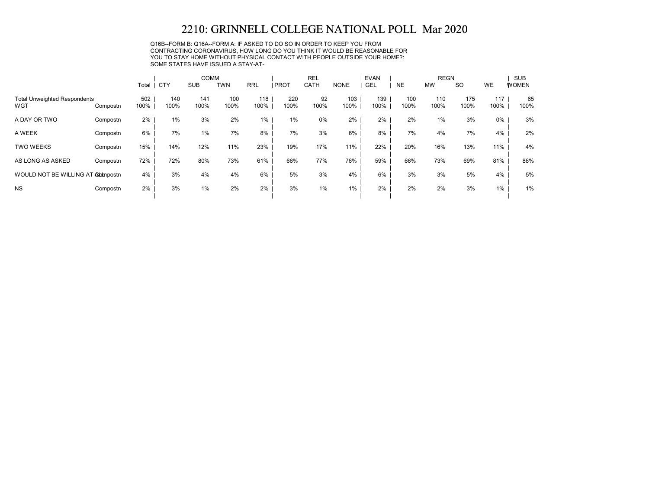Q16B--FORM B: Q16A--FORM A: IF ASKED TO DO SO IN ORDER TO KEEP YOU FROM CONTRACTING CORONAVIRUS, HOW LONG DO YOU THINK IT WOULD BE REASONABLE FOR YOU TO STAY HOME WITHOUT PHYSICAL CONTACT WITH PEOPLE OUTSIDE YOUR HOME?: SOME STATES HAVE ISSUED A STAY-AT-

|                                            |          |             | <b>COMM</b> |             |             |             |             | <b>REL</b> |             | <b>EVAN</b> |             | <b>REGN</b> |             | <b>SUB</b>  |              |  |
|--------------------------------------------|----------|-------------|-------------|-------------|-------------|-------------|-------------|------------|-------------|-------------|-------------|-------------|-------------|-------------|--------------|--|
|                                            |          | Total       | CTY         | <b>SUB</b>  | <b>TWN</b>  | <b>RRL</b>  | <b>PROT</b> | CATH       | <b>NONE</b> | <b>GEL</b>  | <b>NE</b>   | <b>MW</b>   | <b>SO</b>   | <b>WE</b>   | <b>WOMEN</b> |  |
| <b>Total Unweighted Respondents</b><br>WGT | Compostn | 502<br>100% | 140<br>100% | 141<br>100% | 100<br>100% | 118<br>100% | 220<br>100% | 92<br>100% | 103<br>100% | 139<br>100% | 100<br>100% | 110<br>100% | 175<br>100% | 117<br>100% | 65<br>100%   |  |
| A DAY OR TWO                               | Compostn | 2%          | 1%          | 3%          | 2%          | 1%          | 1%          | $0\%$      | 2%          | 2%          | 2%          | 1%          | 3%          | 0%          | 3%           |  |
| A WEEK                                     | Compostn | 6%          | 7%          | 1%          | 7%          | 8%          | 7%          | 3%         | 6%          | 8%          | 7%          | 4%          | 7%          | 4%          | 2%           |  |
| <b>TWO WEEKS</b>                           | Compostn | 15%         | 14%         | 12%         | 11%         | 23%         | 19%         | 17%        | 11%         | 22%         | 20%         | 16%         | 13%         | 11%         | 4%           |  |
| AS LONG AS ASKED                           | Compostn | 72%         | 72%         | 80%         | 73%         | 61%         | 66%         | 77%        | 76%         | 59%         | 66%         | 73%         | 69%         | 81%         | 86%          |  |
| WOULD NOT BE WILLING AT Abbnpostn          |          | 4%          | 3%          | 4%          | 4%          | 6%          | 5%          | 3%         | 4%          | 6%          | 3%          | 3%          | 5%          | 4%          | 5%           |  |
| <b>NS</b>                                  | Compostn | 2%          | 3%          | 1%          | 2%          | 2%          | 3%          | 1%         | $1\%$       | 2%          | 2%          | 2%          | 3%          | $1\%$       | 1%           |  |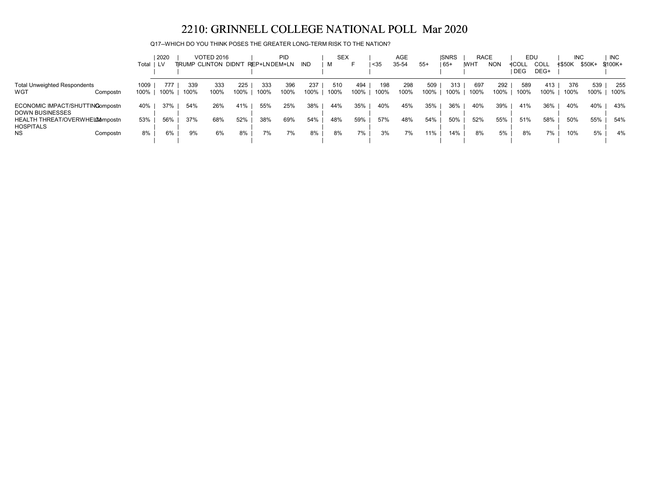Q17--WHICH DO YOU THINK POSES THE GREATER LONG-TERM RISK TO THE NATION?

|                                                           |                  | 2020      |      | <b>VOTED 2016</b>    |      |              | <b>PID</b> |      | <b>SEX</b> |      |      | AGE   |       | <b>ISNRS</b> | <b>RACE</b> |            | EDU   |      | <b>INC</b> |        | <b>INC</b> |
|-----------------------------------------------------------|------------------|-----------|------|----------------------|------|--------------|------------|------|------------|------|------|-------|-------|--------------|-------------|------------|-------|------|------------|--------|------------|
|                                                           |                  | Total ILV |      | TRUMP CLINTON DIDN'T |      | REP+LNDEM+LN |            | IND  | M          |      | $35$ | 35-54 | $55+$ | 65+          | <b>WHT</b>  | <b>NON</b> | ≮COLL | COLL | ≮\$50K     | \$50K+ | $$100K +$  |
|                                                           |                  |           |      |                      |      |              |            |      |            |      |      |       |       |              |             |            | DEG   | DEG+ |            |        |            |
| <b>Total Unweighted Respondents</b>                       | 1009             | 777       | 339  | 333                  | 225  | 333          | 396        | 237  | 510        | 494  | 198  | 298   | 509   | 313          | 697         | 292        | 589   | 413  | 376        | 539    | 255        |
| WGT                                                       | 100%<br>Compostn | 100%      | 100% | 100%                 | 100% | 100%         | 100%       | 100% | 100%       | 100% | 100% | 100%  | 100%  | 100%         | 100%        | 100%       | 100%  | 100% | 100%       | 100%   | 100%       |
| ECONOMIC IMPACT/SHUTTINGompostn<br><b>DOWN BUSINESSES</b> | 40%              | 37%       | 54%  | 26%                  | 41%  | 55%          | 25%        | 38%  | 44%        | 35%  | 40%  | 45%   | 35%   | 36%          | 40%         | 39%        | 41%   | 36%  | 40%        | 40%    | 43%        |
| HEALTH THREAT/OVERWHEL006mpostn<br><b>HOSPITALS</b>       | 53%              | 56%       | 37%  | 68%                  | 52%  | 38%          | 69%        | 54%  | 48%        | 59%  | 57%  | 48%   | 54%   | 50%          | 52%         | 55%        | 51%   | 58%  | 50%        | 55%    | 54%        |
| <b>NS</b>                                                 | 8%<br>Compostn   | 6%        | 9%   | 6%                   | 8%   | 7%           | 7%         | 8%   | 8%         | 7%   | 3%   | 7%    | 11%   | 14%          | 8%          | 5%         | 8%    | 7%   | 10%        | 5%     | 4%         |